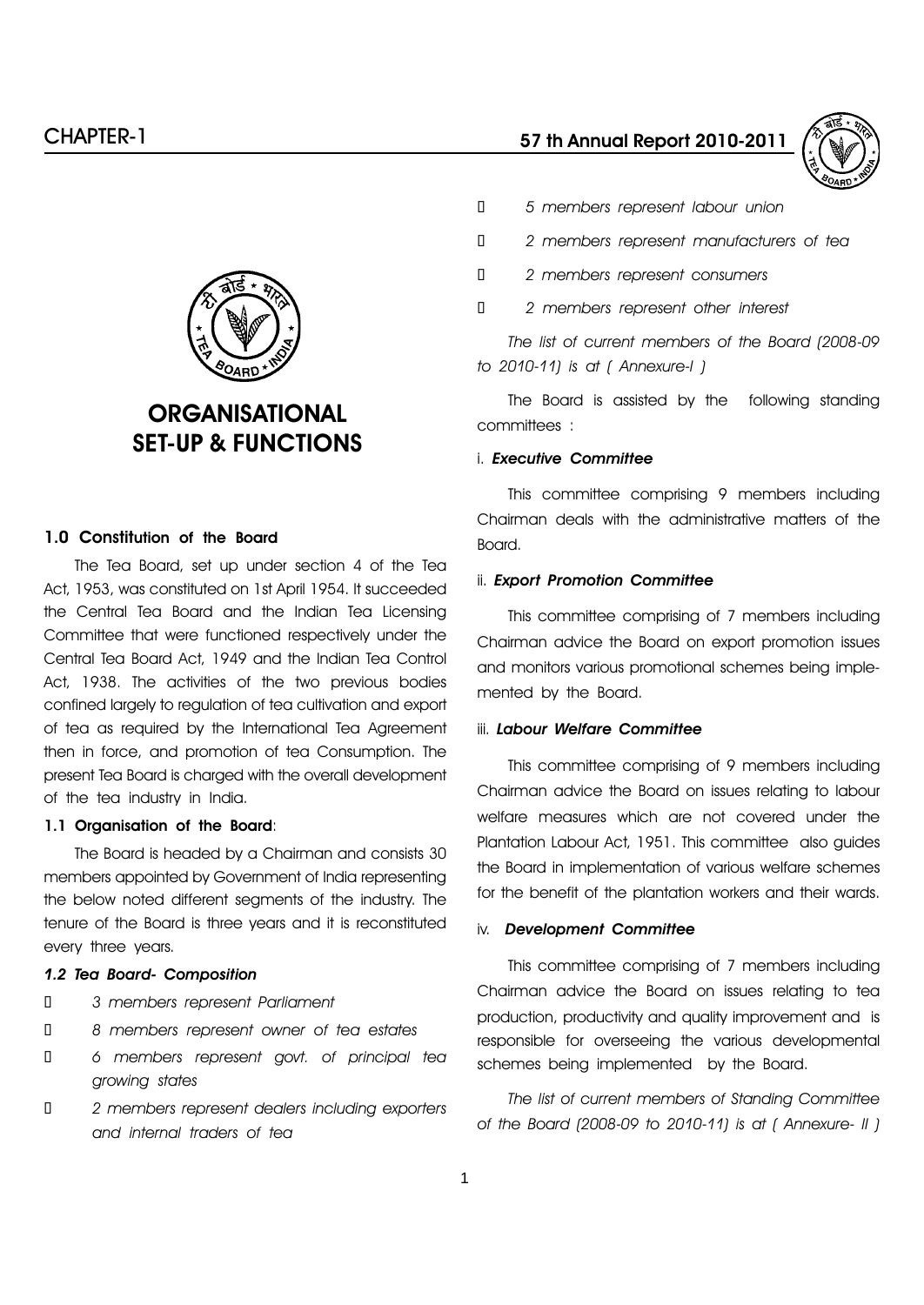

# **ORGANISATIONAL** SET-UP & FUNCTIONS

# 1.0 Constitution of the Board

The Tea Board, set up under section 4 of the Tea Act, 1953, was constituted on 1st April 1954. It succeeded the Central Tea Board and the Indian Tea Licensing Committee that were functioned respectively under the Central Tea Board Act, 1949 and the Indian Tea Control Act, 1938. The activities of the two previous bodies confined largely to regulation of tea cultivation and export of tea as required by the International Tea Agreement then in force, and promotion of tea Consumption. The present Tea Board is charged with the overall development of the tea industry in India.

#### 1.1 Organisation of the Board:

The Board is headed by a Chairman and consists 30 members appointed by Government of India representing the below noted different segments of the industry. The tenure of the Board is three years and it is reconstituted every three years.

#### 1.2 Tea Board- Composition

- 3 members represent Parliament
- 8 members represent owner of tea estates

 6 members represent govt. of principal tea growing states

 2 members represent dealers including exporters and internal traders of tea

- 5 members represent labour union
- 2 members represent manufacturers of tea
- 2 members represent consumers
- 2 members represent other interest

The list of current members of the Board (2008-09 to 2010-11) is at ( Annexure-I )

The Board is assisted by the following standing committees :

#### i. Executive Committee

This committee comprising 9 members including Chairman deals with the administrative matters of the Board.

#### ii. Export Promotion Committee

This committee comprising of 7 members including Chairman advice the Board on export promotion issues and monitors various promotional schemes being implemented by the Board.

#### iii. Labour Welfare Committee

This committee comprising of 9 members including Chairman advice the Board on issues relating to labour welfare measures which are not covered under the Plantation Labour Act, 1951. This committee also guides the Board in implementation of various welfare schemes for the benefit of the plantation workers and their wards.

#### iv. Development Committee

This committee comprising of 7 members including Chairman advice the Board on issues relating to tea production, productivity and quality improvement and is responsible for overseeing the various developmental schemes being implemented by the Board.

The list of current members of Standing Committee of the Board (2008-09 to 2010-11) is at ( Annexure- II )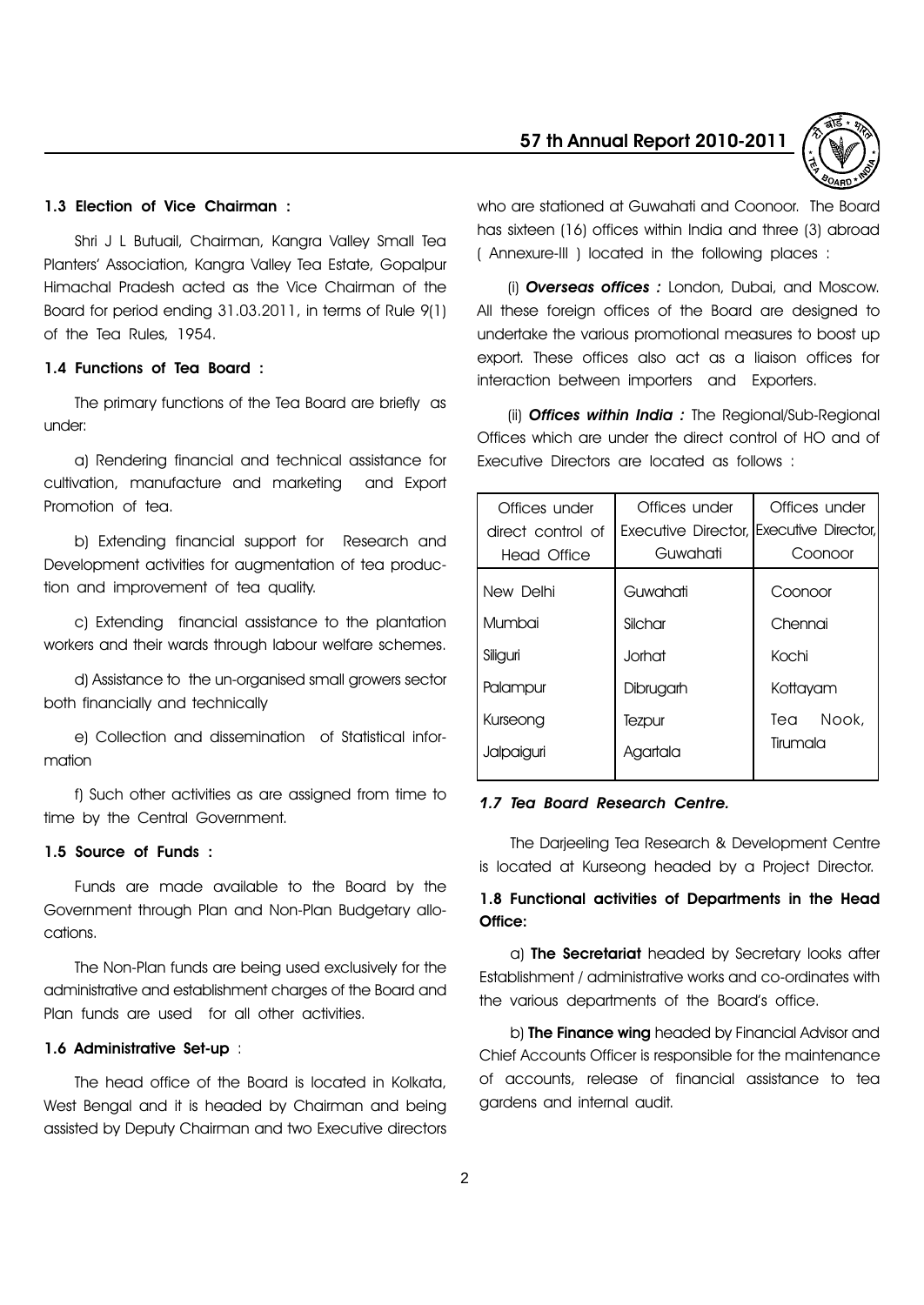#### 1.3 Election of Vice Chairman :

Shri J L Butuail, Chairman, Kangra Valley Small Tea Plantersí Association, Kangra Valley Tea Estate, Gopalpur Himachal Pradesh acted as the Vice Chairman of the Board for period ending 31.03.2011, in terms of Rule 9(1) of the Tea Rules, 1954.

#### 1.4 Functions of Tea Board :

The primary functions of the Tea Board are briefly as under:

a) Rendering financial and technical assistance for cultivation, manufacture and marketing and Export Promotion of tea.

b) Extending financial support for Research and Development activities for augmentation of tea production and improvement of tea quality.

c) Extending financial assistance to the plantation workers and their wards through labour welfare schemes.

d) Assistance to the un-organised small growers sector both financially and technically

e) Collection and dissemination of Statistical information

f) Such other activities as are assigned from time to time by the Central Government.

# 1.5 Source of Funds :

Funds are made available to the Board by the Government through Plan and Non-Plan Budgetary allocations.

The Non-Plan funds are being used exclusively for the administrative and establishment charges of the Board and Plan funds are used for all other activities.

#### 1.6 Administrative Set-up :

The head office of the Board is located in Kolkata, West Bengal and it is headed by Chairman and being assisted by Deputy Chairman and two Executive directors

#### 57 th Annual Report 2010-2011



who are stationed at Guwahati and Coonoor. The Board has sixteen (16) offices within India and three (3) abroad ( Annexure-III ) located in the following places :

(i) **Overseas offices**: London, Dubai, and Moscow. All these foreign offices of the Board are designed to undertake the various promotional measures to boost up export. These offices also act as a liaison offices for interaction between importers and Exporters.

(ii) **Offices within India** : The Regional/Sub-Regional Offices which are under the direct control of HO and of Executive Directors are located as follows :

| Offices under     | Offices under                            | Offices under |
|-------------------|------------------------------------------|---------------|
| direct control of | Executive Director, IExecutive Director, |               |
| Head Office       | Guwahati                                 | Coonoor       |
| New Delhi         | Guwahati                                 | Coonoor       |
| Mumbai            | Silchar                                  | Chennai       |
| Siliguri          | Jorhat .                                 | Kochi         |
| Palampur          | Dibrugarh                                | Kottayam      |
| Kurseong          | Tezpur                                   | Tea Nook,     |
| Jalpaiguri        | Agartala                                 | Tirumala      |
|                   |                                          |               |

#### 1.7 Tea Board Research Centre.

The Darjeeling Tea Research & Development Centre is located at Kurseong headed by a Project Director.

# 1.8 Functional activities of Departments in the Head Office:

a) The Secretariat headed by Secretary looks after Establishment / administrative works and co-ordinates with the various departments of the Boardís office.

b) **The Finance wing** headed by Financial Advisor and Chief Accounts Officer is responsible for the maintenance of accounts, release of financial assistance to tea gardens and internal audit.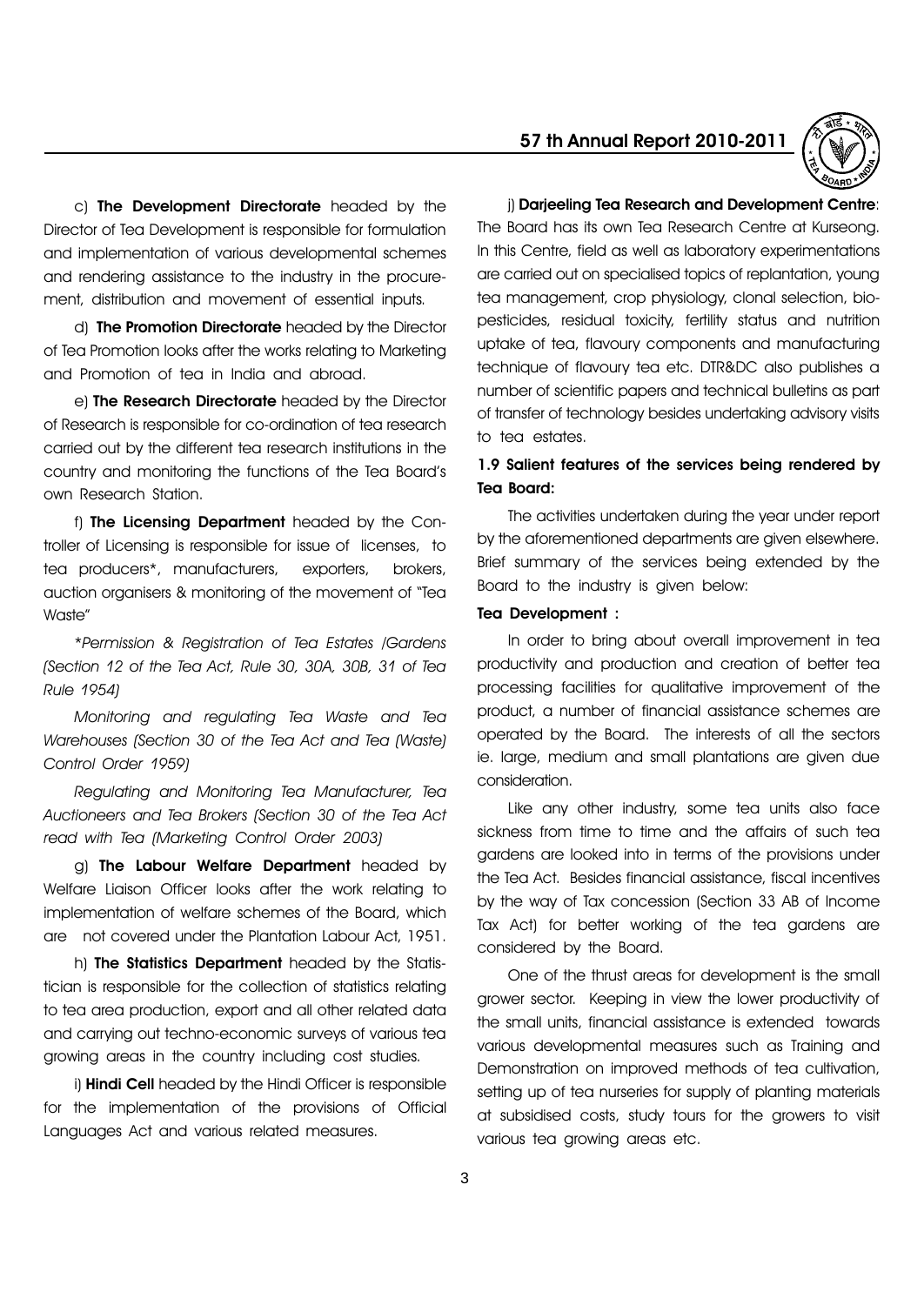c) The Development Directorate headed by the Director of Tea Development is responsible for formulation and implementation of various developmental schemes and rendering assistance to the industry in the procurement, distribution and movement of essential inputs.

d) The Promotion Directorate headed by the Director of Tea Promotion looks after the works relating to Marketing and Promotion of tea in India and abroad.

e) The Research Directorate headed by the Director of Research is responsible for co-ordination of tea research carried out by the different tea research institutions in the country and monitoring the functions of the Tea Boardís own Research Station.

f) The Licensing Department headed by the Controller of Licensing is responsible for issue of licenses, to tea producers\*, manufacturers, exporters, brokers, auction organisers & monitoring of the movement of "Tea Waste<sup>"</sup>

\*Permission & Registration of Tea Estates /Gardens (Section 12 of the Tea Act, Rule 30, 30A, 30B, 31 of Tea Rule 1954)

Monitoring and regulating Tea Waste and Tea Warehouses (Section 30 of the Tea Act and Tea (Waste) Control Order 1959)

Regulating and Monitoring Tea Manufacturer, Tea Auctioneers and Tea Brokers (Section 30 of the Tea Act read with Tea (Marketing Control Order 2003)

g) The Labour Welfare Department headed by Welfare Liaison Officer looks after the work relating to implementation of welfare schemes of the Board, which are not covered under the Plantation Labour Act, 1951.

h) The Statistics Department headed by the Statistician is responsible for the collection of statistics relating to tea area production, export and all other related data and carrying out techno-economic surveys of various tea growing areas in the country including cost studies.

i) **Hindi Cell** headed by the Hindi Officer is responsible for the implementation of the provisions of Official Languages Act and various related measures.

# 57 th Annual Report 2010-2011



#### i) Darieeling Tea Research and Development Centre:

The Board has its own Tea Research Centre at Kurseong. In this Centre, field as well as laboratory experimentations are carried out on specialised topics of replantation, young tea management, crop physiology, clonal selection, biopesticides, residual toxicity, fertility status and nutrition uptake of tea, flavoury components and manufacturing technique of flavoury tea etc. DTR&DC also publishes a number of scientific papers and technical bulletins as part of transfer of technology besides undertaking advisory visits to tea estates.

# 1.9 Salient features of the services being rendered by Tea Board:

The activities undertaken during the year under report by the aforementioned departments are given elsewhere. Brief summary of the services being extended by the Board to the industry is given below:

#### Tea Development :

In order to bring about overall improvement in tea productivity and production and creation of better tea processing facilities for qualitative improvement of the product, a number of financial assistance schemes are operated by the Board. The interests of all the sectors ie. large, medium and small plantations are given due consideration.

Like any other industry, some tea units also face sickness from time to time and the affairs of such tea gardens are looked into in terms of the provisions under the Tea Act. Besides financial assistance, fiscal incentives by the way of Tax concession (Section 33 AB of Income Tax Act) for better working of the tea gardens are considered by the Board.

One of the thrust areas for development is the small grower sector. Keeping in view the lower productivity of the small units, financial assistance is extended towards various developmental measures such as Training and Demonstration on improved methods of tea cultivation, setting up of tea nurseries for supply of planting materials at subsidised costs, study tours for the growers to visit various tea growing areas etc.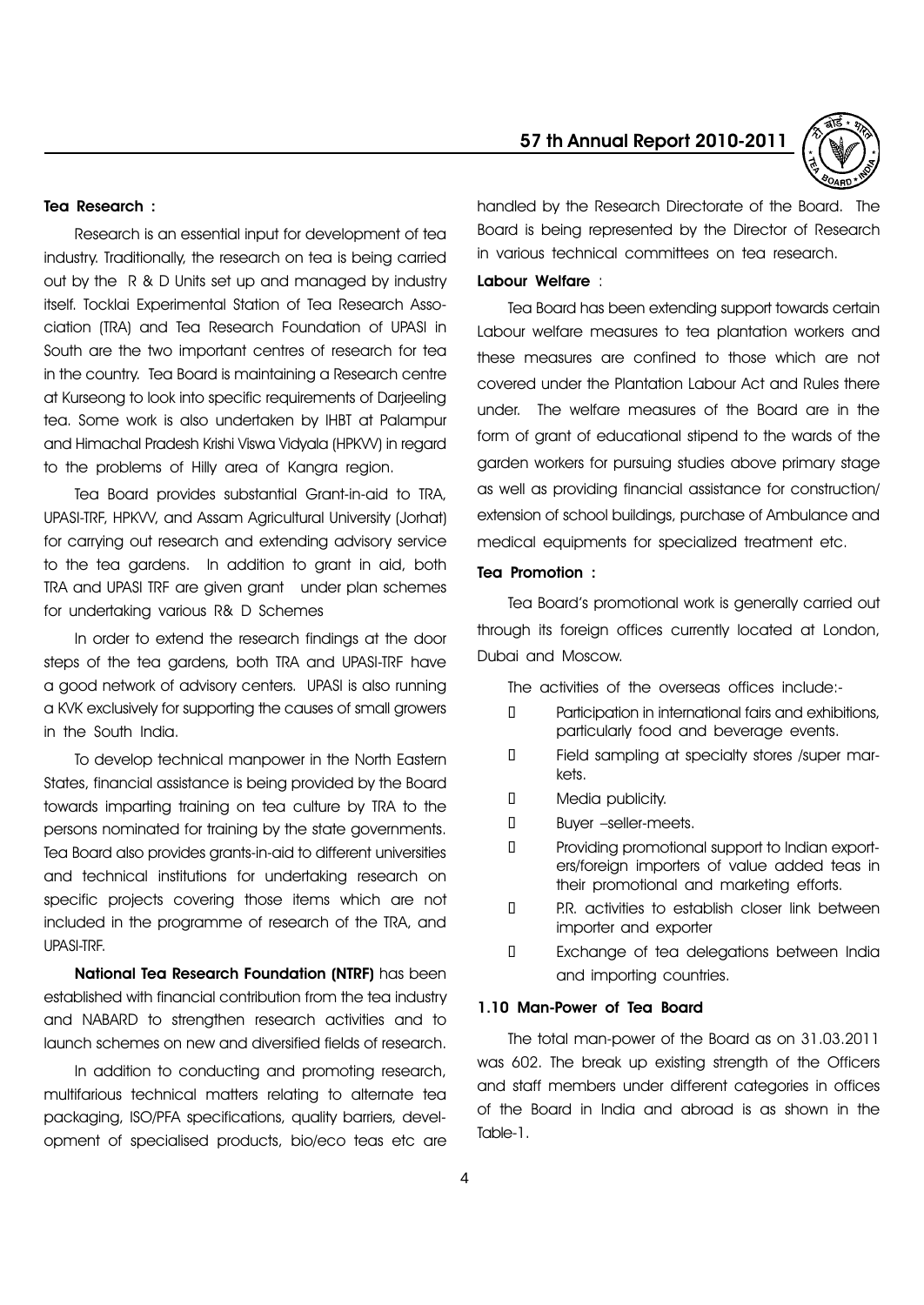#### Tea Research :

Research is an essential input for development of tea industry. Traditionally, the research on tea is being carried out by the R & D Units set up and managed by industry itself. Tocklai Experimental Station of Tea Research Association (TRA) and Tea Research Foundation of UPASI in South are the two important centres of research for tea in the country. Tea Board is maintaining a Research centre at Kurseong to look into specific requirements of Darjeeling tea. Some work is also undertaken by IHBT at Palampur and Himachal Pradesh Krishi Viswa Vidyala (HPKVV) in regard to the problems of Hilly area of Kangra region.

Tea Board provides substantial Grant-in-aid to TRA, UPASI-TRF, HPKVV, and Assam Agricultural University (Jorhat) for carrying out research and extending advisory service to the tea gardens. In addition to grant in aid, both TRA and UPASI TRF are given grant under plan schemes for undertaking various R& D Schemes

In order to extend the research findings at the door steps of the tea gardens, both TRA and UPASI-TRF have a good network of advisory centers. UPASI is also running a KVK exclusively for supporting the causes of small growers in the South India.

To develop technical manpower in the North Eastern States, financial assistance is being provided by the Board towards imparting training on tea culture by TRA to the persons nominated for training by the state governments. Tea Board also provides grants-in-aid to different universities and technical institutions for undertaking research on specific projects covering those items which are not included in the programme of research of the TRA, and UPASI-TRF.

National Tea Research Foundation (NTRF) has been established with financial contribution from the tea industry and NABARD to strengthen research activities and to launch schemes on new and diversified fields of research.

In addition to conducting and promoting research, multifarious technical matters relating to alternate tea packaging, ISO/PFA specifications, quality barriers, development of specialised products, bio/eco teas etc are

# 57 th Annual Report 2010-2011



handled by the Research Directorate of the Board. The Board is being represented by the Director of Research in various technical committees on tea research.

# Labour Welfare :

Tea Board has been extending support towards certain Labour welfare measures to tea plantation workers and these measures are confined to those which are not covered under the Plantation Labour Act and Rules there under. The welfare measures of the Board are in the form of grant of educational stipend to the wards of the garden workers for pursuing studies above primary stage as well as providing financial assistance for construction/ extension of school buildings, purchase of Ambulance and medical equipments for specialized treatment etc.

#### Tea Promotion :

Tea Boardís promotional work is generally carried out through its foreign offices currently located at London, Dubai and Moscow.

The activities of the overseas offices include:-

- Participation in international fairs and exhibitions, particularly food and beverage events.
- Field sampling at specialty stores /super markets.
- Media publicity.
- Buyer -seller-meets.

 Providing promotional support to Indian exporters/foreign importers of value added teas in their promotional and marketing efforts.

 P.R. activities to establish closer link between importer and exporter

 Exchange of tea delegations between India and importing countries.

#### 1.10 Man-Power of Tea Board

The total man-power of the Board as on 31.03.2011 was 602. The break up existing strength of the Officers and staff members under different categories in offices of the Board in India and abroad is as shown in the Table-1.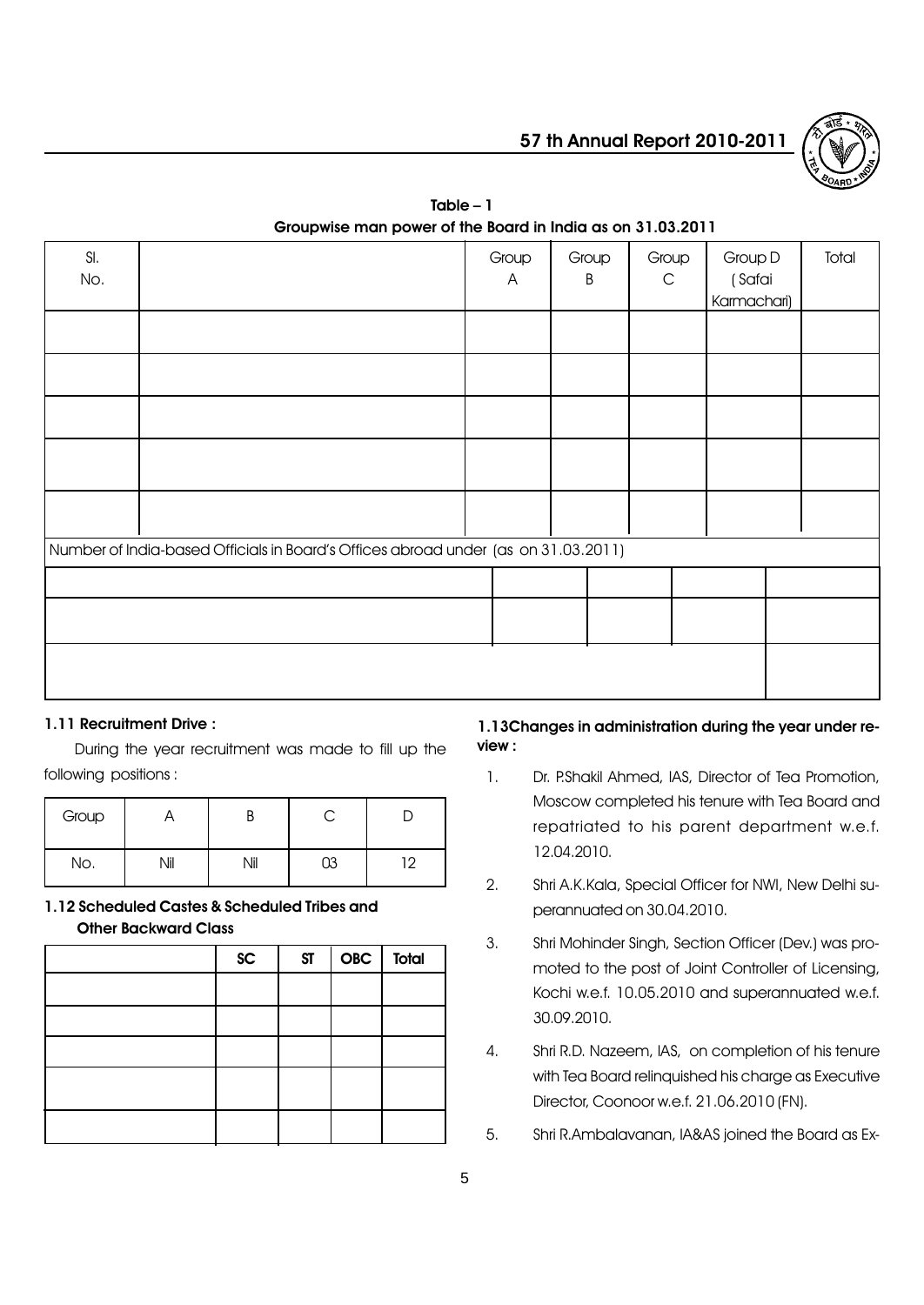

| SI.<br>No. |                                                                                    | Group<br>A | Group<br>B | Group<br>$\mathsf C$ | Group D<br>(Safai<br>Karmachari) | Total |
|------------|------------------------------------------------------------------------------------|------------|------------|----------------------|----------------------------------|-------|
|            |                                                                                    |            |            |                      |                                  |       |
|            |                                                                                    |            |            |                      |                                  |       |
|            |                                                                                    |            |            |                      |                                  |       |
|            |                                                                                    |            |            |                      |                                  |       |
|            |                                                                                    |            |            |                      |                                  |       |
|            | Number of India-based Officials in Board's Offices abroad under (as on 31.03.2011) |            |            |                      |                                  |       |
|            |                                                                                    |            |            |                      |                                  |       |
|            |                                                                                    |            |            |                      |                                  |       |
|            |                                                                                    |            |            |                      |                                  |       |

## $Table - 1$ Groupwise man power of the Board in India as on 31.03.2011

### 1.11 Recruitment Drive :

During the year recruitment was made to fill up the following positions :

| Group |     |     |     |
|-------|-----|-----|-----|
| No.   | ۱il | Nil | ר ו |

# 1.12 Scheduled Castes & Scheduled Tribes and Other Backward Class

| SC | ST | $OBC$ Total |  |
|----|----|-------------|--|
|    |    |             |  |
|    |    |             |  |
|    |    |             |  |
|    |    |             |  |
|    |    |             |  |

### 1.13Changes in administration during the year under review :

- 1. Dr. P.Shakil Ahmed, IAS, Director of Tea Promotion, Moscow completed his tenure with Tea Board and repatriated to his parent department w.e.f. 12.04.2010.
- 2. Shri A.K.Kala, Special Officer for NWI, New Delhi superannuated on 30.04.2010.
- 3. Shri Mohinder Singh, Section Officer (Dev.) was promoted to the post of Joint Controller of Licensing, Kochi w.e.f. 10.05.2010 and superannuated w.e.f. 30.09.2010.
- 4. Shri R.D. Nazeem, IAS, on completion of his tenure with Tea Board relinquished his charge as Executive Director, Coonoor w.e.f. 21.06.2010 (FN).
- 5. Shri R.Ambalavanan, IA&AS joined the Board as Ex-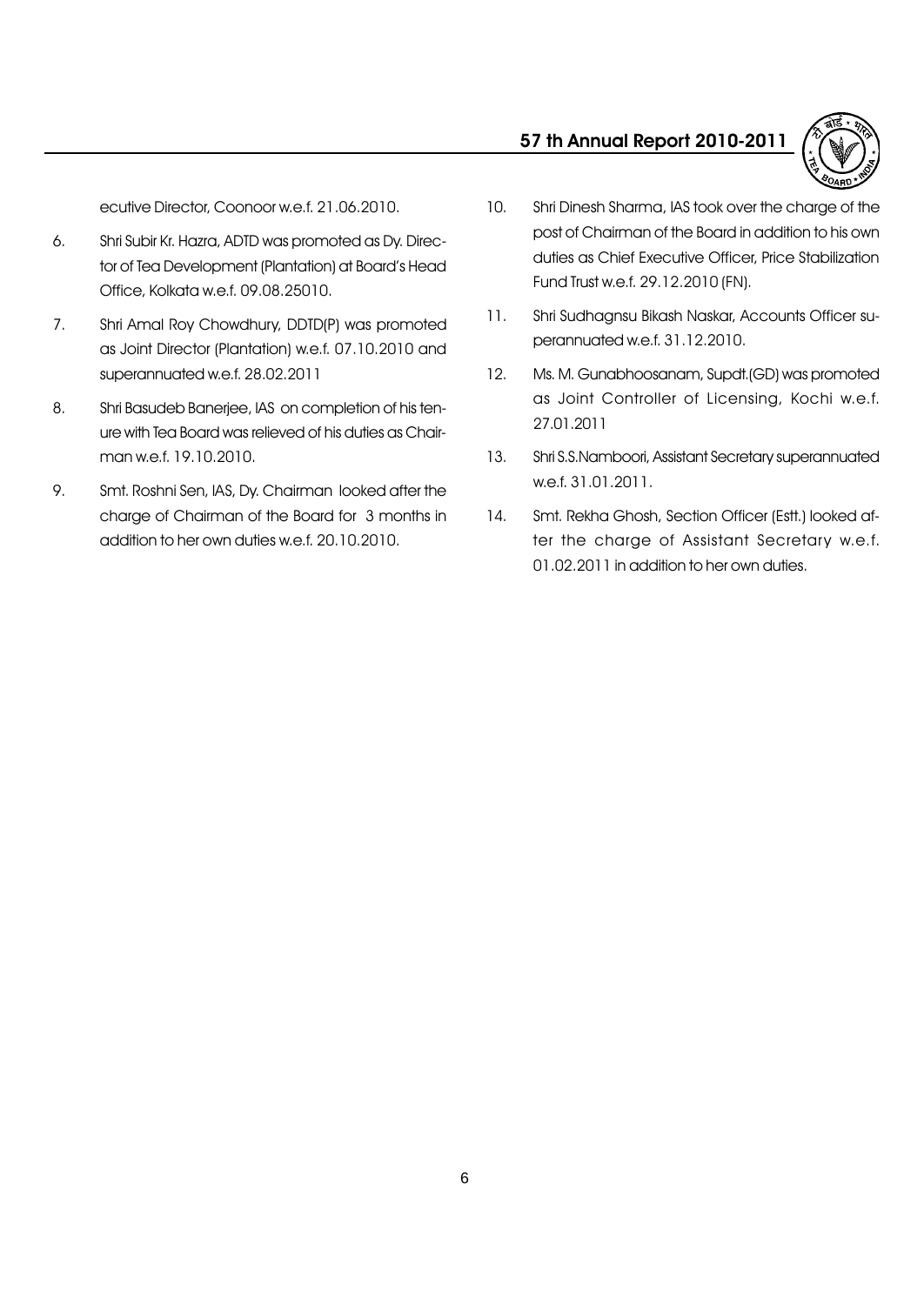

ecutive Director, Coonoor w.e.f. 21.06.2010.

- 6. Shri Subir Kr. Hazra, ADTD was promoted as Dy. Director of Tea Development (Plantation) at Board's Head Office, Kolkata w.e.f. 09.08.25010.
- 7. Shri Amal Roy Chowdhury, DDTD(P) was promoted as Joint Director (Plantation) w.e.f. 07.10.2010 and superannuated w.e.f. 28.02.2011
- 8. Shri Basudeb Banerjee, IAS on completion of his tenure with Tea Board was relieved of his duties as Chairman w.e.f. 19.10.2010.
- 9. Smt. Roshni Sen, IAS, Dy. Chairman looked after the charge of Chairman of the Board for 3 months in addition to her own duties w.e.f. 20.10.2010.
- 10. Shri Dinesh Sharma, IAS took over the charge of the post of Chairman of the Board in addition to his own duties as Chief Executive Officer, Price Stabilization Fund Trust w.e.f. 29.12.2010 (FN).
- 11. Shri Sudhagnsu Bikash Naskar, Accounts Officer superannuated w.e.f. 31.12.2010.
- 12. Ms. M. Gunabhoosanam, Supdt.(GD) was promoted as Joint Controller of Licensing, Kochi w.e.f. 27.01.2011
- 13. Shri S.S.Namboori, Assistant Secretary superannuated w.e.f. 31.01.2011.
- 14. Smt. Rekha Ghosh, Section Officer (Estt.) looked after the charge of Assistant Secretary w.e.f. 01.02.2011 in addition to her own duties.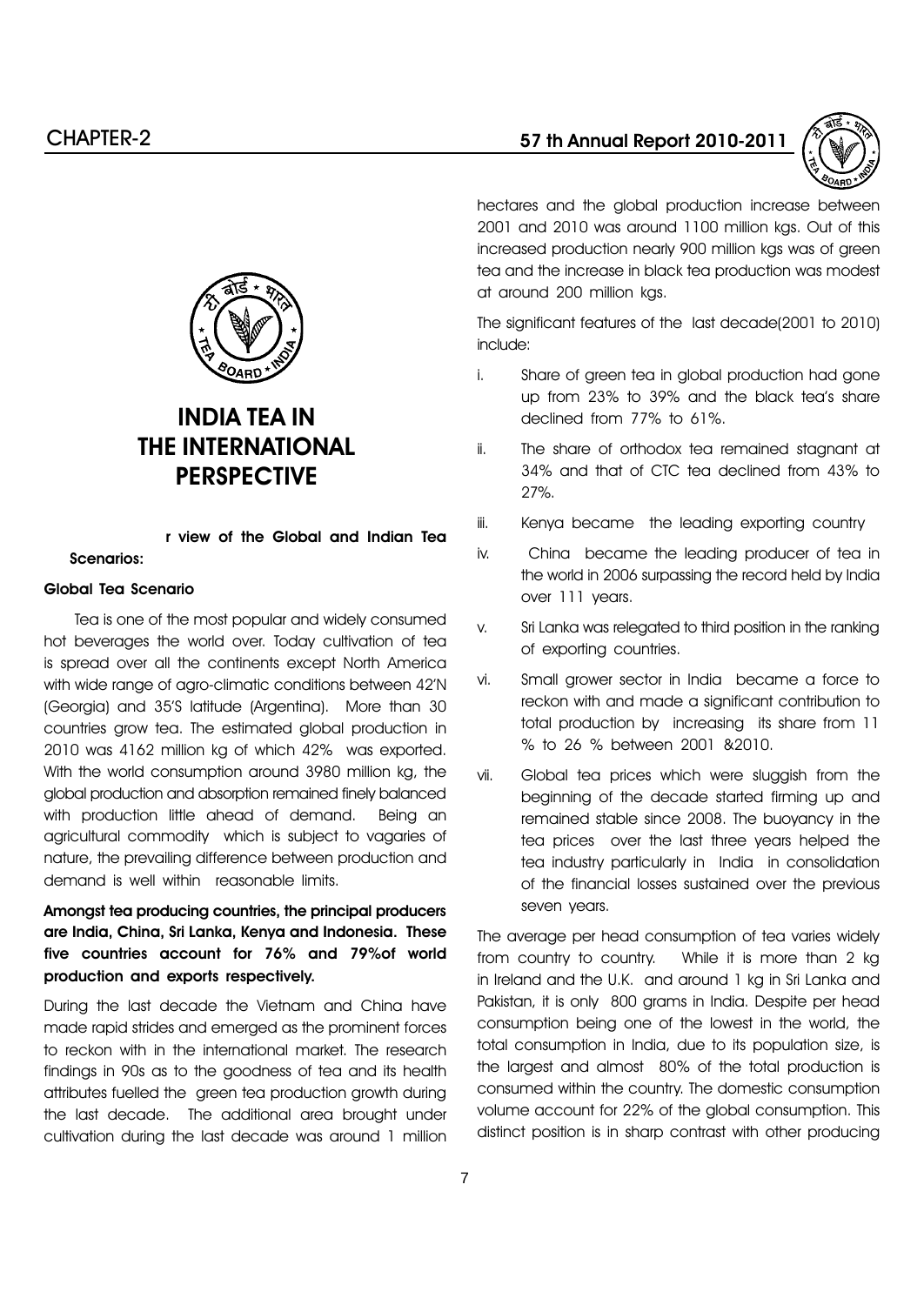

hectares and the global production increase between 2001 and 2010 was around 1100 million kgs. Out of this increased production nearly 900 million kgs was of green tea and the increase in black tea production was modest at around 200 million kgs.

The significant features of the last decade(2001 to 2010) include:

- i. Share of green tea in global production had gone up from 23% to 39% and the black teaís share declined from 77% to 61%.
- ii. The share of orthodox tea remained stagnant at 34% and that of CTC tea declined from 43% to 27%.
- iii. Kenya became the leading exporting country
- iv. China became the leading producer of tea in the world in 2006 surpassing the record held by India over 111 years.
- v. Sri Lanka was relegated to third position in the ranking of exporting countries.
- vi. Small grower sector in India became a force to reckon with and made a significant contribution to total production by increasing its share from 11 % to 26 % between 2001 &2010.
- vii. Global tea prices which were sluggish from the beginning of the decade started firming up and remained stable since 2008. The buoyancy in the tea prices over the last three years helped the tea industry particularly in India in consolidation of the financial losses sustained over the previous seven years.

The average per head consumption of tea varies widely from country to country. While it is more than 2 kg in Ireland and the U.K. and around 1 kg in Sri Lanka and Pakistan, it is only 800 grams in India. Despite per head consumption being one of the lowest in the world, the total consumption in India, due to its population size, is the largest and almost 80% of the total production is consumed within the country. The domestic consumption volume account for 22% of the global consumption. This distinct position is in sharp contrast with other producing



# INDIA TEA IN THE INTERNATIONAL **PERSPECTIVE**

r view of the Global and Indian Tea Scenarios:

#### Global Tea Scenario

Tea is one of the most popular and widely consumed hot beverages the world over. Today cultivation of tea is spread over all the continents except North America with wide range of agro-climatic conditions between 42<sup>'</sup>N (Georgia) and 35íS latitude (Argentina). More than 30 countries grow tea. The estimated global production in 2010 was 4162 million kg of which 42% was exported. With the world consumption around 3980 million kg, the global production and absorption remained finely balanced with production little ahead of demand. Being an agricultural commodity which is subject to vagaries of nature, the prevailing difference between production and demand is well within reasonable limits.

# Amongst tea producing countries, the principal producers are India, China, Sri Lanka, Kenya and Indonesia. These five countries account for 76% and 79%of world production and exports respectively.

During the last decade the Vietnam and China have made rapid strides and emerged as the prominent forces to reckon with in the international market. The research findings in 90s as to the goodness of tea and its health attributes fuelled the green tea production growth during the last decade. The additional area brought under cultivation during the last decade was around 1 million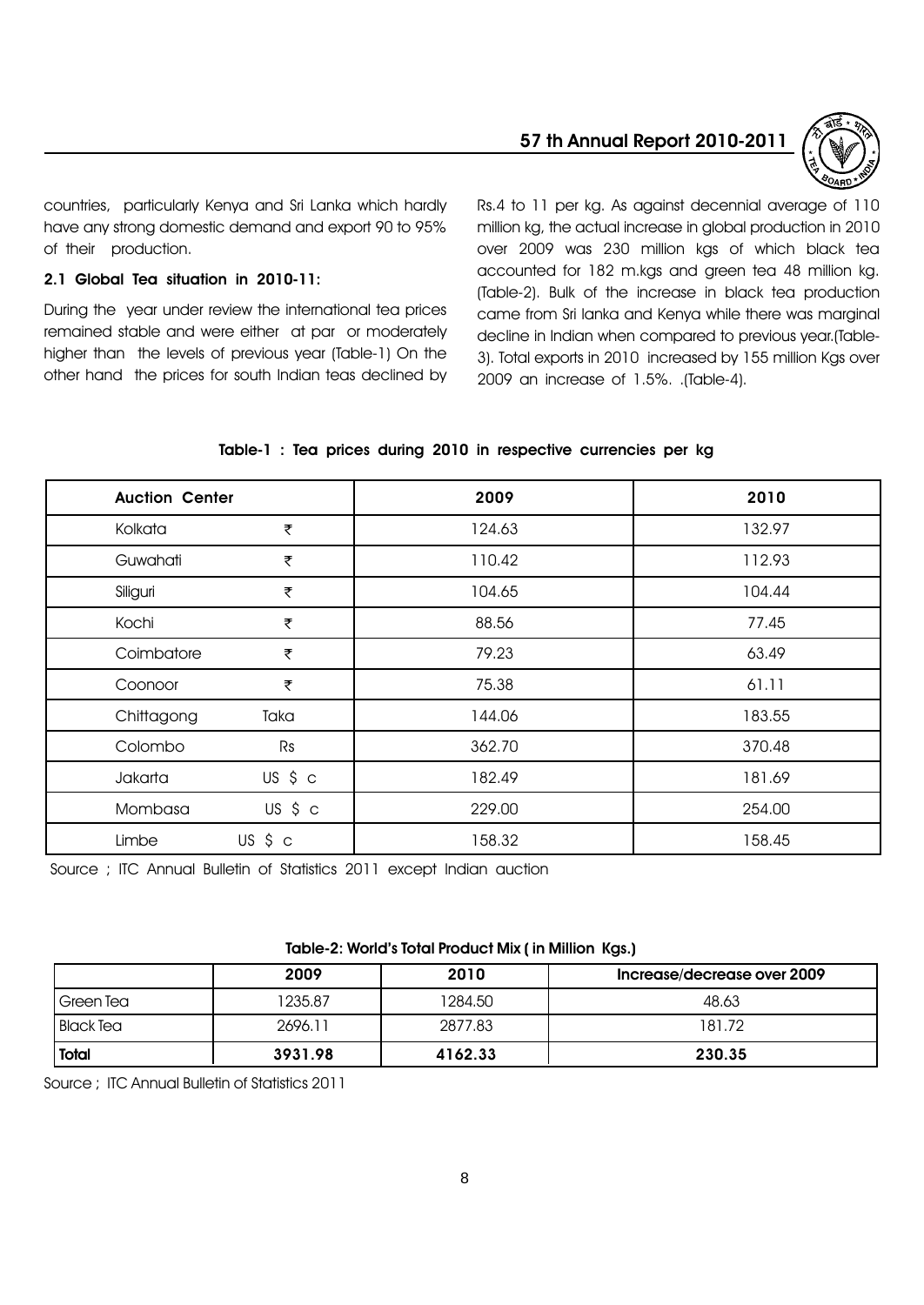



countries, particularly Kenya and Sri Lanka which hardly have any strong domestic demand and export 90 to 95% of their production.

#### 2.1 Global Tea situation in 2010-11:

During the year under review the international tea prices remained stable and were either at par or moderately higher than the levels of previous year (Table-1) On the other hand the prices for south Indian teas declined by Rs.4 to 11 per kg. As against decennial average of 110 million kg, the actual increase in global production in 2010 over 2009 was 230 million kgs of which black tea accounted for 182 m.kgs and green tea 48 million kg. (Table-2). Bulk of the increase in black tea production came from Sri lanka and Kenya while there was marginal decline in Indian when compared to previous year.(Table-3). Total exports in 2010 increased by 155 million Kgs over 2009 an increase of 1.5%. .(Table-4).

| <b>Auction Center</b> |             | 2009   | 2010   |
|-----------------------|-------------|--------|--------|
| Kolkata               | ₹           | 124.63 | 132.97 |
| Guwahati              | ₹           | 110.42 | 112.93 |
| Siliguri              | ₹           | 104.65 | 104.44 |
| Kochi                 | ₹           | 88.56  | 77.45  |
| Coimbatore            | ₹           | 79.23  | 63.49  |
| Coonoor               | ₹           | 75.38  | 61.11  |
| Chittagong            | Taka        | 144.06 | 183.55 |
| Colombo               | Rs          | 362.70 | 370.48 |
| Jakarta               | US \$ c     | 182.49 | 181.69 |
| Mombasa               | US \$ c     | 229.00 | 254.00 |
| Limbe                 | $US$ \$ $c$ | 158.32 | 158.45 |

#### Table-1 : Tea prices during 2010 in respective currencies per kg

Source ; ITC Annual Bulletin of Statistics 2011 except Indian auction

#### Table-2: World's Total Product Mix ( in Million Kgs.)

|                  | 2009    | 2010    | Increase/decrease over 2009 |
|------------------|---------|---------|-----------------------------|
| Green Tea        | 1235.87 | 1284.50 | 48.63                       |
| <b>Black Tea</b> | 2696.11 | 2877.83 | 181.72                      |
| Total            | 3931.98 | 4162.33 | 230.35                      |

Source ; ITC Annual Bulletin of Statistics 2011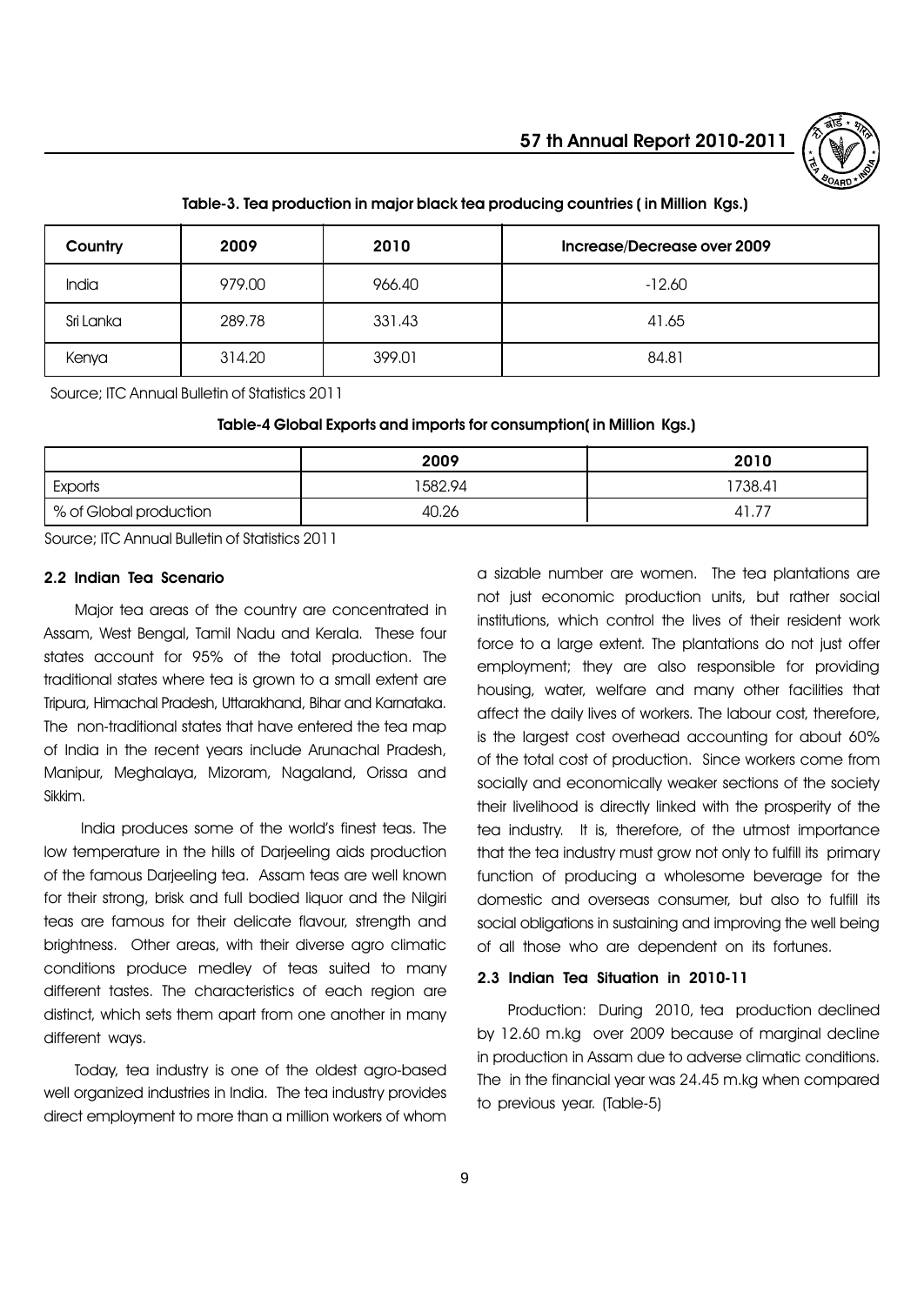

| Country   | 2009   | 2010   | Increase/Decrease over 2009 |
|-----------|--------|--------|-----------------------------|
| India     | 979.00 | 966.40 | $-12.60$                    |
| Sri Lanka | 289.78 | 331.43 | 41.65                       |
| Kenya     | 314.20 | 399.01 | 84.81                       |

#### Table-3. Tea production in major black tea producing countries ( in Million Kgs.)

Source; ITC Annual Bulletin of Statistics 2011

Table-4 Global Exports and imports for consumption( in Million Kgs.)

|                        | 2009    | 2010    |
|------------------------|---------|---------|
| Exports                | 1582.94 | 1738.41 |
| % of Global production | 40.26   | 41.7.   |

Source; ITC Annual Bulletin of Statistics 2011

#### 2.2 Indian Tea Scenario

Major tea areas of the country are concentrated in Assam, West Bengal, Tamil Nadu and Kerala. These four states account for 95% of the total production. The traditional states where tea is grown to a small extent are Tripura, Himachal Pradesh, Uttarakhand, Bihar and Karnataka. The non-traditional states that have entered the tea map of India in the recent years include Arunachal Pradesh, Manipur, Meghalaya, Mizoram, Nagaland, Orissa and Sikkim.

India produces some of the world's finest teas. The low temperature in the hills of Darjeeling aids production of the famous Darjeeling tea. Assam teas are well known for their strong, brisk and full bodied liquor and the Nilgiri teas are famous for their delicate flavour, strength and brightness. Other areas, with their diverse agro climatic conditions produce medley of teas suited to many different tastes. The characteristics of each region are distinct, which sets them apart from one another in many different ways.

Today, tea industry is one of the oldest agro-based well organized industries in India. The tea industry provides direct employment to more than a million workers of whom

a sizable number are women. The tea plantations are not just economic production units, but rather social institutions, which control the lives of their resident work force to a large extent. The plantations do not just offer employment; they are also responsible for providing housing, water, welfare and many other facilities that affect the daily lives of workers. The labour cost, therefore, is the largest cost overhead accounting for about 60% of the total cost of production. Since workers come from socially and economically weaker sections of the society their livelihood is directly linked with the prosperity of the tea industry. It is, therefore, of the utmost importance that the tea industry must grow not only to fulfill its primary function of producing a wholesome beverage for the domestic and overseas consumer, but also to fulfill its social obligations in sustaining and improving the well being of all those who are dependent on its fortunes.

#### 2.3 Indian Tea Situation in 2010-11

Production: During 2010, tea production declined by 12.60 m.kg over 2009 because of marginal decline in production in Assam due to adverse climatic conditions. The in the financial year was 24.45 m.kg when compared to previous year. (Table-5)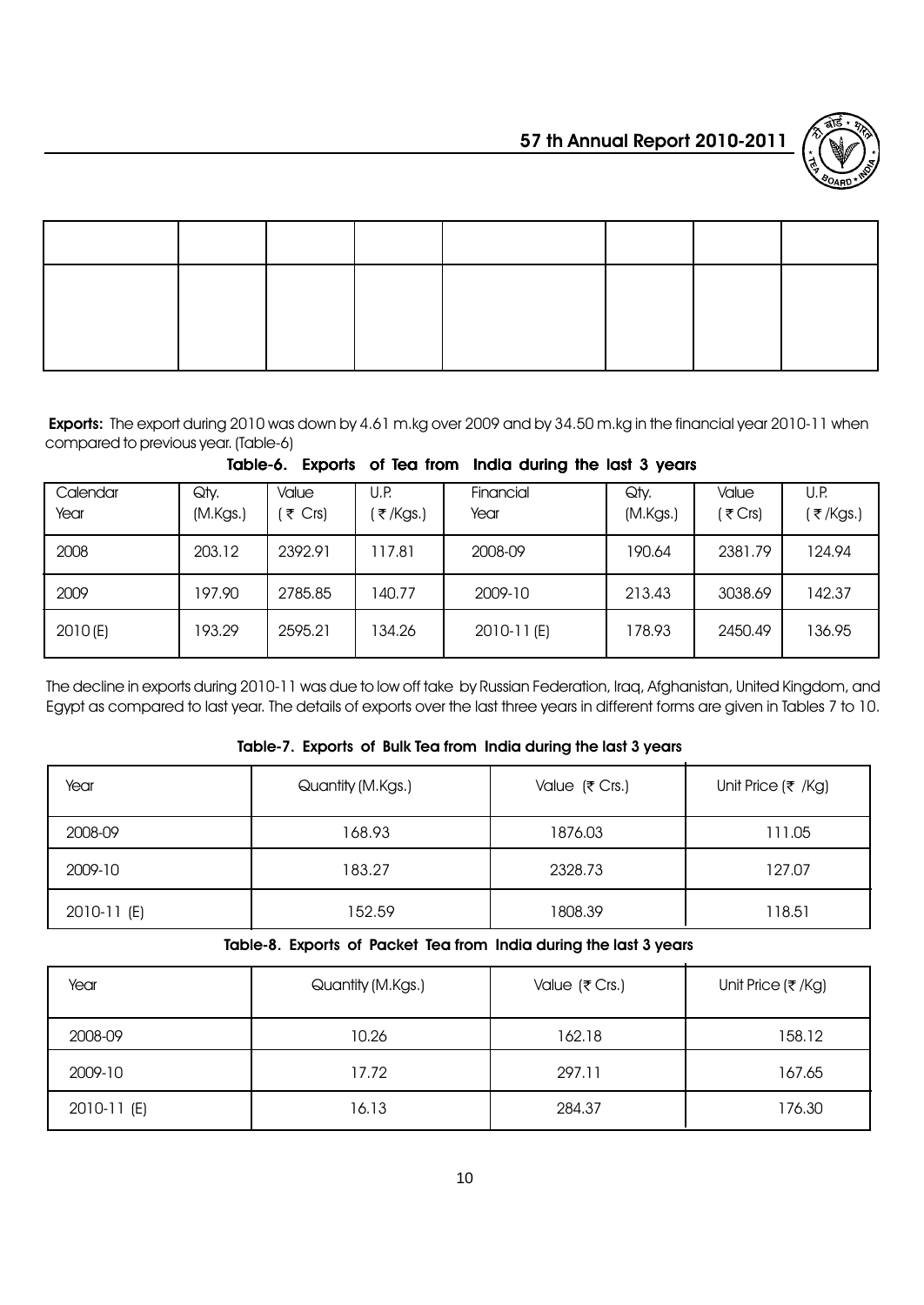

Exports: The export during 2010 was down by 4.61 m.kg over 2009 and by 34.50 m.kg in the financial year 2010-11 when compared to previous year. (Table-6)

| Calendar<br>Year | Qty.<br>(M.Kgs.) | Value<br>₹ Crs) | U.P.<br>₹/Kgs.) | Financial<br>Year | Qty.<br>(M.Kgs.) | Value<br>ं₹ Crs) | U.P.<br>(₹/Kgs.) |
|------------------|------------------|-----------------|-----------------|-------------------|------------------|------------------|------------------|
| 2008             | 203.12           | 2392.91         | 117.81          | 2008-09           | 190.64           | 2381.79          | 124.94           |
| 2009             | 197.90           | 2785.85         | 140.77          | 2009-10           | 213.43           | 3038.69          | 142.37           |
| 2010(E)          | 193.29           | 2595.21         | 134.26          | 2010-11(E)        | 178.93           | 2450.49          | 136.95           |

Table-6. Exports of Tea from India during the last 3 years

The decline in exports during 2010-11 was due to low off take by Russian Federation, Iraq, Afghanistan, United Kingdom, and Egypt as compared to last year. The details of exports over the last three years in different forms are given in Tables 7 to 10.

### Table-7. Exports of Bulk Tea from India during the last 3 years

| Year        | Quantity (M.Kgs.) | Value (₹ Crs.) | Unit Price ( $\overline{\tau}$ /Kg) |
|-------------|-------------------|----------------|-------------------------------------|
| 2008-09     | 168.93            | 1876.03        | 111.05                              |
| 2009-10     | 183.27            | 2328.73        | 127.07                              |
| 2010-11 (E) | 152.59            | 1808.39        | 118.51                              |

Table-8. Exports of Packet Tea from India during the last 3 years

| Year        | Quantity (M.Kgs.) | Value (₹ Crs.) | Unit Price (₹/Kg) |
|-------------|-------------------|----------------|-------------------|
| 2008-09     | 10.26             | 162.18         | 158.12            |
| 2009-10     | 17.72             | 297.11         | 167.65            |
| 2010-11 (E) | 16.13             | 284.37         | 176.30            |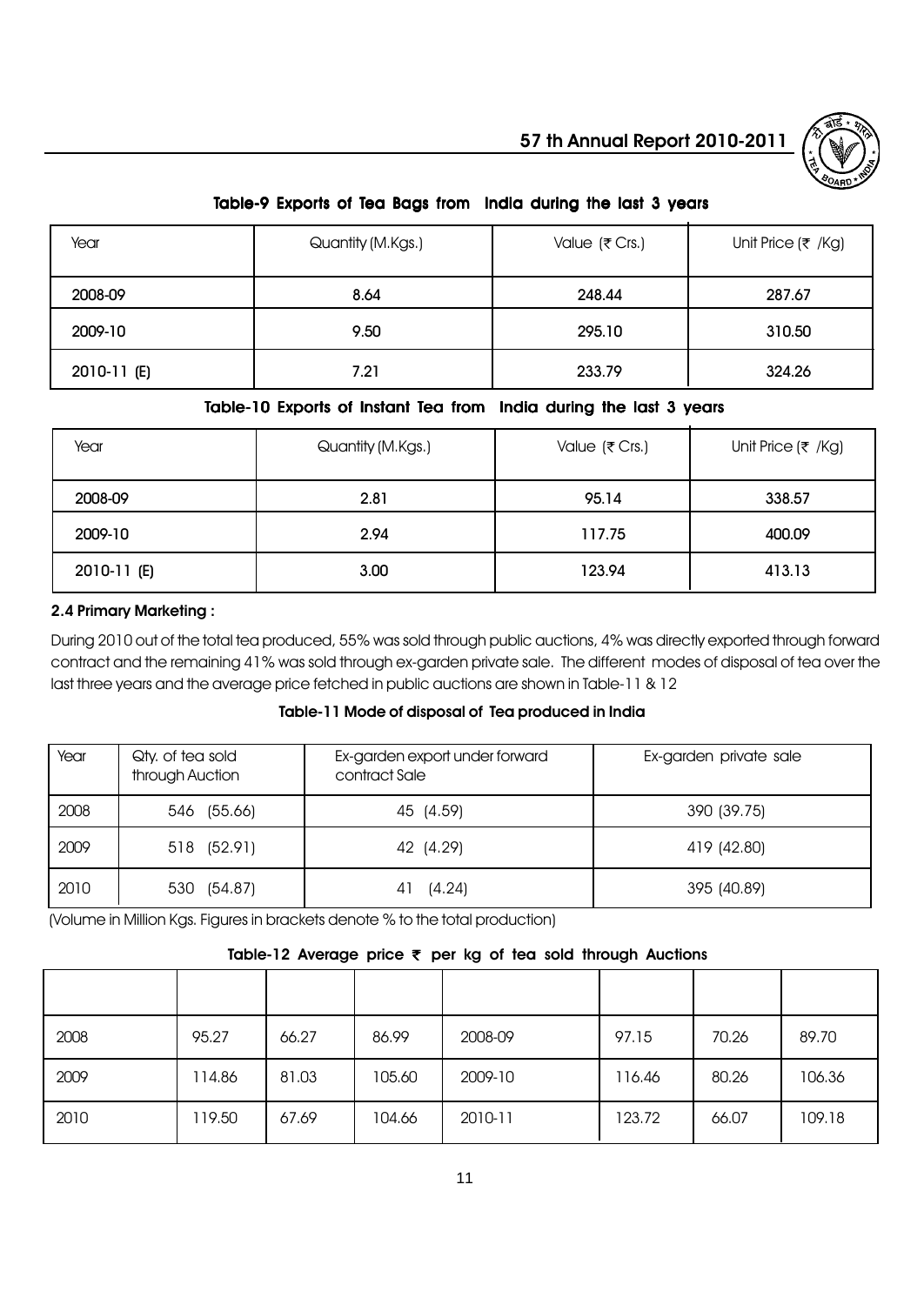

# Table-9 Exports of Tea Bags from India during the last 3 years

| Year        | Quantity (M.Kgs.) | Value (₹ Crs.) | Unit Price $($ ₹ /Kg) |
|-------------|-------------------|----------------|-----------------------|
| 2008-09     | 8.64              | 248.44         | 287.67                |
| 2009-10     | 9.50              | 295.10         | 310.50                |
| 2010-11 (E) | 7.21              | 233.79         | 324.26                |

### Table-10 Exports of Instant Tea from India during the last 3 years

| Year        | Quantity (M.Kgs.) | Value ( $\overline{\tau}$ Crs.) | Unit Price ( $\overline{\tau}$ /Kg) |
|-------------|-------------------|---------------------------------|-------------------------------------|
| 2008-09     | 2.81              | 95.14                           | 338.57                              |
| 2009-10     | 2.94              | 117.75                          | 400.09                              |
| 2010-11 (E) | 3.00              | 123.94                          | 413.13                              |

#### 2.4 Primary Marketing :

During 2010 out of the total tea produced, 55% was sold through public auctions, 4% was directly exported through forward contract and the remaining 41% was sold through ex-garden private sale. The different modes of disposal of tea over the last three years and the average price fetched in public auctions are shown in Table-11 & 12

#### Table-11 Mode of disposal of Tea produced in India

| Year | Qty, of tea sold<br>through Auction | Ex-garden export under forward<br>contract Sale | Ex-garden private sale |
|------|-------------------------------------|-------------------------------------------------|------------------------|
| 2008 | 546 (55.66)                         | 45 (4.59)                                       | 390 (39.75)            |
| 2009 | 518 (52.91)                         | 42 (4.29)                                       | 419 (42.80)            |
| 2010 | 530 (54.87)                         | (4.24)<br>41                                    | 395 (40.89)            |

(Volume in Million Kgs. Figures in brackets denote % to the total production)

# Table-12 Average price  $\overline{\tau}$  per kg of tea sold through Auctions

| 2008 | 95.27  | 66.27 | 86.99  | 2008-09 | 97.15  | 70.26 | 89.70  |
|------|--------|-------|--------|---------|--------|-------|--------|
| 2009 | 114.86 | 81.03 | 105.60 | 2009-10 | 116.46 | 80.26 | 106.36 |
| 2010 | 119.50 | 67.69 | 104.66 | 2010-11 | 123.72 | 66.07 | 109.18 |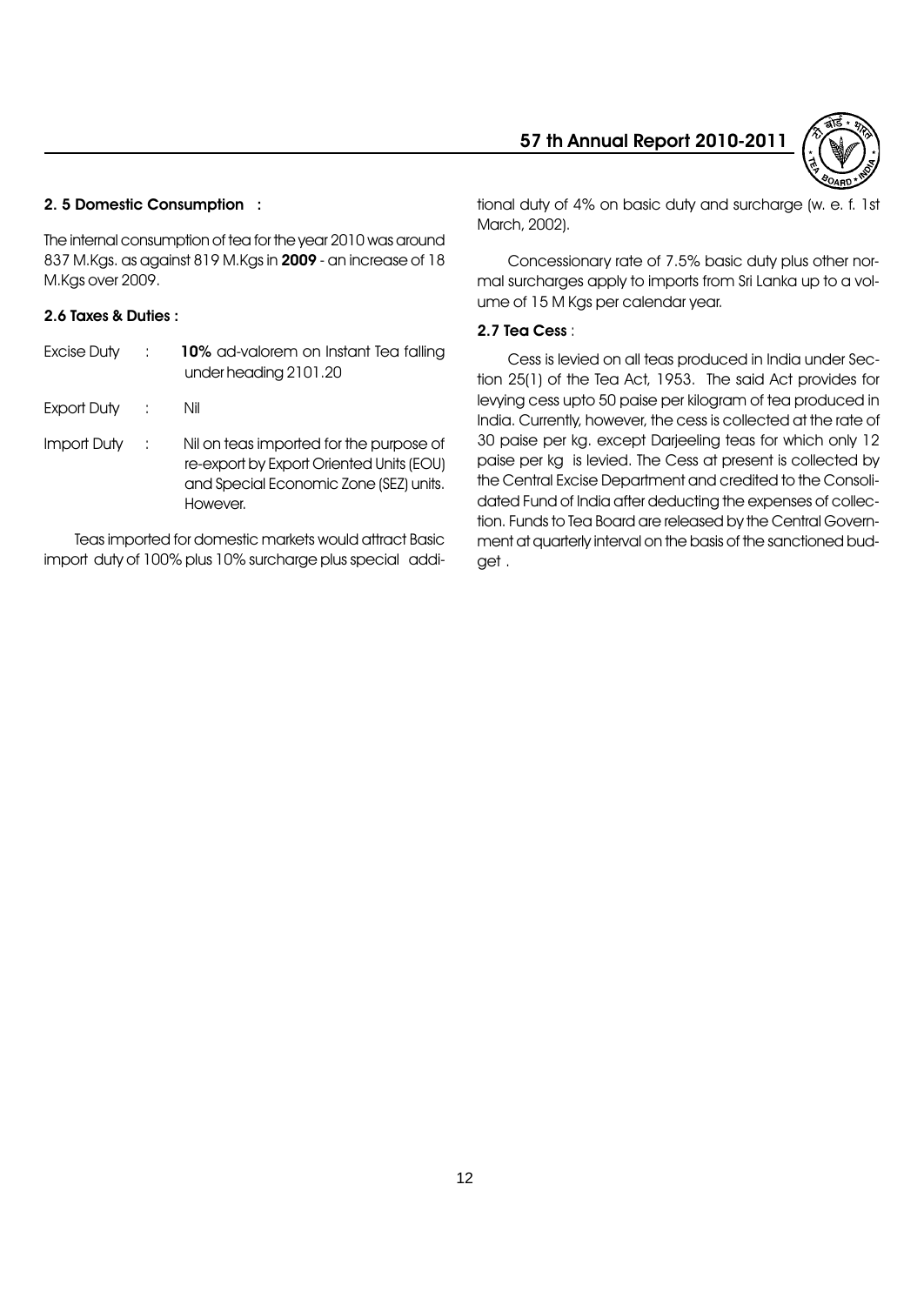

# 2. 5 Domestic Consumption :

The internal consumption of tea for the year 2010 was around 837 M.Kgs. as against 819 M.Kgs in 2009 - an increase of 18 M.Kgs over 2009.

#### 2.6 Taxes & Duties :

| Excise Duty | $\mathbb{R}^n$ | 10% ad-valorem on Instant Tea falling<br>under heading 2101.20                                                                            |
|-------------|----------------|-------------------------------------------------------------------------------------------------------------------------------------------|
| Export Duty | $\sim 100$     | Nil                                                                                                                                       |
| Import Duty | - 1            | Nil on teas imported for the purpose of<br>re-export by Export Oriented Units (EOU)<br>and Special Economic Zone (SEZ) units.<br>However. |

Teas imported for domestic markets would attract Basic import duty of 100% plus 10% surcharge plus special additional duty of 4% on basic duty and surcharge (w. e. f. 1st March, 2002).

Concessionary rate of 7.5% basic duty plus other normal surcharges apply to imports from Sri Lanka up to a volume of 15 M Kgs per calendar year.

#### 2.7 Tea Cess :

Cess is levied on all teas produced in India under Section 25(1) of the Tea Act, 1953. The said Act provides for levying cess upto 50 paise per kilogram of tea produced in India. Currently, however, the cess is collected at the rate of 30 paise per kg. except Darjeeling teas for which only 12 paise per kg is levied. The Cess at present is collected by the Central Excise Department and credited to the Consolidated Fund of India after deducting the expenses of collection. Funds to Tea Board are released by the Central Government at quarterly interval on the basis of the sanctioned budget .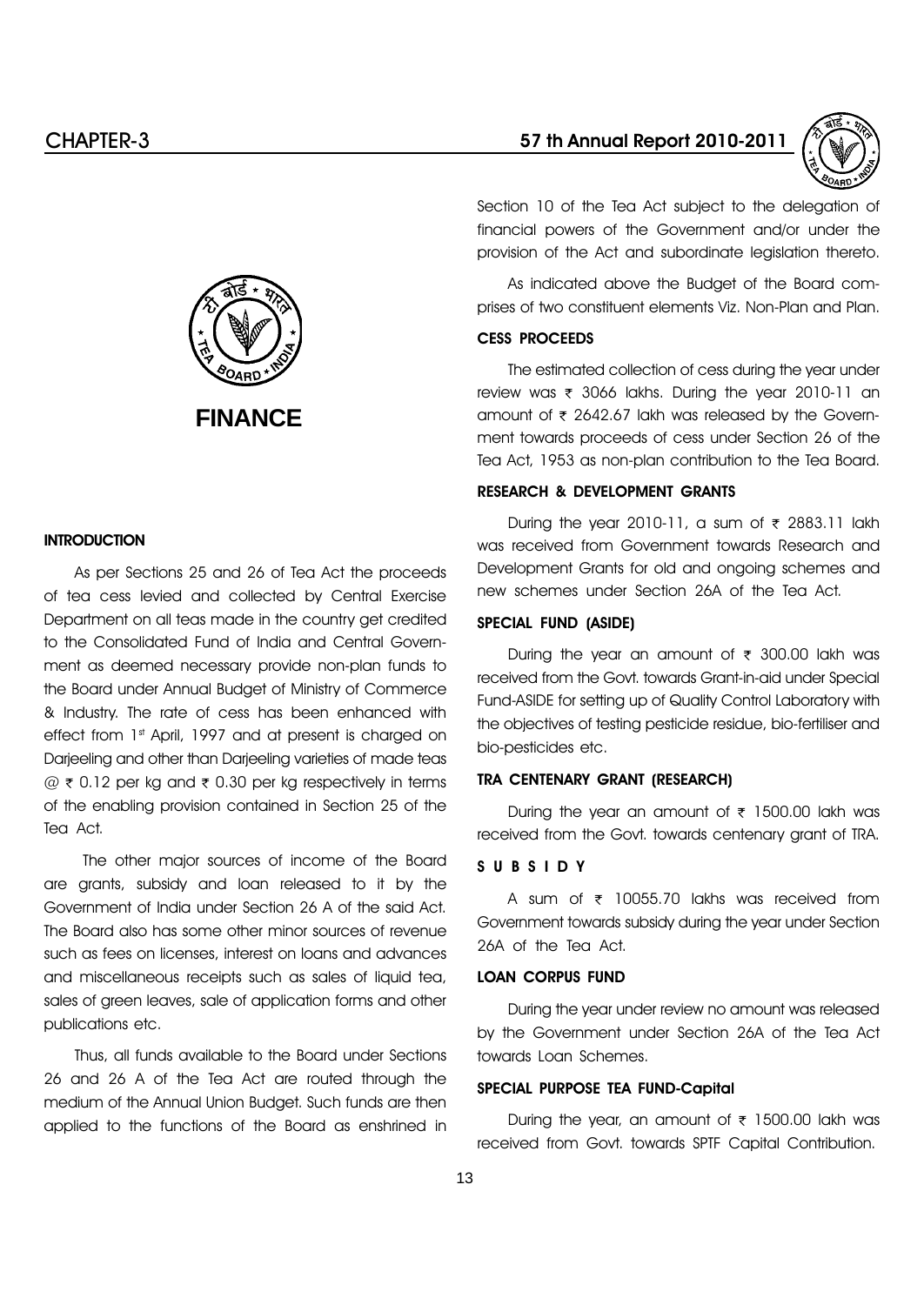

Section 10 of the Tea Act subject to the delegation of financial powers of the Government and/or under the provision of the Act and subordinate legislation thereto.

As indicated above the Budget of the Board comprises of two constituent elements Viz. Non-Plan and Plan.

#### CESS PROCEEDS

The estimated collection of cess during the year under review was ₹ 3066 lakhs. During the year 2010-11 an amount of  $\bar{\tau}$  2642.67 lakh was released by the Government towards proceeds of cess under Section 26 of the Tea Act, 1953 as non-plan contribution to the Tea Board.

#### RESEARCH & DEVELOPMENT GRANTS

During the year 2010-11, a sum of  $\bar{\tau}$  2883.11 lakh was received from Government towards Research and Development Grants for old and ongoing schemes and new schemes under Section 26A of the Tea Act.

#### SPECIAL FUND (ASIDE)

During the year an amount of  $\bar{\tau}$  300.00 lakh was received from the Govt. towards Grant-in-aid under Special Fund-ASIDE for setting up of Quality Control Laboratory with the objectives of testing pesticide residue, bio-fertiliser and bio-pesticides etc.

#### TRA CENTENARY GRANT (RESEARCH)

During the year an amount of  $\bar{\tau}$  1500.00 lakh was received from the Govt. towards centenary grant of TRA.

#### SUBSIDY

A sum of  $\bar{\tau}$  10055.70 lakhs was received from Government towards subsidy during the year under Section 26A of the Tea Act.

# LOAN CORPUS FUND

During the year under review no amount was released by the Government under Section 26A of the Tea Act towards Loan Schemes.

#### SPECIAL PURPOSE TEA FUND-Capital

During the year, an amount of  $\overline{\tau}$  1500.00 lakh was received from Govt. towards SPTF Capital Contribution.



#### **INTRODUCTION**

As per Sections 25 and 26 of Tea Act the proceeds of tea cess levied and collected by Central Exercise Department on all teas made in the country get credited to the Consolidated Fund of India and Central Government as deemed necessary provide non-plan funds to the Board under Annual Budget of Ministry of Commerce & Industry. The rate of cess has been enhanced with effect from 1st April, 1997 and at present is charged on Darjeeling and other than Darjeeling varieties of made teas  $\omega \neq 0.12$  per kg and  $\geq 0.30$  per kg respectively in terms of the enabling provision contained in Section 25 of the Tea Act.

The other major sources of income of the Board are grants, subsidy and loan released to it by the Government of India under Section 26 A of the said Act. The Board also has some other minor sources of revenue such as fees on licenses, interest on loans and advances and miscellaneous receipts such as sales of liquid tea, sales of green leaves, sale of application forms and other publications etc.

Thus, all funds available to the Board under Sections 26 and 26 A of the Tea Act are routed through the medium of the Annual Union Budget. Such funds are then applied to the functions of the Board as enshrined in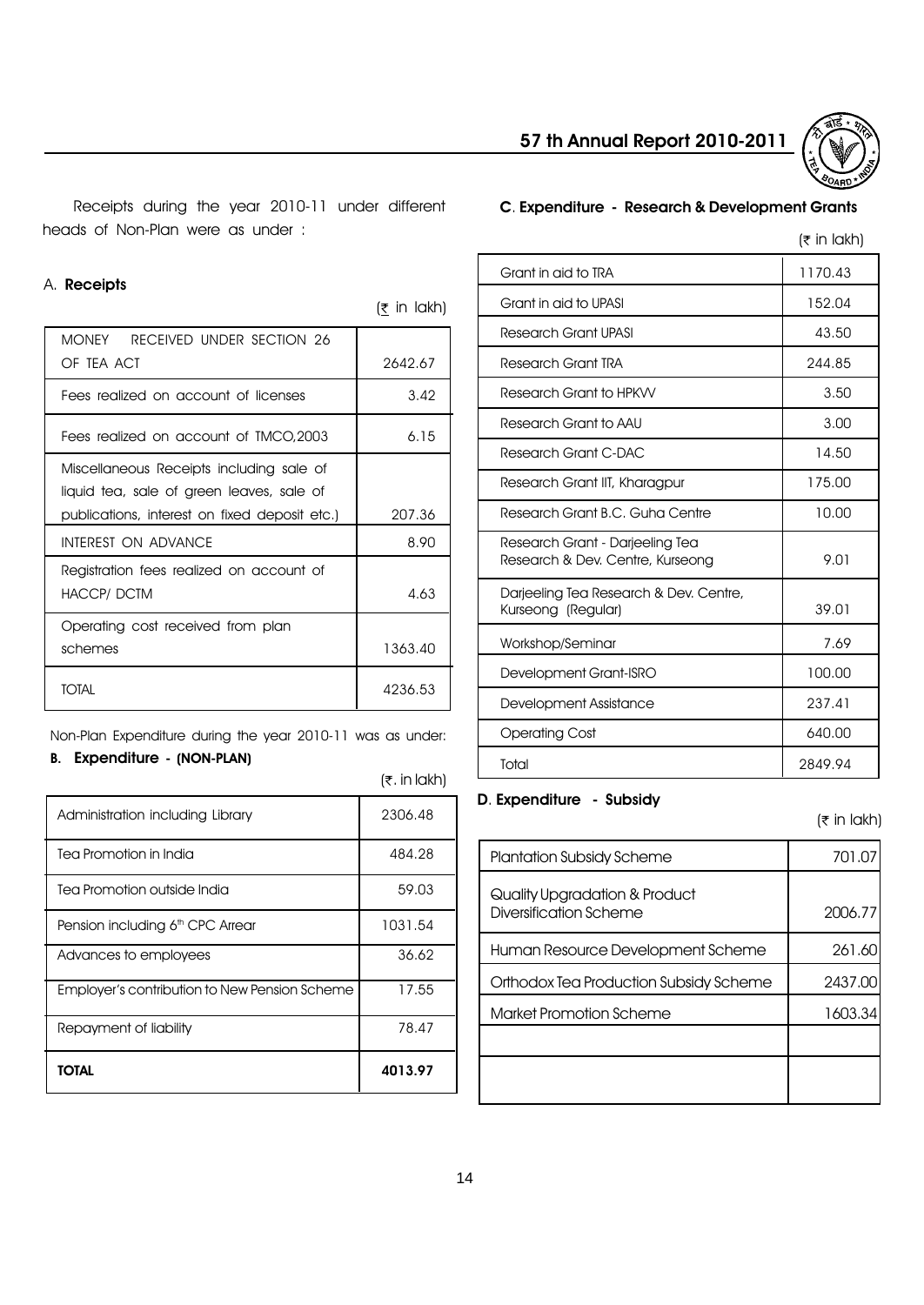

Receipts during the year 2010-11 under different heads of Non-Plan were as under :

#### A. Receipts

| <b>MONEY</b><br>RECEIVED UNDER SECTION 26     |         |
|-----------------------------------------------|---------|
| OF TEA ACT                                    | 2642.67 |
| Fees realized on account of licenses          | 3.42    |
| Fees realized on account of TMCO, 2003        | 6.15    |
| Miscellaneous Receipts including sale of      |         |
| liquid tea, sale of green leaves, sale of     |         |
| publications, interest on fixed deposit etc.) | 207.36  |
| <b>INTEREST ON ADVANCE</b>                    | 8.90    |
| Registration fees realized on account of      |         |
| <b>HACCP/DCTM</b>                             | 4.63    |
| Operating cost received from plan             |         |
| schemes                                       | 1363.40 |
| TOTAI                                         | 4236.53 |

Non-Plan Expenditure during the year 2010-11 was as under:

# B. Expenditure - (NON-PLAN)

 $(7. in lakh)$ 

 $($ ₹ in lakh)

| Administration including Library              | 2306.48 |
|-----------------------------------------------|---------|
| Tea Promotion in India                        | 484.28  |
| Tea Promotion outside India                   | 59.03   |
| Pension including 6 <sup>th</sup> CPC Arrear  | 1031.54 |
| Advances to employees                         | 36.62   |
| Employer's contribution to New Pension Scheme | 17.55   |
| Repayment of liability                        | 78.47   |
| TOTAL                                         | 4013.97 |

# C. Expenditure - Research & Development Grants

|                                                                     | $(\bar{z}$ in lakh) |
|---------------------------------------------------------------------|---------------------|
| Grant in aid to TRA                                                 | 1170.43             |
| Grant in aid to UPASI                                               | 152.04              |
| <b>Research Grant UPASI</b>                                         | 43.50               |
| Research Grant TRA                                                  | 244.85              |
| Research Grant to HPKVV                                             | 3.50                |
| Research Grant to AAU                                               | 3.00                |
| Research Grant C-DAC                                                | 14.50               |
| Research Grant IIT, Kharagpur                                       | 175.00              |
| Research Grant B.C. Guha Centre                                     | 10.00               |
| Research Grant - Darjeeling Tea<br>Research & Dev. Centre, Kurseong | 9.01                |
| Darjeeling Tea Research & Dev. Centre,<br>Kurseong (Regular)        | 39.01               |
| Workshop/Seminar                                                    | 7.69                |
| Development Grant-ISRO                                              | 100.00              |
| Development Assistance                                              | 237.41              |
| <b>Operating Cost</b>                                               | 640.00              |
| Total                                                               | 2849.94             |

# D. Expenditure - Subsidy

 $($ ₹ in lakh)

| <b>Plantation Subsidy Scheme</b>                        | 701.07  |
|---------------------------------------------------------|---------|
| Quality Upgradation & Product<br>Diversification Scheme | 2006.77 |
| Human Resource Development Scheme                       | 261.60  |
| Orthodox Tea Production Subsidy Scheme                  | 2437.00 |
| Market Promotion Scheme                                 | 1603.34 |
|                                                         |         |
|                                                         |         |
|                                                         |         |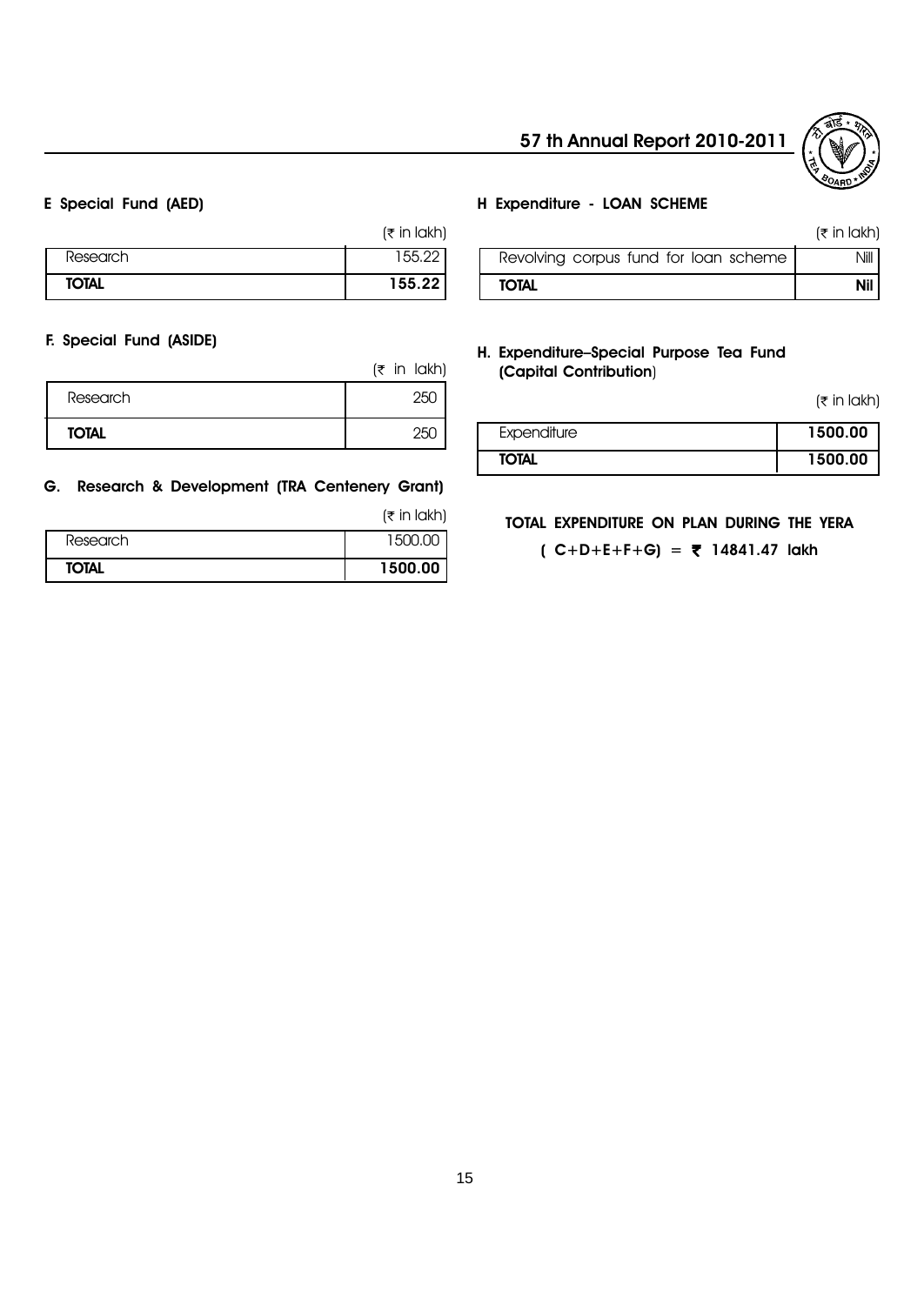

#### E Special Fund (AED)

|              | $(\bar{x}$ in lakh) |
|--------------|---------------------|
| Research     | 155.22              |
| <b>TOTAL</b> | 155.22              |

#### F. Special Fund (ASIDE)

|              | $(5$ in lakh) |
|--------------|---------------|
| Research     | 25U           |
| <b>TOTAL</b> | 25L           |

#### G. Research & Development (TRA Centenery Grant)

 $($ ₹ in lakh)

| Research     | . ו∩הי  |
|--------------|---------|
| <b>TOTAL</b> | 1500.00 |

#### H Expenditure - LOAN SCHEME

|                                       | $(\bar{z}$ in lakh) |
|---------------------------------------|---------------------|
| Revolving corpus fund for loan scheme | Nill I              |
| <b>TOTAL</b>                          | <b>Nil</b>          |

#### H. Expenditure-Special Purpose Tea Fund (Capital Contribution)

 $($ ₹ in lakh)

| Expenditure  | 1500.00 |
|--------------|---------|
| <b>TOTAL</b> | 1500.00 |

#### TOTAL EXPENDITURE ON PLAN DURING THE YERA

 $(C+D+E+F+G) = ₹ 14841.47$  lakh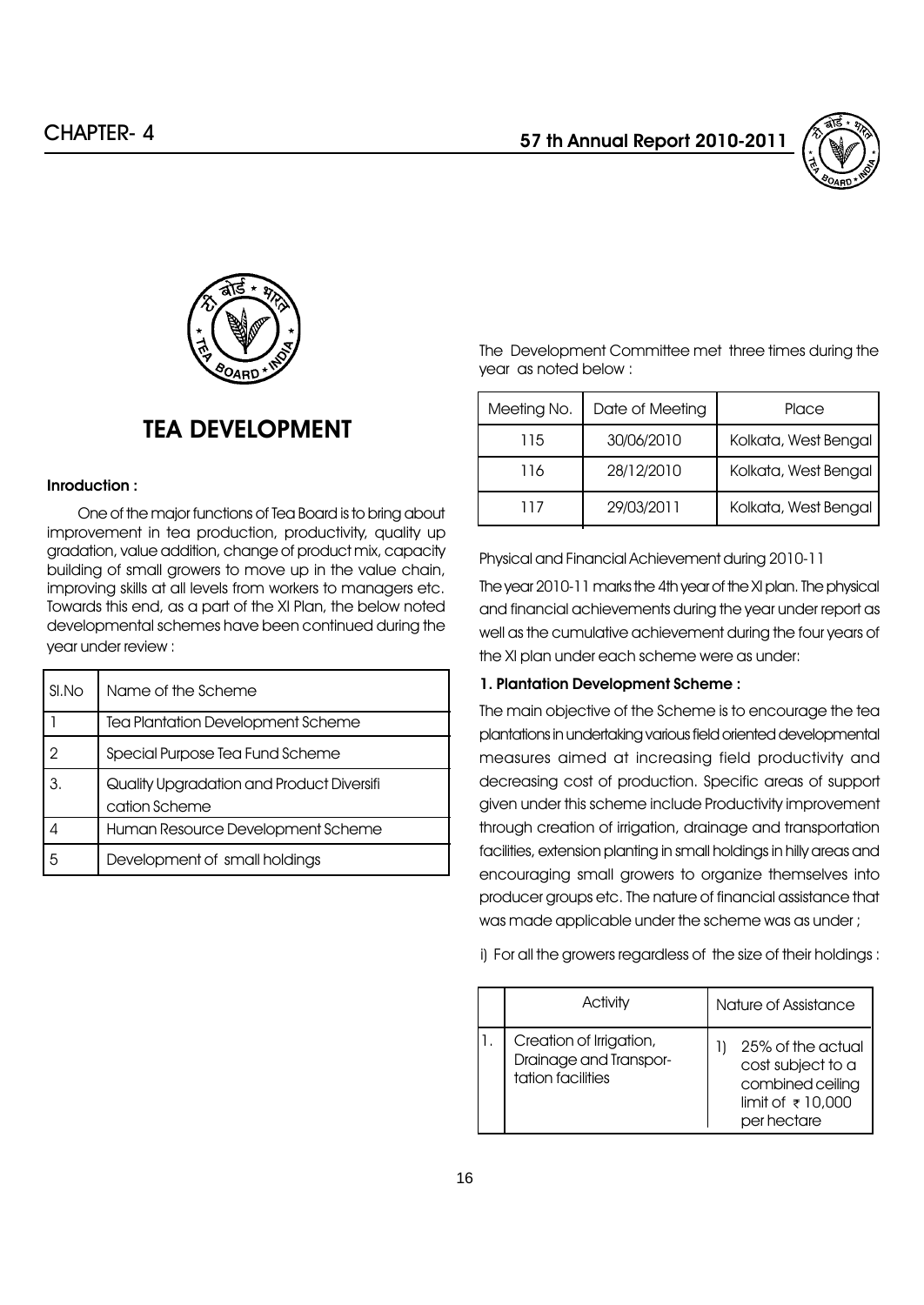



# TEA DEVELOPMENT

#### Inroduction :

One of the major functions of Tea Board is to bring about improvement in tea production, productivity, quality up gradation, value addition, change of product mix, capacity building of small growers to move up in the value chain, improving skills at all levels from workers to managers etc. Towards this end, as a part of the XI Plan, the below noted developmental schemes have been continued during the year under review :

| SI.No | Name of the Scheme                                         |
|-------|------------------------------------------------------------|
|       | Tea Plantation Development Scheme                          |
|       | Special Purpose Tea Fund Scheme                            |
| З.    | Quality Upgradation and Product Diversifi<br>cation Scheme |
|       | Human Resource Development Scheme                          |
|       | Development of small holdings                              |

The Development Committee met three times during the year as noted below :

| Meeting No. | Date of Meeting | Place                |
|-------------|-----------------|----------------------|
| 115         | 30/06/2010      | Kolkata, West Bengal |
| 116         | 28/12/2010      | Kolkata, West Bengal |
| 117         | 29/03/2011      | Kolkata, West Bengal |

Physical and Financial Achievement during 2010-11

The year 2010-11 marks the 4th year of the XI plan. The physical and financial achievements during the year under report as well as the cumulative achievement during the four years of the XI plan under each scheme were as under:

#### 1. Plantation Development Scheme :

The main objective of the Scheme is to encourage the tea plantations in undertaking various field oriented developmental measures aimed at increasing field productivity and decreasing cost of production. Specific areas of support given under this scheme include Productivity improvement through creation of irrigation, drainage and transportation facilities, extension planting in small holdings in hilly areas and encouraging small growers to organize themselves into producer groups etc. The nature of financial assistance that was made applicable under the scheme was as under ;

i) For all the growers regardless of the size of their holdings :

| Activity                                                               | Nature of Assistance                                                                                           |  |
|------------------------------------------------------------------------|----------------------------------------------------------------------------------------------------------------|--|
| Creation of Irrigation,<br>Drainage and Transpor-<br>tation facilities | 25% of the actual<br>cost subject to a<br>combined ceiling<br>limit of $\overline{\tau}$ 10,000<br>per hectare |  |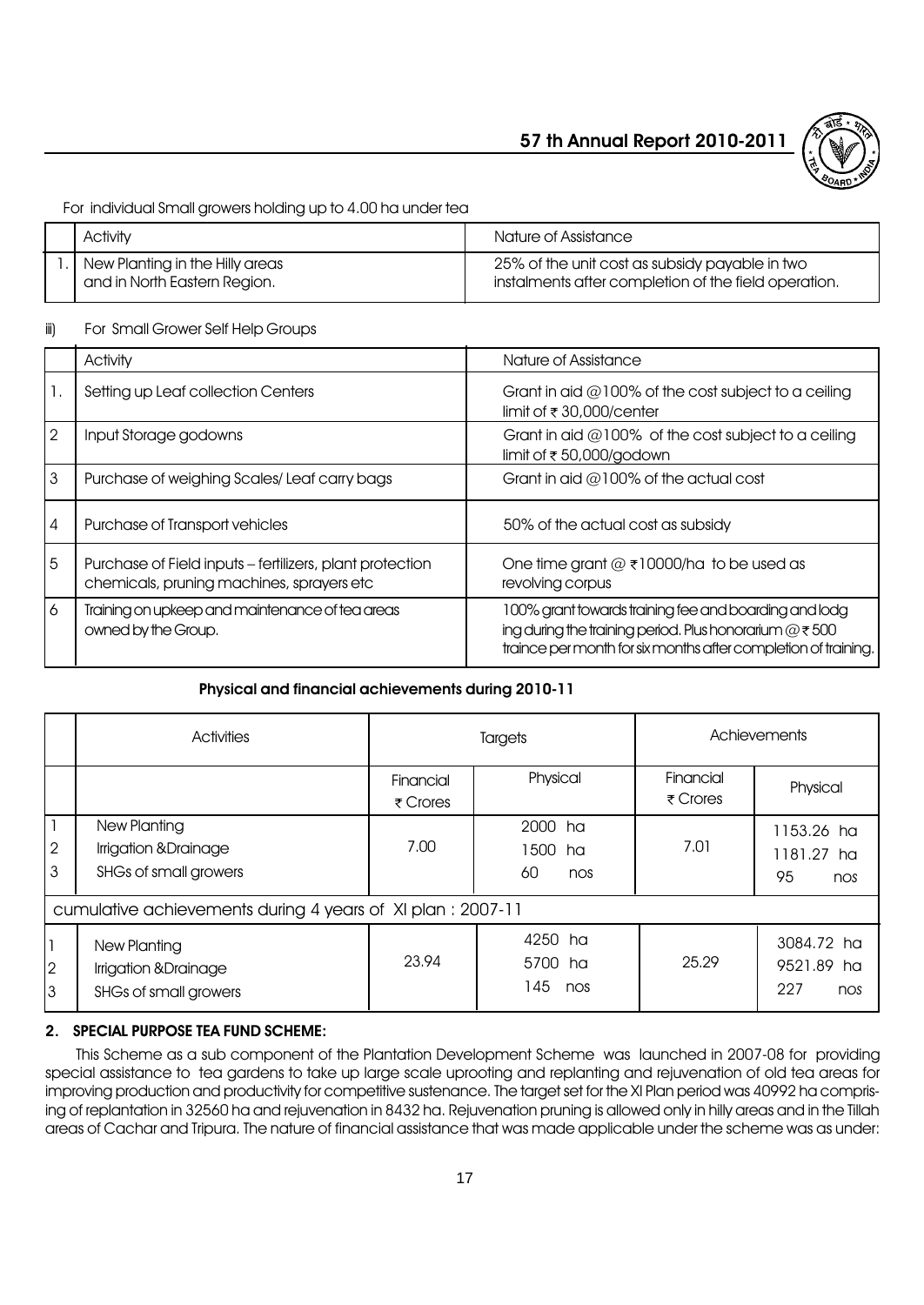

For individual Small growers holding up to 4.00 ha under tea

| Activity                                                            | Nature of Assistance                                                                                   |
|---------------------------------------------------------------------|--------------------------------------------------------------------------------------------------------|
| .   New Planting in the Hilly areas<br>and in North Eastern Region. | 25% of the unit cost as subsidy payable in two<br>instalments after completion of the field operation. |

# iii) For Small Grower Self Help Groups

|                 | Activity                                                                                              | Nature of Assistance                                                                                                                                                                    |
|-----------------|-------------------------------------------------------------------------------------------------------|-----------------------------------------------------------------------------------------------------------------------------------------------------------------------------------------|
|                 | Setting up Leaf collection Centers                                                                    | Grant in aid $@100\%$ of the cost subject to a ceiling<br>limit of ₹30,000/center                                                                                                       |
| $\sqrt{2}$      | Input Storage godowns                                                                                 | Grant in aid $@100\%$ of the cost subject to a ceiling<br>limit of $\overline{\tau}$ 50,000/godown                                                                                      |
| $\overline{3}$  | Purchase of weighing Scales/Leaf carry bags                                                           | Grant in aid $@100\%$ of the actual cost                                                                                                                                                |
| $\overline{4}$  | Purchase of Transport vehicles                                                                        | 50% of the actual cost as subsidy                                                                                                                                                       |
| $5\overline{5}$ | Purchase of Field inputs - fertilizers, plant protection<br>chemicals, pruning machines, sprayers etc | One time grant $@$ ₹10000/ha to be used as<br>revolving corpus                                                                                                                          |
| 6               | Training on upkeep and maintenance of tea areas<br>owned by the Group.                                | 100% grant towards training fee and boarding and lodg<br>ing during the training period. Plus honorarium $@ \tau 500$<br>traince per month for six months after completion of training. |

# Physical and financial achievements during 2010-11

|                                     | Activities                                                     | Targets                               |                                       | Achievements                          |                                        |
|-------------------------------------|----------------------------------------------------------------|---------------------------------------|---------------------------------------|---------------------------------------|----------------------------------------|
|                                     |                                                                | Financial<br>$\overline{\tau}$ Crores | Physical                              | Financial<br>$\overline{\tau}$ Crores | Physical                               |
| $\mathbf{I}$<br>$\overline{2}$<br>3 | New Planting<br>Irrigation & Drainage<br>SHGs of small growers | 7.00                                  | 2000<br>ha<br>1500<br>ha<br>60<br>nos | 7.01                                  | 1153.26 ha<br>1181.27 ha<br>95<br>nos  |
|                                     | cumulative achievements during 4 years of XI plan : 2007-11    |                                       |                                       |                                       |                                        |
| 1<br> 2<br>l3                       | New Planting<br>Irrigation &Drainage<br>SHGs of small growers  | 23.94                                 | 4250 ha<br>5700 ha<br>145<br>nos      | 25.29                                 | 3084.72 ha<br>9521.89 ha<br>227<br>nos |

# 2. SPECIAL PURPOSE TEA FUND SCHEME:

This Scheme as a sub component of the Plantation Development Scheme was launched in 2007-08 for providing special assistance to tea gardens to take up large scale uprooting and replanting and rejuvenation of old tea areas for improving production and productivity for competitive sustenance. The target set for the XI Plan period was 40992 ha comprising of replantation in 32560 ha and rejuvenation in 8432 ha. Rejuvenation pruning is allowed only in hilly areas and in the Tillah areas of Cachar and Tripura. The nature of financial assistance that was made applicable under the scheme was as under: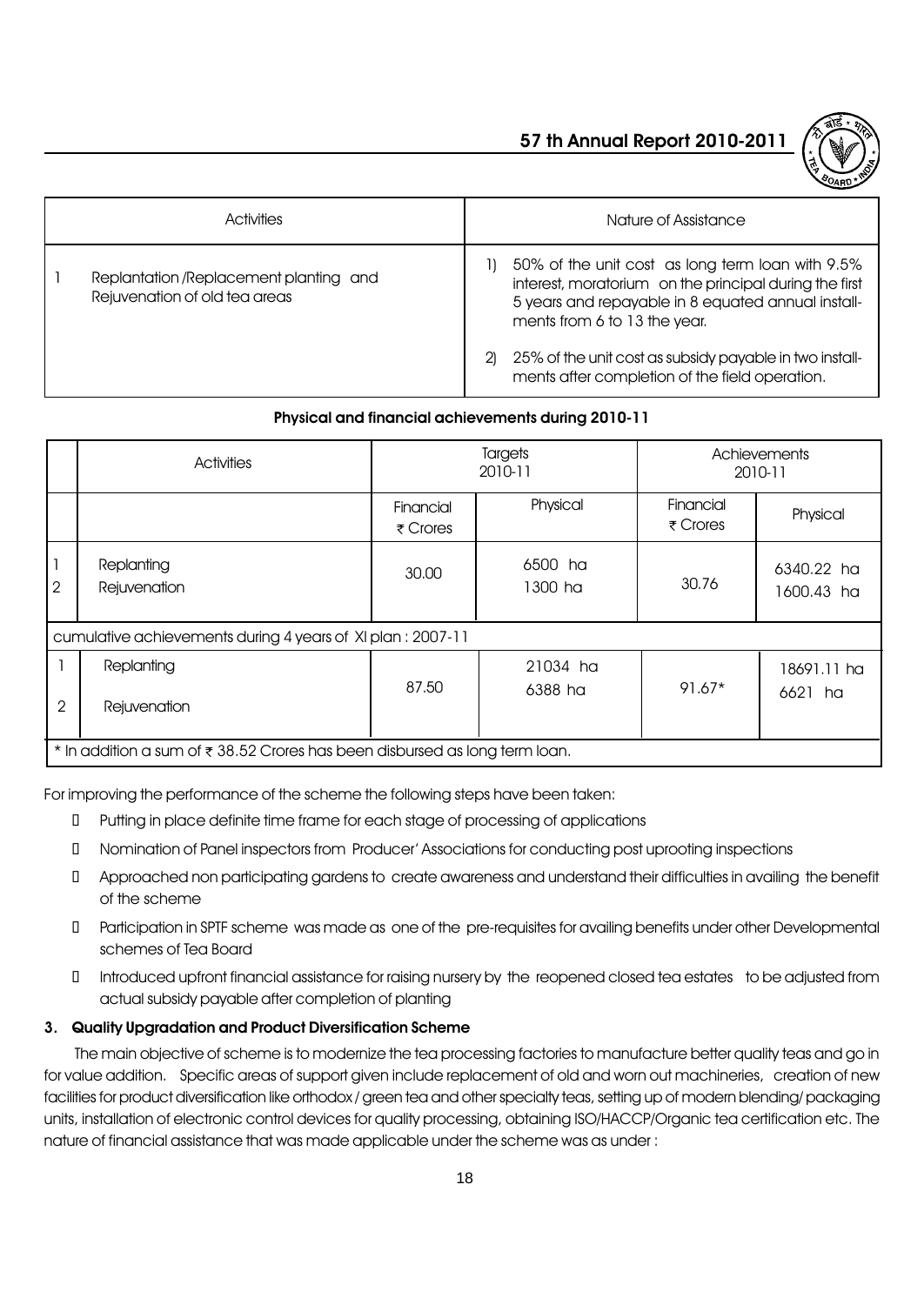

| <b>Activities</b>                                                       | Nature of Assistance                                                                                                                                                                                                                                                                                                |  |
|-------------------------------------------------------------------------|---------------------------------------------------------------------------------------------------------------------------------------------------------------------------------------------------------------------------------------------------------------------------------------------------------------------|--|
| Replantation /Replacement planting and<br>Rejuvenation of old tea areas | 50% of the unit cost as long term loan with 9.5%<br>interest, moratorium on the principal during the first<br>5 years and repayable in 8 equated annual install-<br>ments from 6 to 13 the year.<br>25% of the unit cost as subsidy payable in two install-<br>21<br>ments after completion of the field operation. |  |

#### Physical and financial achievements during 2010-11

|                | Activities                                                                                  | Targets<br>2010-11    |                     | Achievements<br>2010-11               |                          |  |
|----------------|---------------------------------------------------------------------------------------------|-----------------------|---------------------|---------------------------------------|--------------------------|--|
|                |                                                                                             | Financial<br>₹ Crores | Physical            | Financial<br>$\overline{\tau}$ Crores | Physical                 |  |
| $\mathbf{2}$   | Replanting<br>Rejuvenation                                                                  | 30.00                 | 6500 ha<br>1300 ha  | 30.76                                 | 6340.22 ha<br>1600.43 ha |  |
|                | cumulative achievements during 4 years of XI plan: 2007-11                                  |                       |                     |                                       |                          |  |
| $\overline{2}$ | Replanting<br>Rejuvenation                                                                  | 87.50                 | 21034 ha<br>6388 ha | $91.67*$                              | 18691.11 ha<br>6621 ha   |  |
|                | * In addition a sum of $\overline{\tau}$ 38.52 Crores has been disbursed as long term loan. |                       |                     |                                       |                          |  |

For improving the performance of the scheme the following steps have been taken:

Putting in place definite time frame for each stage of processing of applications

Nomination of Panel inspectors from Producerí Associations for conducting post uprooting inspections

 Approached non participating gardens to create awareness and understand their difficulties in availing the benefit of the scheme

 Participation in SPTF scheme was made as one of the pre-requisites for availing benefits under other Developmental schemes of Tea Board

 Introduced upfront financial assistance for raising nursery by the reopened closed tea estates to be adjusted from actual subsidy payable after completion of planting

### 3. Quality Upgradation and Product Diversification Scheme

The main objective of scheme is to modernize the tea processing factories to manufacture better quality teas and go in for value addition. Specific areas of support given include replacement of old and worn out machineries, creation of new facilities for product diversification like orthodox / green tea and other specialty teas, setting up of modern blending/ packaging units, installation of electronic control devices for quality processing, obtaining ISO/HACCP/Organic tea certification etc. The nature of financial assistance that was made applicable under the scheme was as under :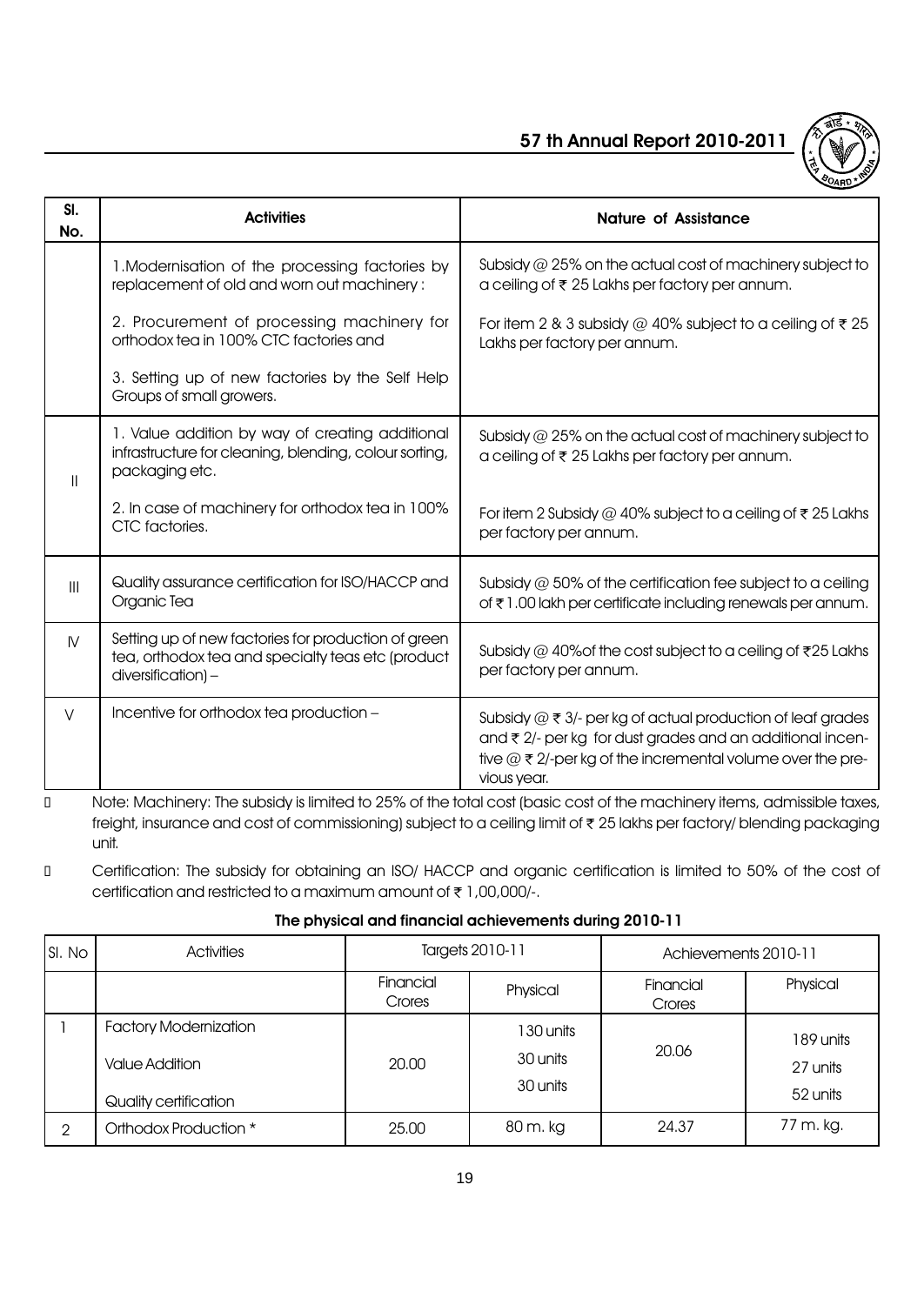

| SI.<br>No.     | <b>Activities</b>                                                                                                             | <b>Nature of Assistance</b>                                                                                                                                                                                    |
|----------------|-------------------------------------------------------------------------------------------------------------------------------|----------------------------------------------------------------------------------------------------------------------------------------------------------------------------------------------------------------|
|                | 1. Modernisation of the processing factories by<br>replacement of old and worn out machinery:                                 | Subsidy $@$ 25% on the actual cost of machinery subject to<br>a ceiling of ₹ 25 Lakhs per factory per annum.                                                                                                   |
|                | 2. Procurement of processing machinery for<br>orthodox tea in 100% CTC factories and                                          | For item 2 & 3 subsidy @ 40% subject to a ceiling of $\bar{\tau}$ 25<br>Lakhs per factory per annum.                                                                                                           |
|                | 3. Setting up of new factories by the Self Help<br>Groups of small growers.                                                   |                                                                                                                                                                                                                |
| $\mathbf{I}$   | 1. Value addition by way of creating additional<br>infrastructure for cleaning, blending, colour sorting,<br>packaging etc.   | Subsidy $@$ 25% on the actual cost of machinery subject to<br>a ceiling of ₹ 25 Lakhs per factory per annum.                                                                                                   |
|                | 2. In case of machinery for orthodox tea in 100%<br>CTC factories.                                                            | For item 2 Subsidy @ 40% subject to a ceiling of $\bar{\tau}$ 25 Lakhs<br>per factory per annum.                                                                                                               |
| $\mathbf{III}$ | Quality assurance certification for ISO/HACCP and<br>Organic Tea                                                              | Subsidy $@$ 50% of the certification fee subject to a ceiling<br>of ₹1.00 lakh per certificate including renewals per annum.                                                                                   |
| $\mathsf{N}$   | Setting up of new factories for production of green<br>tea, orthodox tea and specialty teas etc (product<br>diversification)- | Subsidy @ 40% of the cost subject to a ceiling of $\overline{\tau}$ 25 Lakhs<br>per factory per annum.                                                                                                         |
| V              | Incentive for orthodox tea production -                                                                                       | Subsidy $@ \xi 3/$ - per kg of actual production of leaf grades<br>and ₹ 2/- per kg for dust grades and an additional incen-<br>tive $@ \xi 2$ /-per kg of the incremental volume over the pre-<br>vious year. |

 Note: Machinery: The subsidy is limited to 25% of the total cost (basic cost of the machinery items, admissible taxes, freight, insurance and cost of commissioning) subject to a ceiling limit of  $\bar{\tau}$  25 lakhs per factory/ blending packaging unit.

 Certification: The subsidy for obtaining an ISO/ HACCP and organic certification is limited to 50% of the cost of certification and restricted to a maximum amount of  $\bar{\tau}$  1,00,000/-.

### The physical and financial achievements during 2010-11

| SI. No | <b>Activities</b>                                                              | Targets 2010-11     |                                   | Achievements 2010-11 |                                   |
|--------|--------------------------------------------------------------------------------|---------------------|-----------------------------------|----------------------|-----------------------------------|
|        |                                                                                | Financial<br>Crores | Physical                          | Financial<br>Crores  | Physical                          |
|        | <b>Factory Modernization</b><br><b>Value Addition</b><br>Quality certification | 20,00               | 130 units<br>30 units<br>30 units | 20.06                | 189 units<br>27 units<br>52 units |
| 2      | Orthodox Production *                                                          | 25.00               | 80 m. kg                          | 24.37                | 77 m. kg.                         |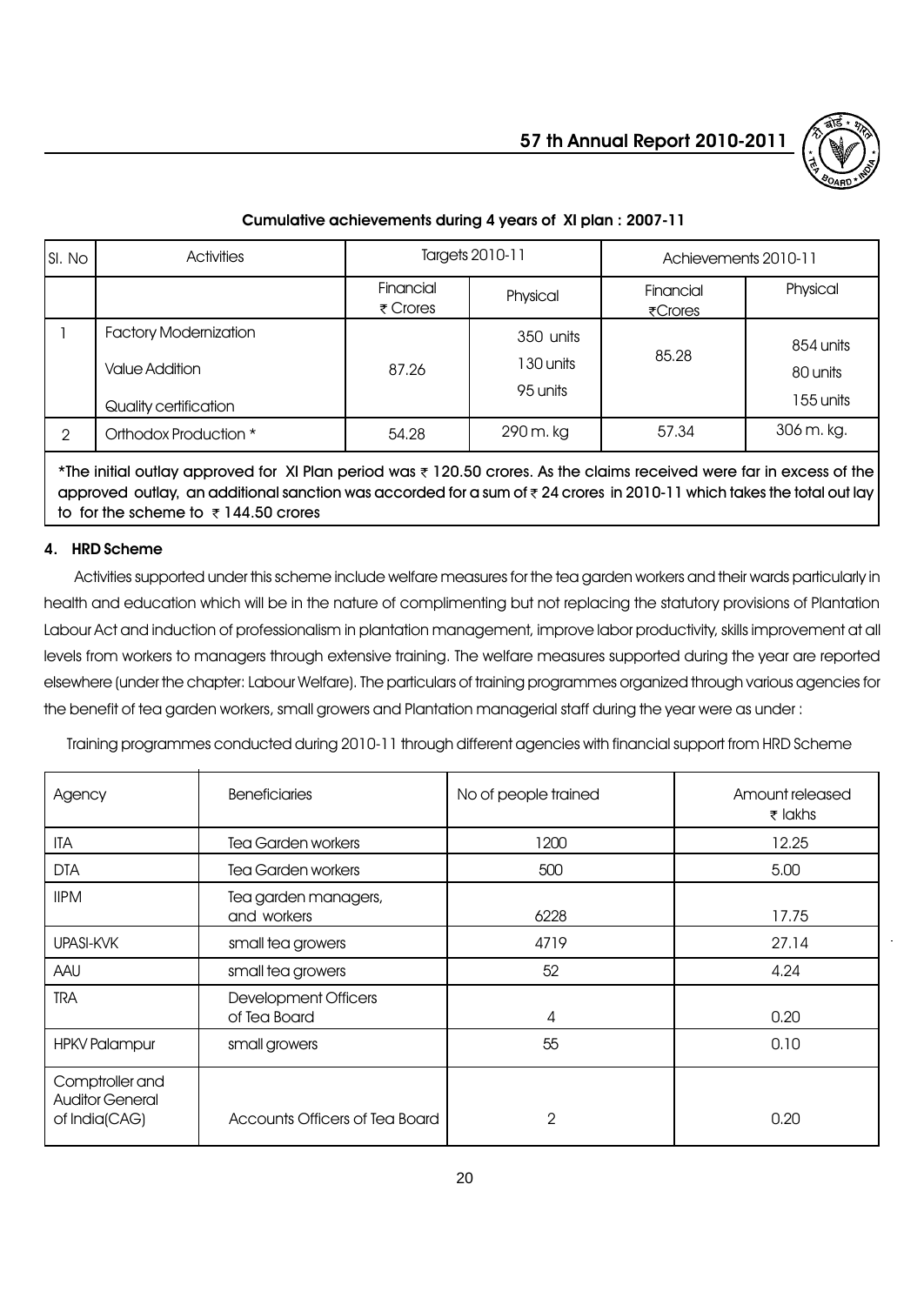# Activities Targets 2010-11 Achievements 2010-11 Cumulative achievements during 4 years of XI plan : 2007-11

| SI. No        | <b>Activities</b>                                                              | Targets 2010-11                       |                                     | Achievements 2010-11 |                                    |
|---------------|--------------------------------------------------------------------------------|---------------------------------------|-------------------------------------|----------------------|------------------------------------|
|               |                                                                                | Financial<br>$\overline{\tau}$ Crores | Physical                            | Financial<br>₹Crores | Physical                           |
|               | <b>Factory Modernization</b><br><b>Value Addition</b><br>Quality certification | 87.26                                 | 350 units<br>1 30 units<br>95 units | 85,28                | 854 units<br>80 units<br>155 units |
| $\mathcal{P}$ | Orthodox Production *                                                          | 54.28                                 | 290 m. kg                           | 57.34                | 306 m. kg.                         |

\*The initial outlay approved for XI Plan period was  $\bar{\tau}$  120.50 crores. As the claims received were far in excess of the approved outlay, an additional sanction was accorded for a sum of  $\bar{\tau}$  24 crores in 2010-11 which takes the total out lay to for the scheme to  $\overline{\tau}$  144.50 crores

# 4. HRD Scheme

Activities supported under this scheme include welfare measures for the tea garden workers and their wards particularly in health and education which will be in the nature of complimenting but not replacing the statutory provisions of Plantation Labour Act and induction of professionalism in plantation management, improve labor productivity, skills improvement at all levels from workers to managers through extensive training. The welfare measures supported during the year are reported elsewhere (under the chapter: Labour Welfare). The particulars of training programmes organized through various agencies for the benefit of tea garden workers, small growers and Plantation managerial staff during the year were as under :

Training programmes conducted during 2010-11 through different agencies with financial support from HRD Scheme

| Agency                                                     | <b>Beneficiaries</b>                        | No of people trained | Amount released<br>$\bar{\tau}$ lakhs |
|------------------------------------------------------------|---------------------------------------------|----------------------|---------------------------------------|
| ITA                                                        | <b>Tea Garden workers</b>                   | 1200                 | 12.25                                 |
| <b>DTA</b>                                                 | Tea Garden workers                          | 500                  | 5.00                                  |
| <b>IIPM</b>                                                | Tea garden managers,<br>and workers         | 6228                 | 17.75                                 |
| UPASI-KVK                                                  | small tea growers                           | 4719                 | 27.14                                 |
| AAU                                                        | small tea growers                           | 52                   | 4.24                                  |
| <b>TRA</b>                                                 | <b>Development Officers</b><br>of Tea Board | 4                    | 0.20                                  |
| <b>HPKV Palampur</b>                                       | small growers                               | 55                   | 0.10                                  |
| Comptroller and<br><b>Auditor General</b><br>of India(CAG) | Accounts Officers of Tea Board              | $\overline{2}$       | 0.20                                  |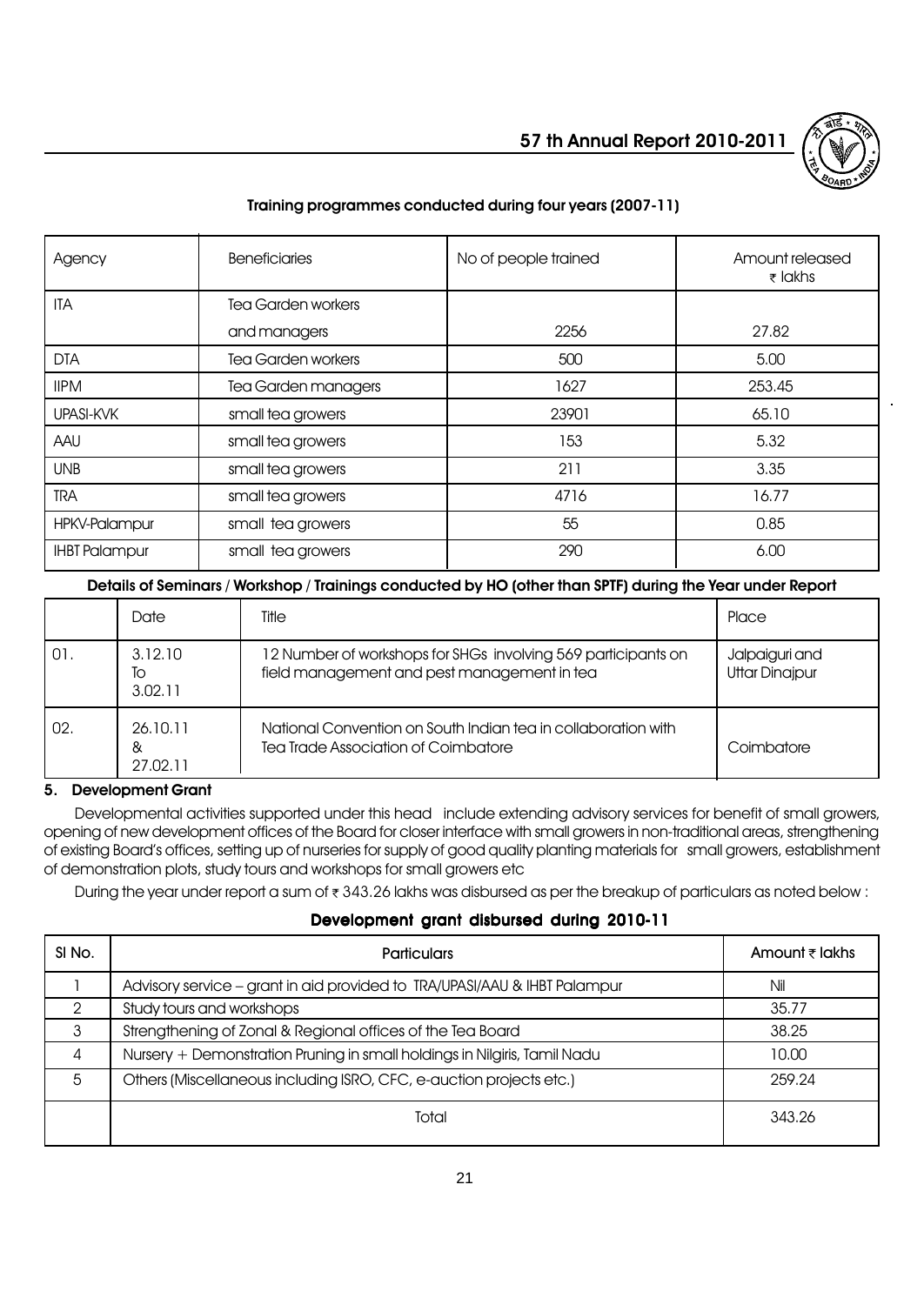

# Training programmes conducted during four years (2007-11)

| Agency               | <b>Beneficiaries</b>      | No of people trained | Amount released<br>$\bar{\tau}$ lakhs |
|----------------------|---------------------------|----------------------|---------------------------------------|
| <b>ITA</b>           | Tea Garden workers        |                      |                                       |
|                      | and managers              | 2256                 | 27.82                                 |
| <b>DTA</b>           | <b>Tea Garden workers</b> | 500                  | 5.00                                  |
| <b>IIPM</b>          | Tea Garden managers       | 1627                 | 253,45                                |
| <b>UPASI-KVK</b>     | small tea growers         | 23901                | 65.10                                 |
| AAU                  | small tea growers         | 153                  | 5.32                                  |
| <b>UNB</b>           | small tea growers         | 211                  | 3.35                                  |
| <b>TRA</b>           | small tea growers         | 4716                 | 16.77                                 |
| HPKV-Palampur        | small tea growers         | 55                   | 0.85                                  |
| <b>IHBT Palampur</b> | small tea growers         | 290                  | 6.00                                  |

#### Details of Seminars / Workshop / Trainings conducted by HO (other than SPTF) during the Year under Report

|     | Date                      | Title                                                                                                        | Place                                   |
|-----|---------------------------|--------------------------------------------------------------------------------------------------------------|-----------------------------------------|
| 01. | 3.12.10<br>To<br>3.02.11  | 12 Number of workshops for SHGs involving 569 participants on<br>field management and pest management in tea | Jalpaiguri and<br><b>Uttar Dinajpur</b> |
| 02. | 26.10.11<br>&<br>27.02.11 | National Convention on South Indian tea in collaboration with<br>Tea Trade Association of Coimbatore         | Coimbatore                              |

### 5. Development Grant

Developmental activities supported under this head include extending advisory services for benefit of small growers, opening of new development offices of the Board for closer interface with small growers in non-traditional areas, strengthening of existing Boardís offices, setting up of nurseries for supply of good quality planting materials for small growers, establishment of demonstration plots, study tours and workshops for small growers etc

During the year under report a sum of  $\bar{x}$  343.26 lakhs was disbursed as per the breakup of particulars as noted below :

#### Development grant disbursed during 2010-11

| SI <sub>No.</sub> | <b>Particulars</b>                                                        | Amount $\bar{z}$ lakhs |
|-------------------|---------------------------------------------------------------------------|------------------------|
|                   | Advisory service - grant in aid provided to TRA/UPASI/AAU & IHBT Palampur | Nil                    |
| ာ                 | Study tours and workshops                                                 | 35.77                  |
| 3                 | Strengthening of Zonal & Regional offices of the Tea Board                | 38.25                  |
| $\overline{4}$    | Nursery + Demonstration Pruning in small holdings in Nilgiris, Tamil Nadu | 10.00                  |
| $\overline{5}$    | Others (Miscellaneous including ISRO, CFC, e-auction projects etc.)       | 259.24                 |
|                   | Total                                                                     | 343.26                 |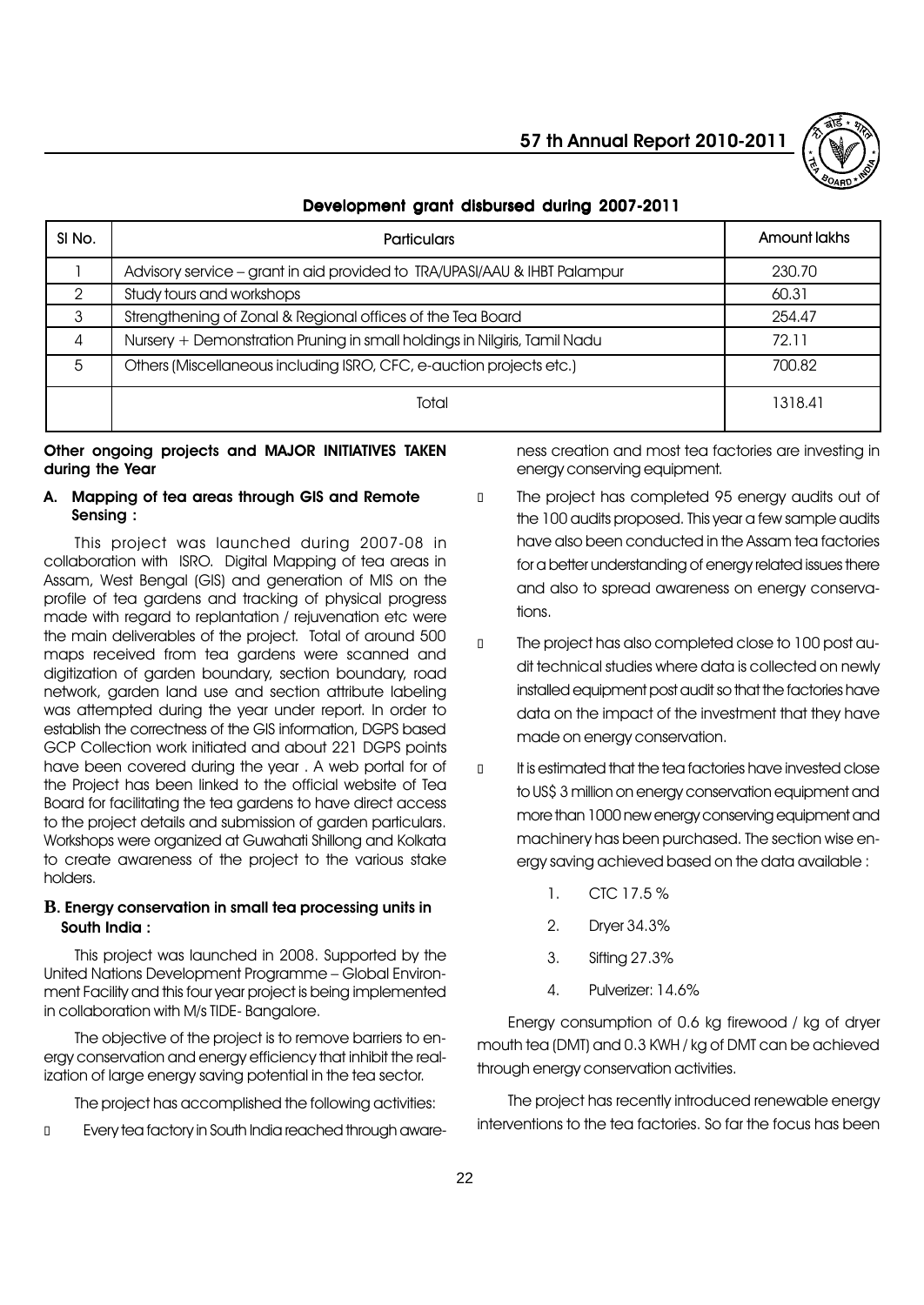

#### Development grant disbursed during 2007-2011

| SI No. | <b>Particulars</b>                                                        | Amount lakhs |
|--------|---------------------------------------------------------------------------|--------------|
|        | Advisory service - grant in aid provided to TRA/UPASI/AAU & IHBT Palampur | 230.70       |
|        | Study tours and workshops                                                 | 60.31        |
|        | Strengthening of Zonal & Regional offices of the Tea Board                | 254.47       |
| 4      | Nursery + Demonstration Pruning in small holdings in Nilgiris, Tamil Nadu | 72.11        |
| 5      | Others (Miscellaneous including ISRO, CFC, e-auction projects etc.)       | 700.82       |
|        | Total                                                                     | 1318.41      |

#### Other ongoing projects and MAJOR INITIATIVES TAKEN during the Year

#### A. Mapping of tea areas through GIS and Remote Sensing :

This project was launched during 2007-08 in collaboration with ISRO. Digital Mapping of tea areas in Assam, West Bengal (GIS) and generation of MIS on the profile of tea gardens and tracking of physical progress made with regard to replantation / rejuvenation etc were the main deliverables of the project. Total of around 500 maps received from tea gardens were scanned and digitization of garden boundary, section boundary, road network, garden land use and section attribute labeling was attempted during the year under report. In order to establish the correctness of the GIS information, DGPS based GCP Collection work initiated and about 221 DGPS points have been covered during the year . A web portal for of the Project has been linked to the official website of Tea Board for facilitating the tea gardens to have direct access to the project details and submission of garden particulars. Workshops were organized at Guwahati Shillong and Kolkata to create awareness of the project to the various stake holders.

#### **B**. Energy conservation in small tea processing units in South India :

This project was launched in 2008. Supported by the United Nations Development Programme - Global Environment Facility and this four year project is being implemented in collaboration with M/s TIDE- Bangalore.

The objective of the project is to remove barriers to energy conservation and energy efficiency that inhibit the realization of large energy saving potential in the tea sector.

The project has accomplished the following activities:

Every tea factory in South India reached through aware-

ness creation and most tea factories are investing in energy conserving equipment.

 The project has completed 95 energy audits out of the 100 audits proposed. This year a few sample audits have also been conducted in the Assam tea factories for a better understanding of energy related issues there and also to spread awareness on energy conservations.

 The project has also completed close to 100 post audit technical studies where data is collected on newly installed equipment post audit so that the factories have data on the impact of the investment that they have made on energy conservation.

 It is estimated that the tea factories have invested close to US\$ 3 million on energy conservation equipment and more than 1000 new energy conserving equipment and machinery has been purchased. The section wise energy saving achieved based on the data available :

- 1. CTC 17.5 %
- 2. Dryer 34.3%
- 3. Sifting 27.3%
- 4. Pulverizer: 14.6%

Energy consumption of 0.6 kg firewood / kg of dryer mouth tea (DMT) and 0.3 KWH / kg of DMT can be achieved through energy conservation activities.

The project has recently introduced renewable energy interventions to the tea factories. So far the focus has been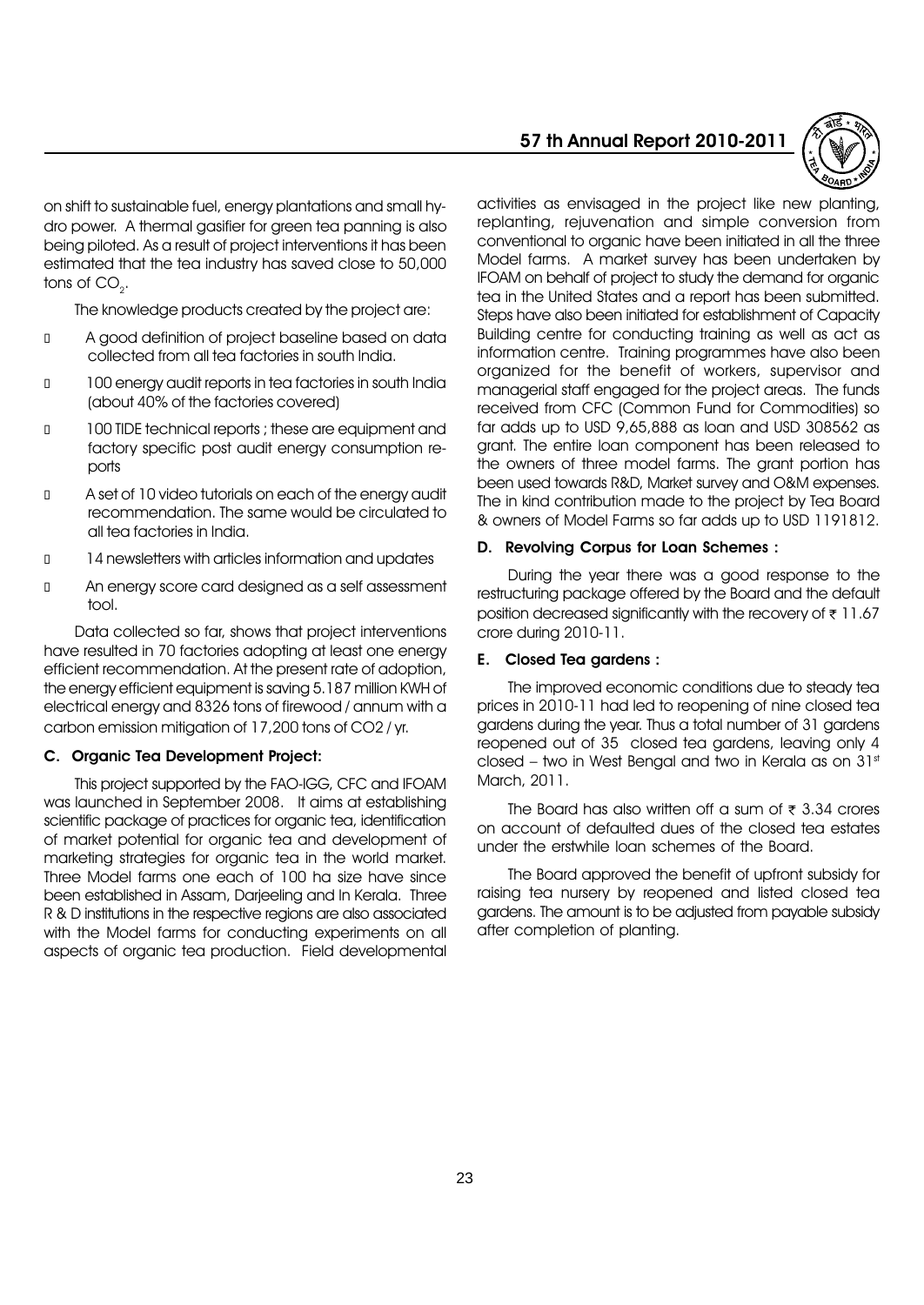on shift to sustainable fuel, energy plantations and small hydro power. A thermal gasifier for green tea panning is also being piloted. As a result of project interventions it has been estimated that the tea industry has saved close to 50,000 tons of  $CO<sub>2</sub>$ .

The knowledge products created by the project are:

 A good definition of project baseline based on data collected from all tea factories in south India.

 100 energy audit reports in tea factories in south India (about 40% of the factories covered)

 100 TIDE technical reports ; these are equipment and factory specific post audit energy consumption reports

 A set of 10 video tutorials on each of the energy audit recommendation. The same would be circulated to all tea factories in India.

14 newsletters with articles information and updates

 An energy score card designed as a self assessment tool.

Data collected so far, shows that project interventions have resulted in 70 factories adopting at least one energy efficient recommendation. At the present rate of adoption, the energy efficient equipment is saving 5.187 million KWH of electrical energy and 8326 tons of firewood / annum with a carbon emission mitigation of 17,200 tons of CO2 / yr.

#### C. Organic Tea Development Project:

This project supported by the FAO-IGG, CFC and IFOAM was launched in September 2008. It aims at establishing scientific package of practices for organic tea, identification of market potential for organic tea and development of marketing strategies for organic tea in the world market. Three Model farms one each of 100 ha size have since been established in Assam, Darjeeling and In Kerala. Three R & D institutions in the respective regions are also associated with the Model farms for conducting experiments on all aspects of organic tea production. Field developmental

#### 57 th Annual Report 2010-2011



activities as envisaged in the project like new planting, replanting, rejuvenation and simple conversion from conventional to organic have been initiated in all the three Model farms. A market survey has been undertaken by IFOAM on behalf of project to study the demand for organic tea in the United States and a report has been submitted. Steps have also been initiated for establishment of Capacity Building centre for conducting training as well as act as information centre. Training programmes have also been organized for the benefit of workers, supervisor and managerial staff engaged for the project areas. The funds received from CFC (Common Fund for Commodities) so far adds up to USD 9,65,888 as loan and USD 308562 as grant. The entire loan component has been released to the owners of three model farms. The grant portion has been used towards R&D, Market survey and O&M expenses. The in kind contribution made to the project by Tea Board & owners of Model Farms so far adds up to USD 1191812.

#### D. Revolving Corpus for Loan Schemes :

During the year there was a good response to the restructuring package offered by the Board and the default position decreased significantly with the recovery of  $\bar{\tau}$  11.67 crore during 2010-11.

#### E. Closed Tea gardens :

The improved economic conditions due to steady tea prices in 2010-11 had led to reopening of nine closed tea gardens during the year. Thus a total number of 31 gardens reopened out of 35 closed tea gardens, leaving only 4 closed – two in West Bengal and two in Kerala as on  $31<sup>st</sup>$ March, 2011.

The Board has also written off a sum of  $\bar{\tau}$  3.34 crores on account of defaulted dues of the closed tea estates under the erstwhile loan schemes of the Board.

The Board approved the benefit of upfront subsidy for raising tea nursery by reopened and listed closed tea gardens. The amount is to be adjusted from payable subsidy after completion of planting.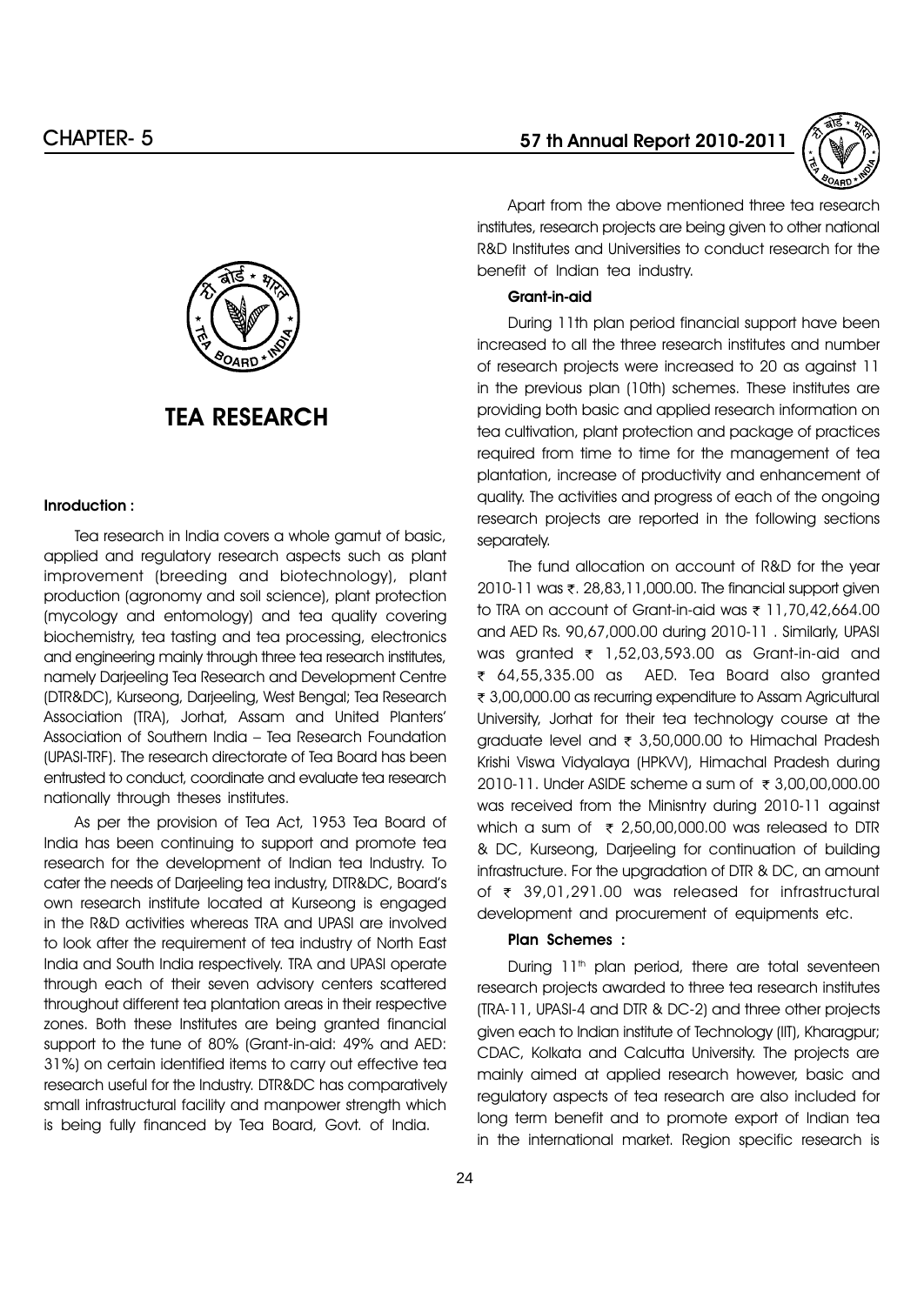

Apart from the above mentioned three tea research institutes, research projects are being given to other national R&D Institutes and Universities to conduct research for the benefit of Indian tea industry.

#### Grant-in-aid

During 11th plan period financial support have been increased to all the three research institutes and number of research projects were increased to 20 as against 11 in the previous plan (10th) schemes. These institutes are providing both basic and applied research information on tea cultivation, plant protection and package of practices required from time to time for the management of tea plantation, increase of productivity and enhancement of quality. The activities and progress of each of the ongoing research projects are reported in the following sections separately.

The fund allocation on account of R&D for the year 2010-11 was ₹, 28,83,11,000.00. The financial support given to TRA on account of Grant-in-aid was  $\overline{\tau}$  11,70,42,664.00 and AED Rs. 90,67,000.00 during 2010-11 . Similarly, UPASI was granted  $\bar{\tau}$  1,52,03,593.00 as Grant-in-aid and r 64,55,335.00 as AED. Tea Board also granted ₹ 3,00,000.00 as recurring expenditure to Assam Agricultural University, Jorhat for their tea technology course at the graduate level and  $\overline{\tau}$  3,50,000.00 to Himachal Pradesh Krishi Viswa Vidyalaya (HPKVV), Himachal Pradesh during 2010-11. Under ASIDE scheme a sum of  $\bar{\tau}$  3,00,00,000.00 was received from the Minisntry during 2010-11 against which a sum of  $\overline{\tau}$  2,50,00,000.00 was released to DTR & DC, Kurseong, Darjeeling for continuation of building infrastructure. For the upgradation of DTR & DC, an amount of  $\bar{\tau}$  39,01,291.00 was released for infrastructural development and procurement of equipments etc.

#### Plan Schemes :

During 11<sup>th</sup> plan period, there are total seventeen research projects awarded to three tea research institutes (TRA-11, UPASI-4 and DTR & DC-2) and three other projects given each to Indian institute of Technology (IIT), Kharagpur; CDAC, Kolkata and Calcutta University. The projects are mainly aimed at applied research however, basic and regulatory aspects of tea research are also included for long term benefit and to promote export of Indian tea in the international market. Region specific research is



#### Inroduction :

Tea research in India covers a whole gamut of basic, applied and regulatory research aspects such as plant improvement (breeding and biotechnology), plant production (agronomy and soil science), plant protection (mycology and entomology) and tea quality covering biochemistry, tea tasting and tea processing, electronics and engineering mainly through three tea research institutes, namely Darjeeling Tea Research and Development Centre (DTR&DC), Kurseong, Darjeeling, West Bengal; Tea Research Association (TRA), Jorhat, Assam and United Plantersí Association of Southern India - Tea Research Foundation (UPASI-TRF). The research directorate of Tea Board has been entrusted to conduct, coordinate and evaluate tea research nationally through theses institutes.

As per the provision of Tea Act, 1953 Tea Board of India has been continuing to support and promote tea research for the development of Indian tea Industry. To cater the needs of Darjeeling tea industry, DTR&DC, Boardís own research institute located at Kurseong is engaged in the R&D activities whereas TRA and UPASI are involved to look after the requirement of tea industry of North East India and South India respectively. TRA and UPASI operate through each of their seven advisory centers scattered throughout different tea plantation areas in their respective zones. Both these Institutes are being granted financial support to the tune of 80% (Grant-in-aid: 49% and AED: 31%) on certain identified items to carry out effective tea research useful for the Industry. DTR&DC has comparatively small infrastructural facility and manpower strength which is being fully financed by Tea Board, Govt. of India.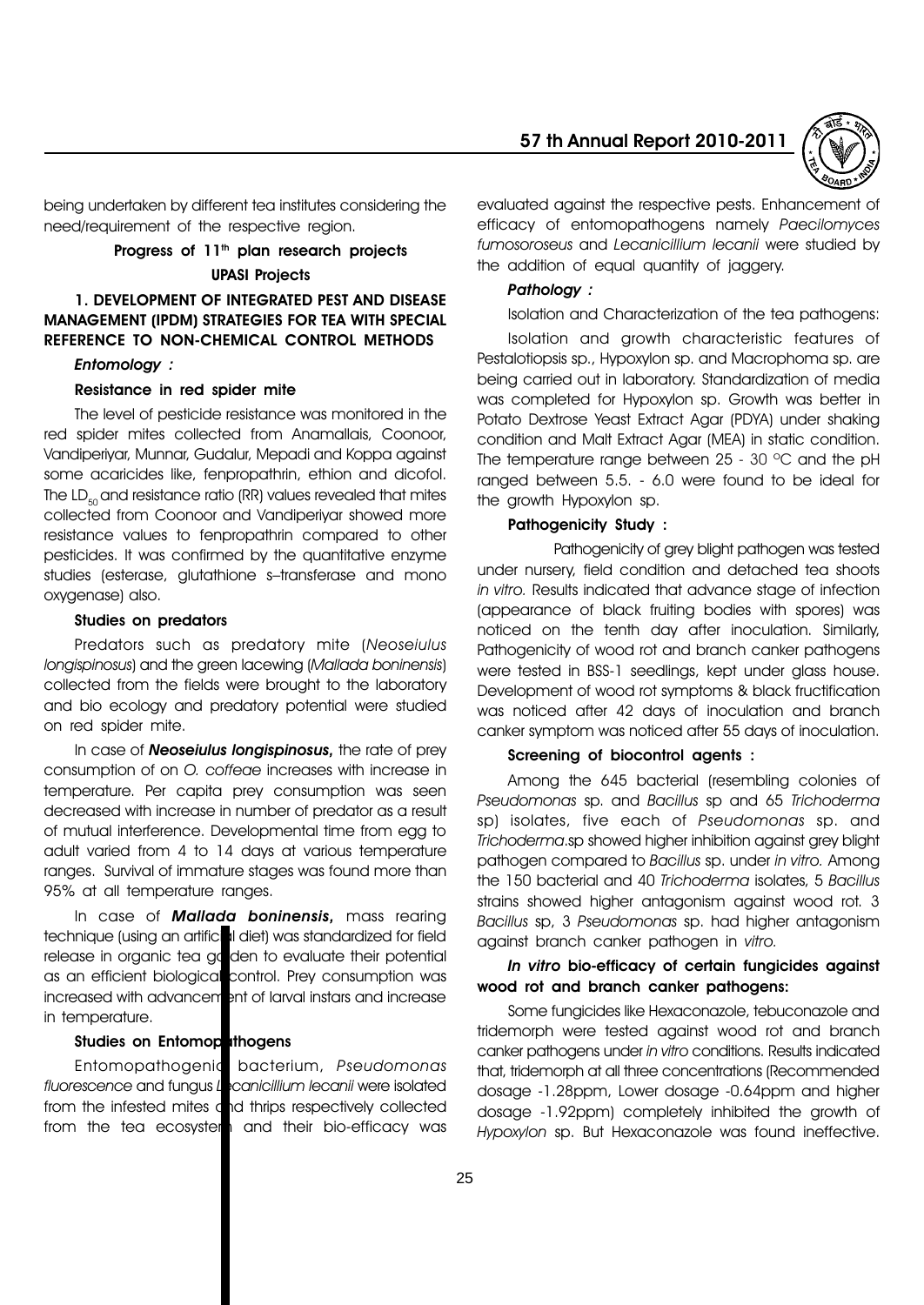

being undertaken by different tea institutes considering the need/requirement of the respective region.

# Progress of 11<sup>th</sup> plan research projects UPASI Projects

# 1. DEVELOPMENT OF INTEGRATED PEST AND DISEASE MANAGEMENT (IPDM) STRATEGIES FOR TEA WITH SPECIAL REFERENCE TO NON-CHEMICAL CONTROL METHODS

#### Entomology :

#### Resistance in red spider mite

The level of pesticide resistance was monitored in the red spider mites collected from Anamallais, Coonoor, Vandiperiyar, Munnar, Gudalur, Mepadi and Koppa against some acaricides like, fenpropathrin, ethion and dicofol. The  $LD_{50}$  and resistance ratio (RR) values revealed that mites collected from Coonoor and Vandiperiyar showed more resistance values to fenpropathrin compared to other pesticides. It was confirmed by the quantitative enzyme studies (esterase, glutathione s-transferase and mono oxygenase) also.

#### Studies on predators

Predators such as predatory mite (Neoseiulus longispinosus) and the green lacewing (Mallada boninensis) collected from the fields were brought to the laboratory and bio ecology and predatory potential were studied on red spider mite.

In case of **Neoseiulus longispinosus**, the rate of prey consumption of on O. coffeae increases with increase in temperature. Per capita prey consumption was seen decreased with increase in number of predator as a result of mutual interference. Developmental time from egg to adult varied from 4 to 14 days at various temperature ranges. Survival of immature stages was found more than 95% at all temperature ranges.

In case of **Mallada boninensis**, mass rearing technique (using an artificial diet) was standardized for field release in organic tea ga den to evaluate their potential as an efficient biological control. Prey consumption was increased with advancement of larval instars and increase in temperature.

#### Studies on Entomopathogens

Entomopathogenic bacterium, Pseudomonas fluorescence and fungus Lecanicillium lecanii were isolated from the infested mites and thrips respectively collected from the tea ecosystem and their bio-efficacy was

evaluated against the respective pests. Enhancement of efficacy of entomopathogens namely Paecilomyces fumosoroseus and Lecanicillium lecanii were studied by the addition of equal quantity of jaggery.

#### Pathology :

Isolation and Characterization of the tea pathogens:

Isolation and growth characteristic features of Pestalotiopsis sp., Hypoxylon sp. and Macrophoma sp. are being carried out in laboratory. Standardization of media was completed for Hypoxylon sp. Growth was better in Potato Dextrose Yeast Extract Agar (PDYA) under shaking condition and Malt Extract Agar (MEA) in static condition. The temperature range between 25 - 30 ºC and the pH ranged between 5.5. - 6.0 were found to be ideal for the growth Hypoxylon sp.

#### Pathogenicity Study :

Pathogenicity of grey blight pathogen was tested under nursery, field condition and detached tea shoots in vitro. Results indicated that advance stage of infection (appearance of black fruiting bodies with spores) was noticed on the tenth day after inoculation. Similarly, Pathogenicity of wood rot and branch canker pathogens were tested in BSS-1 seedlings, kept under glass house. Development of wood rot symptoms & black fructification was noticed after 42 days of inoculation and branch canker symptom was noticed after 55 days of inoculation.

#### Screening of biocontrol agents :

Among the 645 bacterial (resembling colonies of Pseudomonas sp. and Bacillus sp and 65 Trichoderma sp) isolates, five each of Pseudomonas sp. and Trichoderma.sp showed higher inhibition against grey blight pathogen compared to Bacillus sp. under in vitro. Among the 150 bacterial and 40 Trichoderma isolates, 5 Bacillus strains showed higher antagonism against wood rot. 3 Bacillus sp, 3 Pseudomonas sp. had higher antagonism against branch canker pathogen in vitro.

#### In vitro bio-efficacy of certain fungicides against wood rot and branch canker pathogens:

Some fungicides like Hexaconazole, tebuconazole and tridemorph were tested against wood rot and branch canker pathogens under in vitro conditions. Results indicated that, tridemorph at all three concentrations (Recommended dosage -1.28ppm, Lower dosage -0.64ppm and higher dosage -1.92ppm) completely inhibited the growth of Hypoxylon sp. But Hexaconazole was found ineffective.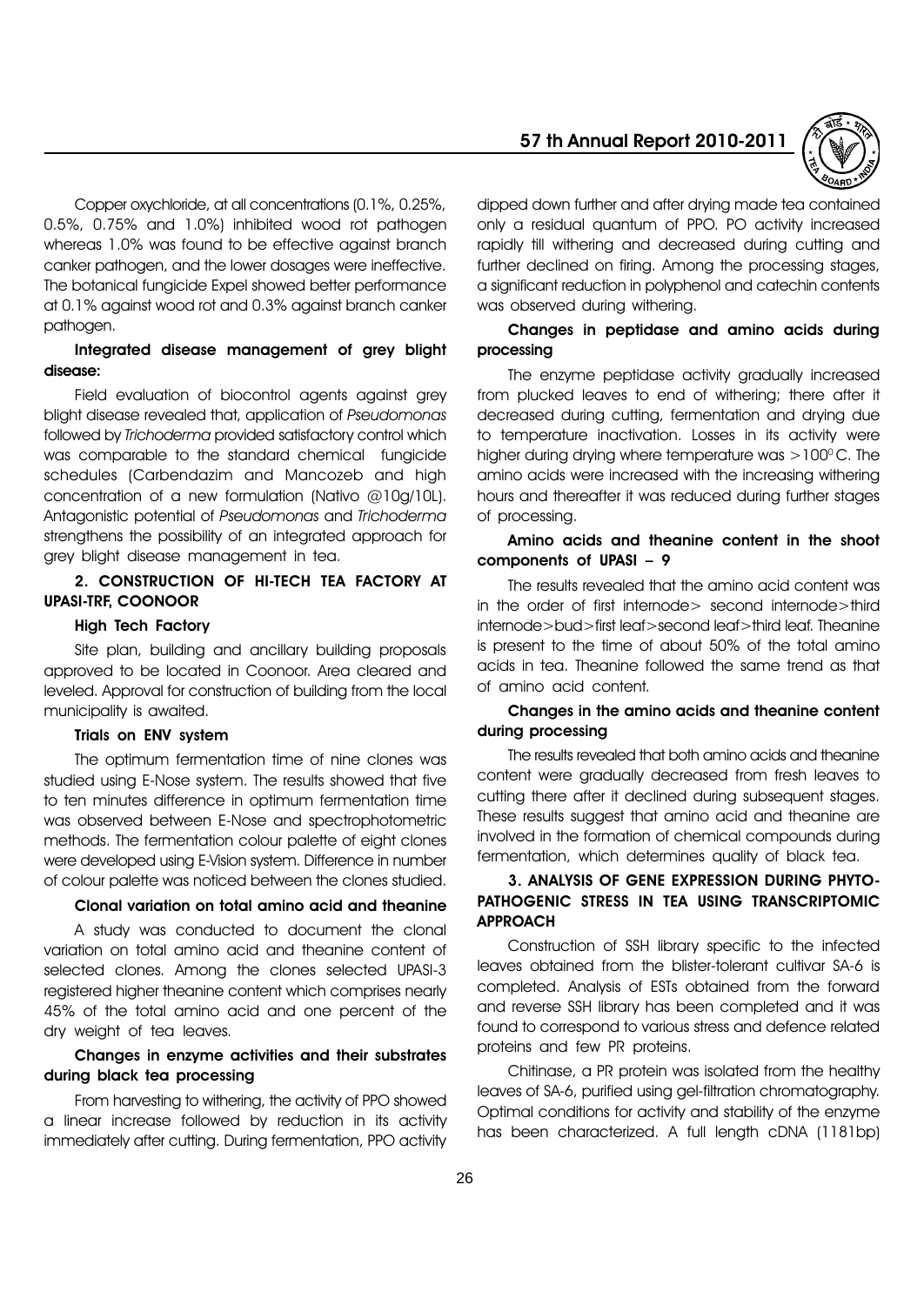

Copper oxychloride, at all concentrations (0.1%, 0.25%, 0.5%, 0.75% and 1.0%) inhibited wood rot pathogen whereas 1.0% was found to be effective against branch canker pathogen, and the lower dosages were ineffective. The botanical fungicide Expel showed better performance at 0.1% against wood rot and 0.3% against branch canker pathogen.

# Integrated disease management of grey blight disease:

Field evaluation of biocontrol agents against grey blight disease revealed that, application of Pseudomonas followed by Trichoderma provided satisfactory control which was comparable to the standard chemical fungicide schedules (Carbendazim and Mancozeb and high concentration of a new formulation (Nativo @10g/10L). Antagonistic potential of Pseudomonas and Trichoderma strengthens the possibility of an integrated approach for grey blight disease management in tea.

#### 2. CONSTRUCTION OF HI-TECH TEA FACTORY AT UPASI-TRF, COONOOR

#### High Tech Factory

Site plan, building and ancillary building proposals approved to be located in Coonoor. Area cleared and leveled. Approval for construction of building from the local municipality is awaited.

#### Trials on ENV system

The optimum fermentation time of nine clones was studied using E-Nose system. The results showed that five to ten minutes difference in optimum fermentation time was observed between E-Nose and spectrophotometric methods. The fermentation colour palette of eight clones were developed using E-Vision system. Difference in number of colour palette was noticed between the clones studied.

#### Clonal variation on total amino acid and theanine

A study was conducted to document the clonal variation on total amino acid and theanine content of selected clones. Among the clones selected UPASI-3 registered higher theanine content which comprises nearly 45% of the total amino acid and one percent of the dry weight of tea leaves.

# Changes in enzyme activities and their substrates during black tea processing

From harvesting to withering, the activity of PPO showed a linear increase followed by reduction in its activity immediately after cutting. During fermentation, PPO activity

dipped down further and after drying made tea contained only a residual quantum of PPO. PO activity increased rapidly till withering and decreased during cutting and further declined on firing. Among the processing stages, a significant reduction in polyphenol and catechin contents was observed during withering.

#### Changes in peptidase and amino acids during processing

The enzyme peptidase activity gradually increased from plucked leaves to end of withering; there after it decreased during cutting, fermentation and drying due to temperature inactivation. Losses in its activity were higher during drying where temperature was  $>100^{\circ}$  C. The amino acids were increased with the increasing withering hours and thereafter it was reduced during further stages of processing.

#### Amino acids and theanine content in the shoot components of UPASI  $-9$

The results revealed that the amino acid content was in the order of first internode> second internode>third internode>bud>first leaf>second leaf>third leaf. Theanine is present to the time of about 50% of the total amino acids in tea. Theanine followed the same trend as that of amino acid content.

# Changes in the amino acids and theanine content during processing

The results revealed that both amino acids and theanine content were gradually decreased from fresh leaves to cutting there after it declined during subsequent stages. These results suggest that amino acid and theanine are involved in the formation of chemical compounds during fermentation, which determines quality of black tea.

# 3. ANALYSIS OF GENE EXPRESSION DURING PHYTO-PATHOGENIC STRESS IN TEA USING TRANSCRIPTOMIC APPROACH

Construction of SSH library specific to the infected leaves obtained from the blister-tolerant cultivar SA-6 is completed. Analysis of ESTs obtained from the forward and reverse SSH library has been completed and it was found to correspond to various stress and defence related proteins and few PR proteins.

Chitinase, a PR protein was isolated from the healthy leaves of SA-6, purified using gel-filtration chromatography. Optimal conditions for activity and stability of the enzyme has been characterized. A full length cDNA (1181bp)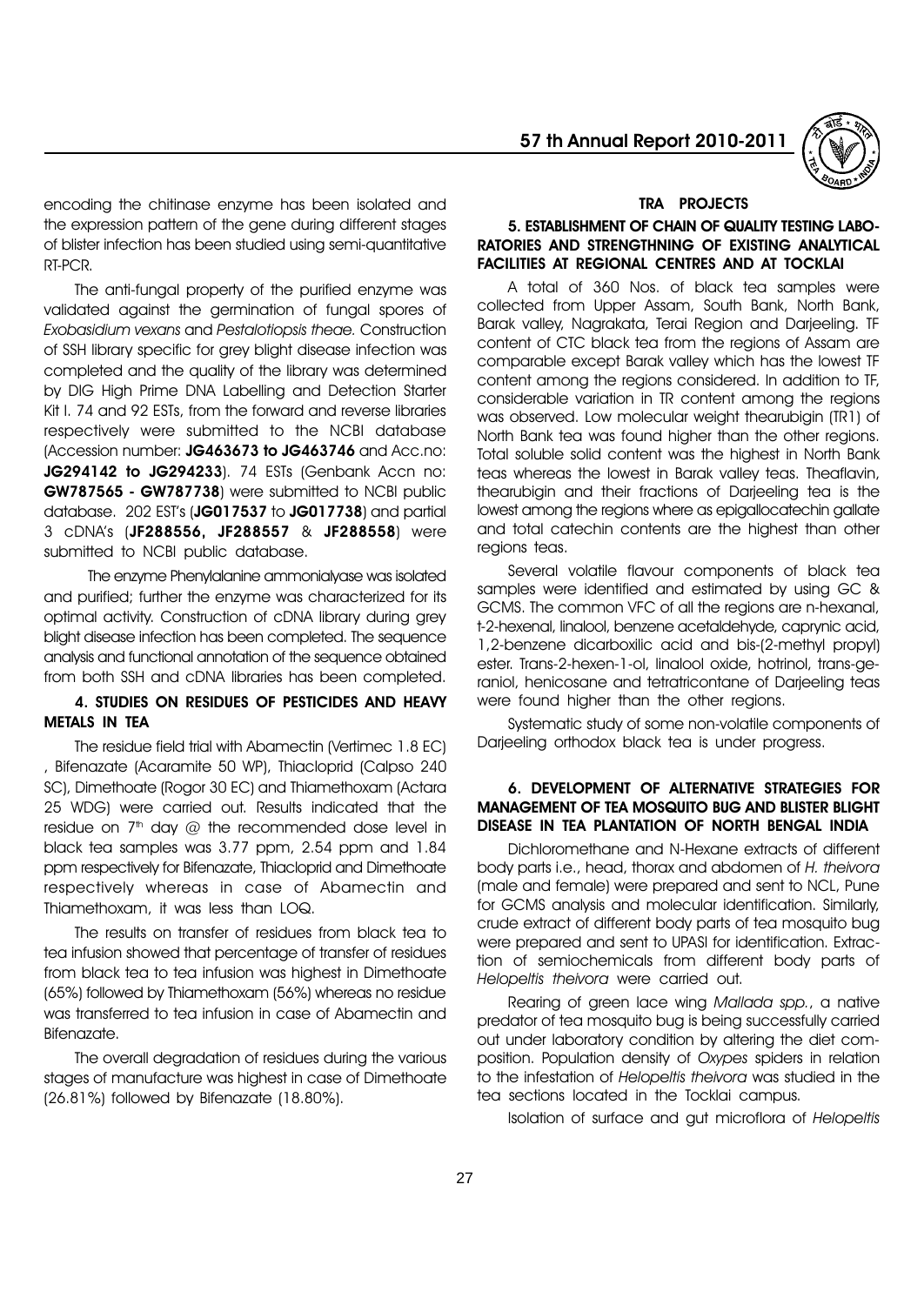

encoding the chitinase enzyme has been isolated and the expression pattern of the gene during different stages of blister infection has been studied using semi-quantitative RT-PCR.

The anti-fungal property of the purified enzyme was validated against the germination of fungal spores of Exobasidium vexans and Pestalotiopsis theae. Construction of SSH library specific for grey blight disease infection was completed and the quality of the library was determined by DIG High Prime DNA Labelling and Detection Starter Kit I. 74 and 92 ESTs, from the forward and reverse libraries respectively were submitted to the NCBI database (Accession number: JG463673 to JG463746 and Acc.no: JG294142 to JG294233). 74 ESTs (Genbank Accn no: GW787565 - GW787738) were submitted to NCBI public database. 202 EST's (JG017537 to JG017738) and partial 3 cDNAís (JF288556, JF288557 & JF288558) were submitted to NCBI public database.

The enzyme Phenylalanine ammonialyase was isolated and purified; further the enzyme was characterized for its optimal activity. Construction of cDNA library during grey blight disease infection has been completed. The sequence analysis and functional annotation of the sequence obtained from both SSH and cDNA libraries has been completed.

# 4. STUDIES ON RESIDUES OF PESTICIDES AND HEAVY METALS IN TEA

The residue field trial with Abamectin (Vertimec 1.8 EC) , Bifenazate (Acaramite 50 WP), Thiacloprid (Calpso 240 SC), Dimethoate (Rogor 30 EC) and Thiamethoxam (Actara 25 WDG) were carried out. Results indicated that the residue on  $7<sup>th</sup>$  day  $@$  the recommended dose level in black tea samples was 3.77 ppm, 2.54 ppm and 1.84 ppm respectively for Bifenazate, Thiacloprid and Dimethoate respectively whereas in case of Abamectin and Thiamethoxam, it was less than LOQ.

The results on transfer of residues from black tea to tea infusion showed that percentage of transfer of residues from black tea to tea infusion was highest in Dimethoate (65%) followed by Thiamethoxam (56%) whereas no residue was transferred to tea infusion in case of Abamectin and Bifenazate.

The overall degradation of residues during the various stages of manufacture was highest in case of Dimethoate (26.81%) followed by Bifenazate (18.80%).

#### TRA PROJECTS

#### 5. ESTABLISHMENT OF CHAIN OF QUALITY TESTING LABO-RATORIES AND STRENGTHNING OF EXISTING ANALYTICAL FACILITIES AT REGIONAL CENTRES AND AT TOCKLAI

A total of 360 Nos. of black tea samples were collected from Upper Assam, South Bank, North Bank, Barak valley, Nagrakata, Terai Region and Darjeeling. TF content of CTC black tea from the regions of Assam are comparable except Barak valley which has the lowest TF content among the regions considered. In addition to TF, considerable variation in TR content among the regions was observed. Low molecular weight thearubigin (TR1) of North Bank tea was found higher than the other regions. Total soluble solid content was the highest in North Bank teas whereas the lowest in Barak valley teas. Theaflavin, thearubigin and their fractions of Darjeeling tea is the lowest among the regions where as epigallocatechin gallate and total catechin contents are the highest than other regions teas.

Several volatile flavour components of black tea samples were identified and estimated by using GC & GCMS. The common VFC of all the regions are n-hexanal, t-2-hexenal, linalool, benzene acetaldehyde, caprynic acid, 1,2-benzene dicarboxilic acid and bis-(2-methyl propyl) ester. Trans-2-hexen-1-ol, linalool oxide, hotrinol, trans-geraniol, henicosane and tetratricontane of Darjeeling teas were found higher than the other regions.

Systematic study of some non-volatile components of Darjeeling orthodox black tea is under progress.

#### 6. DEVELOPMENT OF ALTERNATIVE STRATEGIES FOR MANAGEMENT OF TEA MOSQUITO BUG AND BLISTER BLIGHT DISEASE IN TEA PLANTATION OF NORTH BENGAL INDIA

Dichloromethane and N-Hexane extracts of different body parts i.e., head, thorax and abdomen of H. theivora (male and female) were prepared and sent to NCL, Pune for GCMS analysis and molecular identification. Similarly, crude extract of different body parts of tea mosquito bug were prepared and sent to UPASI for identification. Extraction of semiochemicals from different body parts of Helopeltis theivora were carried out.

Rearing of green lace wing Mallada spp., a native predator of tea mosquito bug is being successfully carried out under laboratory condition by altering the diet composition. Population density of Oxypes spiders in relation to the infestation of Helopeltis theivora was studied in the tea sections located in the Tocklai campus.

Isolation of surface and gut microflora of Helopeltis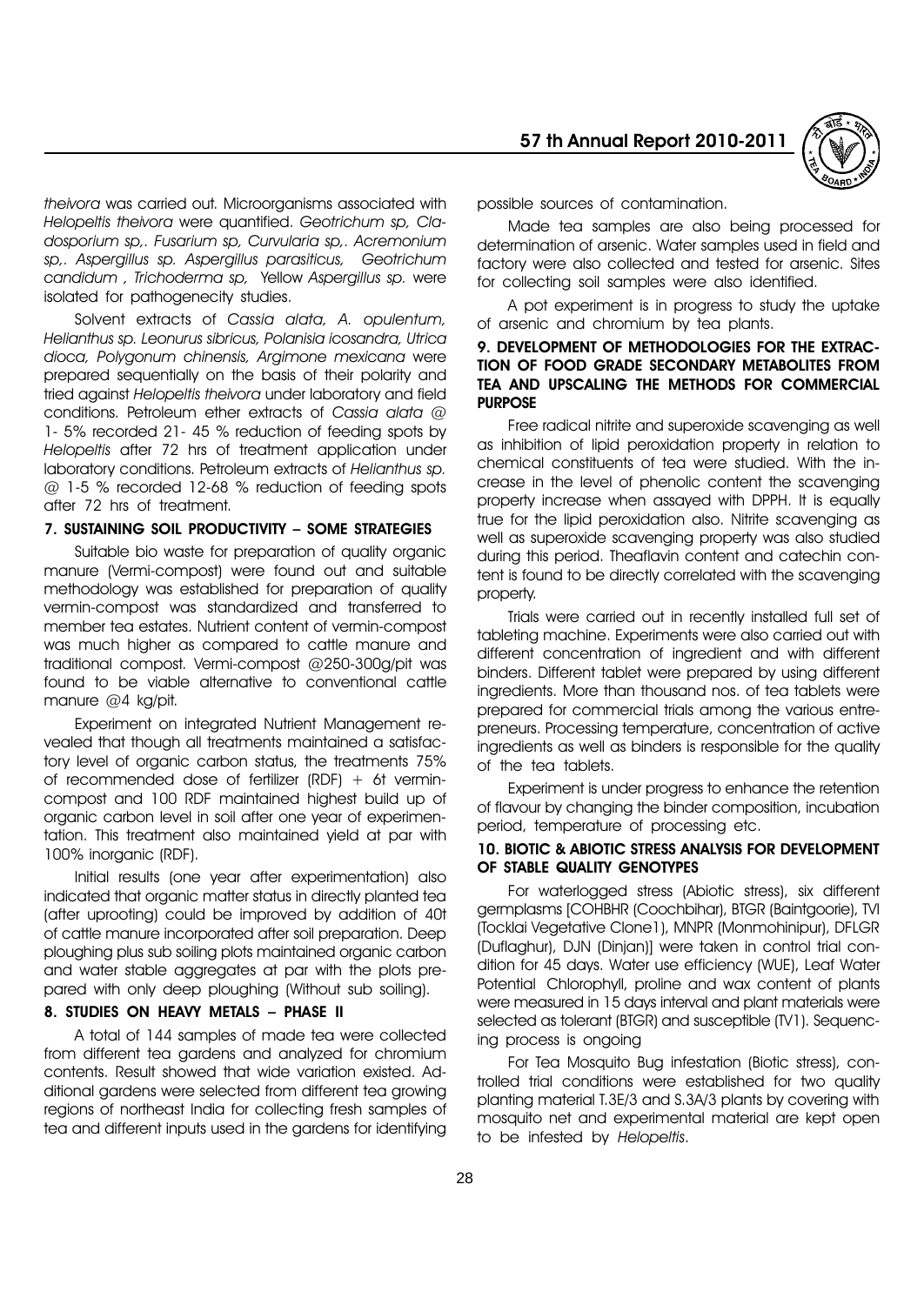

theivora was carried out. Microorganisms associated with Helopeltis theivora were quantified. Geotrichum sp, Cladosporium sp,. Fusarium sp, Curvularia sp,. Acremonium sp,. Aspergillus sp. Aspergillus parasiticus, Geotrichum candidum , Trichoderma sp, Yellow Aspergillus sp. were isolated for pathogenecity studies.

Solvent extracts of Cassia alata, A. opulentum, Helianthus sp. Leonurus sibricus, Polanisia icosandra, Utrica dioca, Polygonum chinensis, Argimone mexicana were prepared sequentially on the basis of their polarity and tried against Helopeltis theivora under laboratory and field conditions. Petroleum ether extracts of Cassia alata @ 1- 5% recorded 21- 45 % reduction of feeding spots by Helopeltis after 72 hrs of treatment application under laboratory conditions. Petroleum extracts of Helianthus sp. @ 1-5 % recorded 12-68 % reduction of feeding spots after 72 hrs of treatment.

#### 7. SUSTAINING SOIL PRODUCTIVITY - SOME STRATEGIES

Suitable bio waste for preparation of quality organic manure (Vermi-compost) were found out and suitable methodology was established for preparation of quality vermin-compost was standardized and transferred to member tea estates. Nutrient content of vermin-compost was much higher as compared to cattle manure and traditional compost. Vermi-compost @250-300g/pit was found to be viable alternative to conventional cattle manure @4 kg/pit.

Experiment on integrated Nutrient Management revealed that though all treatments maintained a satisfactory level of organic carbon status, the treatments 75% of recommended dose of fertilizer  $(RDF) + 6t$  vermincompost and 100 RDF maintained highest build up of organic carbon level in soil after one year of experimentation. This treatment also maintained yield at par with 100% inorganic (RDF).

Initial results (one year after experimentation) also indicated that organic matter status in directly planted tea (after uprooting) could be improved by addition of 40t of cattle manure incorporated after soil preparation. Deep ploughing plus sub soiling plots maintained organic carbon and water stable aggregates at par with the plots prepared with only deep ploughing (Without sub soiling).

# 8. STUDIES ON HEAVY METALS - PHASE II

A total of 144 samples of made tea were collected from different tea gardens and analyzed for chromium contents. Result showed that wide variation existed. Additional gardens were selected from different tea growing regions of northeast India for collecting fresh samples of tea and different inputs used in the gardens for identifying

possible sources of contamination.

Made tea samples are also being processed for determination of arsenic. Water samples used in field and factory were also collected and tested for arsenic. Sites for collecting soil samples were also identified.

A pot experiment is in progress to study the uptake of arsenic and chromium by tea plants.

#### 9. DEVELOPMENT OF METHODOLOGIES FOR THE EXTRAC-TION OF FOOD GRADE SECONDARY METABOLITES FROM TEA AND UPSCALING THE METHODS FOR COMMERCIAL PURPOSE

Free radical nitrite and superoxide scavenging as well as inhibition of lipid peroxidation property in relation to chemical constituents of tea were studied. With the increase in the level of phenolic content the scavenging property increase when assayed with DPPH. It is equally true for the lipid peroxidation also. Nitrite scavenging as well as superoxide scavenging property was also studied during this period. Theaflavin content and catechin content is found to be directly correlated with the scavenging property.

Trials were carried out in recently installed full set of tableting machine. Experiments were also carried out with different concentration of ingredient and with different binders. Different tablet were prepared by using different ingredients. More than thousand nos. of tea tablets were prepared for commercial trials among the various entrepreneurs. Processing temperature, concentration of active ingredients as well as binders is responsible for the quality of the tea tablets.

Experiment is under progress to enhance the retention of flavour by changing the binder composition, incubation period, temperature of processing etc.

#### 10. BIOTIC & ABIOTIC STRESS ANALYSIS FOR DEVELOPMENT OF STABLE QUALITY GENOTYPES

For waterlogged stress (Abiotic stress), six different germplasms [COHBHR (Coochbihar), BTGR (Baintgoorie), TVI (Tocklai Vegetative Clone1), MNPR (Monmohinipur), DFLGR (Duflaghur), DJN (Dinjan)] were taken in control trial condition for 45 days. Water use efficiency (WUE), Leaf Water Potential Chlorophyll, proline and wax content of plants were measured in 15 days interval and plant materials were selected as tolerant (BTGR) and susceptible (TV1). Sequencing process is ongoing

For Tea Mosquito Bug infestation (Biotic stress), controlled trial conditions were established for two quality planting material T.3E/3 and S.3A/3 plants by covering with mosquito net and experimental material are kept open to be infested by Helopeltis.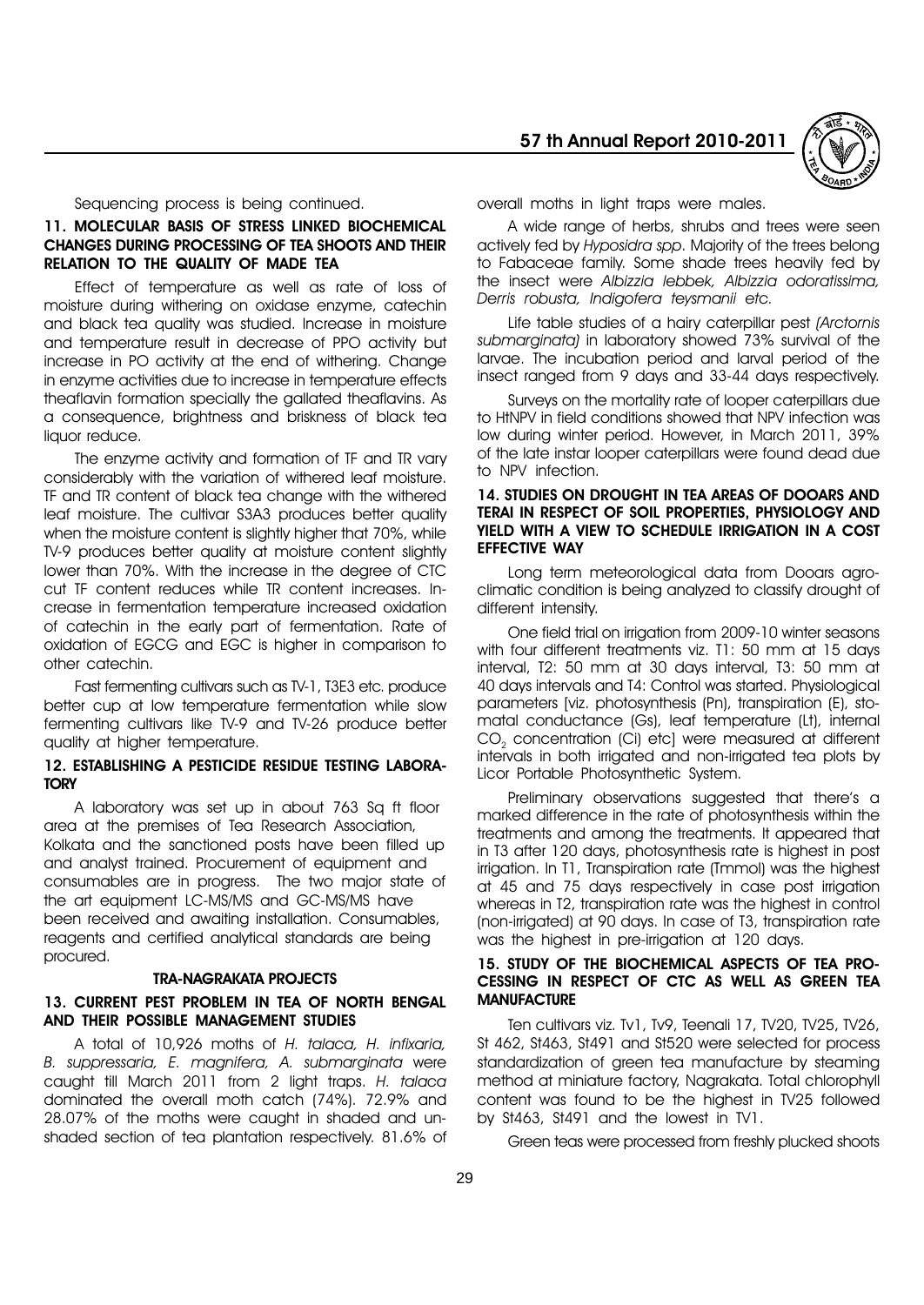57 th Annual Report 2010-2011



Sequencing process is being continued.

#### 11. MOLECULAR BASIS OF STRESS LINKED BIOCHEMICAL CHANGES DURING PROCESSING OF TEA SHOOTS AND THEIR RELATION TO THE QUALITY OF MADE TEA

Effect of temperature as well as rate of loss of moisture during withering on oxidase enzyme, catechin and black tea quality was studied. Increase in moisture and temperature result in decrease of PPO activity but increase in PO activity at the end of withering. Change in enzyme activities due to increase in temperature effects theaflavin formation specially the gallated theaflavins. As a consequence, brightness and briskness of black tea liquor reduce.

The enzyme activity and formation of TF and TR vary considerably with the variation of withered leaf moisture. TF and TR content of black tea change with the withered leaf moisture. The cultivar S3A3 produces better quality when the moisture content is slightly higher that 70%, while TV-9 produces better quality at moisture content slightly lower than 70%. With the increase in the degree of CTC cut TF content reduces while TR content increases. Increase in fermentation temperature increased oxidation of catechin in the early part of fermentation. Rate of oxidation of EGCG and EGC is higher in comparison to other catechin.

Fast fermenting cultivars such as TV-1, T3E3 etc. produce better cup at low temperature fermentation while slow fermenting cultivars like TV-9 and TV-26 produce better quality at higher temperature.

#### 12. ESTABLISHING A PESTICIDE RESIDUE TESTING LABORA-**TORY**

A laboratory was set up in about 763 Sq ft floor area at the premises of Tea Research Association, Kolkata and the sanctioned posts have been filled up and analyst trained. Procurement of equipment and consumables are in progress. The two major state of the art equipment LC-MS/MS and GC-MS/MS have been received and awaiting installation. Consumables, reagents and certified analytical standards are being procured.

#### TRA-NAGRAKATA PROJECTS

### 13. CURRENT PEST PROBLEM IN TEA OF NORTH BENGAL AND THEIR POSSIBLE MANAGEMENT STUDIES

A total of 10,926 moths of H. talaca, H. infixaria, B. suppressaria, E. magnifera, A. submarginata were caught till March 2011 from 2 light traps. H. talaca dominated the overall moth catch (74%). 72.9% and 28.07% of the moths were caught in shaded and unshaded section of tea plantation respectively. 81.6% of overall moths in light traps were males.

A wide range of herbs, shrubs and trees were seen actively fed by Hyposidra spp. Majority of the trees belong to Fabaceae family. Some shade trees heavily fed by the insect were Albizzia lebbek, Albizzia odoratissima, Derris robusta, Indigofera teysmanii etc.

Life table studies of a hairy caterpillar pest (Arctornis submarginata) in laboratory showed 73% survival of the larvae. The incubation period and larval period of the insect ranged from 9 days and 33-44 days respectively.

Surveys on the mortality rate of looper caterpillars due to HtNPV in field conditions showed that NPV infection was low during winter period. However, in March 2011, 39% of the late instar looper caterpillars were found dead due to NPV infection.

#### 14. STUDIES ON DROUGHT IN TEA AREAS OF DOOARS AND TERAI IN RESPECT OF SOIL PROPERTIES, PHYSIOLOGY AND YIELD WITH A VIEW TO SCHEDULE IRRIGATION IN A COST EFFECTIVE WAY

Long term meteorological data from Dooars agroclimatic condition is being analyzed to classify drought of different intensity.

One field trial on irrigation from 2009-10 winter seasons with four different treatments viz. T1: 50 mm at 15 days interval, T2: 50 mm at 30 days interval, T3: 50 mm at 40 days intervals and T4: Control was started. Physiological parameters [viz. photosynthesis (Pn), transpiration (E), stomatal conductance (Gs), leaf temperature (Lt), internal CO<sub>2</sub> concentration (Ci) etc) were measured at different intervals in both irrigated and non-irrigated tea plots by Licor Portable Photosynthetic System.

Preliminary observations suggested that there's a marked difference in the rate of photosynthesis within the treatments and among the treatments. It appeared that in T3 after 120 days, photosynthesis rate is highest in post irrigation. In T1, Transpiration rate (Tmmol) was the highest at 45 and 75 days respectively in case post irrigation whereas in T2, transpiration rate was the highest in control (non-irrigated) at 90 days. In case of T3, transpiration rate was the highest in pre-irrigation at 120 days.

#### 15. STUDY OF THE BIOCHEMICAL ASPECTS OF TEA PRO-CESSING IN RESPECT OF CTC AS WELL AS GREEN TEA **MANUFACTURE**

Ten cultivars viz. Tv1, Tv9, Teenali 17, TV20, TV25, TV26, St 462, St463, St491 and St520 were selected for process standardization of green tea manufacture by steaming method at miniature factory, Nagrakata. Total chlorophyll content was found to be the highest in TV25 followed by St463, St491 and the lowest in TV1.

Green teas were processed from freshly plucked shoots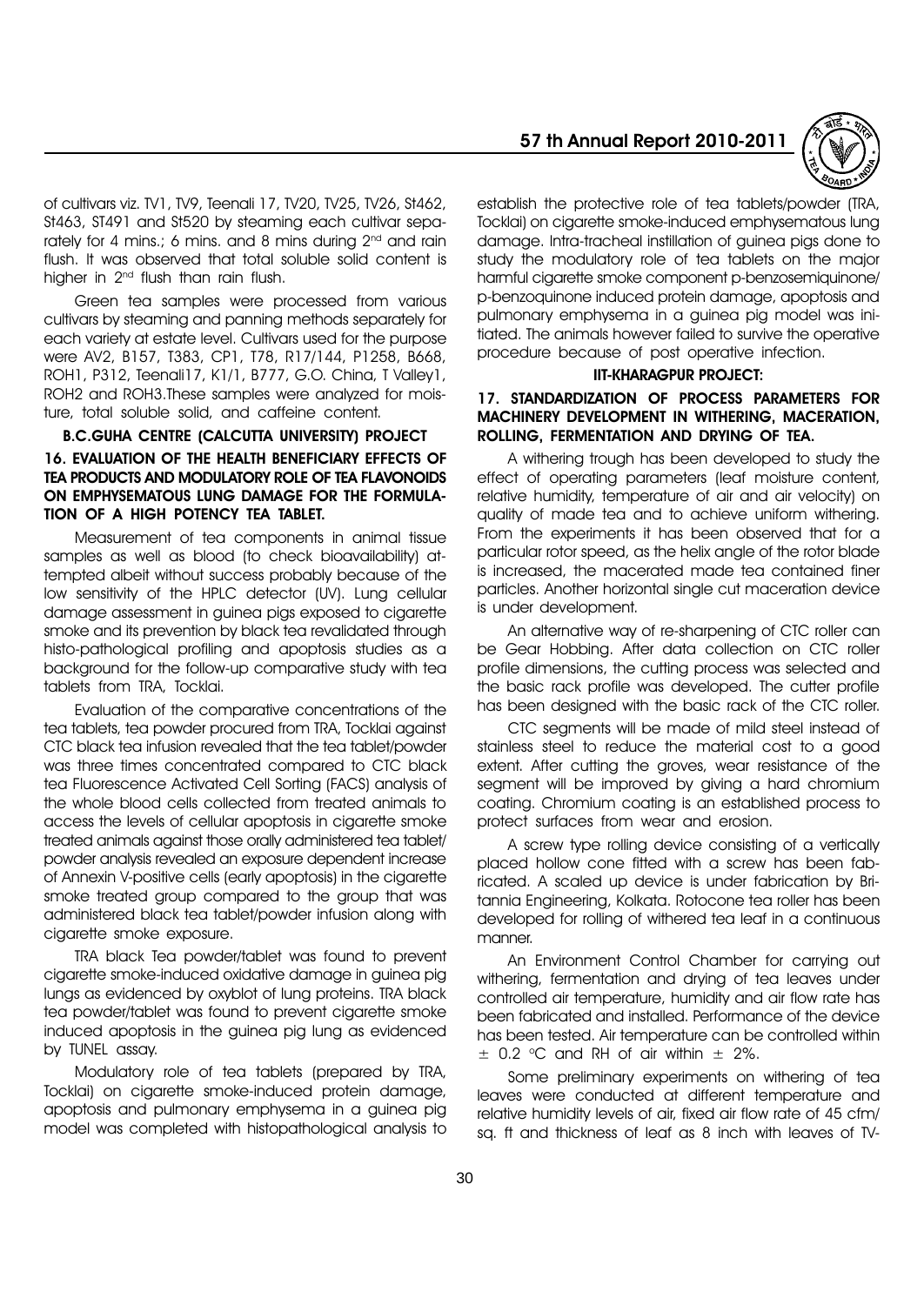of cultivars viz. TV1, TV9, Teenali 17, TV20, TV25, TV26, St462, St463, ST491 and St520 by steaming each cultivar separately for 4 mins.; 6 mins. and 8 mins during 2<sup>nd</sup> and rain flush. It was observed that total soluble solid content is higher in 2<sup>nd</sup> flush than rain flush.

Green tea samples were processed from various cultivars by steaming and panning methods separately for each variety at estate level. Cultivars used for the purpose were AV2, B157, T383, CP1, T78, R17/144, P1258, B668, ROH1, P312, Teenali17, K1/1, B777, G.O. China, T Valley1, ROH2 and ROH3.These samples were analyzed for moisture, total soluble solid, and caffeine content.

# B.C.GUHA CENTRE (CALCUTTA UNIVERSITY) PROJECT 16. EVALUATION OF THE HEALTH BENEFICIARY EFFECTS OF TEA PRODUCTS AND MODULATORY ROLE OF TEA FLAVONOIDS ON EMPHYSEMATOUS LUNG DAMAGE FOR THE FORMULA-TION OF A HIGH POTENCY TEA TABLET.

Measurement of tea components in animal tissue samples as well as blood (to check bioavailability) attempted albeit without success probably because of the low sensitivity of the HPLC detector (UV). Lung cellular damage assessment in guinea pigs exposed to cigarette smoke and its prevention by black tea revalidated through histo-pathological profiling and apoptosis studies as a background for the follow-up comparative study with tea tablets from TRA, Tocklai.

Evaluation of the comparative concentrations of the tea tablets, tea powder procured from TRA, Tocklai against CTC black tea infusion revealed that the tea tablet/powder was three times concentrated compared to CTC black tea Fluorescence Activated Cell Sorting (FACS) analysis of the whole blood cells collected from treated animals to access the levels of cellular apoptosis in cigarette smoke treated animals against those orally administered tea tablet/ powder analysis revealed an exposure dependent increase of Annexin V-positive cells (early apoptosis) in the cigarette smoke treated group compared to the group that was administered black tea tablet/powder infusion along with cigarette smoke exposure.

TRA black Tea powder/tablet was found to prevent cigarette smoke-induced oxidative damage in guinea pig lungs as evidenced by oxyblot of lung proteins. TRA black tea powder/tablet was found to prevent cigarette smoke induced apoptosis in the guinea pig lung as evidenced by TUNEL assay.

Modulatory role of tea tablets (prepared by TRA, Tocklai) on cigarette smoke-induced protein damage, apoptosis and pulmonary emphysema in a guinea pig model was completed with histopathological analysis to

# 57 th Annual Report 2010-2011



establish the protective role of tea tablets/powder (TRA, Tocklai) on cigarette smoke-induced emphysematous lung damage. Intra-tracheal instillation of guinea pigs done to study the modulatory role of tea tablets on the major harmful cigarette smoke component p-benzosemiquinone/ p-benzoquinone induced protein damage, apoptosis and pulmonary emphysema in a guinea pig model was initiated. The animals however failed to survive the operative procedure because of post operative infection.

#### IIT-KHARAGPUR PROJECT:

#### 17. STANDARDIZATION OF PROCESS PARAMETERS FOR MACHINERY DEVELOPMENT IN WITHERING, MACERATION, ROLLING, FERMENTATION AND DRYING OF TEA.

A withering trough has been developed to study the effect of operating parameters (leaf moisture content, relative humidity, temperature of air and air velocity) on quality of made tea and to achieve uniform withering. From the experiments it has been observed that for a particular rotor speed, as the helix angle of the rotor blade is increased, the macerated made tea contained finer particles. Another horizontal single cut maceration device is under development.

An alternative way of re-sharpening of CTC roller can be Gear Hobbing. After data collection on CTC roller profile dimensions, the cutting process was selected and the basic rack profile was developed. The cutter profile has been designed with the basic rack of the CTC roller.

CTC segments will be made of mild steel instead of stainless steel to reduce the material cost to a good extent. After cutting the groves, wear resistance of the segment will be improved by giving a hard chromium coating. Chromium coating is an established process to protect surfaces from wear and erosion.

A screw type rolling device consisting of a vertically placed hollow cone fitted with a screw has been fabricated. A scaled up device is under fabrication by Britannia Engineering, Kolkata. Rotocone tea roller has been developed for rolling of withered tea leaf in a continuous manner.

An Environment Control Chamber for carrying out withering, fermentation and drying of tea leaves under controlled air temperature, humidity and air flow rate has been fabricated and installed. Performance of the device has been tested. Air temperature can be controlled within  $\pm$  0.2 °C and RH of air within  $\pm$  2%.

Some preliminary experiments on withering of tea leaves were conducted at different temperature and relative humidity levels of air, fixed air flow rate of 45 cfm/ sq. ft and thickness of leaf as 8 inch with leaves of TV-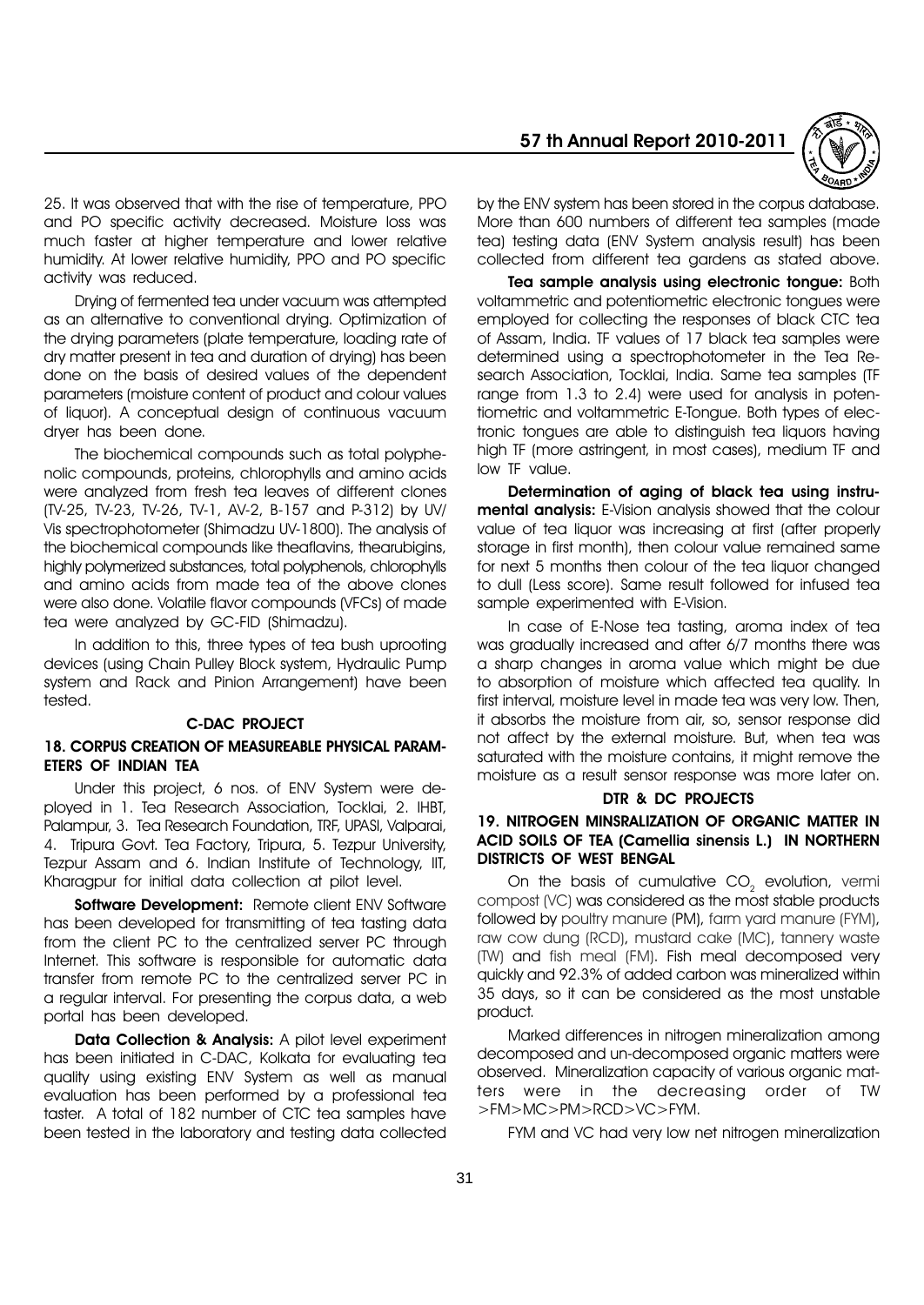

25. It was observed that with the rise of temperature, PPO and PO specific activity decreased. Moisture loss was much faster at higher temperature and lower relative humidity. At lower relative humidity, PPO and PO specific activity was reduced.

Drying of fermented tea under vacuum was attempted as an alternative to conventional drying. Optimization of the drying parameters (plate temperature, loading rate of dry matter present in tea and duration of drying) has been done on the basis of desired values of the dependent parameters (moisture content of product and colour values of liquor). A conceptual design of continuous vacuum dryer has been done.

The biochemical compounds such as total polyphenolic compounds, proteins, chlorophylls and amino acids were analyzed from fresh tea leaves of different clones (TV-25, TV-23, TV-26, TV-1, AV-2, B-157 and P-312) by UV/ Vis spectrophotometer (Shimadzu UV-1800). The analysis of the biochemical compounds like theaflavins, thearubigins, highly polymerized substances, total polyphenols, chlorophylls and amino acids from made tea of the above clones were also done. Volatile flavor compounds (VFCs) of made tea were analyzed by GC-FID (Shimadzu).

In addition to this, three types of tea bush uprooting devices (using Chain Pulley Block system, Hydraulic Pump system and Rack and Pinion Arrangement) have been tested.

#### C-DAC PROJECT

# 18. CORPUS CREATION OF MEASUREABLE PHYSICAL PARAM-ETERS OF INDIAN TEA

Under this project, 6 nos. of ENV System were deployed in 1. Tea Research Association, Tocklai, 2. IHBT, Palampur, 3. Tea Research Foundation, TRF, UPASI, Valparai, 4. Tripura Govt. Tea Factory, Tripura, 5. Tezpur University, Tezpur Assam and 6. Indian Institute of Technology, IIT, Kharagpur for initial data collection at pilot level.

Software Development: Remote client ENV Software has been developed for transmitting of tea tasting data from the client PC to the centralized server PC through Internet. This software is responsible for automatic data transfer from remote PC to the centralized server PC in a regular interval. For presenting the corpus data, a web portal has been developed.

Data Collection & Analysis: A pilot level experiment has been initiated in C-DAC, Kolkata for evaluating tea quality using existing ENV System as well as manual evaluation has been performed by a professional tea taster. A total of 182 number of CTC tea samples have been tested in the laboratory and testing data collected

by the ENV system has been stored in the corpus database. More than 600 numbers of different tea samples (made tea) testing data (ENV System analysis result) has been collected from different tea gardens as stated above.

Tea sample analysis using electronic tongue: Both voltammetric and potentiometric electronic tongues were employed for collecting the responses of black CTC tea of Assam, India. TF values of 17 black tea samples were determined using a spectrophotometer in the Tea Research Association, Tocklai, India. Same tea samples (TF range from 1.3 to 2.4) were used for analysis in potentiometric and voltammetric E-Tongue. Both types of electronic tongues are able to distinguish tea liquors having high TF (more astringent, in most cases), medium TF and low TF value.

Determination of aging of black tea using instrumental analysis: E-Vision analysis showed that the colour value of tea liquor was increasing at first (after properly storage in first month), then colour value remained same for next 5 months then colour of the tea liquor changed to dull (Less score). Same result followed for infused tea sample experimented with E-Vision.

In case of E-Nose tea tasting, aroma index of tea was gradually increased and after 6/7 months there was a sharp changes in aroma value which might be due to absorption of moisture which affected tea quality. In first interval, moisture level in made tea was very low. Then, it absorbs the moisture from air, so, sensor response did not affect by the external moisture. But, when tea was saturated with the moisture contains, it might remove the moisture as a result sensor response was more later on.

#### DTR & DC PROJECTS

#### 19. NITROGEN MINSRALIZATION OF ORGANIC MATTER IN ACID SOILS OF TEA (Camellia sinensis L.) IN NORTHERN DISTRICTS OF WEST BENGAL

On the basis of cumulative  $CO<sub>2</sub>$  evolution, vermi compost (VC) was considered as the most stable products followed by poultry manure (PM), farm yard manure (FYM), raw cow dung (RCD), mustard cake (MC), tannery waste (TW) and fish meal (FM). Fish meal decomposed very quickly and 92.3% of added carbon was mineralized within 35 days, so it can be considered as the most unstable product.

Marked differences in nitrogen mineralization among decomposed and un-decomposed organic matters were observed. Mineralization capacity of various organic matters were in the decreasing order of TW >FM>MC>PM>RCD>VC>FYM.

FYM and VC had very low net nitrogen mineralization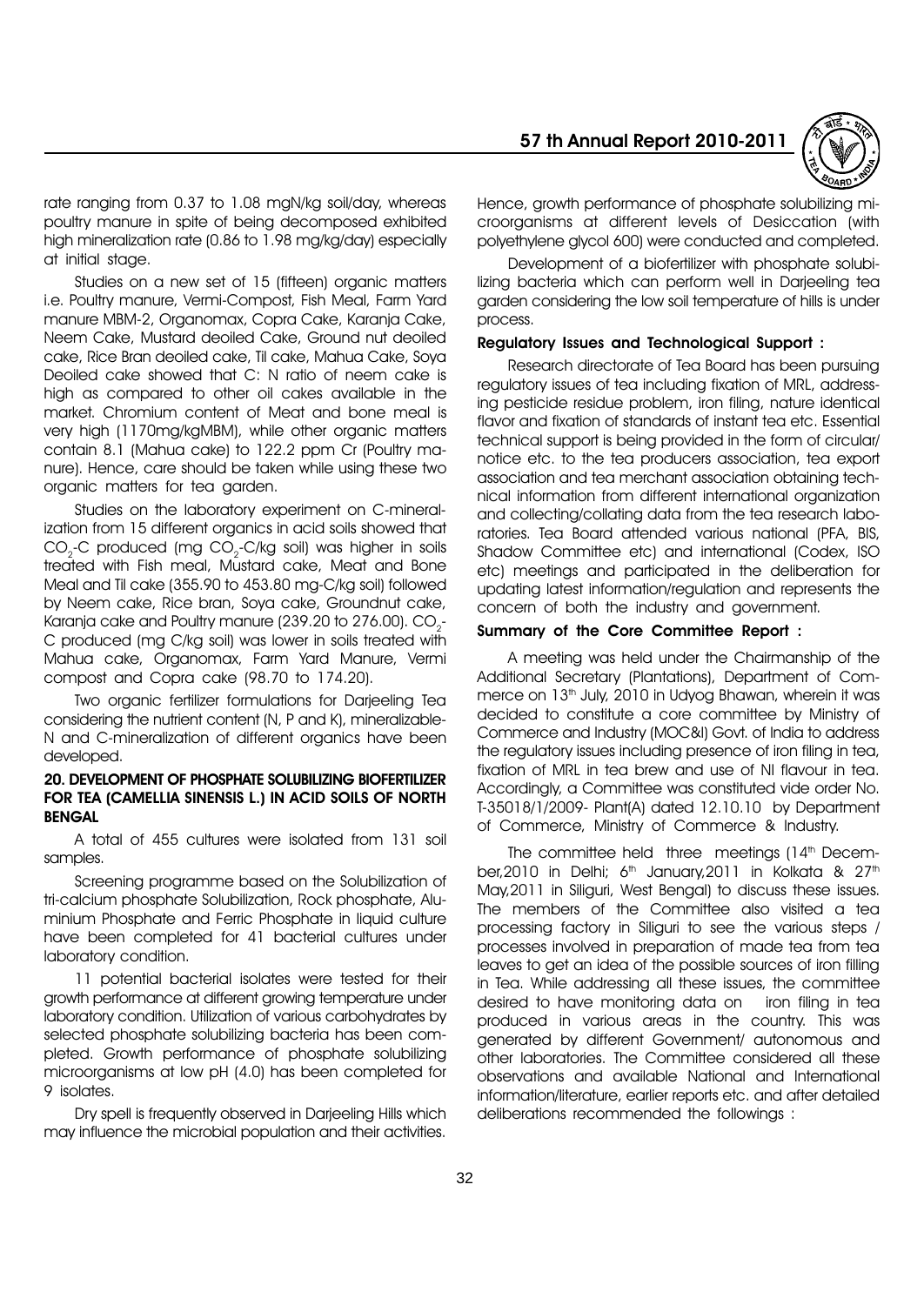

rate ranging from 0.37 to 1.08 mgN/kg soil/day, whereas poultry manure in spite of being decomposed exhibited high mineralization rate (0.86 to 1.98 mg/kg/day) especially at initial stage.

Studies on a new set of 15 (fifteen) organic matters i.e. Poultry manure, Vermi-Compost, Fish Meal, Farm Yard manure MBM-2, Organomax, Copra Cake, Karanja Cake, Neem Cake, Mustard deoiled Cake, Ground nut deoiled cake, Rice Bran deoiled cake, Til cake, Mahua Cake, Soya Deoiled cake showed that C: N ratio of neem cake is high as compared to other oil cakes available in the market. Chromium content of Meat and bone meal is very high (1170mg/kgMBM), while other organic matters contain 8.1 (Mahua cake) to 122.2 ppm Cr (Poultry manure). Hence, care should be taken while using these two organic matters for tea garden.

Studies on the laboratory experiment on C-mineralization from 15 different organics in acid soils showed that  $CO_{2}$ -C produced (mg CO<sub>2</sub>-C/kg soil) was higher in soils treated with Fish meal, Mustard cake, Meat and Bone Meal and Til cake (355.90 to 453.80 mg-C/kg soil) followed by Neem cake, Rice bran, Soya cake, Groundnut cake, Karanja cake and Poultry manure (239.20 to 276.00).  $CO_{2}^{\parallel}$ C produced (mg C/kg soil) was lower in soils treated with Mahua cake, Organomax, Farm Yard Manure, Vermi compost and Copra cake (98.70 to 174.20).

Two organic fertilizer formulations for Darjeeling Tea considering the nutrient content (N, P and K), mineralizable-N and C-mineralization of different organics have been developed.

#### 20. DEVELOPMENT OF PHOSPHATE SOLUBILIZING BIOFERTILIZER FOR TEA (CAMELLIA SINENSIS L.) IN ACID SOILS OF NORTH BENGAL

A total of 455 cultures were isolated from 131 soil samples.

Screening programme based on the Solubilization of tri-calcium phosphate Solubilization, Rock phosphate, Aluminium Phosphate and Ferric Phosphate in liquid culture have been completed for 41 bacterial cultures under laboratory condition.

11 potential bacterial isolates were tested for their growth performance at different growing temperature under laboratory condition. Utilization of various carbohydrates by selected phosphate solubilizing bacteria has been completed. Growth performance of phosphate solubilizing microorganisms at low pH (4.0) has been completed for 9 isolates.

Dry spell is frequently observed in Darjeeling Hills which may influence the microbial population and their activities.

Hence, growth performance of phosphate solubilizing microorganisms at different levels of Desiccation (with polyethylene glycol 600) were conducted and completed.

Development of a biofertilizer with phosphate solubilizing bacteria which can perform well in Darjeeling tea garden considering the low soil temperature of hills is under process.

#### Regulatory Issues and Technological Support :

Research directorate of Tea Board has been pursuing regulatory issues of tea including fixation of MRL, addressing pesticide residue problem, iron filing, nature identical flavor and fixation of standards of instant tea etc. Essential technical support is being provided in the form of circular/ notice etc. to the tea producers association, tea export association and tea merchant association obtaining technical information from different international organization and collecting/collating data from the tea research laboratories. Tea Board attended various national (PFA, BIS, Shadow Committee etc) and international (Codex, ISO etc) meetings and participated in the deliberation for updating latest information/regulation and represents the concern of both the industry and government.

#### Summary of the Core Committee Report :

A meeting was held under the Chairmanship of the Additional Secretary (Plantations), Department of Commerce on 13<sup>th</sup> July, 2010 in Udyog Bhawan, wherein it was decided to constitute a core committee by Ministry of Commerce and Industry (MOC&I) Govt. of India to address the regulatory issues including presence of iron filing in tea, fixation of MRL in tea brew and use of NI flavour in tea. Accordingly, a Committee was constituted vide order No. T-35018/1/2009- Plant(A) dated 12.10.10 by Department of Commerce, Ministry of Commerce & Industry.

The committee held three meetings  $(14<sup>th</sup>$  December,2010 in Delhi;  $6<sup>th</sup>$  January,2011 in Kolkata & 27<sup>th</sup> May,2011 in Siliguri, West Bengal) to discuss these issues. The members of the Committee also visited a tea processing factory in Siliguri to see the various steps / processes involved in preparation of made tea from tea leaves to get an idea of the possible sources of iron filling in Tea. While addressing all these issues, the committee desired to have monitoring data on iron filing in tea produced in various areas in the country. This was generated by different Government/ autonomous and other laboratories. The Committee considered all these observations and available National and International information/literature, earlier reports etc. and after detailed deliberations recommended the followings :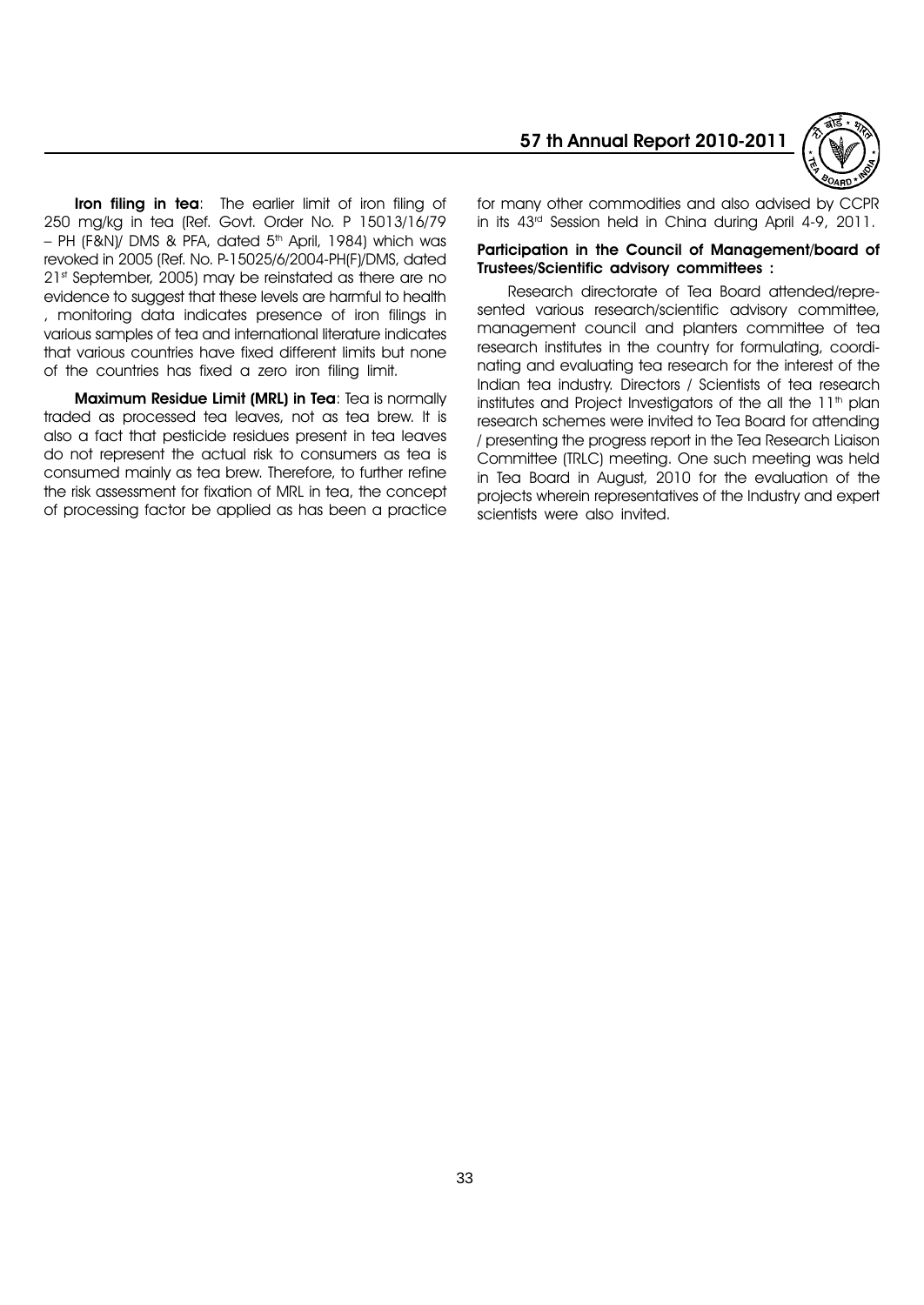

Iron filing in tea: The earlier limit of iron filing of 250 mg/kg in tea (Ref. Govt. Order No. P 15013/16/79  $-$  PH (F&N)/ DMS & PFA, dated 5<sup>th</sup> April, 1984) which was revoked in 2005 (Ref. No. P-15025/6/2004-PH(F)/DMS, dated 21st September, 2005) may be reinstated as there are no evidence to suggest that these levels are harmful to health , monitoring data indicates presence of iron filings in various samples of tea and international literature indicates that various countries have fixed different limits but none of the countries has fixed a zero iron filing limit.

Maximum Residue Limit (MRL) in Tea: Tea is normally traded as processed tea leaves, not as tea brew. It is also a fact that pesticide residues present in tea leaves do not represent the actual risk to consumers as tea is consumed mainly as tea brew. Therefore, to further refine the risk assessment for fixation of MRL in tea, the concept of processing factor be applied as has been a practice

for many other commodities and also advised by CCPR in its 43rd Session held in China during April 4-9, 2011.

#### Participation in the Council of Management/board of Trustees/Scientific advisory committees :

Research directorate of Tea Board attended/represented various research/scientific advisory committee, management council and planters committee of tea research institutes in the country for formulating, coordinating and evaluating tea research for the interest of the Indian tea industry. Directors / Scientists of tea research institutes and Project Investigators of the all the  $11<sup>th</sup>$  plan research schemes were invited to Tea Board for attending / presenting the progress report in the Tea Research Liaison Committee (TRLC) meeting. One such meeting was held in Tea Board in August, 2010 for the evaluation of the projects wherein representatives of the Industry and expert scientists were also invited.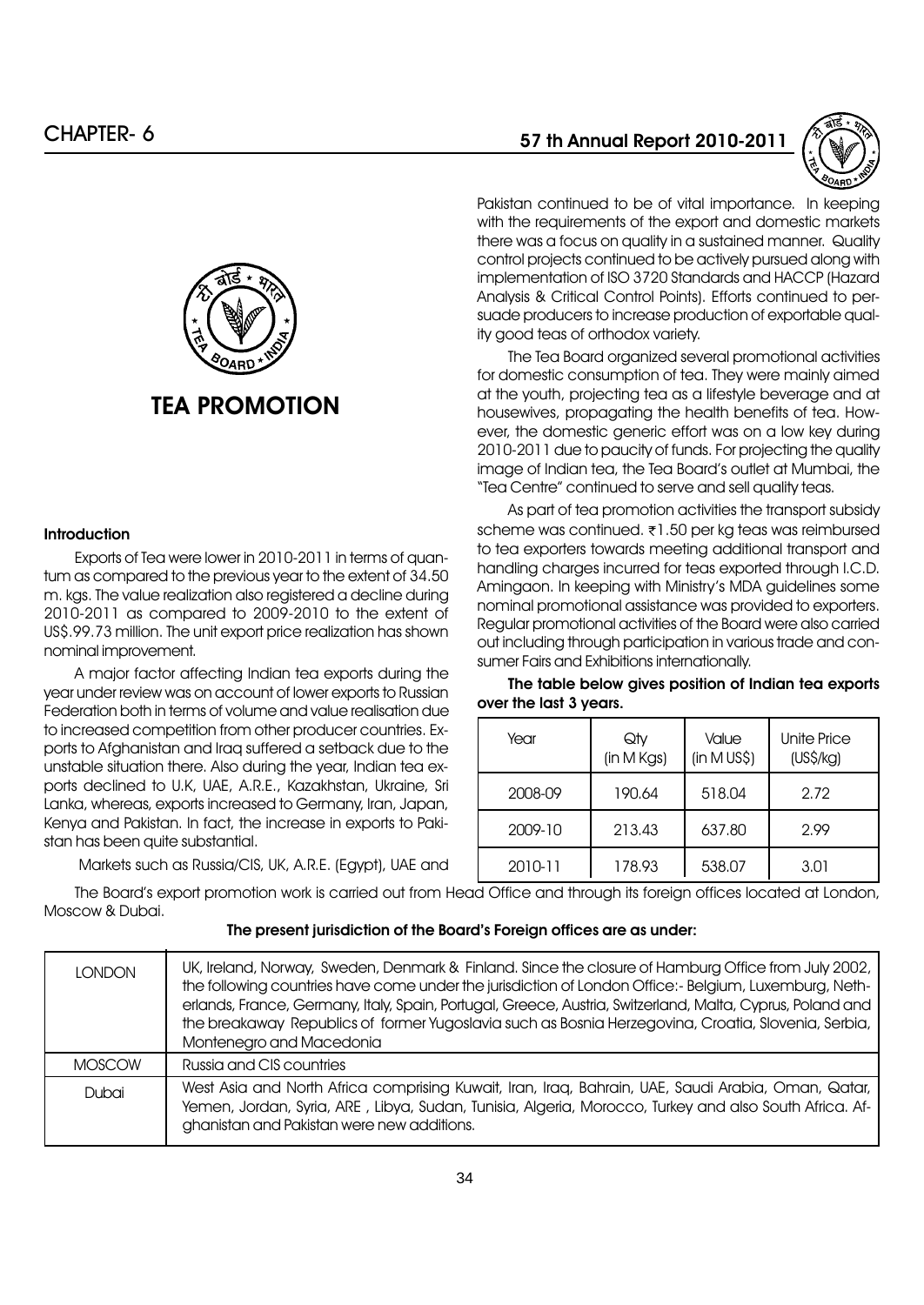

#### **Introduction**

Exports of Tea were lower in 2010-2011 in terms of quantum as compared to the previous year to the extent of 34.50 m. kgs. The value realization also registered a decline during 2010-2011 as compared to 2009-2010 to the extent of US\$.99.73 million. The unit export price realization has shown nominal improvement.

A major factor affecting Indian tea exports during the year under review was on account of lower exports to Russian Federation both in terms of volume and value realisation due to increased competition from other producer countries. Exports to Afghanistan and Iraq suffered a setback due to the unstable situation there. Also during the year, Indian tea exports declined to U.K, UAE, A.R.E., Kazakhstan, Ukraine, Sri Lanka, whereas, exports increased to Germany, Iran, Japan, Kenya and Pakistan. In fact, the increase in exports to Pakistan has been quite substantial.

Markets such as Russia/CIS, UK, A.R.E. (Egypt), UAE and

# 57 th Annual Report 2010-2011



Pakistan continued to be of vital importance. In keeping with the requirements of the export and domestic markets there was a focus on quality in a sustained manner. Quality control projects continued to be actively pursued along with implementation of ISO 3720 Standards and HACCP (Hazard Analysis & Critical Control Points). Efforts continued to persuade producers to increase production of exportable quality good teas of orthodox variety.

The Tea Board organized several promotional activities for domestic consumption of tea. They were mainly aimed at the youth, projecting tea as a lifestyle beverage and at housewives, propagating the health benefits of tea. However, the domestic generic effort was on a low key during 2010-2011 due to paucity of funds. For projecting the quality image of Indian tea, the Tea Board's outlet at Mumbai, the ìTea Centreî continued to serve and sell quality teas.

As part of tea promotion activities the transport subsidy scheme was continued. ₹1.50 per kg teas was reimbursed to tea exporters towards meeting additional transport and handling charges incurred for teas exported through I.C.D. Amingaon. In keeping with Ministryís MDA guidelines some nominal promotional assistance was provided to exporters. Regular promotional activities of the Board were also carried out including through participation in various trade and consumer Fairs and Exhibitions internationally.

The table below gives position of Indian tea exports over the last 3 years.

| Year    | Qty<br>(in M Kgs) | Value<br>(in M US\$) | <b>Unite Price</b><br>$(US\$ {Kg}) |
|---------|-------------------|----------------------|------------------------------------|
| 2008-09 | 190.64            | 518.04               | 2.72                               |
| 2009-10 | 213.43            | 637.80               | 2.99                               |
| 2010-11 | 178.93            | 538.07               | 3.01                               |

The Boardís export promotion work is carried out from Head Office and through its foreign offices located at London, Moscow & Dubai.

#### The present jurisdiction of the Board's Foreign offices are as under:

| <b>LONDON</b> | UK, Ireland, Norway, Sweden, Denmark & Finland. Since the closure of Hamburg Office from July 2002,<br>the following countries have come under the jurisdiction of London Office:- Belgium, Luxemburg, Neth-<br>erlands, France, Germany, Italy, Spain, Portugal, Greece, Austria, Switzerland, Malta, Cyprus, Poland and<br>the breakaway Republics of former Yugoslavia such as Bosnia Herzegovina, Croatia, Slovenia, Serbia,<br>Montenegro and Macedonia |
|---------------|--------------------------------------------------------------------------------------------------------------------------------------------------------------------------------------------------------------------------------------------------------------------------------------------------------------------------------------------------------------------------------------------------------------------------------------------------------------|
| <b>MOSCOW</b> | Russia and CIS countries                                                                                                                                                                                                                                                                                                                                                                                                                                     |
| Dubai         | West Asia and North Africa comprising Kuwait, Iran, Iraq, Bahrain, UAE, Saudi Arabia, Oman, Qatar,<br>Yemen, Jordan, Syria, ARE, Libya, Sudan, Tunisia, Algeria, Morocco, Turkey and also South Africa. Af-<br>ghanistan and Pakistan were new additions.                                                                                                                                                                                                    |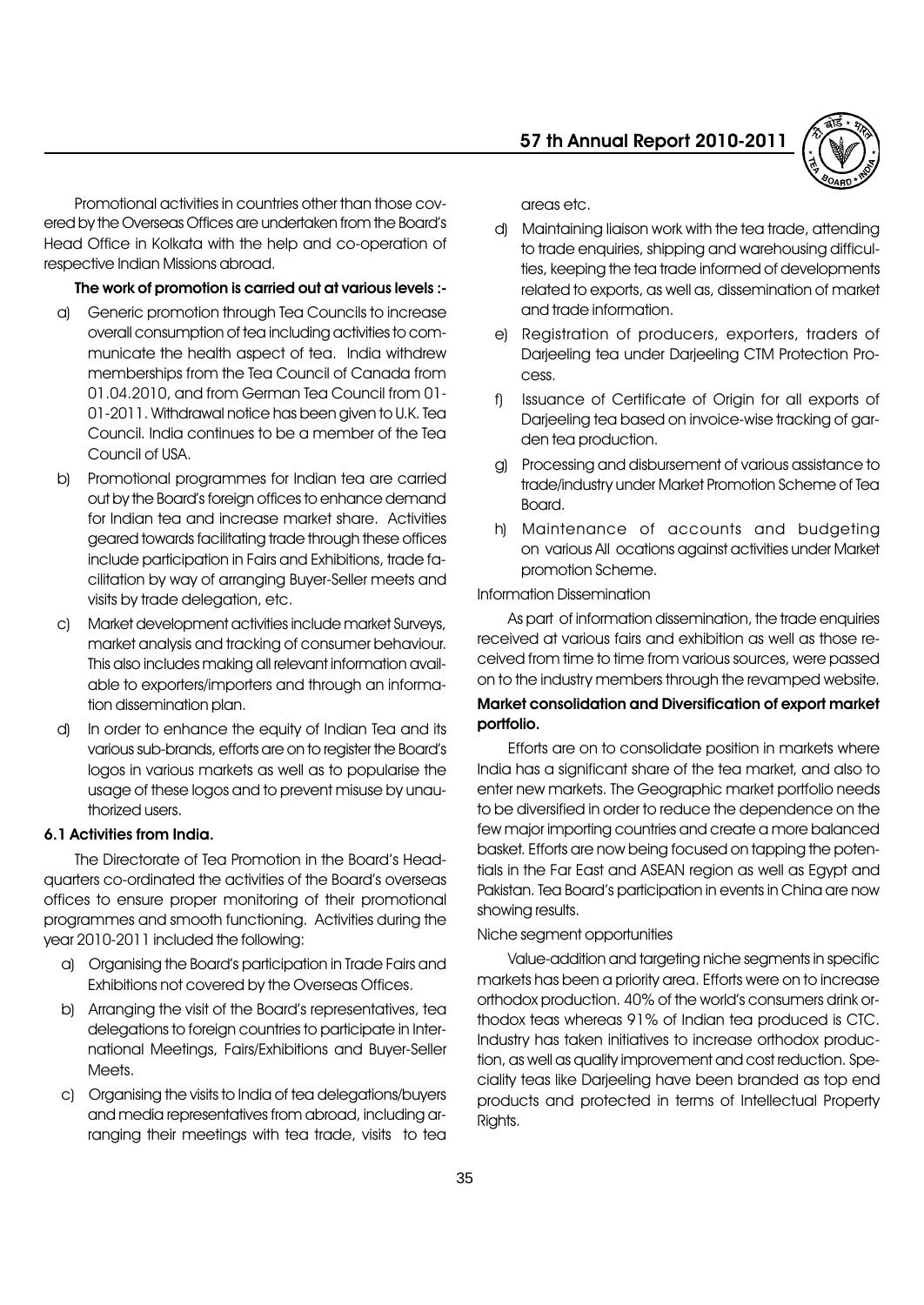

Promotional activities in countries other than those covered by the Overseas Offices are undertaken from the Boardís Head Office in Kolkata with the help and co-operation of respective Indian Missions abroad.

#### The work of promotion is carried out at various levels :-

- a) Generic promotion through Tea Councils to increase overall consumption of tea including activities to communicate the health aspect of tea. India withdrew memberships from the Tea Council of Canada from 01.04.2010, and from German Tea Council from 01- 01-2011. Withdrawal notice has been given to U.K. Tea Council. India continues to be a member of the Tea Council of USA.
- b) Promotional programmes for Indian tea are carried out by the Boardís foreign offices to enhance demand for Indian tea and increase market share. Activities geared towards facilitating trade through these offices include participation in Fairs and Exhibitions, trade facilitation by way of arranging Buyer-Seller meets and visits by trade delegation, etc.
- c) Market development activities include market Surveys, market analysis and tracking of consumer behaviour. This also includes making all relevant information available to exporters/importers and through an information dissemination plan.
- d) In order to enhance the equity of Indian Tea and its various sub-brands, efforts are on to register the Boardís logos in various markets as well as to popularise the usage of these logos and to prevent misuse by unauthorized users.

#### 6.1 Activities from India.

The Directorate of Tea Promotion in the Board's Headquarters co-ordinated the activities of the Board's overseas offices to ensure proper monitoring of their promotional programmes and smooth functioning. Activities during the year 2010-2011 included the following:

- a) Organising the Boardís participation in Trade Fairs and Exhibitions not covered by the Overseas Offices.
- b) Arranging the visit of the Board's representatives, tea delegations to foreign countries to participate in International Meetings, Fairs/Exhibitions and Buyer-Seller Meets.
- c) Organising the visits to India of tea delegations/buyers and media representatives from abroad, including arranging their meetings with tea trade, visits to tea

areas etc.

- d) Maintaining liaison work with the tea trade, attending to trade enquiries, shipping and warehousing difficulties, keeping the tea trade informed of developments related to exports, as well as, dissemination of market and trade information.
- e) Registration of producers, exporters, traders of Darjeeling tea under Darjeeling CTM Protection Process.
- f) Issuance of Certificate of Origin for all exports of Darjeeling tea based on invoice-wise tracking of garden tea production.
- g) Processing and disbursement of various assistance to trade/industry under Market Promotion Scheme of Tea Board.
- h) Maintenance of accounts and budgeting on various All ocations against activities under Market promotion Scheme.

#### Information Dissemination

As part of information dissemination, the trade enquiries received at various fairs and exhibition as well as those received from time to time from various sources, were passed on to the industry members through the revamped website.

#### Market consolidation and Diversification of export market portfolio.

Efforts are on to consolidate position in markets where India has a significant share of the tea market, and also to enter new markets. The Geographic market portfolio needs to be diversified in order to reduce the dependence on the few major importing countries and create a more balanced basket. Efforts are now being focused on tapping the potentials in the Far East and ASEAN region as well as Egypt and Pakistan. Tea Board's participation in events in China are now showing results.

#### Niche segment opportunities

Value-addition and targeting niche segments in specific markets has been a priority area. Efforts were on to increase orthodox production, 40% of the world's consumers drink orthodox teas whereas 91% of Indian tea produced is CTC. Industry has taken initiatives to increase orthodox production, as well as quality improvement and cost reduction. Speciality teas like Darjeeling have been branded as top end products and protected in terms of Intellectual Property Rights.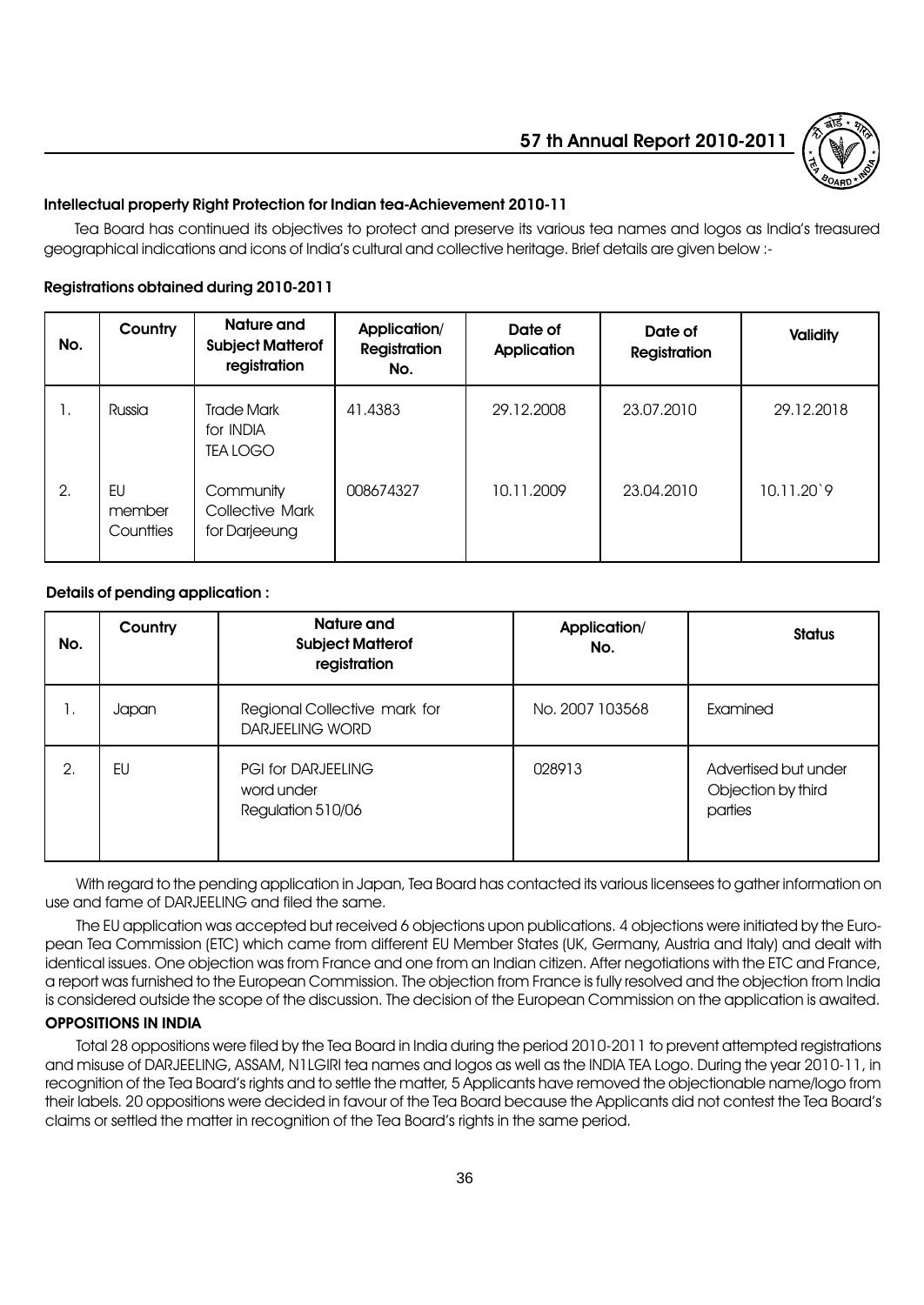

# Intellectual property Right Protection for Indian tea-Achievement 2010-11

Tea Board has continued its objectives to protect and preserve its various tea names and logos as Indiaís treasured geographical indications and icons of Indiaís cultural and collective heritage. Brief details are given below :-

### Registrations obtained during 2010-2011

| No. | Country                   | <b>Nature and</b><br><b>Subject Matterof</b><br>registration | Application/<br><b>Registration</b><br>No. | Date of<br><b>Application</b> | Date of<br><b>Registration</b> | <b>Validity</b> |
|-----|---------------------------|--------------------------------------------------------------|--------------------------------------------|-------------------------------|--------------------------------|-----------------|
| Ι.  | Russia                    | <b>Trade Mark</b><br>for INDIA<br><b>TEA LOGO</b>            | 41.4383                                    | 29.12.2008                    | 23.07.2010                     | 29.12.2018      |
| 2.  | EU<br>member<br>Countties | Community<br><b>Collective Mark</b><br>for Darjeeung         | 008674327                                  | 10.11.2009                    | 23.04.2010                     | 10.11.20'9      |

#### Details of pending application :

| No. | Country | <b>Nature and</b><br><b>Subject Matterof</b><br>registration | Application/<br>No. | <b>Status</b>                                         |
|-----|---------|--------------------------------------------------------------|---------------------|-------------------------------------------------------|
| Ι.  | Japan   | Regional Collective mark for<br><b>DARJEELING WORD</b>       | No. 2007 103568     | Examined                                              |
| 2.  | EU      | <b>PGI for DARJEELING</b><br>word under<br>Regulation 510/06 | 028913              | Advertised but under<br>Objection by third<br>parties |

With regard to the pending application in Japan, Tea Board has contacted its various licensees to gather information on use and fame of DARJEELING and filed the same.

The EU application was accepted but received 6 objections upon publications. 4 objections were initiated by the European Tea Commission (ETC) which came from different EU Member States (UK, Germany, Austria and Italy) and dealt with identical issues. One objection was from France and one from an Indian citizen. After negotiations with the ETC and France, a report was furnished to the European Commission. The objection from France is fully resolved and the objection from India is considered outside the scope of the discussion. The decision of the European Commission on the application is awaited.

#### OPPOSITIONS IN INDIA

Total 28 oppositions were filed by the Tea Board in India during the period 2010-2011 to prevent attempted registrations and misuse of DARJEELING, ASSAM, N1LGIRI tea names and logos as well as the INDIA TEA Logo. During the year 2010-11, in recognition of the Tea Boardís rights and to settle the matter, 5 Applicants have removed the objectionable name/logo from their labels. 20 oppositions were decided in favour of the Tea Board because the Applicants did not contest the Tea Boardís claims or settled the matter in recognition of the Tea Boardís rights in the same period.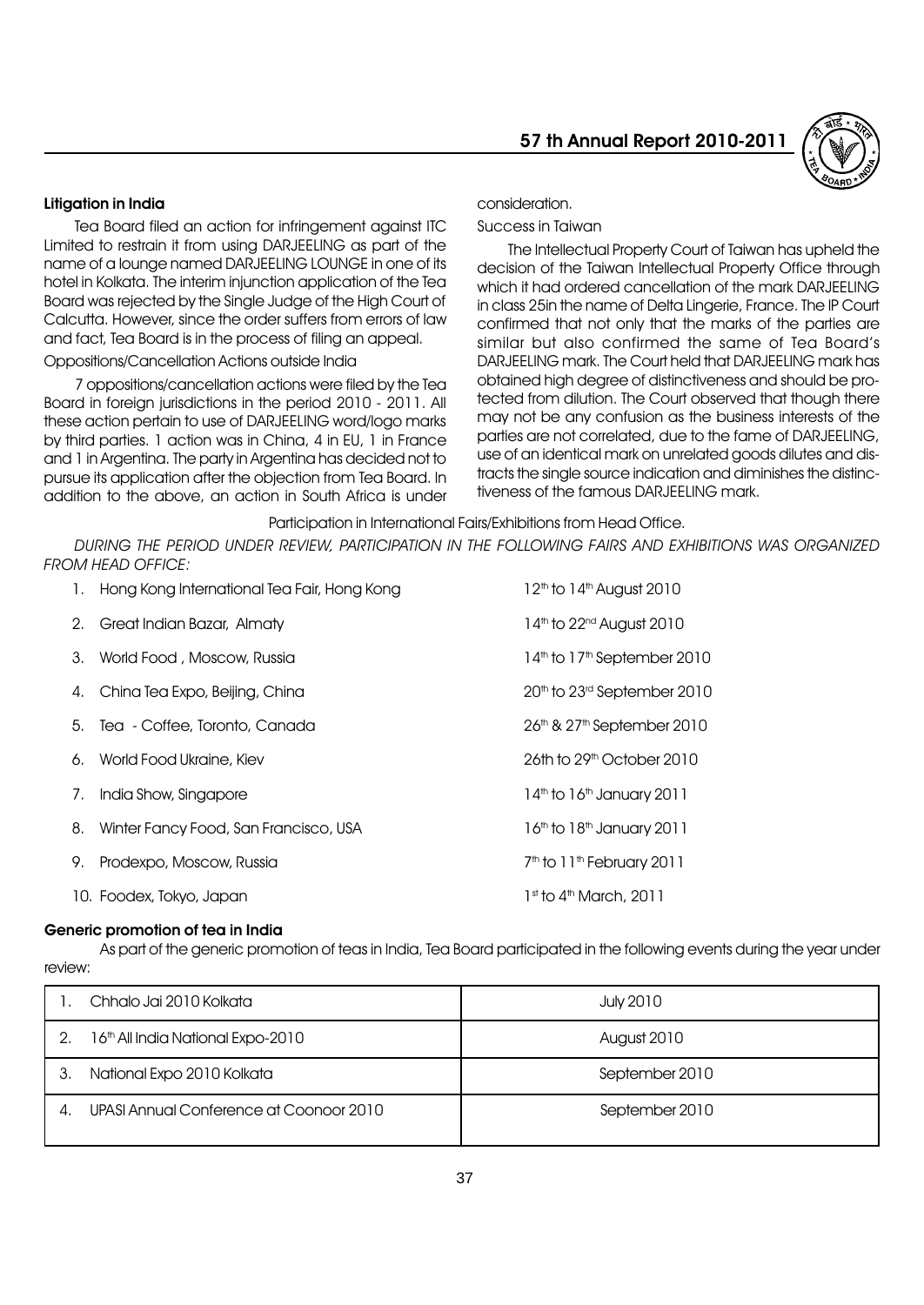

#### Litigation in India

Tea Board filed an action for infringement against ITC Limited to restrain it from using DARJEELING as part of the name of a lounge named DARJEELING LOUNGE in one of its hotel in Kolkata. The interim injunction application of the Tea Board was rejected by the Single Judge of the High Court of Calcutta. However, since the order suffers from errors of law and fact, Tea Board is in the process of filing an appeal.

#### Oppositions/Cancellation Actions outside India

7 oppositions/cancellation actions were filed by the Tea Board in foreign jurisdictions in the period 2010 - 2011. All these action pertain to use of DARJEELING word/logo marks by third parties. 1 action was in China, 4 in EU, 1 in France and 1 in Argentina. The party in Argentina has decided not to pursue its application after the objection from Tea Board. In addition to the above, an action in South Africa is under consideration.

Success in Taiwan

The Intellectual Property Court of Taiwan has upheld the decision of the Taiwan Intellectual Property Office through which it had ordered cancellation of the mark DARJEELING in class 25in the name of Delta Lingerie, France. The IP Court confirmed that not only that the marks of the parties are similar but also confirmed the same of Tea Board's DARJEELING mark. The Court held that DARJEELING mark has obtained high degree of distinctiveness and should be protected from dilution. The Court observed that though there may not be any confusion as the business interests of the parties are not correlated, due to the fame of DARJEELING, use of an identical mark on unrelated goods dilutes and distracts the single source indication and diminishes the distinctiveness of the famous DARJEELING mark.

Participation in International Fairs/Exhibitions from Head Office.

DURING THE PERIOD UNDER REVIEW, PARTICIPATION IN THE FOLLOWING FAIRS AND EXHIBITIONS WAS ORGANIZED FROM HEAD OFFICE:

|    | 1. Hong Kong International Tea Fair, Hong Kong | $12th$ to $14th$ August 2010                        |
|----|------------------------------------------------|-----------------------------------------------------|
|    | 2. Great Indian Bazar, Almaty                  | 14th to 22 <sup>nd</sup> August 2010                |
|    | 3. World Food, Moscow, Russia                  | 14 <sup>th</sup> to 17 <sup>th</sup> September 2010 |
|    | 4. China Tea Expo, Beijing, China              | 20 <sup>th</sup> to 23 <sup>rd</sup> September 2010 |
|    | 5. Tea - Coffee, Toronto, Canada               | 26 <sup>th</sup> & 27 <sup>th</sup> September 2010  |
|    | 6. World Food Ukraine, Kiev                    | $26th$ to $29th$ October $2010$                     |
| 7. | India Show, Singapore                          | $14th$ to $16th$ January 2011                       |
|    | 8. Winter Fancy Food, San Francisco, USA       | 16th to 18th January 2011                           |
|    | 9. Prodexpo, Moscow, Russia                    | 7 <sup>th</sup> to 11 <sup>th</sup> February 2011   |
|    | 10. Foodex, Tokyo, Japan                       | $1st$ to $4th$ March, 2011                          |

#### Generic promotion of tea in India

As part of the generic promotion of teas in India, Tea Board participated in the following events during the year under review:

|    | Chhalo Jai 2010 Kolkata                 | July 2010      |
|----|-----------------------------------------|----------------|
|    | 16th All India National Expo-2010       | August 2010    |
| З. | National Expo 2010 Kolkata              | September 2010 |
| 4. | UPASI Annual Conference at Coonoor 2010 | September 2010 |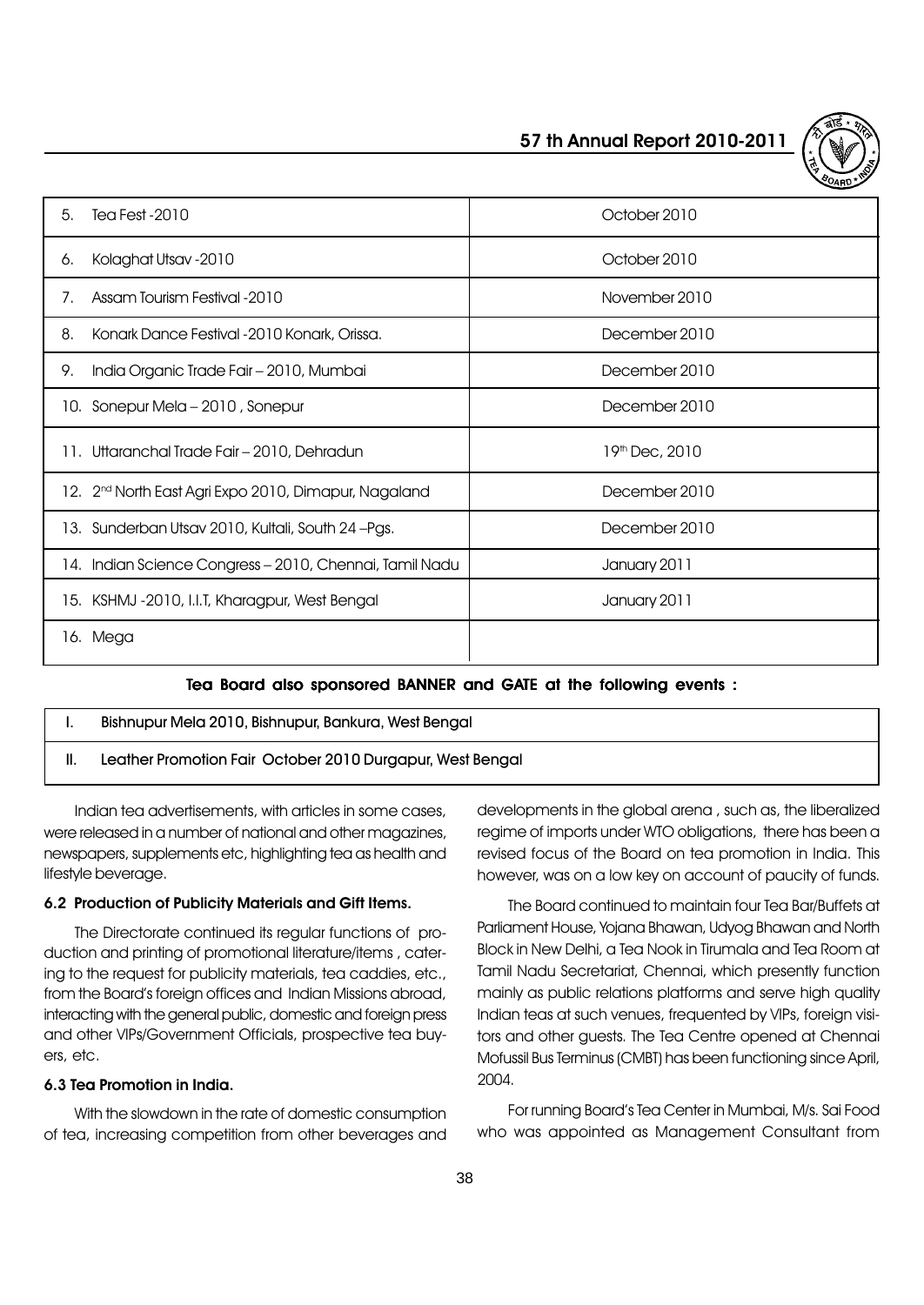| 5.<br>Tea Fest - 2010                                            | October 2010   |
|------------------------------------------------------------------|----------------|
| Kolaghat Utsav - 2010<br>6.                                      | October 2010   |
| Assam Tourism Festival -2010<br>7.                               | November 2010  |
| Konark Dance Festival -2010 Konark, Orissa.<br>8.                | December 2010  |
| India Organic Trade Fair - 2010, Mumbai<br>9.                    | December 2010  |
| 10. Sonepur Mela - 2010, Sonepur                                 | December 2010  |
| 11. Uttaranchal Trade Fair – 2010, Dehradun                      | 19th Dec, 2010 |
| 12. 2 <sup>nd</sup> North East Agri Expo 2010, Dimapur, Nagaland | December 2010  |
| 13. Sunderban Utsav 2010, Kultali, South 24-Pgs.                 | December 2010  |
| Indian Science Congress - 2010, Chennai, Tamil Nadu<br>14.       | January 2011   |
| 15. KSHMJ -2010, I.I.T, Kharagpur, West Bengal                   | January 2011   |
| 16. Mega                                                         |                |

# Tea Board also sponsored BANNER and GATE at the following events :

| Bishnupur Mela 2010, Bishnupur, Bankura, West Bengal      |
|-----------------------------------------------------------|
| Leather Promotion Fair October 2010 Durgapur, West Bengal |

Indian tea advertisements, with articles in some cases, were released in a number of national and other magazines, newspapers, supplements etc, highlighting tea as health and lifestyle beverage.

#### 6.2 Production of Publicity Materials and Gift Items.

The Directorate continued its regular functions of production and printing of promotional literature/items , catering to the request for publicity materials, tea caddies, etc., from the Boardís foreign offices and Indian Missions abroad, interacting with the general public, domestic and foreign press and other VIPs/Government Officials, prospective tea buyers, etc.

# 6.3 Tea Promotion in India.

With the slowdown in the rate of domestic consumption of tea, increasing competition from other beverages and developments in the global arena , such as, the liberalized regime of imports under WTO obligations, there has been a revised focus of the Board on tea promotion in India. This however, was on a low key on account of paucity of funds.

The Board continued to maintain four Tea Bar/Buffets at Parliament House, Yojana Bhawan, Udyog Bhawan and North Block in New Delhi, a Tea Nook in Tirumala and Tea Room at Tamil Nadu Secretariat, Chennai, which presently function mainly as public relations platforms and serve high quality Indian teas at such venues, frequented by VIPs, foreign visitors and other guests. The Tea Centre opened at Chennai Mofussil Bus Terminus (CMBT) has been functioning since April, 2004.

For running Boardís Tea Center in Mumbai, M/s. Sai Food who was appointed as Management Consultant from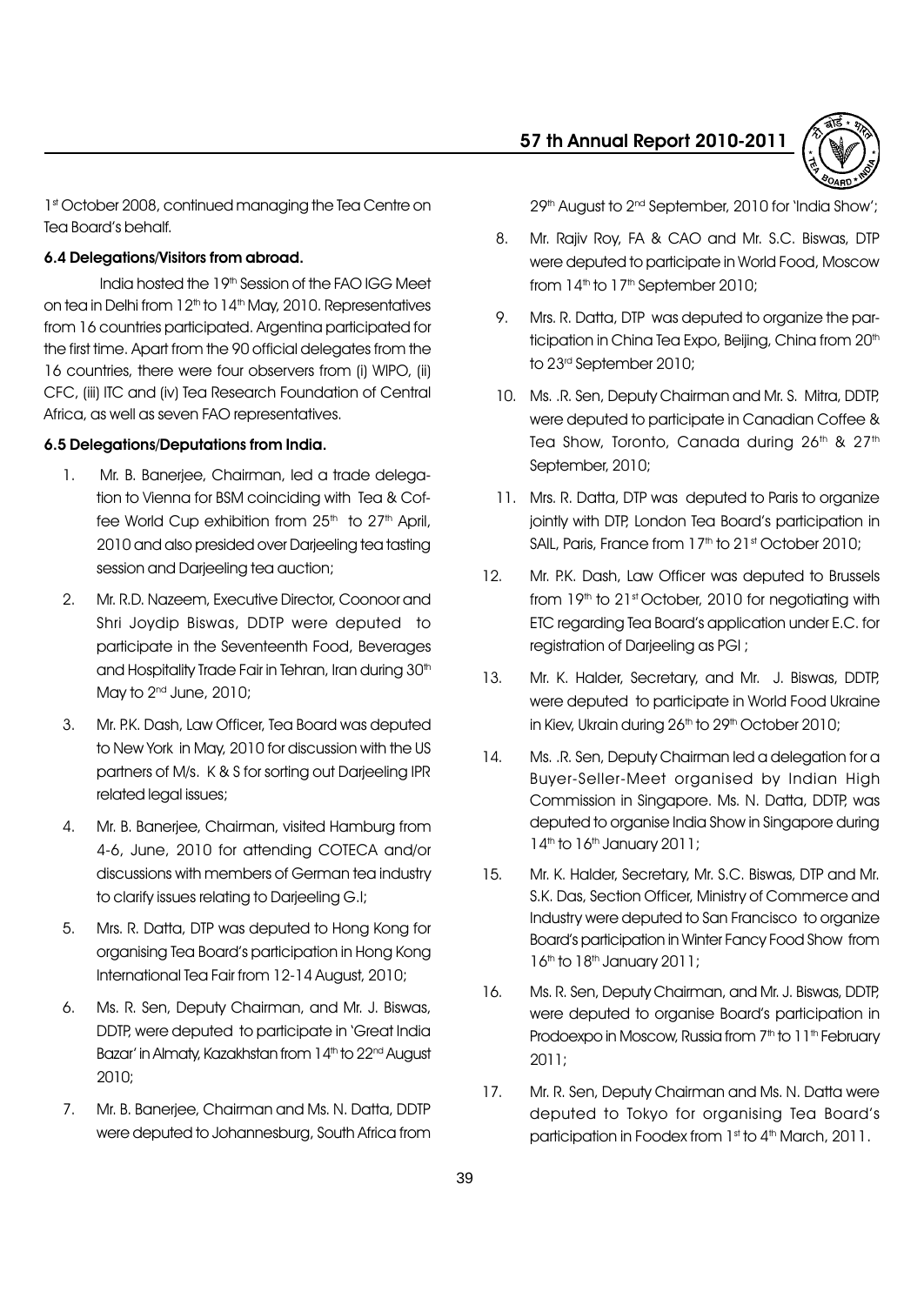

1st October 2008, continued managing the Tea Centre on Tea Board's behalf.

# 6.4 Delegations/Visitors from abroad.

India hosted the 19th Session of the FAO IGG Meet on tea in Delhi from 12<sup>th</sup> to 14<sup>th</sup> May, 2010. Representatives from 16 countries participated. Argentina participated for the first time. Apart from the 90 official delegates from the 16 countries, there were four observers from (i) WIPO, (ii) CFC, (iii) ITC and (iv) Tea Research Foundation of Central Africa, as well as seven FAO representatives.

# 6.5 Delegations/Deputations from India.

- 1. Mr. B. Banerjee, Chairman, led a trade delegation to Vienna for BSM coinciding with Tea & Coffee World Cup exhibition from  $25<sup>th</sup>$  to  $27<sup>th</sup>$  April, 2010 and also presided over Darjeeling tea tasting session and Darjeeling tea auction;
- 2. Mr. R.D. Nazeem, Executive Director, Coonoor and Shri Joydip Biswas, DDTP were deputed to participate in the Seventeenth Food, Beverages and Hospitality Trade Fair in Tehran, Iran during 30<sup>th</sup> May to  $2<sup>nd</sup>$  June,  $2010$ ;
- 3. Mr. P.K. Dash, Law Officer, Tea Board was deputed to New York in May, 2010 for discussion with the US partners of M/s. K & S for sorting out Darjeeling IPR related legal issues;
- 4. Mr. B. Banerjee, Chairman, visited Hamburg from 4-6, June, 2010 for attending COTECA and/or discussions with members of German tea industry to clarify issues relating to Darjeeling G.I;
- 5. Mrs. R. Datta, DTP was deputed to Hong Kong for organising Tea Boardís participation in Hong Kong International Tea Fair from 12-14 August, 2010;
- 6. Ms. R. Sen, Deputy Chairman, and Mr. J. Biswas, DDTP, were deputed to participate in 'Great India Bazar' in Almaty, Kazakhstan from 14<sup>th</sup> to 22<sup>nd</sup> August 2010;
- 7. Mr. B. Banerjee, Chairman and Ms. N. Datta, DDTP were deputed to Johannesburg, South Africa from

29<sup>th</sup> August to 2<sup>nd</sup> September, 2010 for 'India Show';

- 8. Mr. Rajiv Roy, FA & CAO and Mr. S.C. Biswas, DTP were deputed to participate in World Food, Moscow from  $14<sup>th</sup>$  to  $17<sup>th</sup>$  September 2010;
- 9. Mrs. R. Datta, DTP was deputed to organize the participation in China Tea Expo, Beijing, China from 20<sup>th</sup> to 23rd September 2010;
- 10. Ms. .R. Sen, Deputy Chairman and Mr. S. Mitra, DDTP, were deputed to participate in Canadian Coffee & Tea Show, Toronto, Canada during 26th & 27th September, 2010;
- 11. Mrs. R. Datta, DTP was deputed to Paris to organize jointly with DTP, London Tea Board's participation in SAIL, Paris, France from 17<sup>th</sup> to 21st October 2010;
- 12. Mr. P.K. Dash, Law Officer was deputed to Brussels from  $19<sup>th</sup>$  to  $21<sup>st</sup>$  October, 2010 for negotiating with ETC regarding Tea Boardís application under E.C. for registration of Darjeeling as PGI ;
- 13. Mr. K. Halder, Secretary, and Mr. J. Biswas, DDTP, were deputed to participate in World Food Ukraine in Kiev, Ukrain during 26<sup>th</sup> to 29<sup>th</sup> October 2010;
- 14. Ms. .R. Sen, Deputy Chairman led a delegation for a Buyer-Seller-Meet organised by Indian High Commission in Singapore. Ms. N. Datta, DDTP, was deputed to organise India Show in Singapore during 14<sup>th</sup> to 16<sup>th</sup> January 2011;
- 15. Mr. K. Halder, Secretary, Mr. S.C. Biswas, DTP and Mr. S.K. Das, Section Officer, Ministry of Commerce and Industry were deputed to San Francisco to organize Boardís participation in Winter Fancy Food Show from  $16<sup>th</sup>$  to  $18<sup>th</sup>$  January 2011;
- 16. Ms. R. Sen, Deputy Chairman, and Mr. J. Biswas, DDTP, were deputed to organise Board's participation in Prodoexpo in Moscow, Russia from 7<sup>th</sup> to 11<sup>th</sup> February 2011;
- 17. Mr. R. Sen, Deputy Chairman and Ms. N. Datta were deputed to Tokyo for organising Tea Boardís participation in Foodex from 1st to 4th March, 2011.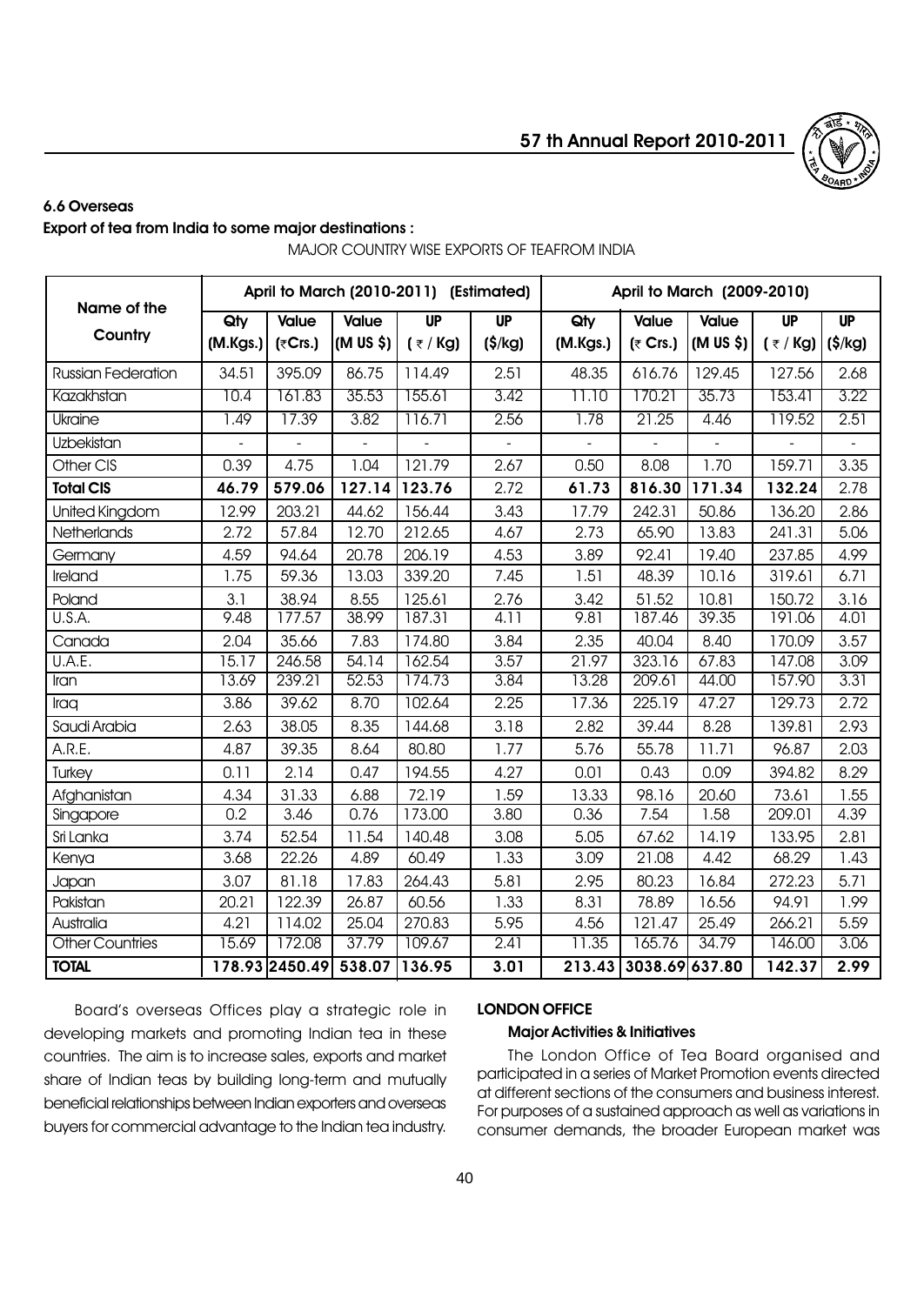

# 6.6 Overseas

# Export of tea from India to some major destinations :

MAJOR COUNTRY WISE EXPORTS OF TEAFROM INDIA

| Name of the            | April to March (2010-2011) (Estimated) |                |                              |                |                  | April to March (2009-2010) |                    |               |             |                    |
|------------------------|----------------------------------------|----------------|------------------------------|----------------|------------------|----------------------------|--------------------|---------------|-------------|--------------------|
|                        | Qty                                    | <b>Value</b>   | <b>Value</b>                 | <b>UP</b>      | <b>UP</b>        | Qty                        | <b>Value</b>       | <b>Value</b>  | <b>UP</b>   | <b>UP</b>          |
| Country                | (M.Kgs.)                               | (₹Crs.)        | (M US \$)                    | $($ ₹ / Kg)    | $(\$/\text{kg})$ | (M.Kgs.)                   | $(5 \text{ Crs.})$ | (M US \$)     | $($ ₹ / Kg) | $(\frac{\xi}{kg})$ |
| Russian Federation     | 34.51                                  | 395.09         | 86.75                        | 114.49         | 2.51             | 48.35                      | 616.76             | 129.45        | 127.56      | 2.68               |
| Kazakhstan             | 10.4                                   | 161.83         | 35.53                        | 155.61         | 3.42             | 11.10                      | 170.21             | 35.73         | 153.41      | 3.22               |
| Ukraine                | 1.49                                   | 17.39          | 3.82                         | 116.71         | 2.56             | 1.78                       | 21.25              | 4.46          | 119.52      | 2.51               |
| Uzbekistan             |                                        |                | $\qquad \qquad \blacksquare$ | $\blacksquare$ |                  |                            |                    | $\frac{1}{2}$ |             |                    |
| Other CIS              | 0.39                                   | 4.75           | 1.04                         | 121.79         | 2.67             | 0.50                       | 8.08               | 1.70          | 159.71      | 3.35               |
| <b>Total CIS</b>       | 46.79                                  | 579.06         | 127.14                       | 123.76         | 2.72             | 61.73                      | 816.30             | 171.34        | 132.24      | 2.78               |
| United Kingdom         | 12.99                                  | 203.21         | 44.62                        | 156.44         | 3.43             | 17.79                      | 242.31             | 50.86         | 136.20      | 2.86               |
| Netherlands            | 2.72                                   | 57.84          | 12.70                        | 212.65         | 4.67             | 2.73                       | 65.90              | 13.83         | 241.31      | 5.06               |
| Germany                | 4.59                                   | 94.64          | 20.78                        | 206.19         | 4.53             | 3.89                       | 92.41              | 19.40         | 237.85      | 4.99               |
| Ireland                | 1.75                                   | 59.36          | 13.03                        | 339.20         | 7.45             | 1.51                       | 48.39              | 10.16         | 319.61      | 6.71               |
| Poland                 | 3.1                                    | 38.94          | 8.55                         | 125.61         | 2.76             | 3.42                       | 51.52              | 10.81         | 150.72      | 3.16               |
| U.S.A.                 | 9.48                                   | 177.57         | 38.99                        | 187.31         | 4.11             | 9.81                       | 187.46             | 39.35         | 191.06      | 4.01               |
| Canada                 | 2.04                                   | 35.66          | 7.83                         | 174.80         | 3.84             | 2.35                       | 40.04              | 8.40          | 170.09      | 3.57               |
| U.A.E.                 | 15.17                                  | 246.58         | 54.14                        | 162.54         | 3.57             | $2\overline{1.97}$         | 323.16             | 67.83         | 147.08      | 3.09               |
| Iran                   | 13.69                                  | 239.21         | 52.53                        | 174.73         | 3.84             | 13.28                      | 209.61             | 44.00         | 157.90      | 3.31               |
| Iraq                   | 3.86                                   | 39.62          | 8.70                         | 102.64         | 2.25             | 17.36                      | 225.19             | 47.27         | 129.73      | 2.72               |
| Saudi Arabia           | 2.63                                   | 38.05          | 8.35                         | 144.68         | 3.18             | 2.82                       | 39.44              | 8.28          | 139.81      | 2.93               |
| A.R.E.                 | 4.87                                   | 39.35          | 8.64                         | 80.80          | 1.77             | 5.76                       | 55.78              | 11.71         | 96.87       | 2.03               |
| Turkey                 | 0.11                                   | 2.14           | 0.47                         | 194.55         | 4.27             | 0.01                       | 0.43               | 0.09          | 394.82      | 8.29               |
| Afghanistan            | 4.34                                   | 31.33          | 6.88                         | 72.19          | 1.59             | 13.33                      | 98.16              | 20.60         | 73.61       | 1.55               |
| Singapore              | 0.2                                    | 3.46           | 0.76                         | 173.00         | 3.80             | 0.36                       | 7.54               | 1.58          | 209.01      | 4.39               |
| Sri Lanka              | 3.74                                   | 52.54          | 11.54                        | 140.48         | 3.08             | 5.05                       | 67.62              | 14.19         | 133.95      | 2.81               |
| Kenya                  | 3.68                                   | 22.26          | 4.89                         | 60.49          | 1.33             | 3.09                       | 21.08              | 4.42          | 68.29       | 1.43               |
| Japan                  | 3.07                                   | 81.18          | 17.83                        | 264.43         | 5.81             | 2.95                       | 80.23              | 16.84         | 272.23      | 5.71               |
| Pakistan               | 20.21                                  | 122.39         | 26.87                        | 60.56          | 1.33             | 8.31                       | 78.89              | 16.56         | 94.91       | 1.99               |
| Australia              | 4.21                                   | 114.02         | 25.04                        | 270.83         | 5.95             | 4.56                       | 121.47             | 25.49         | 266.21      | 5.59               |
| <b>Other Countries</b> | 15.69                                  | 172.08         | 37.79                        | 109.67         | 2.41             | 11.35                      | 165.76             | 34.79         | 146.00      | 3.06               |
| <b>TOTAL</b>           |                                        | 178.93 2450.49 | 538.07                       | 136.95         | 3.01             | 213.43                     | 3038.69 637.80     |               | 142.37      | 2.99               |

Boardís overseas Offices play a strategic role in developing markets and promoting Indian tea in these countries. The aim is to increase sales, exports and market share of Indian teas by building long-term and mutually beneficial relationships between Indian exporters and overseas buyers for commercial advantage to the Indian tea industry.

# LONDON OFFICE

# Major Activities & Initiatives

The London Office of Tea Board organised and participated in a series of Market Promotion events directed at different sections of the consumers and business interest. For purposes of a sustained approach as well as variations in consumer demands, the broader European market was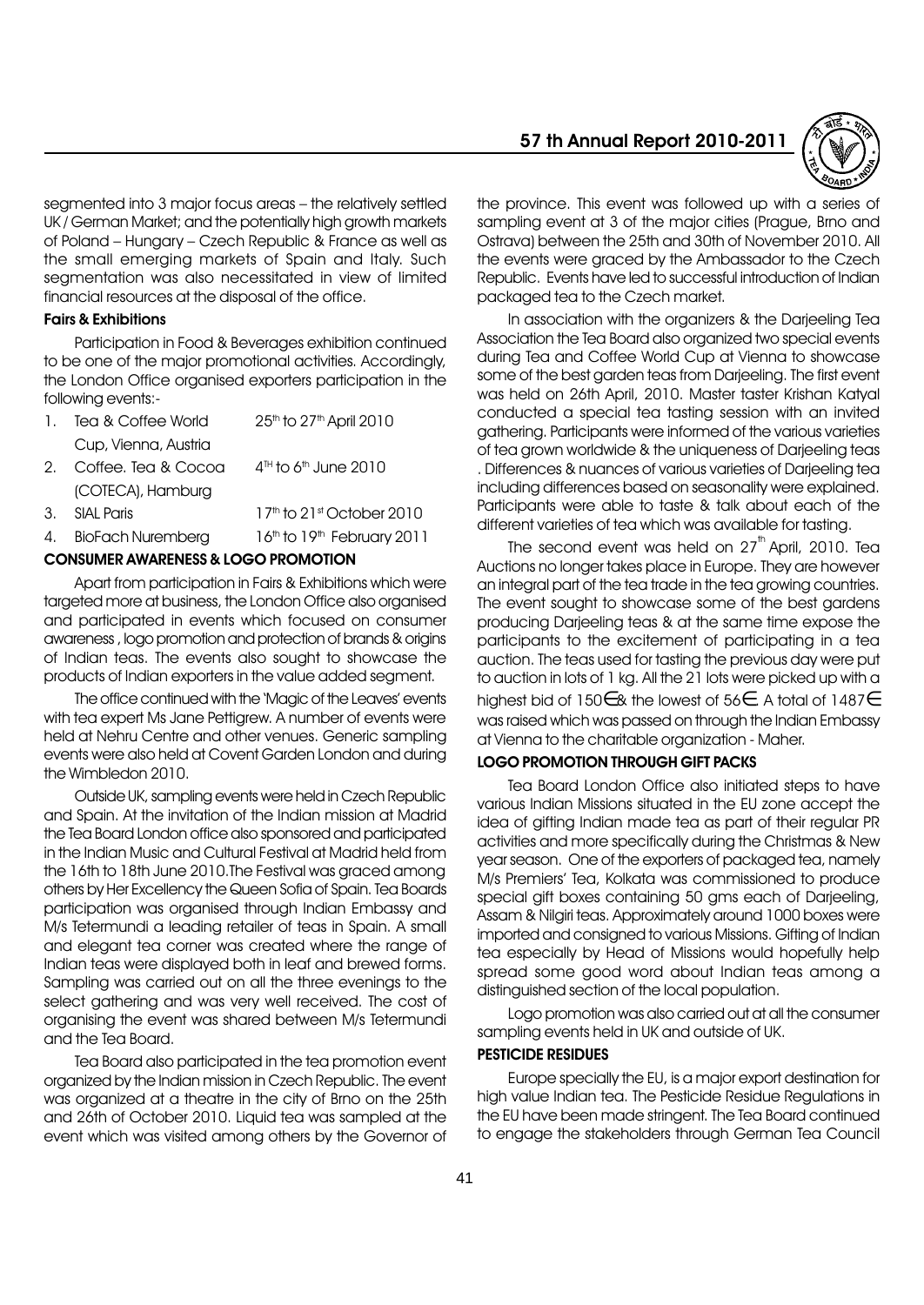segmented into 3 major focus areas – the relatively settled UK / German Market; and the potentially high growth markets of Poland - Hungary - Czech Republic & France as well as the small emerging markets of Spain and Italy. Such segmentation was also necessitated in view of limited financial resources at the disposal of the office.

#### Fairs & Exhibitions

Participation in Food & Beverages exhibition continued to be one of the major promotional activities. Accordingly, the London Office organised exporters participation in the following events:-

| 1.          | Tea & Coffee World   | 25 <sup>th</sup> to 27 <sup>th</sup> April 2010 |
|-------------|----------------------|-------------------------------------------------|
|             | Cup, Vienna, Austria |                                                 |
| $2^{\circ}$ | Coffee. Tea & Cocoa  | $4th$ to 6 <sup>th</sup> June 2010              |
|             | (COTECA), Hamburg    |                                                 |
| 3.          | SIAI Paris           | 17 <sup>th</sup> to 21st October 2010           |
|             |                      |                                                 |

#### 4. BioFach Nuremberg 16th to 19th February 2011

#### CONSUMER AWARENESS & LOGO PROMOTION

Apart from participation in Fairs & Exhibitions which were targeted more at business, the London Office also organised and participated in events which focused on consumer awareness , logo promotion and protection of brands & origins of Indian teas. The events also sought to showcase the products of Indian exporters in the value added segment.

The office continued with the 'Magic of the Leaves' events with tea expert Ms Jane Pettiarew. A number of events were held at Nehru Centre and other venues. Generic sampling events were also held at Covent Garden London and during the Wimbledon 2010.

Outside UK, sampling events were held in Czech Republic and Spain. At the invitation of the Indian mission at Madrid the Tea Board London office also sponsored and participated in the Indian Music and Cultural Festival at Madrid held from the 16th to 18th June 2010.The Festival was graced among others by Her Excellency the Queen Sofia of Spain. Tea Boards participation was organised through Indian Embassy and M/s Tetermundi a leading retailer of teas in Spain. A small and elegant tea corner was created where the range of Indian teas were displayed both in leaf and brewed forms. Sampling was carried out on all the three evenings to the select gathering and was very well received. The cost of organising the event was shared between M/s Tetermundi and the Tea Board.

Tea Board also participated in the tea promotion event organized by the Indian mission in Czech Republic. The event was organized at a theatre in the city of Brno on the 25th and 26th of October 2010. Liquid tea was sampled at the event which was visited among others by the Governor of 57 th Annual Report 2010-2011



the province. This event was followed up with a series of sampling event at 3 of the major cities (Prague, Brno and Ostrava) between the 25th and 30th of November 2010. All the events were graced by the Ambassador to the Czech Republic. Events have led to successful introduction of Indian packaged tea to the Czech market.

In association with the organizers & the Darjeeling Tea Association the Tea Board also organized two special events during Tea and Coffee World Cup at Vienna to showcase some of the best garden teas from Darjeeling. The first event was held on 26th April, 2010. Master taster Krishan Katyal conducted a special tea tasting session with an invited gathering. Participants were informed of the various varieties of tea grown worldwide & the uniqueness of Darjeeling teas . Differences & nuances of various varieties of Darjeeling tea including differences based on seasonality were explained. Participants were able to taste & talk about each of the different varieties of tea which was available for tasting.

The second event was held on  $27<sup>th</sup>$  April, 2010. Tea Auctions no longer takes place in Europe. They are however an integral part of the tea trade in the tea growing countries. The event sought to showcase some of the best gardens producing Darjeeling teas & at the same time expose the participants to the excitement of participating in a tea auction. The teas used for tasting the previous day were put to auction in lots of 1 kg. All the 21 lots were picked up with a highest bid of 150∈& the lowest of 56∈. A total of 1487∈ was raised which was passed on through the Indian Embassy at Vienna to the charitable organization - Maher.

# LOGO PROMOTION THROUGH GIFT PACKS

Tea Board London Office also initiated steps to have various Indian Missions situated in the EU zone accept the idea of gifting Indian made tea as part of their regular PR activities and more specifically during the Christmas & New year season. One of the exporters of packaged tea, namely M/s Premiersí Tea, Kolkata was commissioned to produce special gift boxes containing 50 gms each of Darjeeling, Assam & Nilgiri teas. Approximately around 1000 boxes were imported and consigned to various Missions. Gifting of Indian tea especially by Head of Missions would hopefully help spread some good word about Indian teas among a distinguished section of the local population.

Logo promotion was also carried out at all the consumer sampling events held in UK and outside of UK.

#### PESTICIDE RESIDUES

Europe specially the EU, is a major export destination for high value Indian tea. The Pesticide Residue Regulations in the EU have been made stringent. The Tea Board continued to engage the stakeholders through German Tea Council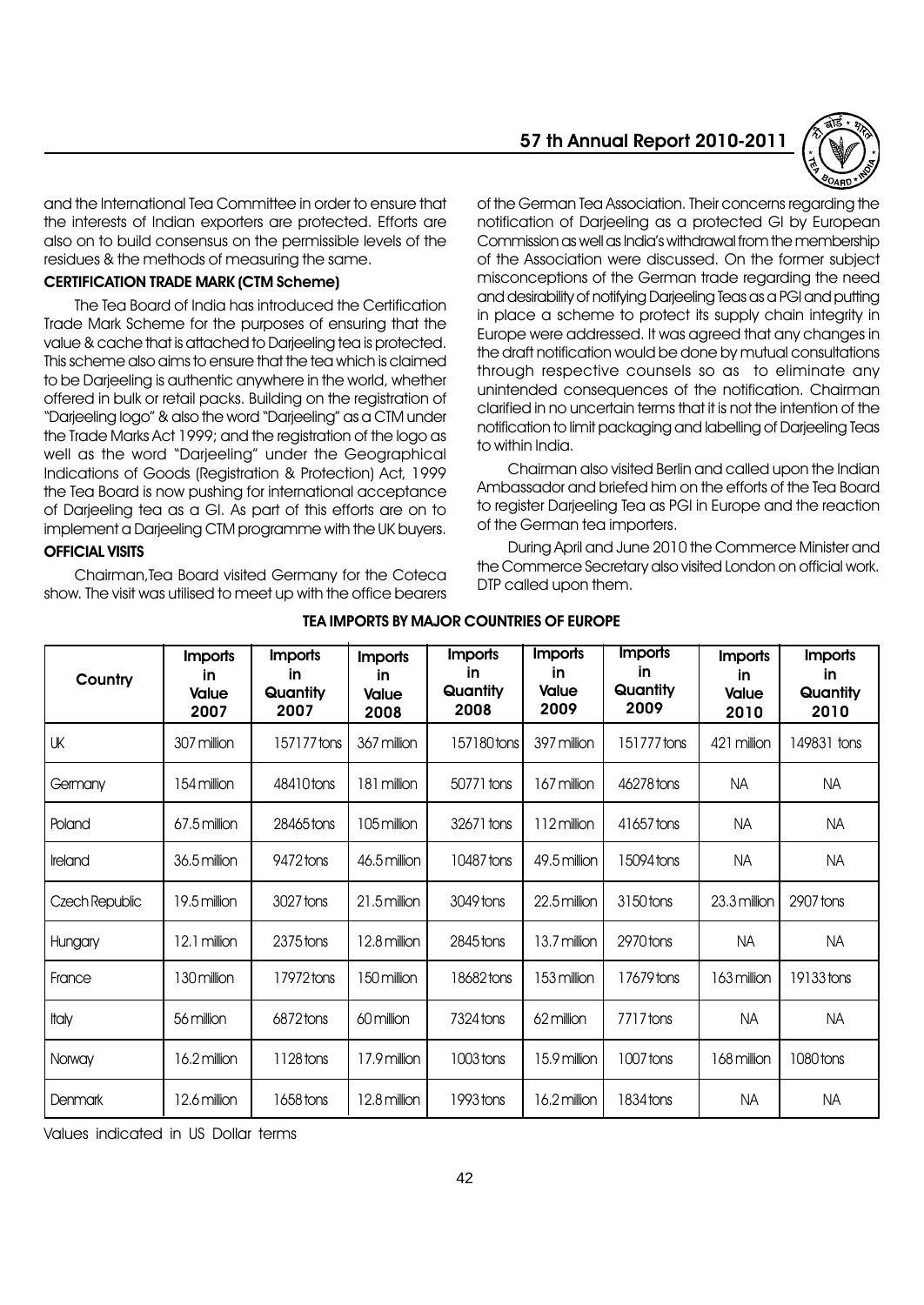

and the International Tea Committee in order to ensure that the interests of Indian exporters are protected. Efforts are also on to build consensus on the permissible levels of the residues & the methods of measuring the same.

#### CERTIFICATION TRADE MARK (CTM Scheme)

The Tea Board of India has introduced the Certification Trade Mark Scheme for the purposes of ensuring that the value & cache that is attached to Darjeeling tea is protected. This scheme also aims to ensure that the tea which is claimed to be Darjeeling is authentic anywhere in the world, whether offered in bulk or retail packs. Building on the registration of "Darieeling logo" & also the word "Darieeling" as a CTM under the Trade Marks Act 1999; and the registration of the logo as well as the word "Darjeeling" under the Geographical Indications of Goods (Registration & Protection) Act, 1999 the Tea Board is now pushing for international acceptance of Darjeeling tea as a GI. As part of this efforts are on to implement a Darjeeling CTM programme with the UK buyers. OFFICIAL VISITS

Chairman,Tea Board visited Germany for the Coteca show. The visit was utilised to meet up with the office bearers of the German Tea Association. Their concerns regarding the notification of Darjeeling as a protected GI by European Commission as well as India's withdrawal from the membership of the Association were discussed. On the former subject misconceptions of the German trade regarding the need and desirability of notifying Darjeeling Teas as a PGI and putting in place a scheme to protect its supply chain integrity in Europe were addressed. It was agreed that any changes in the draft notification would be done by mutual consultations through respective counsels so as to eliminate any unintended consequences of the notification. Chairman clarified in no uncertain terms that it is not the intention of the notification to limit packaging and labelling of Darjeeling Teas to within India.

Chairman also visited Berlin and called upon the Indian Ambassador and briefed him on the efforts of the Tea Board to register Darjeeling Tea as PGI in Europe and the reaction of the German tea importers.

During April and June 2010 the Commerce Minister and the Commerce Secretary also visited London on official work. DTP called upon them.

| Country        | <b>Imports</b><br><u>in</u><br><b>Value</b><br>2007 | <b>Imports</b><br>in.<br>Quantity<br>2007 | <b>Imports</b><br><u>in</u><br>Value<br>2008 | <b>Imports</b><br>in<br>Quantity<br>2008 | <b>Imports</b><br>in.<br><b>Value</b><br>2009 | <b>Imports</b><br>in<br>Quantity<br>2009 | <b>Imports</b><br>in.<br><b>Value</b><br>2010 | <b>Imports</b><br><b>in</b><br>Quantity<br>2010 |
|----------------|-----------------------------------------------------|-------------------------------------------|----------------------------------------------|------------------------------------------|-----------------------------------------------|------------------------------------------|-----------------------------------------------|-------------------------------------------------|
| UK             | 307 million                                         | 157177 tons                               | 367 million                                  | 157180 tons                              | 397 million                                   | 151777 tons                              | 421 million                                   | 149831 tons                                     |
| Germany        | 154 million                                         | 48410 tons                                | 181 million                                  | 50771 tons                               | 167 million                                   | 46278 tons                               | <b>NA</b>                                     | <b>NA</b>                                       |
| Poland         | $67.5$ million                                      | 28465 tons                                | 105 million                                  | 32671 tons                               | 112 million                                   | 41657 tons                               | <b>NA</b>                                     | <b>NA</b>                                       |
| Ireland        | 36.5 million                                        | 9472 tons                                 | 46.5 million                                 | 10487 tons                               | 49.5 million                                  | 15094 tons                               | <b>NA</b>                                     | <b>NA</b>                                       |
| Czech Republic | 19.5 million                                        | 3027 tons                                 | 21.5 million                                 | 3049 tons                                | 22.5 million                                  | 3150 tons                                | 23.3 million                                  | 2907 tons                                       |
| Hungary        | 12.1 million                                        | $2375$ tons                               | 12.8 million                                 | 2845 tons                                | 13.7 million                                  | 2970 tons                                | <b>NA</b>                                     | <b>NA</b>                                       |
| France         | 130 million                                         | 17972 tons                                | 150 million                                  | 18682 tons                               | 153 million                                   | 17679 tons                               | 163 million                                   | 19133 tons                                      |
| <b>Italy</b>   | 56 million                                          | 6872 tons                                 | 60 million                                   | 7324 tons                                | 62 million                                    | 7717 tons                                | <b>NA</b>                                     | <b>NA</b>                                       |
| Norway         | 16.2 million                                        | 1128 tons                                 | 17.9 million                                 | 1003 tons                                | 15.9 million                                  | 1007 tons                                | 168 million                                   | 1080 tons                                       |
| Denmark        | 12.6 million                                        | 1658 tons                                 | 12.8 million                                 | 1993 tons                                | 16.2 million                                  | 1834 tons                                | <b>NA</b>                                     | NA                                              |

#### TEA IMPORTS BY MAJOR COUNTRIES OF EUROPE

Values indicated in US Dollar terms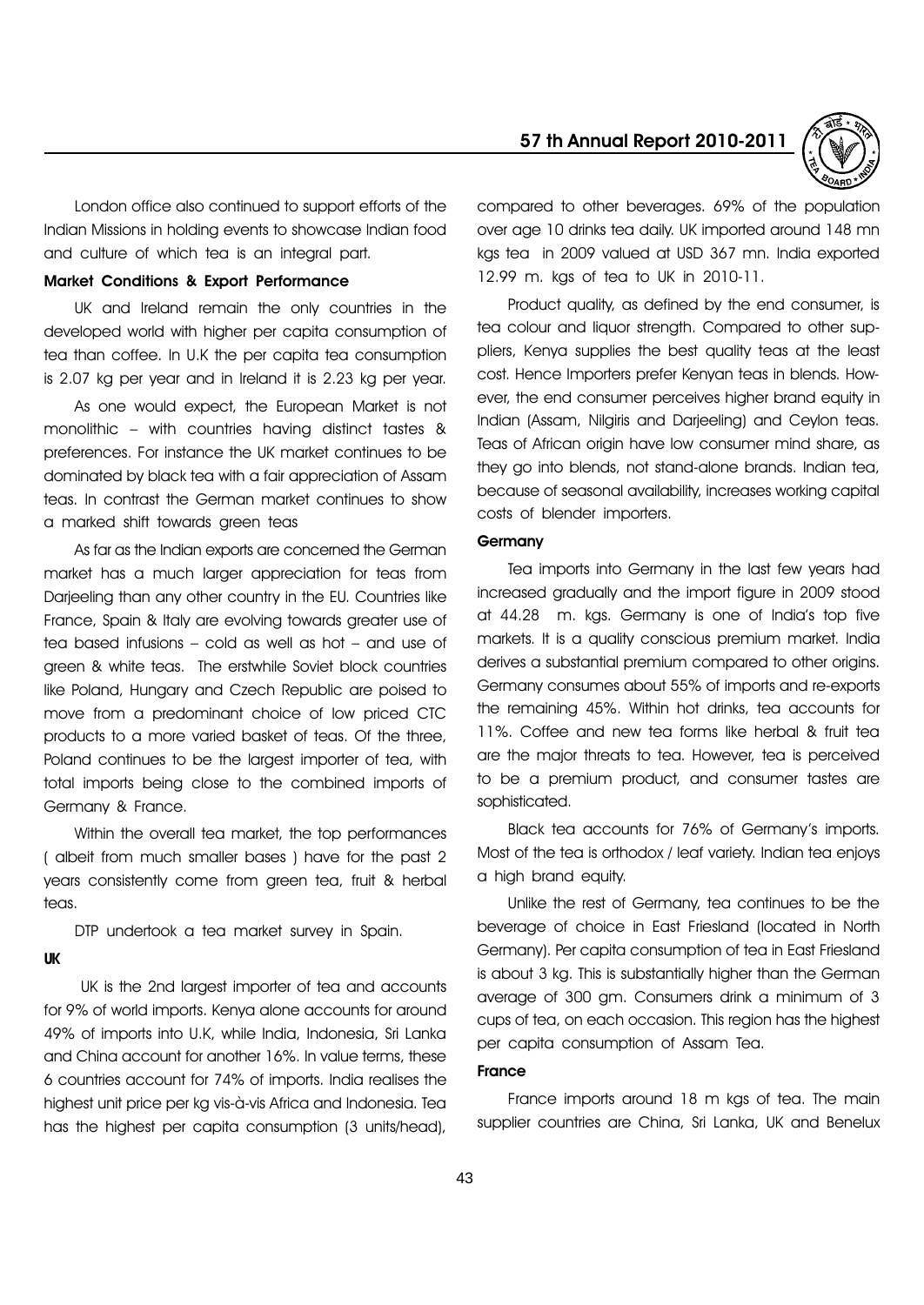57 th Annual Report 2010-2011



London office also continued to support efforts of the Indian Missions in holding events to showcase Indian food and culture of which tea is an integral part.

# Market Conditions & Export Performance

UK and Ireland remain the only countries in the developed world with higher per capita consumption of tea than coffee. In U.K the per capita tea consumption is 2.07 kg per year and in Ireland it is 2.23 kg per year.

As one would expect, the European Market is not monolithic  $-$  with countries having distinct tastes & preferences. For instance the UK market continues to be dominated by black tea with a fair appreciation of Assam teas. In contrast the German market continues to show a marked shift towards green teas

As far as the Indian exports are concerned the German market has a much larger appreciation for teas from Darjeeling than any other country in the EU. Countries like France, Spain & Italy are evolving towards greater use of tea based infusions  $-$  cold as well as hot  $-$  and use of green & white teas. The erstwhile Soviet block countries like Poland, Hungary and Czech Republic are poised to move from a predominant choice of low priced CTC products to a more varied basket of teas. Of the three, Poland continues to be the largest importer of tea, with total imports being close to the combined imports of Germany & France.

Within the overall tea market, the top performances ( albeit from much smaller bases ) have for the past 2 years consistently come from green tea, fruit & herbal teas.

DTP undertook a tea market survey in Spain.

#### UK

UK is the 2nd largest importer of tea and accounts for 9% of world imports. Kenya alone accounts for around 49% of imports into U.K, while India, Indonesia, Sri Lanka and China account for another 16%. In value terms, these 6 countries account for 74% of imports. India realises the highest unit price per kg vis-à-vis Africa and Indonesia. Tea has the highest per capita consumption (3 units/head),

compared to other beverages. 69% of the population over age 10 drinks tea daily. UK imported around 148 mn kgs tea in 2009 valued at USD 367 mn. India exported 12.99 m. kgs of tea to UK in 2010-11.

Product quality, as defined by the end consumer, is tea colour and liquor strength. Compared to other suppliers, Kenya supplies the best quality teas at the least cost. Hence Importers prefer Kenyan teas in blends. However, the end consumer perceives higher brand equity in Indian (Assam, Nilgiris and Darjeeling) and Ceylon teas. Teas of African origin have low consumer mind share, as they go into blends, not stand-alone brands. Indian tea, because of seasonal availability, increases working capital costs of blender importers.

# **Germany**

Tea imports into Germany in the last few years had increased gradually and the import figure in 2009 stood at 44.28 m. kgs. Germany is one of Indiaís top five markets. It is a quality conscious premium market. India derives a substantial premium compared to other origins. Germany consumes about 55% of imports and re-exports the remaining 45%. Within hot drinks, tea accounts for 11%. Coffee and new tea forms like herbal & fruit tea are the major threats to tea. However, tea is perceived to be a premium product, and consumer tastes are sophisticated.

Black tea accounts for 76% of Germanyís imports. Most of the tea is orthodox / leaf variety. Indian tea enjoys a high brand equity.

Unlike the rest of Germany, tea continues to be the beverage of choice in East Friesland (located in North Germany). Per capita consumption of tea in East Friesland is about 3 kg. This is substantially higher than the German average of 300 gm. Consumers drink a minimum of 3 cups of tea, on each occasion. This region has the highest per capita consumption of Assam Tea.

# France

France imports around 18 m kgs of tea. The main supplier countries are China, Sri Lanka, UK and Benelux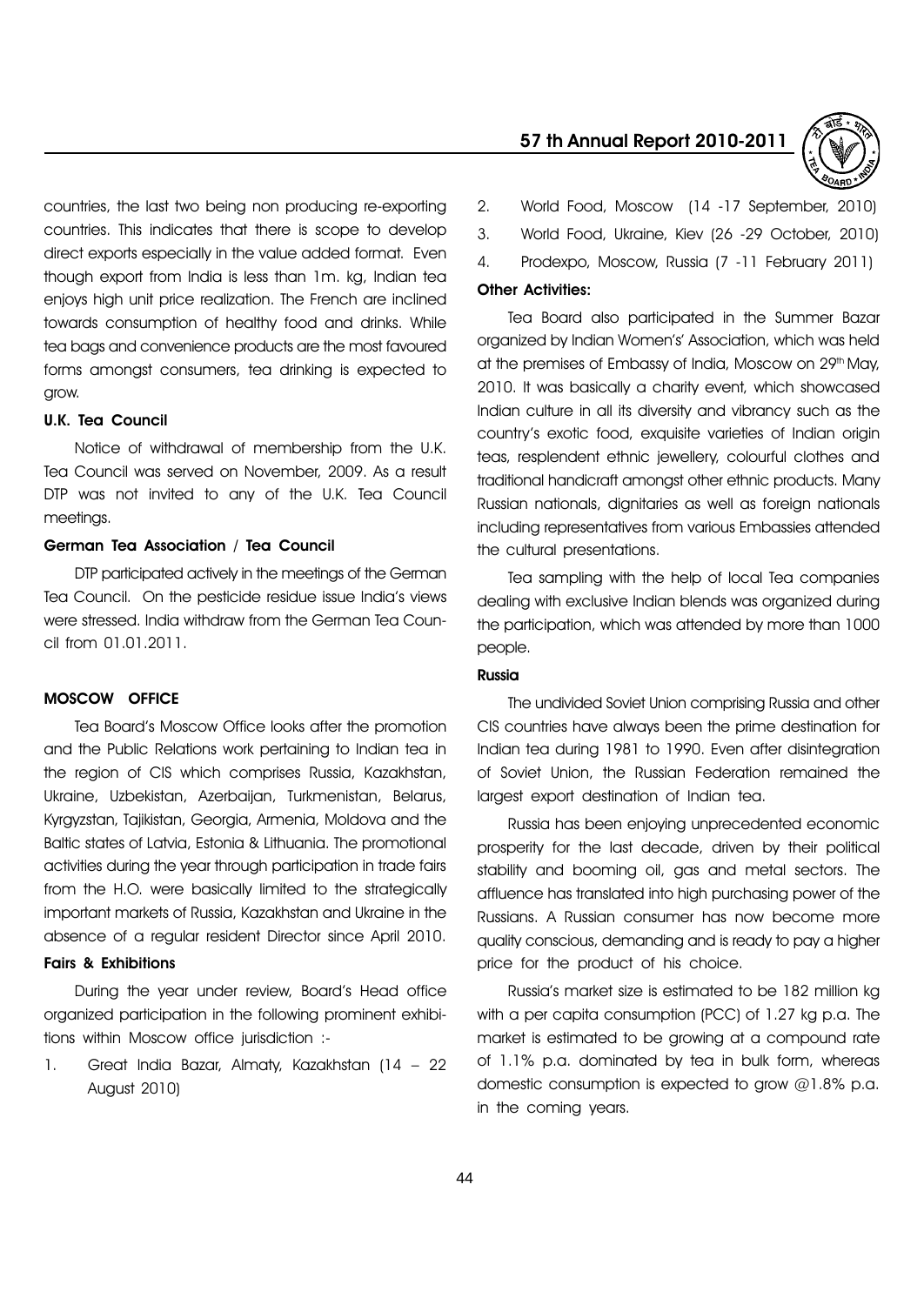countries, the last two being non producing re-exporting countries. This indicates that there is scope to develop direct exports especially in the value added format. Even though export from India is less than 1m. kg, Indian tea enjoys high unit price realization. The French are inclined towards consumption of healthy food and drinks. While tea bags and convenience products are the most favoured forms amongst consumers, tea drinking is expected to grow.

#### U.K. Tea Council

Notice of withdrawal of membership from the U.K. Tea Council was served on November, 2009. As a result DTP was not invited to any of the U.K. Tea Council meetings.

# German Tea Association / Tea Council

DTP participated actively in the meetings of the German Tea Council. On the pesticide residue issue Indiaís views were stressed. India withdraw from the German Tea Council from 01.01.2011.

#### MOSCOW OFFICE

Tea Boardís Moscow Office looks after the promotion and the Public Relations work pertaining to Indian tea in the region of CIS which comprises Russia, Kazakhstan, Ukraine, Uzbekistan, Azerbaijan, Turkmenistan, Belarus, Kyrgyzstan, Tajikistan, Georgia, Armenia, Moldova and the Baltic states of Latvia, Estonia & Lithuania. The promotional activities during the year through participation in trade fairs from the H.O. were basically limited to the strategically important markets of Russia, Kazakhstan and Ukraine in the absence of a regular resident Director since April 2010.

# Fairs & Exhibitions

During the year under review, Board's Head office organized participation in the following prominent exhibitions within Moscow office jurisdiction :-

1. Great India Bazar, Almaty, Kazakhstan (14  $-$  22 August 2010)

# 57 th Annual Report 2010-2011



- 2. World Food, Moscow (14 -17 September, 2010)
- 3. World Food, Ukraine, Kiev (26 -29 October, 2010)
- 4. Prodexpo, Moscow, Russia (7 -11 February 2011)

#### Other Activities:

Tea Board also participated in the Summer Bazar organized by Indian Women's' Association, which was held at the premises of Embassy of India, Moscow on 29<sup>th</sup> May, 2010. It was basically a charity event, which showcased Indian culture in all its diversity and vibrancy such as the countryís exotic food, exquisite varieties of Indian origin teas, resplendent ethnic jewellery, colourful clothes and traditional handicraft amongst other ethnic products. Many Russian nationals, dignitaries as well as foreign nationals including representatives from various Embassies attended the cultural presentations.

Tea sampling with the help of local Tea companies dealing with exclusive Indian blends was organized during the participation, which was attended by more than 1000 people.

#### Russia

The undivided Soviet Union comprising Russia and other CIS countries have always been the prime destination for Indian tea during 1981 to 1990. Even after disintegration of Soviet Union, the Russian Federation remained the largest export destination of Indian tea.

Russia has been enjoying unprecedented economic prosperity for the last decade, driven by their political stability and booming oil, gas and metal sectors. The affluence has translated into high purchasing power of the Russians. A Russian consumer has now become more quality conscious, demanding and is ready to pay a higher price for the product of his choice.

Russiaís market size is estimated to be 182 million kg with a per capita consumption (PCC) of 1.27 kg p.a. The market is estimated to be growing at a compound rate of 1.1% p.a. dominated by tea in bulk form, whereas domestic consumption is expected to grow @1.8% p.a. in the coming years.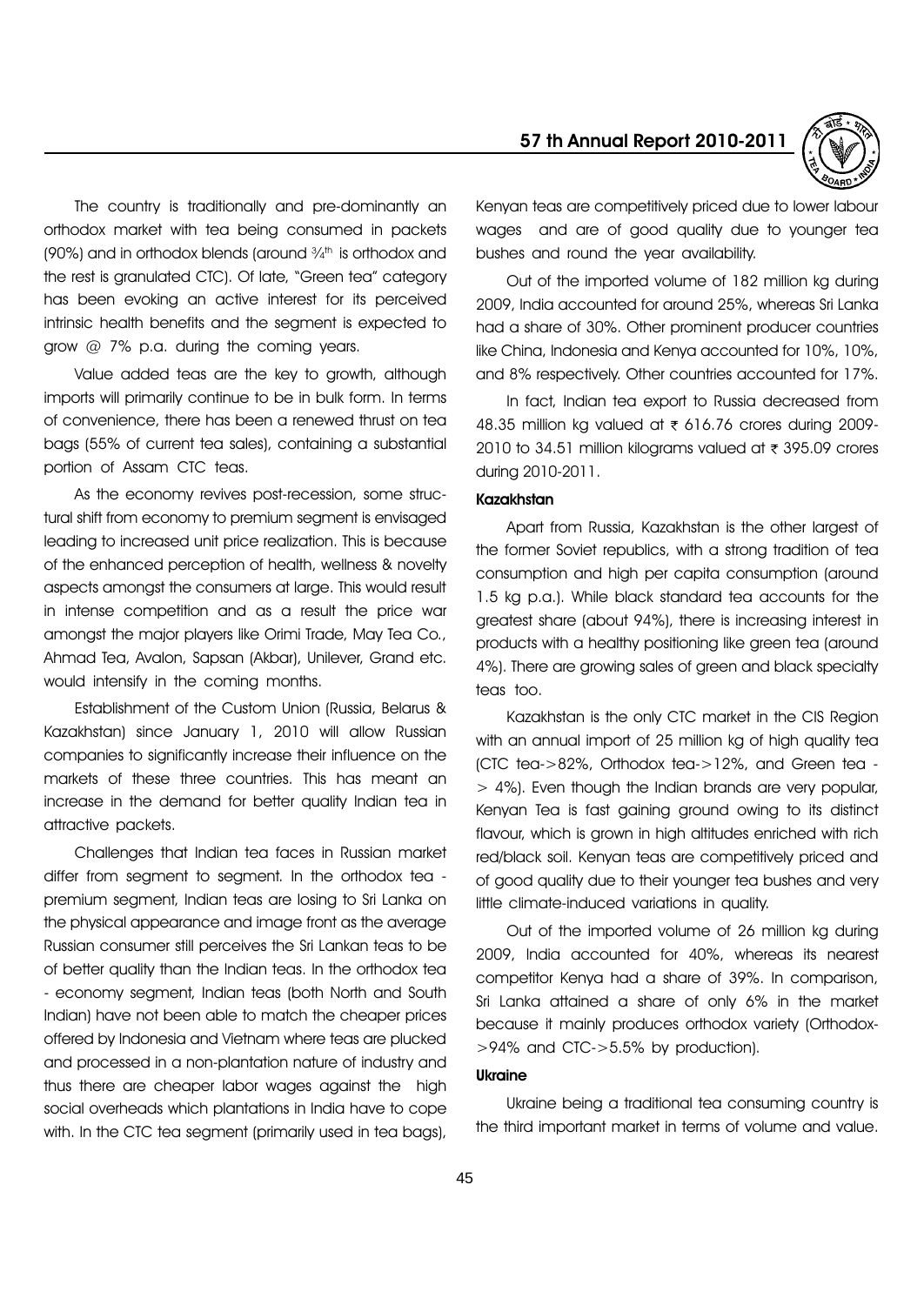

The country is traditionally and pre-dominantly an orthodox market with tea being consumed in packets (90%) and in orthodox blends (around  $\frac{3}{4}$ <sup>th</sup> is orthodox and the rest is granulated CTC). Of late, "Green tea" category has been evoking an active interest for its perceived intrinsic health benefits and the segment is expected to grow  $@$  7% p.g. during the coming vears.

Value added teas are the key to growth, although imports will primarily continue to be in bulk form. In terms of convenience, there has been a renewed thrust on tea bags (55% of current tea sales), containing a substantial portion of Assam CTC teas.

As the economy revives post-recession, some structural shift from economy to premium segment is envisaged leading to increased unit price realization. This is because of the enhanced perception of health, wellness & novelty aspects amongst the consumers at large. This would result in intense competition and as a result the price war amongst the major players like Orimi Trade, May Tea Co., Ahmad Tea, Avalon, Sapsan (Akbar), Unilever, Grand etc. would intensify in the coming months.

Establishment of the Custom Union (Russia, Belarus & Kazakhstan) since January 1, 2010 will allow Russian companies to significantly increase their influence on the markets of these three countries. This has meant an increase in the demand for better quality Indian tea in attractive packets.

Challenges that Indian tea faces in Russian market differ from segment to segment. In the orthodox tea premium segment, Indian teas are losing to Sri Lanka on the physical appearance and image front as the average Russian consumer still perceives the Sri Lankan teas to be of better quality than the Indian teas. In the orthodox tea - economy segment, Indian teas (both North and South Indian) have not been able to match the cheaper prices offered by Indonesia and Vietnam where teas are plucked and processed in a non-plantation nature of industry and thus there are cheaper labor wages against the high social overheads which plantations in India have to cope with. In the CTC tea segment (primarily used in tea bags),

Kenyan teas are competitively priced due to lower labour wages and are of good quality due to younger tea bushes and round the year availability.

Out of the imported volume of 182 million kg during 2009, India accounted for around 25%, whereas Sri Lanka had a share of 30%. Other prominent producer countries like China, Indonesia and Kenya accounted for 10%, 10%, and 8% respectively. Other countries accounted for 17%.

In fact, Indian tea export to Russia decreased from 48.35 million kg valued at ₹ 616.76 crores during 2009-2010 to 34.51 million kilograms valued at  $\overline{\tau}$  395.09 crores during 2010-2011.

#### Kazakhstan

Apart from Russia, Kazakhstan is the other largest of the former Soviet republics, with a strong tradition of tea consumption and high per capita consumption (around 1.5 kg p.a.). While black standard tea accounts for the greatest share (about 94%), there is increasing interest in products with a healthy positioning like green tea (around 4%). There are growing sales of green and black specialty teas too.

Kazakhstan is the only CTC market in the CIS Region with an annual import of 25 million kg of high quality tea (CTC tea->82%, Orthodox tea->12%, and Green tea - > 4%). Even though the Indian brands are very popular, Kenyan Tea is fast gaining ground owing to its distinct flavour, which is grown in high altitudes enriched with rich red/black soil. Kenyan teas are competitively priced and of good quality due to their younger tea bushes and very little climate-induced variations in quality.

Out of the imported volume of 26 million kg during 2009, India accounted for 40%, whereas its nearest competitor Kenya had a share of 39%. In comparison, Sri Lanka attained a share of only 6% in the market because it mainly produces orthodox variety (Orthodox- >94% and CTC->5.5% by production).

## **Ukraine**

Ukraine being a traditional tea consuming country is the third important market in terms of volume and value.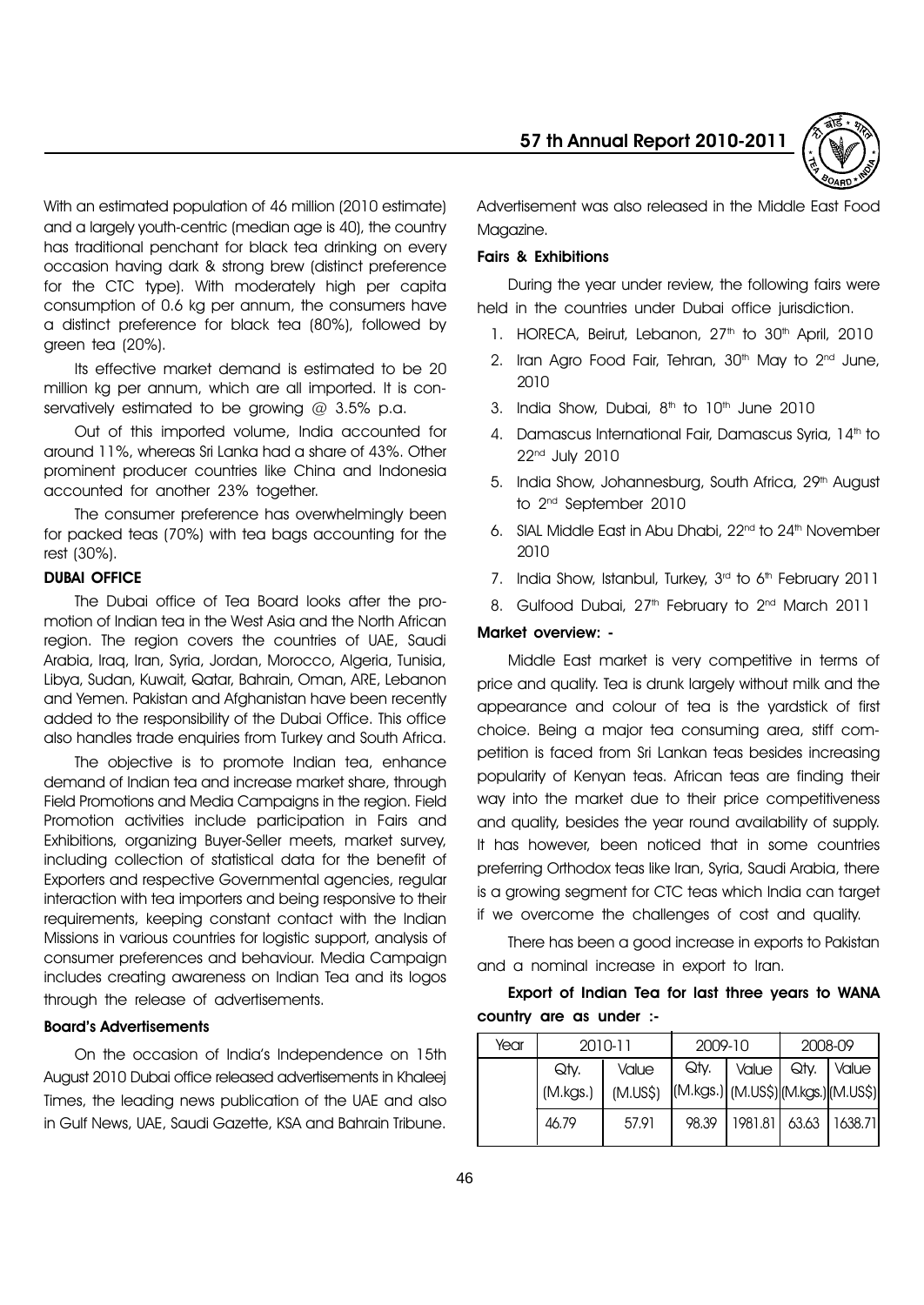

With an estimated population of 46 million (2010 estimate) and a largely youth-centric (median age is 40), the country has traditional penchant for black tea drinking on every occasion having dark & strong brew (distinct preference for the CTC type). With moderately high per capita consumption of 0.6 kg per annum, the consumers have a distinct preference for black tea (80%), followed by green tea (20%).

Its effective market demand is estimated to be 20 million kg per annum, which are all imported. It is conservatively estimated to be growing  $@3.5\%$  p.a.

Out of this imported volume, India accounted for around 11%, whereas Sri Lanka had a share of 43%. Other prominent producer countries like China and Indonesia accounted for another 23% together.

The consumer preference has overwhelmingly been for packed teas (70%) with tea bags accounting for the rest (30%).

# DUBAI OFFICE

The Dubai office of Tea Board looks after the promotion of Indian tea in the West Asia and the North African region. The region covers the countries of UAE, Saudi Arabia, Iraq, Iran, Syria, Jordan, Morocco, Algeria, Tunisia, Libya, Sudan, Kuwait, Qatar, Bahrain, Oman, ARE, Lebanon and Yemen. Pakistan and Afghanistan have been recently added to the responsibility of the Dubai Office. This office also handles trade enquiries from Turkey and South Africa.

The objective is to promote Indian tea, enhance demand of Indian tea and increase market share, through Field Promotions and Media Campaigns in the region. Field Promotion activities include participation in Fairs and Exhibitions, organizing Buyer-Seller meets, market survey, including collection of statistical data for the benefit of Exporters and respective Governmental agencies, regular interaction with tea importers and being responsive to their requirements, keeping constant contact with the Indian Missions in various countries for logistic support, analysis of consumer preferences and behaviour. Media Campaign includes creating awareness on Indian Tea and its logos through the release of advertisements.

#### **Board's Advertisements**

On the occasion of Indiaís Independence on 15th August 2010 Dubai office released advertisements in Khaleej Times, the leading news publication of the UAE and also in Gulf News, UAE, Saudi Gazette, KSA and Bahrain Tribune.

Advertisement was also released in the Middle East Food Maaazine.

#### Fairs & Exhibitions

During the year under review, the following fairs were held in the countries under Dubai office jurisdiction.

- 1. HORECA, Beirut, Lebanon, 27<sup>th</sup> to 30<sup>th</sup> April, 2010
- 2. Iran Agro Food Fair, Tehran,  $30<sup>th</sup>$  May to  $2<sup>nd</sup>$  June, 2010
- 3. India Show, Dubai,  $8<sup>th</sup>$  to  $10<sup>th</sup>$  June 2010
- 4. Damascus International Fair, Damascus Syria, 14<sup>th</sup> to 22nd July 2010
- 5. India Show, Johannesburg, South Africa, 29<sup>th</sup> August to 2nd September 2010
- 6. SIAL Middle East in Abu Dhabi, 22<sup>nd</sup> to 24<sup>th</sup> November 2010
- 7. India Show, Istanbul, Turkey, 3<sup>rd</sup> to 6<sup>th</sup> February 2011
- 8. Gulfood Dubai, 27<sup>th</sup> February to 2<sup>nd</sup> March 2011

#### Market overview: -

Middle East market is very competitive in terms of price and quality. Tea is drunk largely without milk and the appearance and colour of tea is the yardstick of first choice. Being a major tea consuming area, stiff competition is faced from Sri Lankan teas besides increasing popularity of Kenyan teas. African teas are finding their way into the market due to their price competitiveness and quality, besides the year round availability of supply. It has however, been noticed that in some countries preferring Orthodox teas like Iran, Syria, Saudi Arabia, there is a growing segment for CTC teas which India can target if we overcome the challenges of cost and quality.

There has been a good increase in exports to Pakistan and a nominal increase in export to Iran.

# Export of Indian Tea for last three years to WANA country are as under :-

| Year | 2010-11  |                                              | 2009-10 |                           | 2008-09 |              |  |
|------|----------|----------------------------------------------|---------|---------------------------|---------|--------------|--|
|      | Qtv.     | Value                                        | Qty.    | Value   Qty.              |         | <i>Value</i> |  |
|      | (M.kgs.) | (M.US\$) (M.kgs.) (M.US\$) (M.kgs.) (M.US\$) |         |                           |         |              |  |
|      | 46.79    | 57.91                                        | 98.39   | 1981.81   63.63   1638.71 |         |              |  |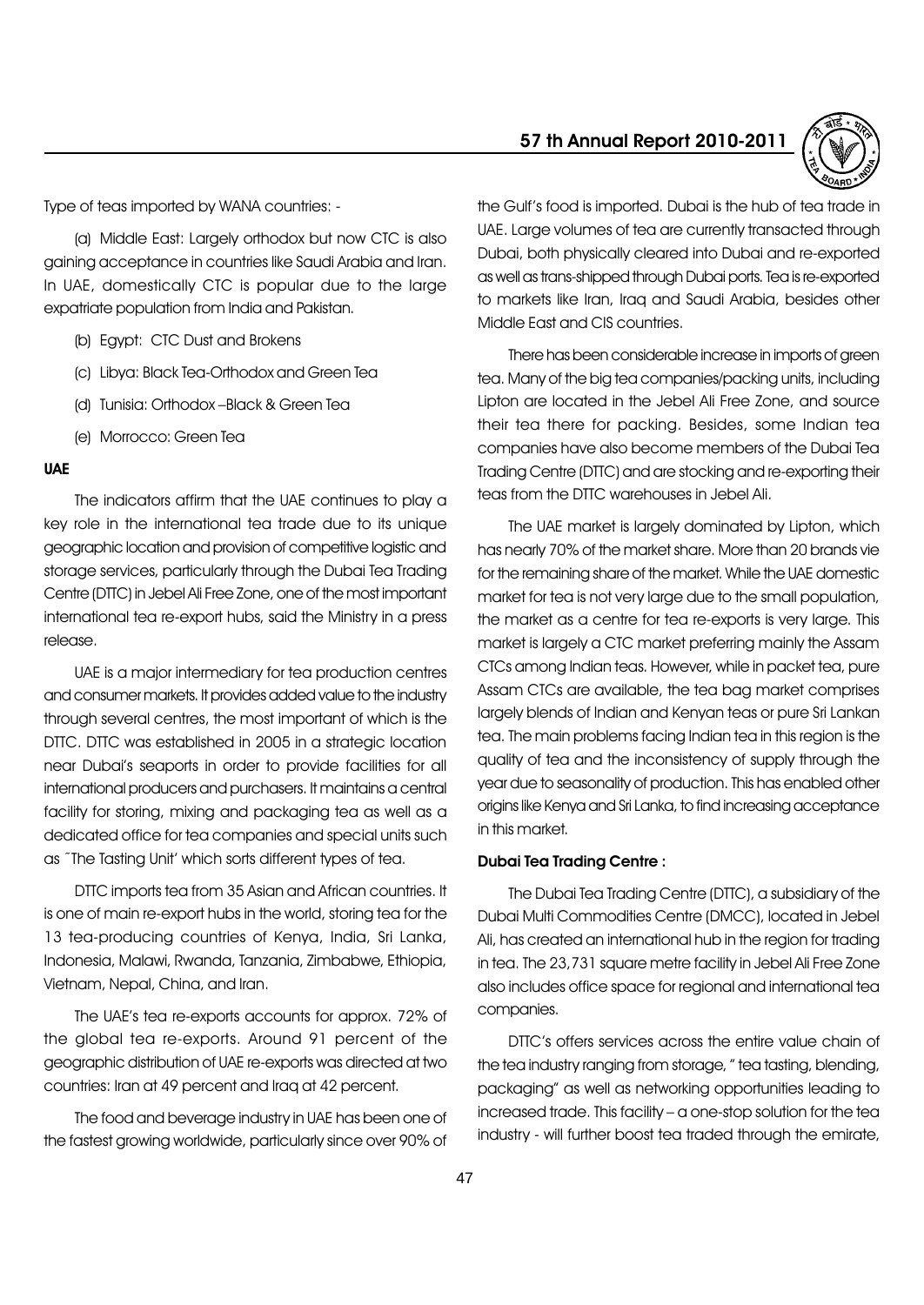Type of teas imported by WANA countries: -

(a) Middle East: Largely orthodox but now CTC is also gaining acceptance in countries like Saudi Arabia and Iran. In UAE, domestically CTC is popular due to the large expatriate population from India and Pakistan.

- (b) Egypt: CTC Dust and Brokens
- (c) Libya: Black Tea-Orthodox and Green Tea
- (d) Tunisia: Orthodox -Black & Green Tea
- (e) Morrocco: Green Tea

### UAE

The indicators affirm that the UAE continues to play a key role in the international tea trade due to its unique geographic location and provision of competitive logistic and storage services, particularly through the Dubai Tea Trading Centre (DTTC) in Jebel Ali Free Zone, one of the most important international tea re-export hubs, said the Ministry in a press release.

UAE is a major intermediary for tea production centres and consumer markets. It provides added value to the industry through several centres, the most important of which is the DTTC. DTTC was established in 2005 in a strategic location near Dubaiís seaports in order to provide facilities for all international producers and purchasers. It maintains a central facility for storing, mixing and packaging tea as well as a dedicated office for tea companies and special units such as "The Tasting Unit' which sorts different types of tea.

DTTC imports tea from 35 Asian and African countries. It is one of main re-export hubs in the world, storing tea for the 13 tea-producing countries of Kenya, India, Sri Lanka, Indonesia, Malawi, Rwanda, Tanzania, Zimbabwe, Ethiopia, Vietnam, Nepal, China, and Iran.

The UAEís tea re-exports accounts for approx. 72% of the global tea re-exports. Around 91 percent of the geographic distribution of UAE re-exports was directed at two countries: Iran at 49 percent and Iraq at 42 percent.

The food and beverage industry in UAE has been one of the fastest growing worldwide, particularly since over 90% of

# 57 th Annual Report 2010-2011



the Gulf's food is imported. Dubai is the hub of tea trade in UAE. Large volumes of tea are currently transacted through Dubai, both physically cleared into Dubai and re-exported as well as trans-shipped through Dubai ports. Tea is re-exported to markets like Iran, Iraq and Saudi Arabia, besides other Middle East and CIS countries.

There has been considerable increase in imports of green tea. Many of the big tea companies/packing units, including Lipton are located in the Jebel Ali Free Zone, and source their tea there for packing. Besides, some Indian tea companies have also become members of the Dubai Tea Trading Centre (DTTC) and are stocking and re-exporting their teas from the DTTC warehouses in Jebel Ali.

The UAE market is largely dominated by Lipton, which has nearly 70% of the market share. More than 20 brands vie for the remaining share of the market. While the UAE domestic market for tea is not very large due to the small population, the market as a centre for tea re-exports is very large. This market is largely a CTC market preferring mainly the Assam CTCs among Indian teas. However, while in packet tea, pure Assam CTCs are available, the tea bag market comprises largely blends of Indian and Kenyan teas or pure Sri Lankan tea. The main problems facing Indian tea in this region is the quality of tea and the inconsistency of supply through the year due to seasonality of production. This has enabled other origins like Kenya and Sri Lanka, to find increasing acceptance in this market.

#### Dubai Tea Trading Centre :

The Dubai Tea Trading Centre (DTTC), a subsidiary of the Dubai Multi Commodities Centre (DMCC), located in Jebel Ali, has created an international hub in the region for trading in tea. The 23,731 square metre facility in Jebel Ali Free Zone also includes office space for regional and international tea companies.

DTTC's offers services across the entire value chain of the tea industry ranging from storage, " tea tasting, blending, packagingî as well as networking opportunities leading to increased trade. This facility - a one-stop solution for the tea industry - will further boost tea traded through the emirate,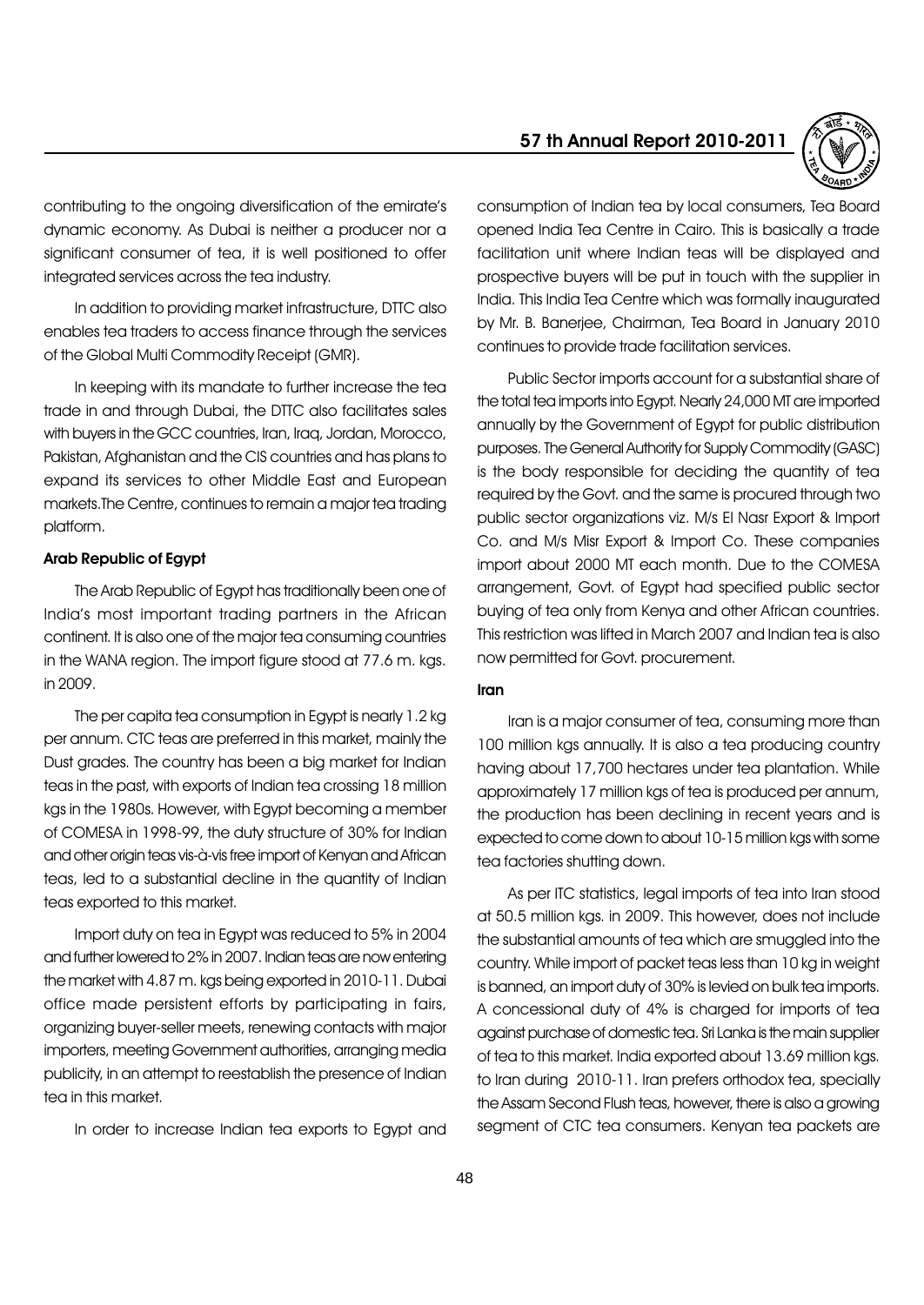

contributing to the ongoing diversification of the emirate's dynamic economy. As Dubai is neither a producer nor a significant consumer of tea, it is well positioned to offer integrated services across the tea industry.

In addition to providing market infrastructure, DTTC also enables tea traders to access finance through the services of the Global Multi Commodity Receipt (GMR).

In keeping with its mandate to further increase the tea trade in and through Dubai, the DTTC also facilitates sales with buyers in the GCC countries, Iran, Iraq, Jordan, Morocco, Pakistan, Afghanistan and the CIS countries and has plans to expand its services to other Middle East and European markets.The Centre, continues to remain a major tea trading platform.

#### Arab Republic of Egypt

The Arab Republic of Egypt has traditionally been one of Indiaís most important trading partners in the African continent. It is also one of the major tea consuming countries in the WANA region. The import figure stood at 77.6 m. kgs. in 2009.

The per capita tea consumption in Egypt is nearly 1.2 kg per annum. CTC teas are preferred in this market, mainly the Dust grades. The country has been a big market for Indian teas in the past, with exports of Indian tea crossing 18 million kgs in the 1980s. However, with Egypt becoming a member of COMESA in 1998-99, the duty structure of 30% for Indian and other origin teas vis-à-vis free import of Kenyan and African teas, led to a substantial decline in the quantity of Indian teas exported to this market.

Import duty on tea in Egypt was reduced to 5% in 2004 and further lowered to 2% in 2007. Indian teas are now entering the market with 4.87 m. kgs being exported in 2010-11. Dubai office made persistent efforts by participating in fairs, organizing buyer-seller meets, renewing contacts with major importers, meeting Government authorities, arranging media publicity, in an attempt to reestablish the presence of Indian tea in this market.

In order to increase Indian tea exports to Egypt and

consumption of Indian tea by local consumers, Tea Board opened India Tea Centre in Cairo. This is basically a trade facilitation unit where Indian teas will be displayed and prospective buyers will be put in touch with the supplier in India. This India Tea Centre which was formally inaugurated by Mr. B. Banerjee, Chairman, Tea Board in January 2010 continues to provide trade facilitation services.

Public Sector imports account for a substantial share of the total tea imports into Egypt. Nearly 24,000 MT are imported annually by the Government of Egypt for public distribution purposes. The General Authority for Supply Commodity (GASC) is the body responsible for deciding the quantity of tea required by the Govt. and the same is procured through two public sector organizations viz. M/s El Nasr Export & Import Co. and M/s Misr Export & Import Co. These companies import about 2000 MT each month. Due to the COMESA arrangement, Govt. of Egypt had specified public sector buying of tea only from Kenya and other African countries. This restriction was lifted in March 2007 and Indian tea is also now permitted for Govt. procurement.

#### Iran

Iran is a major consumer of tea, consuming more than 100 million kgs annually. It is also a tea producing country having about 17,700 hectares under tea plantation. While approximately 17 million kgs of tea is produced per annum, the production has been declining in recent years and is expected to come down to about 10-15 million kgs with some tea factories shutting down.

As per ITC statistics, legal imports of tea into Iran stood at 50.5 million kgs. in 2009. This however, does not include the substantial amounts of tea which are smuggled into the country. While import of packet teas less than 10 kg in weight is banned, an import duty of 30% is levied on bulk tea imports. A concessional duty of 4% is charged for imports of tea against purchase of domestic tea. Sri Lanka is themain supplier of tea to this market. India exported about 13.69 million kgs. to Iran during 2010-11. Iran prefers orthodox tea, specially the Assam Second Flush teas, however, there is also a growing segment of CTC tea consumers. Kenyan tea packets are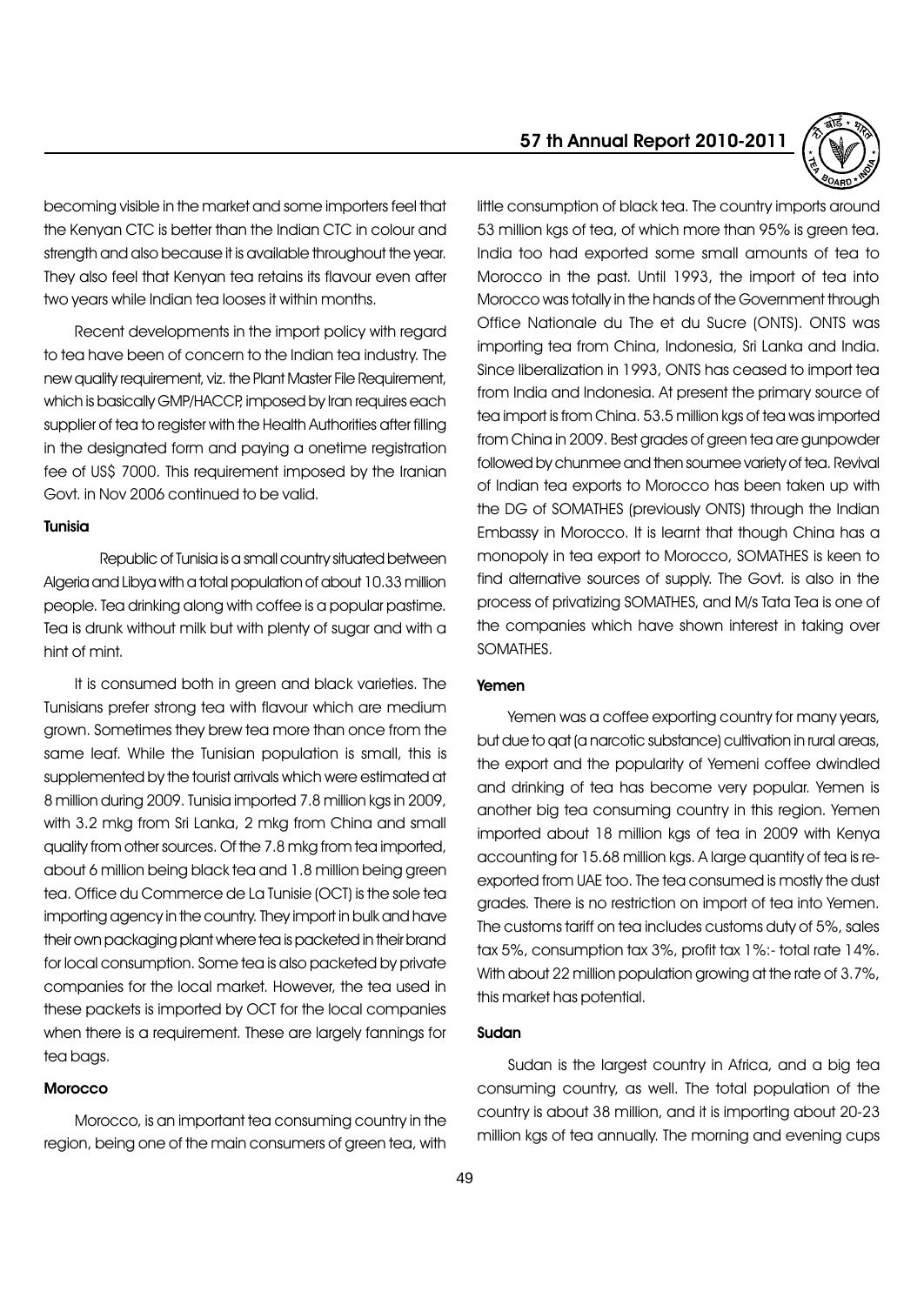becoming visible in the market and some importers feel that the Kenyan CTC is better than the Indian CTC in colour and strength and also because it is available throughout the year. They also feel that Kenyan tea retains its flavour even after two years while Indian tea looses it within months.

Recent developments in the import policy with regard to tea have been of concern to the Indian tea industry. The new quality requirement, viz. the Plant Master File Requirement, which is basically GMP/HACCP, imposed by Iran requires each supplier of tea to register with the Health Authorities after filling in the designated form and paying a onetime registration fee of US\$ 7000. This requirement imposed by the Iranian Govt. in Nov 2006 continued to be valid.

# Tunisia

Republic of Tunisia is a small country situated between Algeria and Libya with a total population of about 10.33 million people. Tea drinking along with coffee is a popular pastime. Tea is drunk without milk but with plenty of sugar and with a hint of mint.

It is consumed both in green and black varieties. The Tunisians prefer strong tea with flavour which are medium grown. Sometimes they brew tea more than once from the same leaf. While the Tunisian population is small, this is supplemented by the tourist arrivals which were estimated at 8 million during 2009. Tunisia imported 7.8 million kgs in 2009, with 3.2 mkg from Sri Lanka, 2 mkg from China and small quality from other sources. Of the 7.8 mkg from tea imported, about 6 million being black tea and 1.8 million being green tea. Office du Commerce de La Tunisie (OCT) is the sole tea importing agency in the country. They import in bulk and have their own packaging plant where tea is packeted in their brand for local consumption. Some tea is also packeted by private companies for the local market. However, the tea used in these packets is imported by OCT for the local companies when there is a requirement. These are largely fannings for tea bags.

### **Morocco**

Morocco, is an important tea consuming country in the region, being one of the main consumers of green tea, with 57 th Annual Report 2010-2011



little consumption of black tea. The country imports around 53 million kgs of tea, of which more than 95% is green tea. India too had exported some small amounts of tea to Morocco in the past. Until 1993, the import of tea into Morocco was totally in the hands of the Government through Office Nationale du The et du Sucre (ONTS). ONTS was importing tea from China, Indonesia, Sri Lanka and India. Since liberalization in 1993, ONTS has ceased to import tea from India and Indonesia. At present the primary source of tea import is from China. 53.5 million kgs of tea was imported from China in 2009. Best grades of green tea are gunpowder followed by chunmee and then soumee variety of tea. Revival of Indian tea exports to Morocco has been taken up with the DG of SOMATHES (previously ONTS) through the Indian Embassy in Morocco. It is learnt that though China has a monopoly in tea export to Morocco, SOMATHES is keen to find alternative sources of supply. The Govt. is also in the process of privatizing SOMATHES, and M/s Tata Tea is one of the companies which have shown interest in taking over SOMATHES.

# Yemen

Yemen was a coffee exporting country for many years, but due to qat (a narcotic substance) cultivation in rural areas, the export and the popularity of Yemeni coffee dwindled and drinking of tea has become very popular. Yemen is another big tea consuming country in this region. Yemen imported about 18 million kgs of tea in 2009 with Kenya accounting for 15.68 million kgs. A large quantity of tea is reexported from UAE too. The tea consumed is mostly the dust grades. There is no restriction on import of tea into Yemen. The customs tariff on tea includes customs duty of 5%, sales tax 5%, consumption tax 3%, profit tax 1%:- total rate 14%. With about 22 million population growing at the rate of 3.7%, this market has potential.

### Sudan

Sudan is the largest country in Africa, and a big tea consuming country, as well. The total population of the country is about 38 million, and it is importing about 20-23 million kgs of tea annually. The morning and evening cups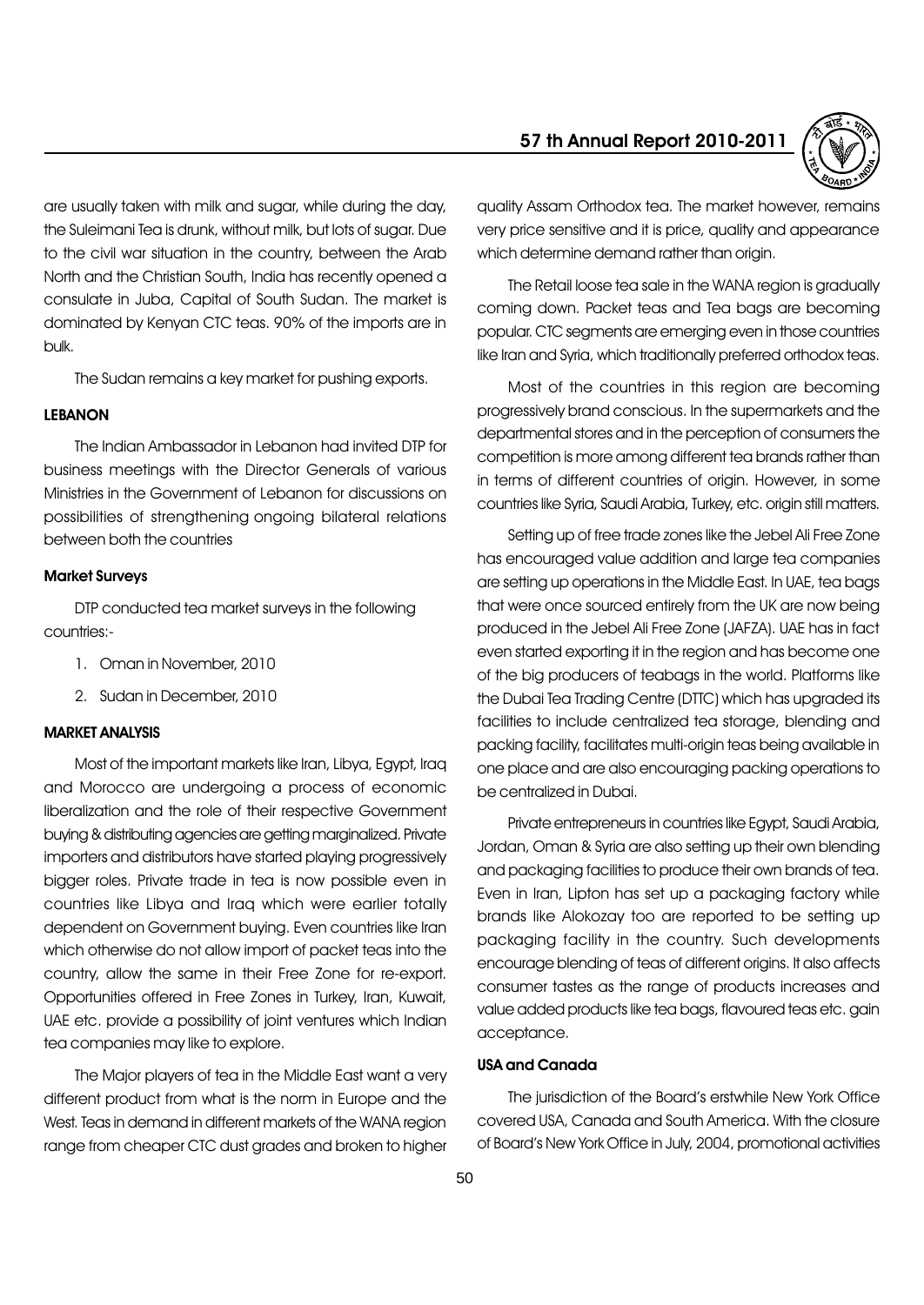

are usually taken with milk and sugar, while during the day, the Suleimani Tea is drunk, without milk, but lots of sugar. Due to the civil war situation in the country, between the Arab North and the Christian South, India has recently opened a consulate in Juba, Capital of South Sudan. The market is dominated by Kenyan CTC teas. 90% of the imports are in bulk.

The Sudan remains a key market for pushing exports.

# LEBANON

The Indian Ambassador in Lebanon had invited DTP for business meetings with the Director Generals of various Ministries in the Government of Lebanon for discussions on possibilities of strengthening ongoing bilateral relations between both the countries

#### Market Surveys

DTP conducted tea market surveys in the following countries:-

- 1. Oman in November, 2010
- 2. Sudan in December, 2010

# MARKET ANALYSIS

Most of the important markets like Iran, Libya, Egypt, Iraq and Morocco are undergoing a process of economic liberalization and the role of their respective Government buying & distributing agencies are getting marginalized. Private importers and distributors have started playing progressively bigger roles. Private trade in tea is now possible even in countries like Libya and Iraq which were earlier totally dependent on Government buying. Even countries like Iran which otherwise do not allow import of packet teas into the country, allow the same in their Free Zone for re-export. Opportunities offered in Free Zones in Turkey, Iran, Kuwait, UAE etc. provide a possibility of joint ventures which Indian tea companies may like to explore.

The Major players of tea in the Middle East want a very different product from what is the norm in Europe and the West. Teas in demand in different markets of the WANA region range from cheaper CTC dust grades and broken to higher

quality Assam Orthodox tea. The market however, remains very price sensitive and it is price, quality and appearance which determine demand rather than origin.

The Retail loose tea sale in the WANA region is gradually coming down. Packet teas and Tea bags are becoming popular. CTC segments are emerging even in those countries like Iran and Syria, which traditionally preferred orthodox teas.

Most of the countries in this region are becoming progressively brand conscious. In the supermarkets and the departmental stores and in the perception of consumers the competition is more among different tea brands rather than in terms of different countries of origin. However, in some countries like Syria, Saudi Arabia, Turkey, etc. origin still matters.

Setting up of free trade zones like the Jebel Ali Free Zone has encouraged value addition and large tea companies are setting up operations in the Middle East. In UAE, tea bags that were once sourced entirely from the UK are now being produced in the Jebel Ali Free Zone (JAFZA). UAE has in fact even started exporting it in the region and has become one of the big producers of teabags in the world. Platforms like the Dubai Tea Trading Centre (DTTC) which has upgraded its facilities to include centralized tea storage, blending and packing facility, facilitates multi-origin teas being available in one place and are also encouraging packing operations to be centralized in Dubai.

Private entrepreneurs in countries like Egypt, Saudi Arabia, Jordan, Oman & Syria are also setting up their own blending and packaging facilities to produce their own brands of tea. Even in Iran, Lipton has set up a packaging factory while brands like Alokozay too are reported to be setting up packaging facility in the country. Such developments encourage blending of teas of different origins. It also affects consumer tastes as the range of products increases and value added products like tea bags, flavoured teas etc. gain acceptance.

# USA and Canada

The jurisdiction of the Board's erstwhile New York Office covered USA, Canada and South America. With the closure of Boardís New York Office in July, 2004, promotional activities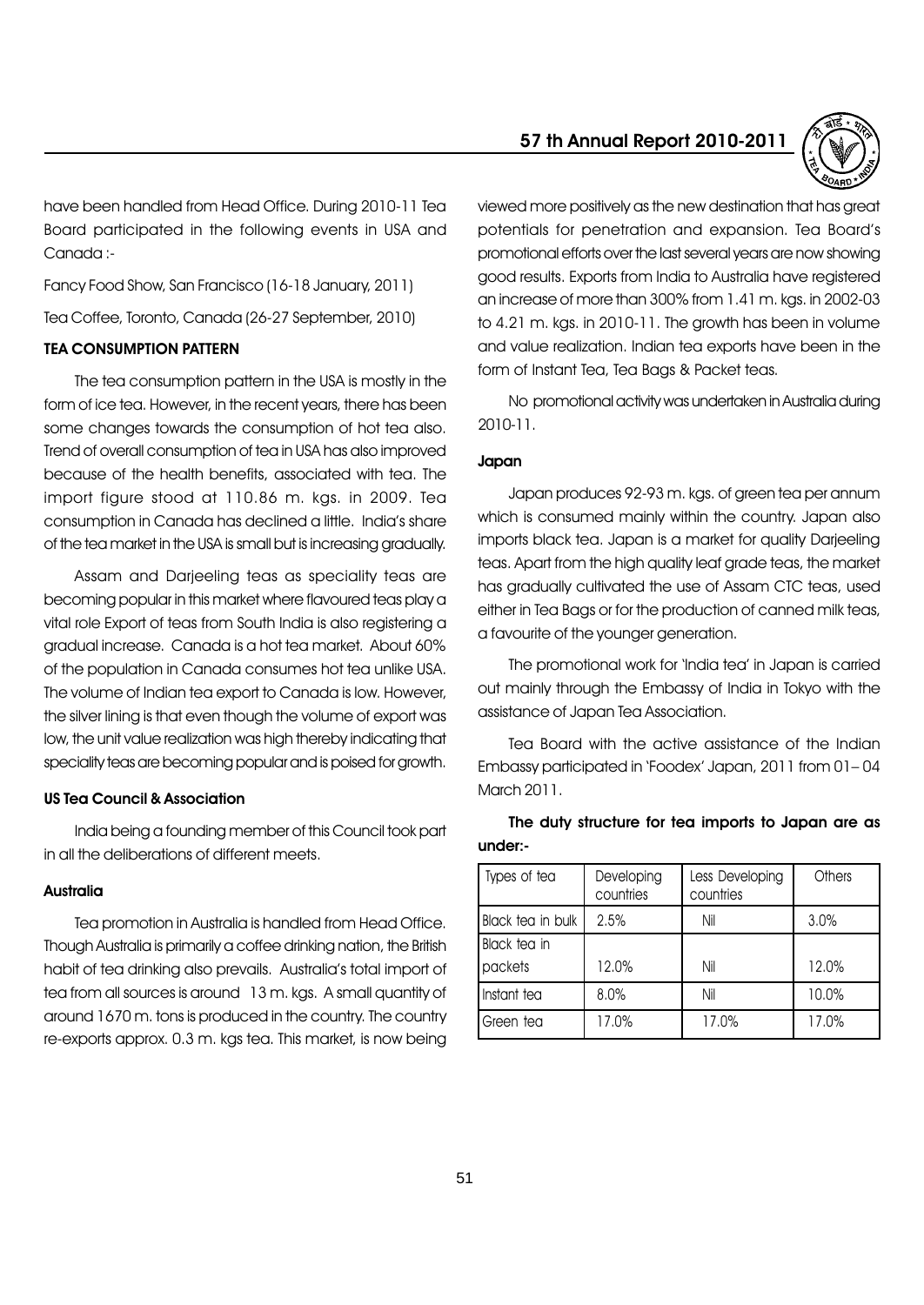have been handled from Head Office. During 2010-11 Tea Board participated in the following events in USA and Canada :-

Fancy Food Show, San Francisco (16-18 January, 2011)

Tea Coffee, Toronto, Canada (26-27 September, 2010)

# TEA CONSUMPTION PATTERN

The tea consumption pattern in the USA is mostly in the form of ice tea. However, in the recent years, there has been some changes towards the consumption of hot tea also. Trend of overall consumption of tea in USA has also improved because of the health benefits, associated with tea. The import figure stood at 110.86 m. kgs. in 2009. Tea consumption in Canada has declined a little. Indiaís share of the tea market in the USA is small but is increasing gradually.

Assam and Darjeeling teas as speciality teas are becoming popular in this market where flavoured teas play a vital role Export of teas from South India is also registering a gradual increase. Canada is a hot tea market. About 60% of the population in Canada consumes hot tea unlike USA. The volume of Indian tea export to Canada is low. However, the silver lining is that even though the volume of export was low, the unit value realization was high thereby indicating that speciality teas are becoming popular and is poised for growth.

#### US Tea Council & Association

India being a founding member of this Council took part in all the deliberations of different meets.

#### **Australia**

Tea promotion in Australia is handled from Head Office. Though Australia is primarily a coffee drinking nation, the British habit of tea drinking also prevails. Australia's total import of tea from all sources is around 13 m. kgs. A small quantity of around 1670 m. tons is produced in the country. The country re-exports approx. 0.3 m. kgs tea. This market, is now being



viewed more positively as the new destination that has great potentials for penetration and expansion. Tea Boardís promotional efforts over the last several years are now showing good results. Exports from India to Australia have registered an increase of more than 300% from 1.41 m. kgs. in 2002-03 to 4.21 m. kgs. in 2010-11. The growth has been in volume and value realization. Indian tea exports have been in the form of Instant Tea, Tea Bags & Packet teas.

No promotional activity was undertaken in Australia during 2010-11.

# Japan

Japan produces 92-93 m. kgs. of green tea per annum which is consumed mainly within the country. Japan also imports black tea. Japan is a market for quality Darjeeling teas. Apart from the high quality leaf grade teas, the market has gradually cultivated the use of Assam CTC teas, used either in Tea Bags or for the production of canned milk teas, a favourite of the younger generation.

The promotional work for 'India tea' in Japan is carried out mainly through the Embassy of India in Tokyo with the assistance of Japan Tea Association.

Tea Board with the active assistance of the Indian Embassy participated in 'Foodex' Japan, 2011 from 01-04 March 2011.

| Types of tea      | Developing<br>countries | Less Developing<br>countries | Others |  |  |  |
|-------------------|-------------------------|------------------------------|--------|--|--|--|
| Black tea in bulk | 2.5%                    | Nil                          | 3.0%   |  |  |  |
| Black tea in      |                         |                              |        |  |  |  |
| packets           | 12.0%                   | Nil                          | 12.0%  |  |  |  |
| Instant tea       | 8.0%                    | Nil                          | 10.0%  |  |  |  |
| Green tea         | 17.0%                   | 17.0%                        | 17.0%  |  |  |  |

The duty structure for tea imports to Japan are as under:-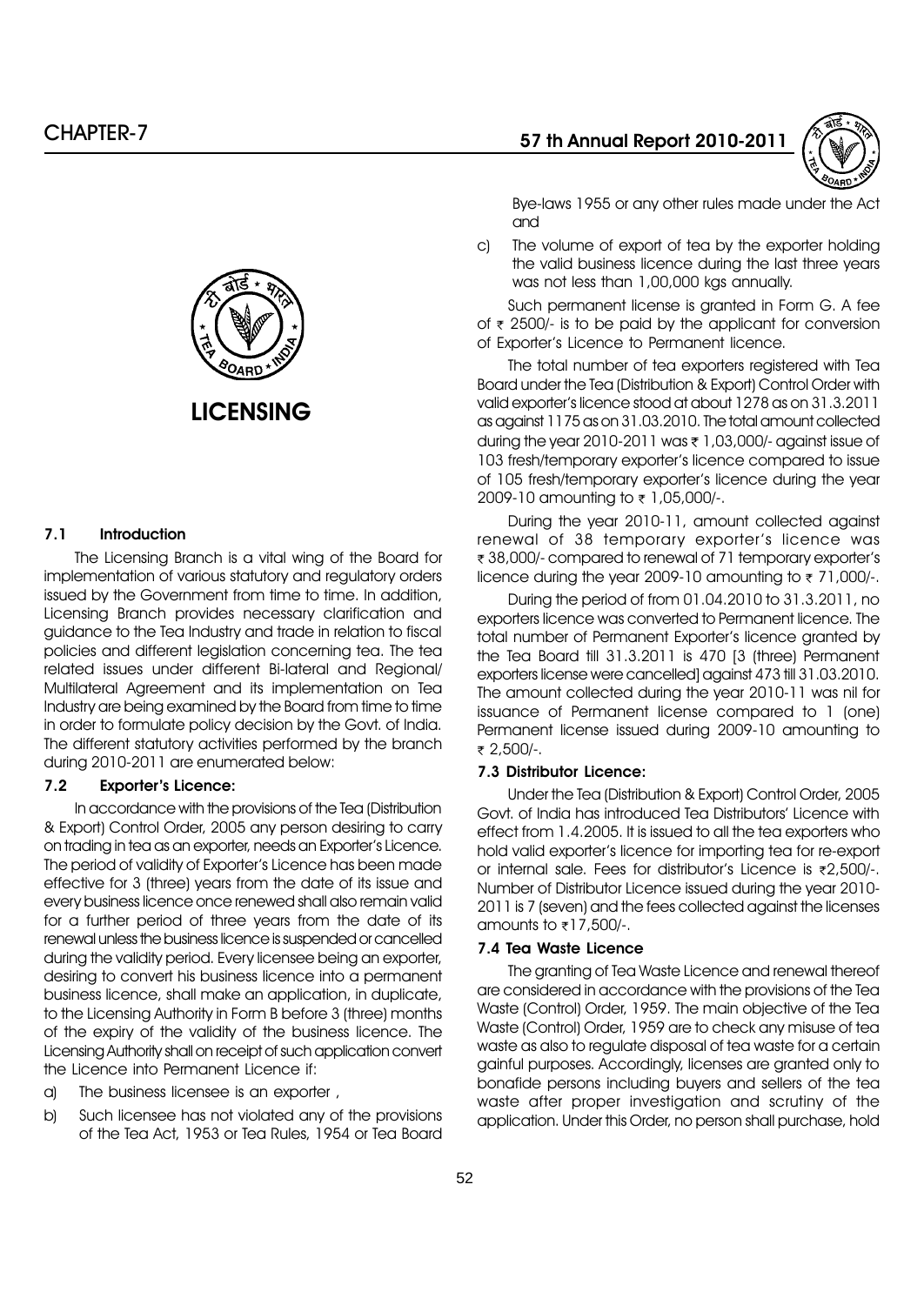

c) The volume of export of tea by the exporter holding the valid business licence during the last three years was not less than 1,00,000 kgs annually.

and

Such permanent license is granted in Form G. A fee of  $\bar{x}$  2500/- is to be paid by the applicant for conversion of Exporterís Licence to Permanent licence.

Bye-laws 1955 or any other rules made under the Act

The total number of tea exporters registered with Tea Board under the Tea (Distribution & Export) Control Order with valid exporterís licence stood at about 1278 as on 31.3.2011 as against 1175 as on 31.03.2010. The total amount collected during the year 2010-2011 was  $\bar{\tau}$  1,03,000/- against issue of 103 fresh/temporary exporterís licence compared to issue of 105 fresh/temporary exporterís licence during the year 2009-10 amounting to  $\bar{\tau}$  1,05,000/-.

During the year 2010-11, amount collected against renewal of 38 temporary exporterís licence was ₹ 38,000/- compared to renewal of 71 temporary exporter's licence during the year 2009-10 amounting to  $\overline{\tau}$  71,000/-.

During the period of from 01.04.2010 to 31.3.2011, no exporters licence was converted to Permanent licence. The total number of Permanent Exporterís licence granted by the Tea Board till 31.3.2011 is 470 [3 (three) Permanent exporters license were cancelled] against 473 till 31.03.2010. The amount collected during the year 2010-11 was nil for issuance of Permanent license compared to 1 (one) Permanent license issued during 2009-10 amounting to r 2,500/-.

#### 7.3 Distributor Licence:

Under the Tea (Distribution & Export) Control Order, 2005 Govt. of India has introduced Tea Distributorsí Licence with effect from 1.4.2005. It is issued to all the tea exporters who hold valid exporterís licence for importing tea for re-export or internal sale. Fees for distributor's Licence is  $z$ 2,500/-. Number of Distributor Licence issued during the year 2010- 2011 is 7 (seven) and the fees collected against the licenses amounts to  $\overline{\tau}$ 17,500/-.

# 7.4 Tea Waste Licence

The granting of Tea Waste Licence and renewal thereof are considered in accordance with the provisions of the Tea Waste (Control) Order, 1959. The main objective of the Tea Waste (Control) Order, 1959 are to check any misuse of tea waste as also to regulate disposal of tea waste for a certain gainful purposes. Accordingly, licenses are granted only to bonafide persons including buyers and sellers of the tea waste after proper investigation and scrutiny of the application. Under this Order, no person shall purchase, hold



# 7.1 Introduction

The Licensing Branch is a vital wing of the Board for implementation of various statutory and regulatory orders issued by the Government from time to time. In addition, Licensing Branch provides necessary clarification and guidance to the Tea Industry and trade in relation to fiscal policies and different legislation concerning tea. The tea related issues under different Bi-lateral and Regional/ Multilateral Agreement and its implementation on Tea Industry are being examined by the Board from time to time in order to formulate policy decision by the Govt. of India. The different statutory activities performed by the branch during 2010-2011 are enumerated below:

# 7.2 Exporter's Licence:

In accordance with the provisions of the Tea (Distribution & Export) Control Order, 2005 any person desiring to carry on trading in tea as an exporter, needs an Exporterís Licence. The period of validity of Exporter's Licence has been made effective for 3 (three) years from the date of its issue and every business licence once renewed shall also remain valid for a further period of three years from the date of its renewal unless the business licence is suspended or cancelled during the validity period. Every licensee being an exporter, desiring to convert his business licence into a permanent business licence, shall make an application, in duplicate, to the Licensing Authority in Form B before 3 (three) months of the expiry of the validity of the business licence. The Licensing Authority shall on receipt of such application convert the Licence into Permanent Licence if:

- a) The business licensee is an exporter ,
- b) Such licensee has not violated any of the provisions of the Tea Act, 1953 or Tea Rules, 1954 or Tea Board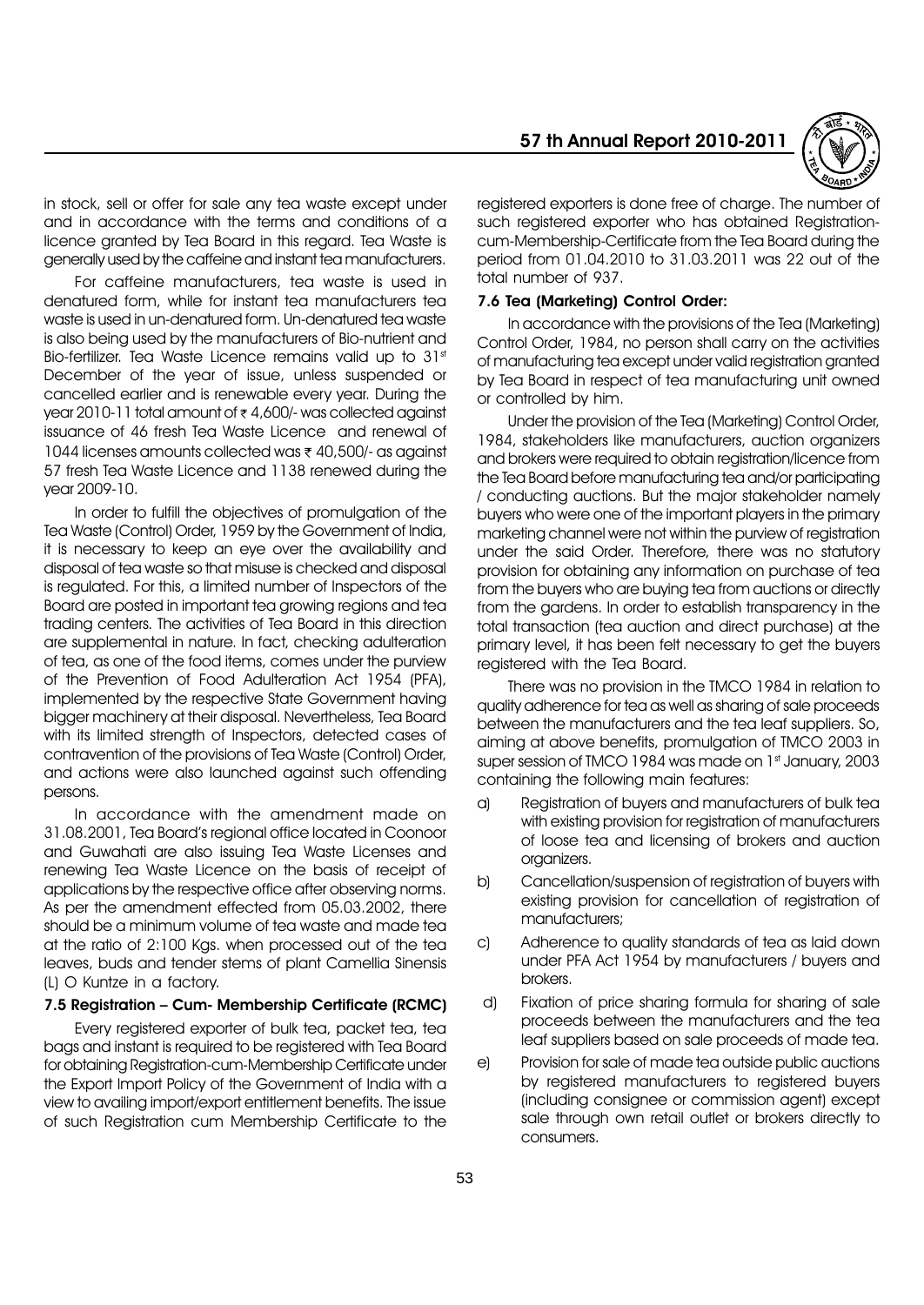

in stock, sell or offer for sale any tea waste except under and in accordance with the terms and conditions of a licence granted by Tea Board in this regard. Tea Waste is generally used by the caffeine and instant tea manufacturers.

For caffeine manufacturers, tea waste is used in denatured form, while for instant tea manufacturers tea waste is used in un-denatured form. Un-denatured tea waste is also being used by the manufacturers of Bio-nutrient and Bio-fertilizer. Tea Waste Licence remains valid up to 31st December of the year of issue, unless suspended or cancelled earlier and is renewable every year. During the vear 2010-11 total amount of  $\bar{\tau}$  4,600/- was collected against issuance of 46 fresh Tea Waste Licence and renewal of 1044 licenses amounts collected was  $\bar{\tau}$  40,500/- as against 57 fresh Tea Waste Licence and 1138 renewed during the year 2009-10.

In order to fulfill the objectives of promulgation of the Tea Waste (Control) Order, 1959 by the Government of India, it is necessary to keep an eye over the availability and disposal of tea waste so that misuse is checked and disposal is regulated. For this, a limited number of Inspectors of the Board are posted in important tea growing regions and tea trading centers. The activities of Tea Board in this direction are supplemental in nature. In fact, checking adulteration of tea, as one of the food items, comes under the purview of the Prevention of Food Adulteration Act 1954 (PFA), implemented by the respective State Government having bigger machinery at their disposal. Nevertheless, Tea Board with its limited strength of Inspectors, detected cases of contravention of the provisions of Tea Waste (Control) Order, and actions were also launched against such offending persons.

In accordance with the amendment made on 31.08.2001, Tea Boardís regional office located in Coonoor and Guwahati are also issuing Tea Waste Licenses and renewing Tea Waste Licence on the basis of receipt of applications by the respective office after observing norms. As per the amendment effected from 05.03.2002, there should be a minimum volume of tea waste and made tea at the ratio of 2:100 Kgs. when processed out of the tea leaves, buds and tender stems of plant Camellia Sinensis (L) O Kuntze in a factory.

#### 7.5 Registration - Cum- Membership Certificate (RCMC)

Every registered exporter of bulk tea, packet tea, tea bags and instant is required to be registered with Tea Board for obtaining Registration-cum-Membership Certificate under the Export Import Policy of the Government of India with a view to availing import/export entitlement benefits. The issue of such Registration cum Membership Certificate to the

registered exporters is done free of charge. The number of such registered exporter who has obtained Registrationcum-Membership-Certificate from the Tea Board during the period from 01.04.2010 to 31.03.2011 was 22 out of the total number of 937.

#### 7.6 Tea (Marketing) Control Order:

In accordance with the provisions of the Tea (Marketing) Control Order, 1984, no person shall carry on the activities of manufacturing tea except under valid registration granted by Tea Board in respect of tea manufacturing unit owned or controlled by him.

Under the provision of the Tea (Marketing) Control Order, 1984, stakeholders like manufacturers, auction organizers and brokers were required to obtain registration/licence from the Tea Board before manufacturing tea and/or participating / conducting auctions. But the major stakeholder namely buyers who were one of the important players in the primary marketing channel were not within the purview of registration under the said Order. Therefore, there was no statutory provision for obtaining any information on purchase of tea from the buyers who are buying tea from auctions or directly from the gardens. In order to establish transparency in the total transaction (tea auction and direct purchase) at the primary level, it has been felt necessary to get the buyers registered with the Tea Board.

There was no provision in the TMCO 1984 in relation to quality adherence for tea as well as sharing of sale proceeds between the manufacturers and the tea leaf suppliers. So, aiming at above benefits, promulgation of TMCO 2003 in super session of TMCO 1984 was made on 1st January, 2003 containing the following main features:

- a) Registration of buyers and manufacturers of bulk tea with existing provision for registration of manufacturers of loose tea and licensing of brokers and auction organizers.
- b) Cancellation/suspension of registration of buyers with existing provision for cancellation of registration of manufacturers;
- c) Adherence to quality standards of tea as laid down under PFA Act 1954 by manufacturers / buyers and brokers.
- d) Fixation of price sharing formula for sharing of sale proceeds between the manufacturers and the tea leaf suppliers based on sale proceeds of made tea.
- e) Provision for sale of made tea outside public auctions by registered manufacturers to registered buyers (including consignee or commission agent) except sale through own retail outlet or brokers directly to consumers.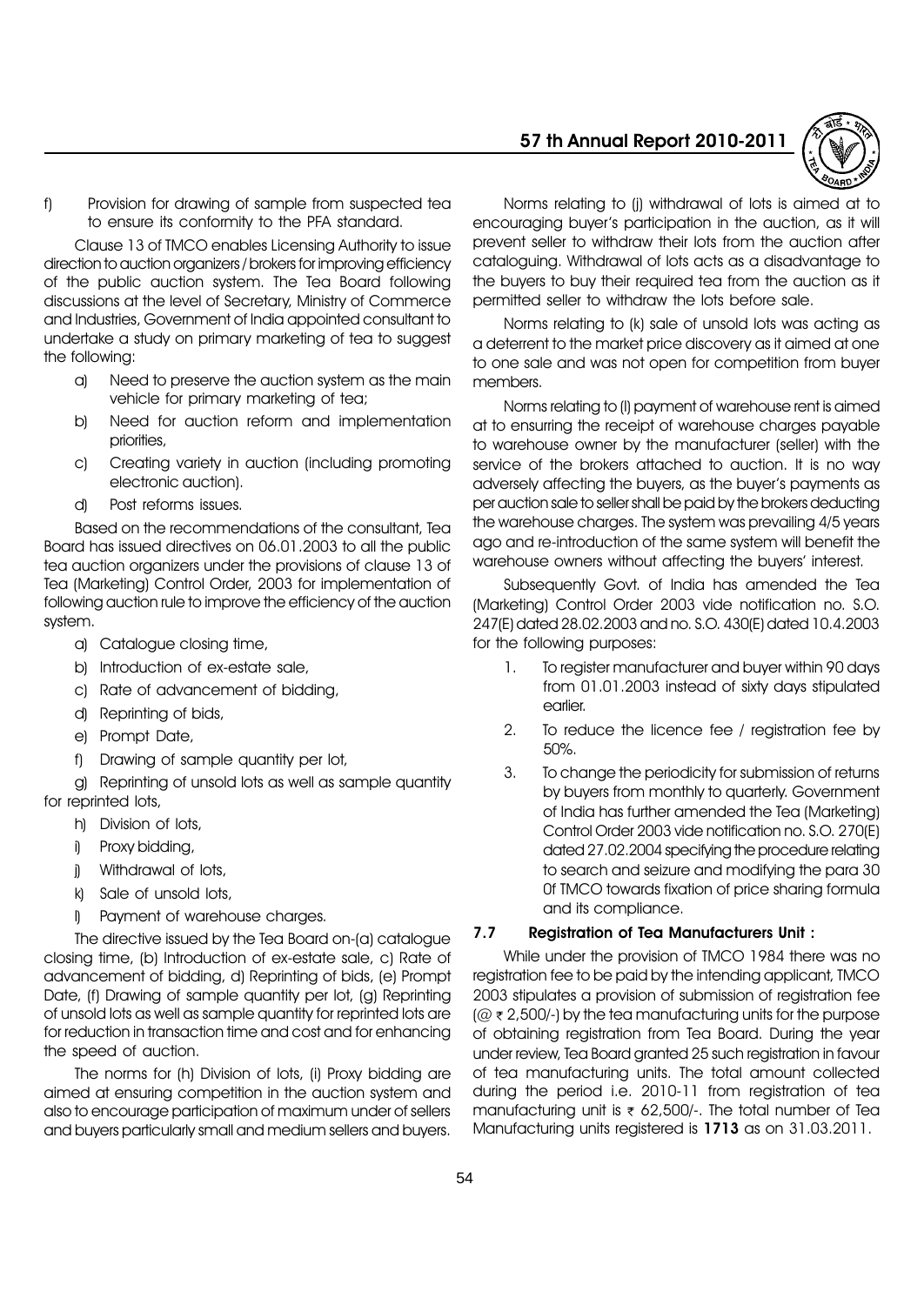

f) Provision for drawing of sample from suspected tea to ensure its conformity to the PFA standard.

Clause 13 of TMCO enables Licensing Authority to issue direction to auction organizers / brokers for improving efficiency of the public auction system. The Tea Board following discussions at the level of Secretary, Ministry of Commerce and Industries, Government of India appointed consultant to undertake a study on primary marketing of tea to suggest the following:

- a) Need to preserve the auction system as the main vehicle for primary marketing of tea;
- b) Need for auction reform and implementation priorities,
- c) Creating variety in auction (including promoting electronic auction).
- d) Post reforms issues.

Based on the recommendations of the consultant, Tea Board has issued directives on 06.01.2003 to all the public tea auction organizers under the provisions of clause 13 of Tea (Marketing) Control Order, 2003 for implementation of following auction rule to improve the efficiency of the auction system.

- a) Catalogue closing time,
- b) Introduction of ex-estate sale,
- c) Rate of advancement of bidding,
- d) Reprinting of bids,
- e) Prompt Date,
- f) Drawing of sample quantity per lot,

g) Reprinting of unsold lots as well as sample quantity for reprinted lots,

- h) Division of lots,
- i) Proxy bidding,
- i) Withdrawal of lots,
- k) Sale of unsold lots,
- l) Payment of warehouse charges.

The directive issued by the Tea Board on-(a) catalogue closing time, (b) Introduction of ex-estate sale, c) Rate of advancement of bidding, d) Reprinting of bids, (e) Prompt Date, (f) Drawing of sample quantity per lot, (g) Reprinting of unsold lots as well as sample quantity for reprinted lots are for reduction in transaction time and cost and for enhancing the speed of auction.

The norms for (h) Division of lots, (i) Proxy bidding are aimed at ensuring competition in the auction system and also to encourage participation of maximum under of sellers and buyers particularly small and medium sellers and buyers.

Norms relating to (j) withdrawal of lots is aimed at to encouraging buyerís participation in the auction, as it will prevent seller to withdraw their lots from the auction after cataloguing. Withdrawal of lots acts as a disadvantage to the buyers to buy their required tea from the auction as it permitted seller to withdraw the lots before sale.

Norms relating to (k) sale of unsold lots was acting as a deterrent to the market price discovery as it aimed at one to one sale and was not open for competition from buyer members.

Norms relating to (l) payment of warehouse rent is aimed at to ensurring the receipt of warehouse charges payable to warehouse owner by the manufacturer (seller) with the service of the brokers attached to auction. It is no way adversely affecting the buyers, as the buyerís payments as per auction sale to seller shall be paid by the brokers deducting the warehouse charges. The system was prevailing 4/5 years ago and re-introduction of the same system will benefit the warehouse owners without affecting the buyers' interest.

Subsequently Govt. of India has amended the Tea (Marketing) Control Order 2003 vide notification no. S.O. 247(E) dated 28.02.2003 and no. S.O. 430(E) dated 10.4.2003 for the following purposes:

- 1. To register manufacturer and buyer within 90 days from 01.01.2003 instead of sixty days stipulated earlier.
- 2. To reduce the licence fee / registration fee by 50%.
- 3. To change the periodicity for submission of returns by buyers from monthly to quarterly. Government of India has further amended the Tea (Marketing) Control Order 2003 vide notification no. S.O. 270(E) dated 27.02.2004 specifying the procedure relating to search and seizure and modifying the para 30 0f TMCO towards fixation of price sharing formula and its compliance.

# 7.7 Registration of Tea Manufacturers Unit :

While under the provision of TMCO 1984 there was no registration fee to be paid by the intending applicant, TMCO 2003 stipulates a provision of submission of registration fee  $(Q \in 2,500)$ -) by the tea manufacturing units for the purpose of obtaining registration from Tea Board. During the year under review, Tea Board granted 25 such registration in favour of tea manufacturing units. The total amount collected during the period i.e. 2010-11 from registration of tea manufacturing unit is  $\overline{\epsilon}$  62,500/-. The total number of Tea Manufacturing units registered is 1713 as on 31.03.2011.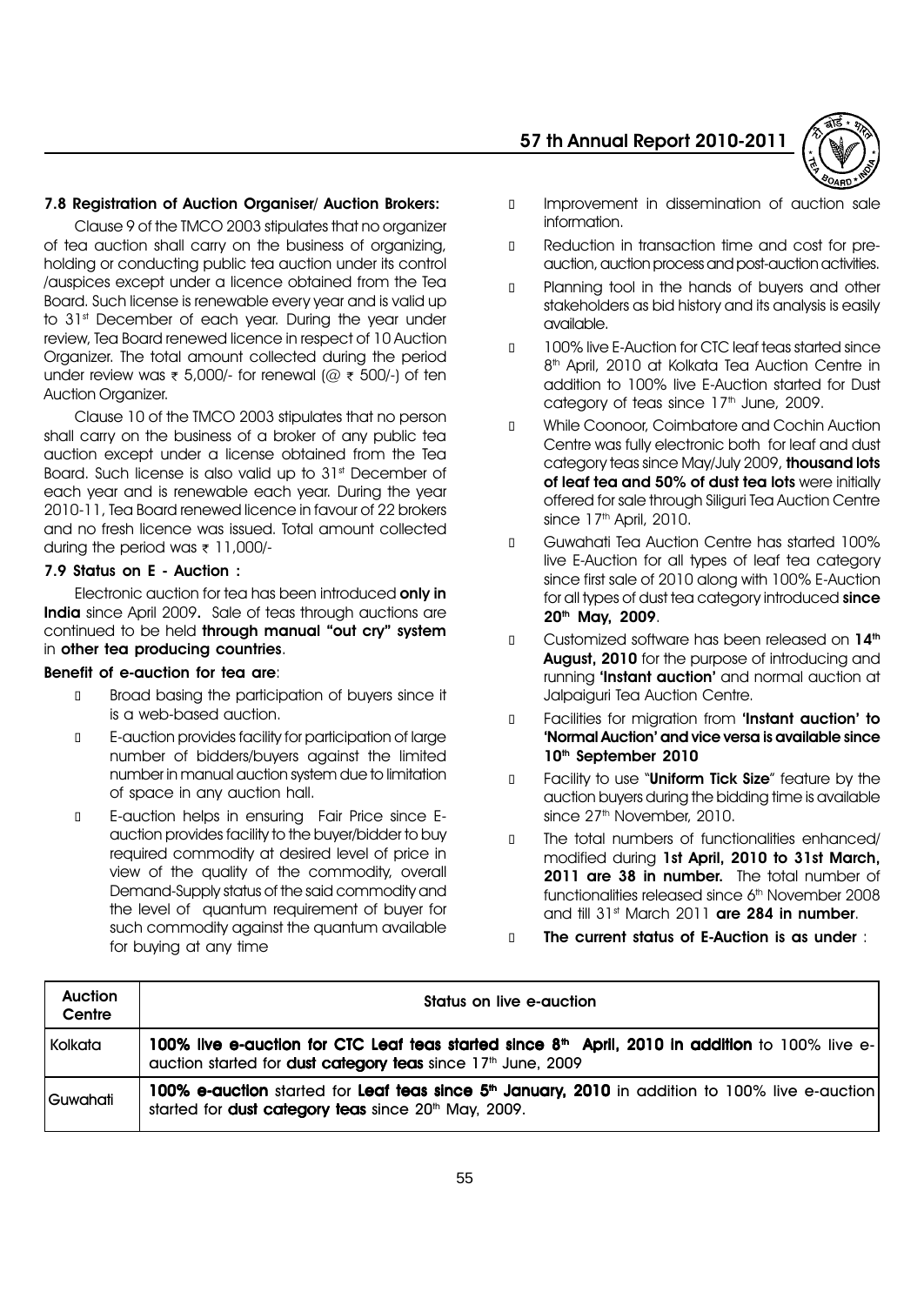#### 7.8 Registration of Auction Organiser/ Auction Brokers:

Clause 9 of the TMCO 2003 stipulates that no organizer of tea auction shall carry on the business of organizing, holding or conducting public tea auction under its control /auspices except under a licence obtained from the Tea Board. Such license is renewable every year and is valid up to 31<sup>st</sup> December of each year. During the year under review, Tea Board renewed licence in respect of 10 Auction Organizer. The total amount collected during the period under review was  $\bar{\tau}$  5,000/- for renewal (@  $\bar{\tau}$  500/-) of ten Auction Organizer.

Clause 10 of the TMCO 2003 stipulates that no person shall carry on the business of a broker of any public tea auction except under a license obtained from the Tea Board. Such license is also valid up to 31<sup>st</sup> December of each year and is renewable each year. During the year 2010-11, Tea Board renewed licence in favour of 22 brokers and no fresh licence was issued. Total amount collected during the period was  $\bar{\tau}$  11,000/-

#### 7.9 Status on E - Auction :

Electronic auction for tea has been introduced only in India since April 2009. Sale of teas through auctions are continued to be held through manual "out cry" system in other tea producing countries.

#### Benefit of e-auction for tea are:

 Broad basing the participation of buyers since it is a web-based auction.

 E-auction provides facility for participation of large number of bidders/buyers against the limited number in manual auction system due to limitation of space in any auction hall.

 E-auction helps in ensuring Fair Price since Eauction provides facility to the buyer/bidder to buy required commodity at desired level of price in view of the quality of the commodity, overall Demand-Supply status of the said commodity and the level of quantum requirement of buyer for such commodity against the quantum available for buying at any time

# 57 th Annual Report 2010-2011



 Improvement in dissemination of auction sale information.

 Reduction in transaction time and cost for preauction, auction process and post-auction activities.

 Planning tool in the hands of buyers and other stakeholders as bid history and its analysis is easily available.

 100% live E-Auction for CTC leaf teas started since 8<sup>th</sup> April, 2010 at Kolkata Tea Auction Centre in addition to 100% live E-Auction started for Dust category of teas since 17<sup>th</sup> June, 2009.

 While Coonoor, Coimbatore and Cochin Auction Centre was fully electronic both for leaf and dust category teas since May/July 2009, thousand lots of leaf tea and 50% of dust tea lots were initially offered for sale through Siliguri Tea Auction Centre since  $17<sup>th</sup>$  April, 2010.

 Guwahati Tea Auction Centre has started 100% live E-Auction for all types of leaf tea category since first sale of 2010 along with 100% E-Auction for all types of dust tea category introduced since 20th May, 2009.

Customized software has been released on 14<sup>th</sup> August, 2010 for the purpose of introducing and running 'Instant auction' and normal auction at Jalpaiguri Tea Auction Centre.

Facilities for migration from 'Instant auction' to 'Normal Auction' and vice versa is available since 10<sup>th</sup> September 2010

Facility to use "Uniform Tick Size" feature by the auction buyers during the bidding time is available since 27<sup>th</sup> November, 2010.

 The total numbers of functionalities enhanced/ modified during 1st April, 2010 to 31st March, 2011 are 38 in number. The total number of functionalities released since 6<sup>th</sup> November 2008 and till 31<sup>st</sup> March 2011 **are 284 in number**.

The current status of E-Auction is as under :

| <b>Auction</b><br>Centre | Status on live e-auction                                                                                                                                                                       |
|--------------------------|------------------------------------------------------------------------------------------------------------------------------------------------------------------------------------------------|
| Kolkata                  | 100% live e-auction for CTC Leaf teas started since 8 <sup>th</sup> April, 2010 in addition to 100% live e-<br>auction started for <b>dust category teas</b> since 17 <sup>th</sup> June, 2009 |
| l Guwahati               | 100% e-auction started for Leaf teas since 5 <sup>th</sup> January, 2010 in addition to 100% live e-auction<br>started for <b>dust category teas</b> since 20 <sup>th</sup> May, 2009.         |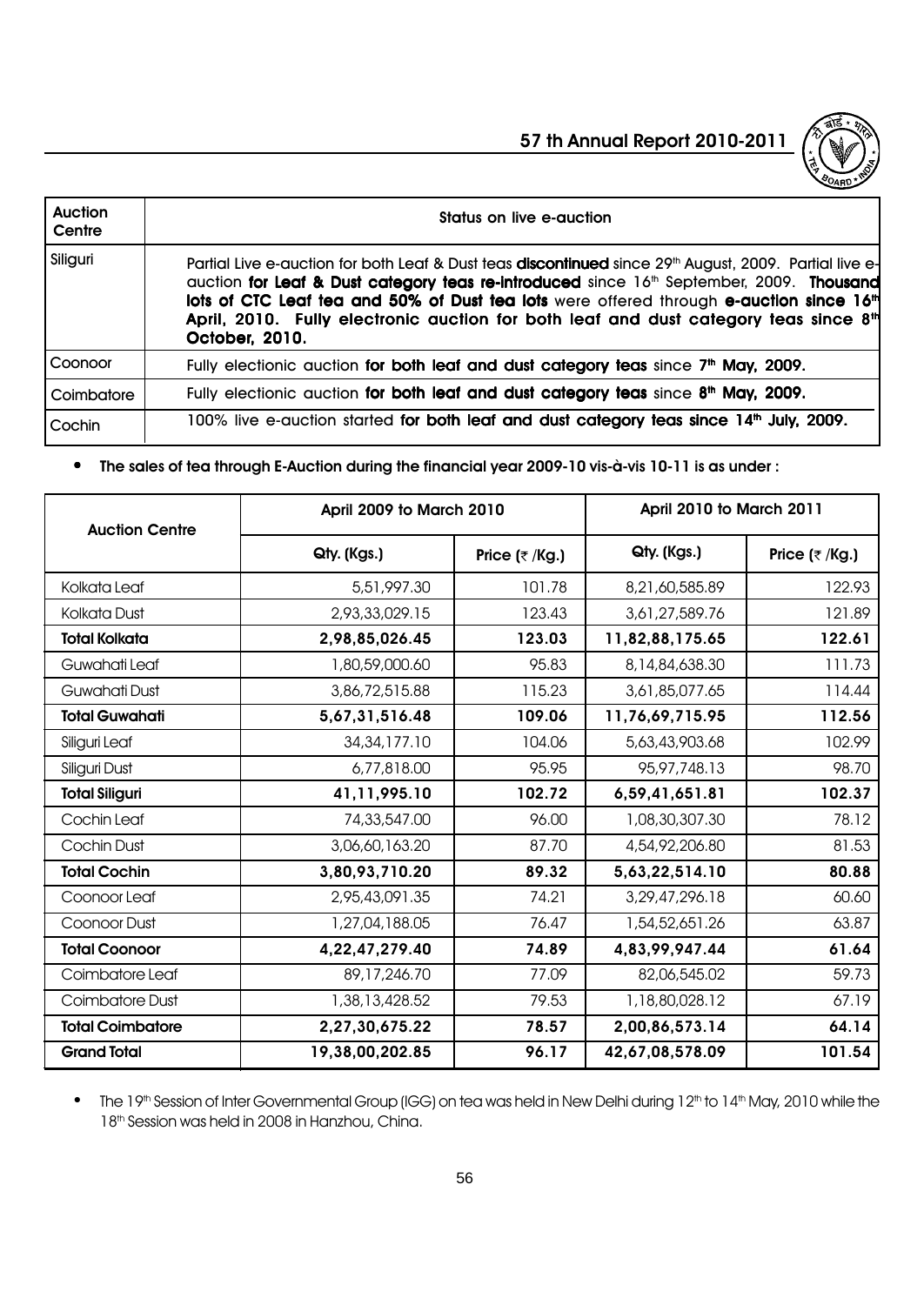

| <b>Auction</b><br>Centre | Status on live e-auction                                                                                                                                                                                                                                                                                                                                                                                                                           |
|--------------------------|----------------------------------------------------------------------------------------------------------------------------------------------------------------------------------------------------------------------------------------------------------------------------------------------------------------------------------------------------------------------------------------------------------------------------------------------------|
| Siliguri                 | Partial Live e-auction for both Leaf & Dust teas <b>discontinued</b> since 29th August, 2009. Partial live e-<br>quetion for Leaf & Dust category teas re-introduced since 16 <sup>th</sup> September, 2009. Thousand<br>lots of CTC Leaf tea and 50% of Dust tea lots were offered through e-auction since 16 <sup>th</sup><br>April, 2010. Fully electronic auction for both leaf and dust category teas since 8 <sup>th</sup><br>October, 2010. |
| Coonoor                  | Fully electionic auction for both leaf and dust category teas since 7 <sup>th</sup> May, 2009.                                                                                                                                                                                                                                                                                                                                                     |
| Coimbatore               | Fully electionic auction for both leaf and dust category teas since $8th$ May, 2009.                                                                                                                                                                                                                                                                                                                                                               |
| Cochin                   | 100% live e-auction started for both leaf and dust category teas since 14 <sup>th</sup> July, 2009.                                                                                                                                                                                                                                                                                                                                                |

# • The sales of tea through E-Auction during the financial year 2009-10 vis-à-vis 10-11 is as under :

| <b>Auction Centre</b>   | April 2009 to March 2010 |                   | April 2010 to March 2011 |                   |  |
|-------------------------|--------------------------|-------------------|--------------------------|-------------------|--|
|                         | Qty. (Kgs.)              | Price $($ ₹ /Kg.) | Qty. (Kgs.)              | Price $($ ₹ /Kg.) |  |
| Kolkata Leaf            | 5,51,997.30              | 101.78            | 8,21,60,585.89           | 122.93            |  |
| Kolkata Dust            | 2,93,33,029.15           | 123.43            | 3,61,27,589.76           | 121.89            |  |
| <b>Total Kolkata</b>    | 2,98,85,026.45           | 123.03            | 11,82,88,175.65          | 122.61            |  |
| Guwahati Leaf           | 1,80,59,000.60           | 95.83             | 8,14,84,638.30           | 111.73            |  |
| Guwahati Dust           | 3,86,72,515.88           | 115.23            | 3,61,85,077.65           | 114.44            |  |
| <b>Total Guwahati</b>   | 5,67,31,516.48           | 109.06            | 11,76,69,715.95          | 112.56            |  |
| Siliguri Leaf           | 34, 34, 177. 10          | 104.06            | 5,63,43,903.68           | 102.99            |  |
| Siliguri Dust           | 6,77,818.00              | 95.95             | 95,97,748.13             | 98.70             |  |
| <b>Total Siliguri</b>   | 41,11,995.10             | 102.72            | 6,59,41,651.81           | 102.37            |  |
| Cochin Leaf             | 74,33,547.00             | 96.00             | 1,08,30,307.30           | 78.12             |  |
| Cochin Dust             | 3,06,60,163.20           | 87.70             | 4,54,92,206.80           | 81.53             |  |
| <b>Total Cochin</b>     | 3,80,93,710.20           | 89.32             | 5,63,22,514.10           | 80.88             |  |
| Coonoor Leaf            | 2,95,43,091.35           | 74.21             | 3,29,47,296.18           | 60.60             |  |
| Coonoor Dust            | 1,27,04,188.05           | 76.47             | 1,54,52,651.26           | 63.87             |  |
| <b>Total Coonoor</b>    | 4,22,47,279.40           | 74.89             | 4,83,99,947.44           | 61.64             |  |
| Coimbatore Leaf         | 89,17,246.70             | 77.09             | 82,06,545.02             | 59.73             |  |
| Coimbatore Dust         | 1,38,13,428.52           | 79.53             | 1,18,80,028.12           | 67.19             |  |
| <b>Total Coimbatore</b> | 2,27,30,675.22           | 78.57             | 2,00,86,573.14           | 64.14             |  |
| <b>Grand Total</b>      | 19,38,00,202.85          | 96.17             | 42,67,08,578.09          | 101.54            |  |

• The 19<sup>th</sup> Session of Inter Governmental Group (IGG) on tea was held in New Delhi during 12<sup>th</sup> to 14<sup>th</sup> May, 2010 while the 18<sup>th</sup> Session was held in 2008 in Hanzhou, China.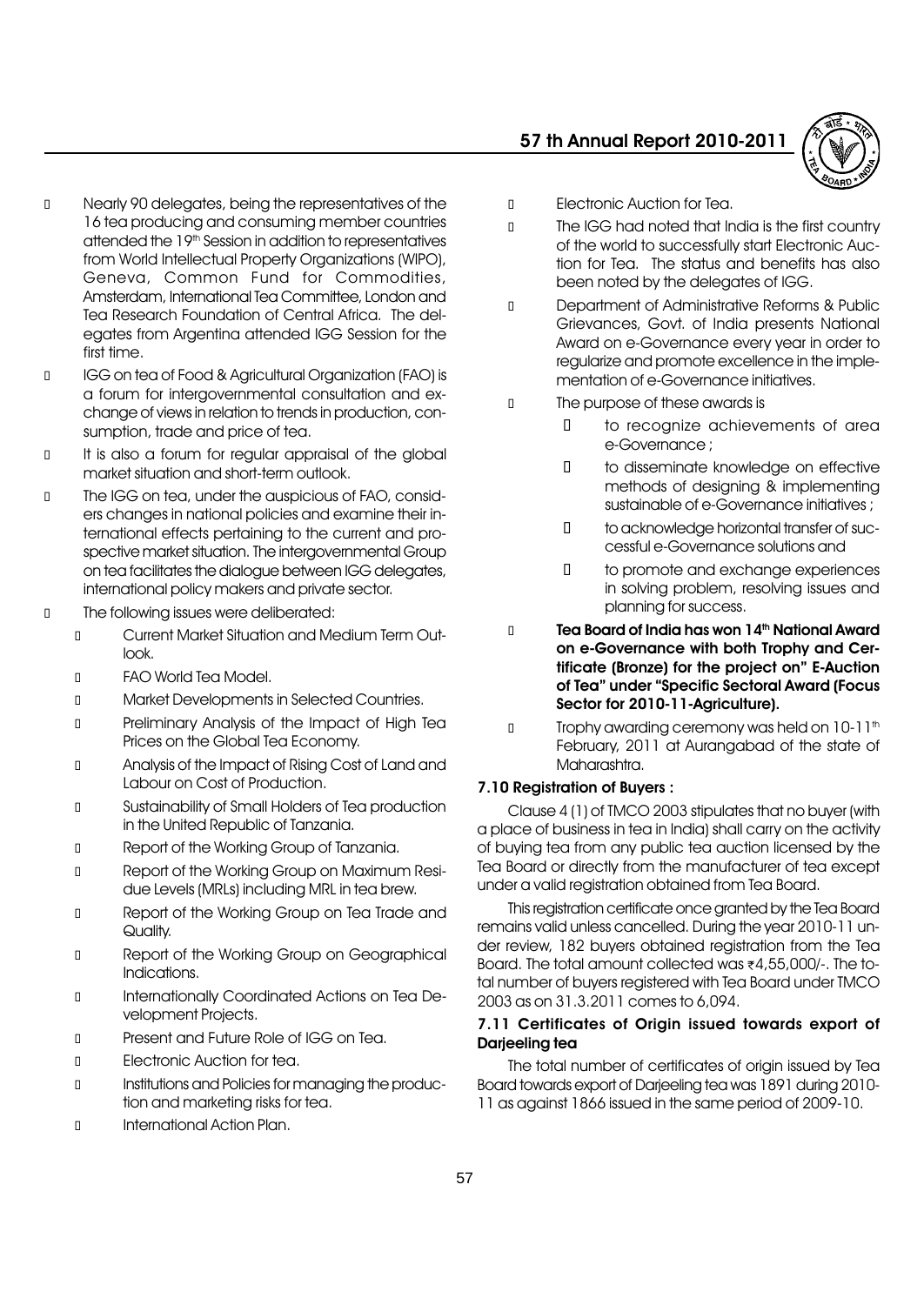

 Nearly 90 delegates, being the representatives of the 16 tea producing and consuming member countries attended the 19<sup>th</sup> Session in addition to representatives from World Intellectual Property Organizations (WIPO), Geneva, Common Fund for Commodities, Amsterdam, International Tea Committee, London and Tea Research Foundation of Central Africa. The delegates from Argentina attended IGG Session for the first time.

 IGG on tea of Food & Agricultural Organization (FAO) is a forum for intergovernmental consultation and exchange of views in relation to trends in production, consumption, trade and price of tea.

 It is also a forum for regular appraisal of the global market situation and short-term outlook.

 The IGG on tea, under the auspicious of FAO, considers changes in national policies and examine their international effects pertaining to the current and prospective market situation. The intergovernmental Group on tea facilitates the dialogue between IGG delegates, international policy makers and private sector.

The following issues were deliberated:

 Current Market Situation and Medium Term Outlook.

FAO World Tea Model.

Market Developments in Selected Countries.

 Preliminary Analysis of the Impact of High Tea Prices on the Global Tea Economy.

 Analysis of the Impact of Rising Cost of Land and Labour on Cost of Production.

 Sustainability of Small Holders of Tea production in the United Republic of Tanzania.

Report of the Working Group of Tanzania.

 Report of the Working Group on Maximum Residue Levels (MRLs) including MRL in tea brew.

 Report of the Working Group on Tea Trade and Quality.

 Report of the Working Group on Geographical Indications.

 Internationally Coordinated Actions on Tea Development Projects.

Present and Future Role of IGG on Tea.

Electronic Auction for tea.

 Institutions and Policies for managing the production and marketing risks for tea.

International Action Plan.

Electronic Auction for Tea.

 The IGG had noted that India is the first country of the world to successfully start Electronic Auction for Tea. The status and benefits has also been noted by the delegates of IGG.

 Department of Administrative Reforms & Public Grievances, Govt. of India presents National Award on e-Governance every year in order to regularize and promote excellence in the implementation of e-Governance initiatives.

The purpose of these awards is

 to recognize achievements of area e-Governance ;

 to disseminate knowledge on effective methods of designing & implementing sustainable of e-Governance initiatives ;

 to acknowledge horizontal transfer of successful e-Governance solutions and

 to promote and exchange experiences in solving problem, resolving issues and planning for success.

# Tea Board of India has won 14<sup>th</sup> National Award on e-Governance with both Trophy and Certificate (Bronze) for the project on" E-Auction of Tea" under "Specific Sectoral Award (Focus Sector for 2010-11-Agriculture).

Trophy awarding ceremony was held on 10-11<sup>th</sup> February, 2011 at Aurangabad of the state of Maharashtra.

### 7.10 Registration of Buyers :

Clause 4 (1) of TMCO 2003 stipulates that no buyer (with a place of business in tea in India) shall carry on the activity of buying tea from any public tea auction licensed by the Tea Board or directly from the manufacturer of tea except under a valid registration obtained from Tea Board.

This registration certificate once granted by the Tea Board remains valid unless cancelled. During the year 2010-11 under review, 182 buyers obtained registration from the Tea Board. The total amount collected was  $z$ 4,55,000/-. The total number of buyers registered with Tea Board under TMCO 2003 as on 31.3.2011 comes to 6,094.

### 7.11 Certificates of Origin issued towards export of Darjeeling tea

The total number of certificates of origin issued by Tea Board towards export of Darjeeling tea was 1891 during 2010- 11 as against 1866 issued in the same period of 2009-10.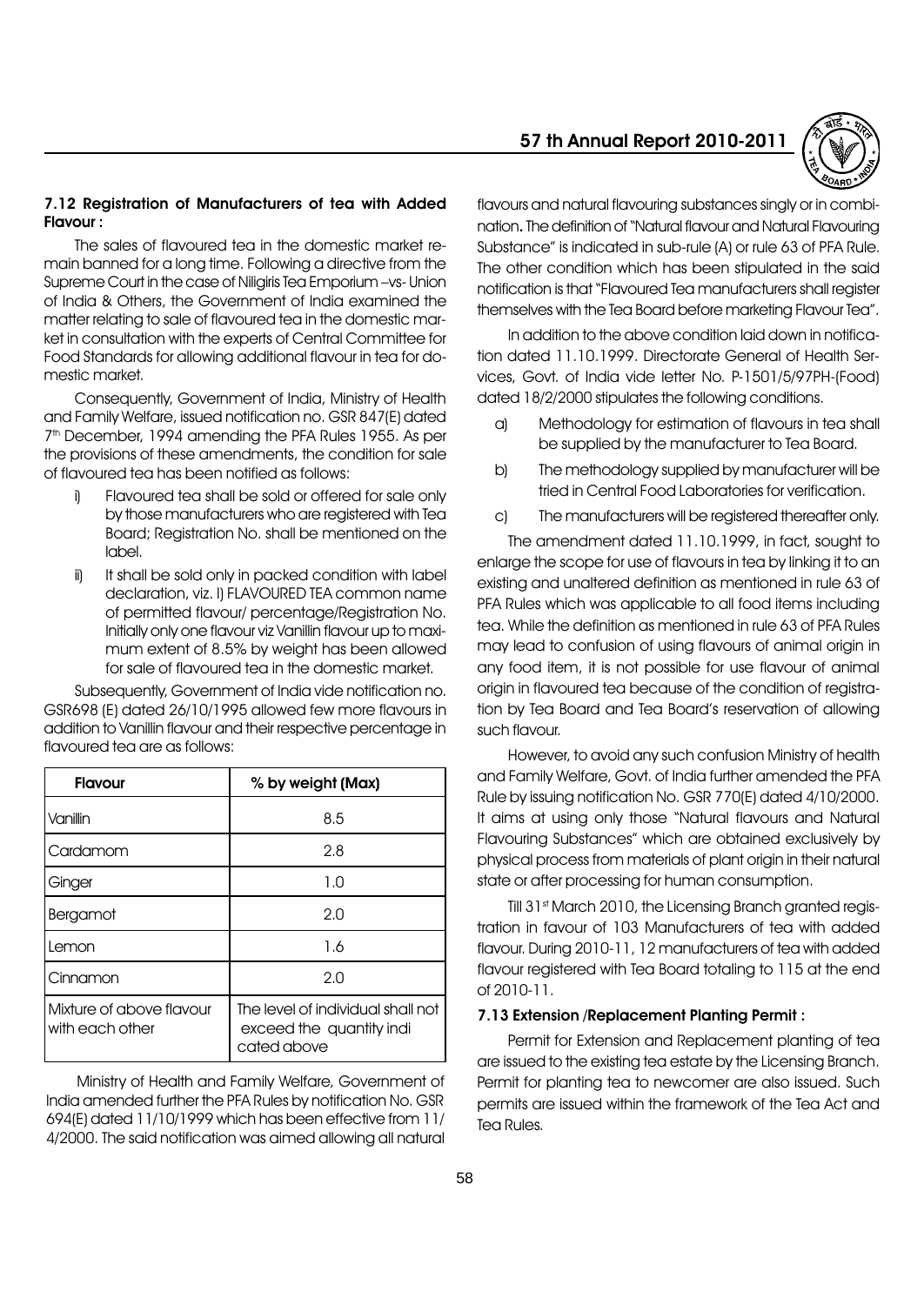#### 7.12 Registration of Manufacturers of tea with Added Flavour :

The sales of flavoured tea in the domestic market remain banned for a long time. Following a directive from the Supreme Court in the case of Niligiris Tea Emporium - vs- Union of India & Others, the Government of India examined the matter relating to sale of flavoured tea in the domestic market in consultation with the experts of Central Committee for Food Standards for allowing additional flavour in tea for domestic market.

Consequently, Government of India, Ministry of Health and Family Welfare, issued notification no. GSR 847(E) dated 7<sup>th</sup> December, 1994 amending the PFA Rules 1955. As per the provisions of these amendments, the condition for sale of flavoured tea has been notified as follows:

- i) Flavoured tea shall be sold or offered for sale only by those manufacturers who are registered with Tea Board; Registration No. shall be mentioned on the label.
- ii) It shall be sold only in packed condition with label declaration, viz. I) FLAVOURED TEA common name of permitted flavour/ percentage/Registration No. Initially only one flavour viz Vanillin flavour up to maximum extent of 8.5% by weight has been allowed for sale of flavoured tea in the domestic market.

Subsequently, Government of India vide notification no. GSR698 (E) dated 26/10/1995 allowed few more flavours in addition to Vanillin flavour and their respective percentage in flavoured tea are as follows:

| <b>Flavour</b>                              | % by weight (Max)                                                            |
|---------------------------------------------|------------------------------------------------------------------------------|
| Vanillin                                    | 8.5                                                                          |
| Cardamom                                    | 2.8                                                                          |
| Ginger                                      | 1.0                                                                          |
| Bergamot                                    | 2.0                                                                          |
| Lemon                                       | 1.6                                                                          |
| Cinnamon                                    | 2.0                                                                          |
| Mixture of above flavour<br>with each other | The level of individual shall not<br>exceed the quantity indi<br>cated above |

Ministry of Health and Family Welfare, Government of India amended further the PFA Rules by notification No. GSR 694(E) dated 11/10/1999 which has been effective from 11/ 4/2000. The said notification was aimed allowing all natural

# 57 th Annual Report 2010-2011



flavours and natural flavouring substances singly or in combination. The definition of "Natural flavour and Natural Flavouring Substance" is indicated in sub-rule (A) or rule 63 of PFA Rule. The other condition which has been stipulated in the said notification is that "Flavoured Tea manufacturers shall register themselves with the Tea Board before marketing Flavour Teaî.

In addition to the above condition laid down in notification dated 11.10.1999. Directorate General of Health Services, Govt. of India vide letter No. P-1501/5/97PH-(Food) dated 18/2/2000 stipulates the following conditions.

- a) Methodology for estimation of flavours in tea shall be supplied by the manufacturer to Tea Board.
- b) The methodology supplied by manufacturer will be tried in Central Food Laboratories for verification.
- c) The manufacturers will be registered thereafter only.

The amendment dated 11.10.1999, in fact, sought to enlarge the scope for use of flavours in tea by linking it to an existing and unaltered definition as mentioned in rule 63 of PFA Rules which was applicable to all food items including tea. While the definition as mentioned in rule 63 of PFA Rules may lead to confusion of using flavours of animal origin in any food item, it is not possible for use flavour of animal origin in flavoured tea because of the condition of registration by Tea Board and Tea Boardís reservation of allowing such flavour.

However, to avoid any such confusion Ministry of health and Family Welfare, Govt. of India further amended the PFA Rule by issuing notification No. GSR 770(E) dated 4/10/2000. It aims at using only those "Natural flavours and Natural Flavouring Substances" which are obtained exclusively by physical process from materials of plant origin in their natural state or after processing for human consumption.

Till 31<sup>st</sup> March 2010, the Licensing Branch granted registration in favour of 103 Manufacturers of tea with added flavour. During 2010-11, 12 manufacturers of tea with added flavour registered with Tea Board totaling to 115 at the end of 2010-11.

#### 7.13 Extension /Replacement Planting Permit :

Permit for Extension and Replacement planting of tea are issued to the existing tea estate by the Licensing Branch. Permit for planting tea to newcomer are also issued. Such permits are issued within the framework of the Tea Act and Tea Rules.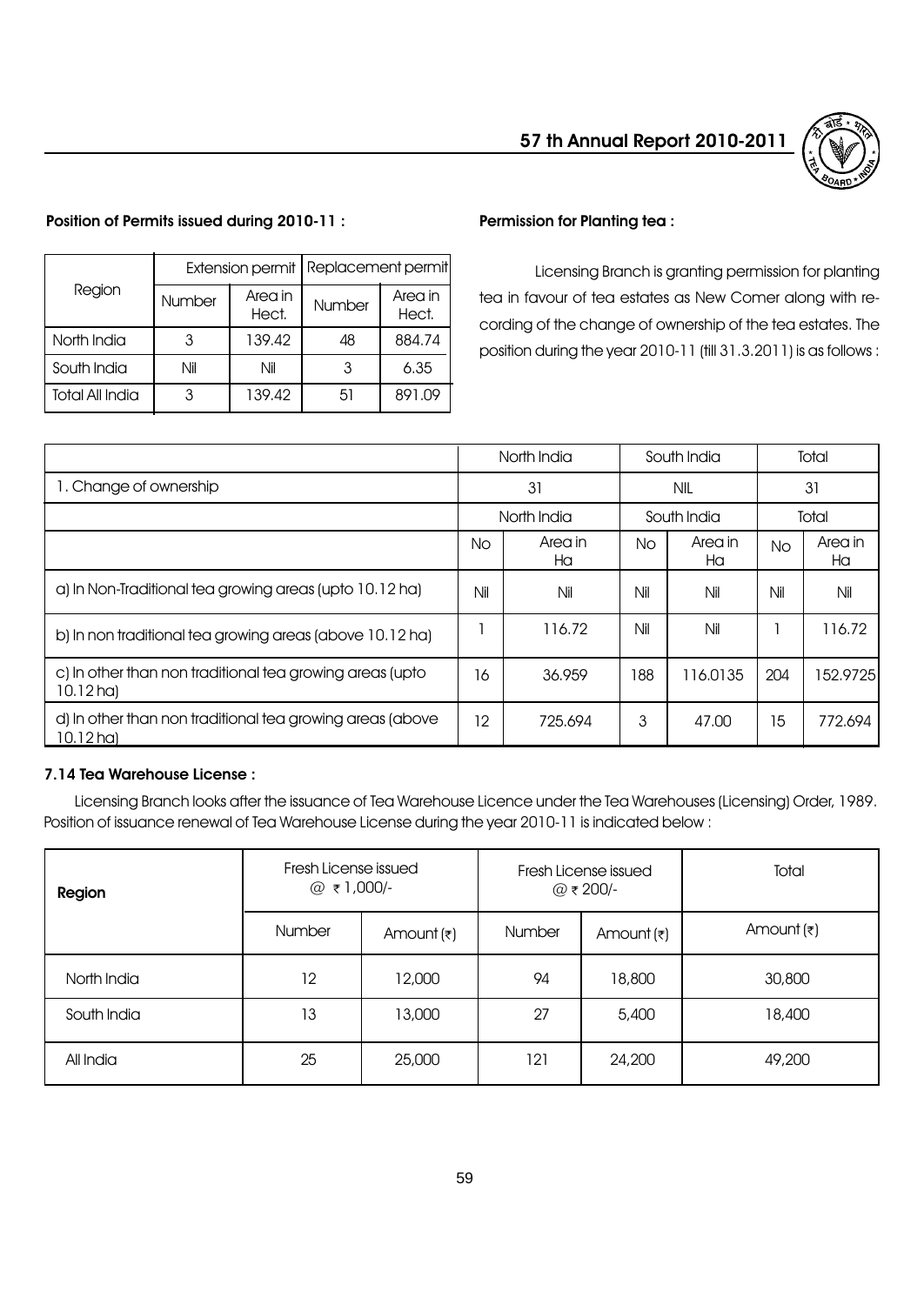

# North India | 3 | 139.42 | 48 | 884.74 South India  $\parallel$  Nil  $\parallel$  Nil  $\parallel$  3  $\parallel$  6.35 Total All India  $\begin{array}{|c|c|c|c|c|c|c|c|c|} \hline 3 & 139.42 & 51 & 891.09 \ \hline \end{array}$ Number Area in<br>Hect. Number Area in Hect. Extension permit | Replacement permit Region

Position of Permits issued during 2010-11 :

# Permission for Planting tea :

Licensing Branch is granting permission for planting tea in favour of tea estates as New Comer along with recording of the change of ownership of the tea estates. The position during the year 2010-11 (till 31.3.2011) is as follows :

|                                                                          | North India |               | South India |               | Total |               |
|--------------------------------------------------------------------------|-------------|---------------|-------------|---------------|-------|---------------|
| 1. Change of ownership                                                   | 31          |               | NIL         |               | 31    |               |
|                                                                          | North India |               | South India |               | Total |               |
|                                                                          | No          | Area in<br>Ha | No.         | Area in<br>Ha | No    | Area in<br>Ha |
| a) In Non-Traditional tea growing areas (upto 10.12 ha)                  | Nil         | Nil           | Nil         | Nil           | Nil   | Nil           |
| b) In non traditional tea growing areas (above 10.12 ha)                 |             | 116.72        | Nil         | Nil           |       | 116.72        |
| c) In other than non traditional tea growing areas (upto<br>$10.12$ ha)  | 16          | 36.959        | 188         | 116.0135      | 204   | 152.9725      |
| d) In other than non traditional tea growing areas (above<br>$10.12$ ha) | 12          | 725.694       | 3           | 47.00         | 15    | 772.694       |

# 7.14 Tea Warehouse License :

Licensing Branch looks after the issuance of Tea Warehouse Licence under the Tea Warehouses (Licensing) Order, 1989. Position of issuance renewal of Tea Warehouse License during the year 2010-11 is indicated below :

| Region      | Fresh License issued |                       |        | Fresh License issued<br>@₹200/- | Total                 |  |
|-------------|----------------------|-----------------------|--------|---------------------------------|-----------------------|--|
|             | Number               | Amount $(\bar{\tau})$ | Number | Amount $(\bar{\tau})$           | Amount $(\bar{\tau})$ |  |
| North India | 12                   | 12,000                | 94     | 18,800                          | 30,800                |  |
| South India | 13                   | 13,000                | 27     | 5,400                           | 18,400                |  |
| All India   | 25                   | 25,000                | 121    | 24,200                          | 49,200                |  |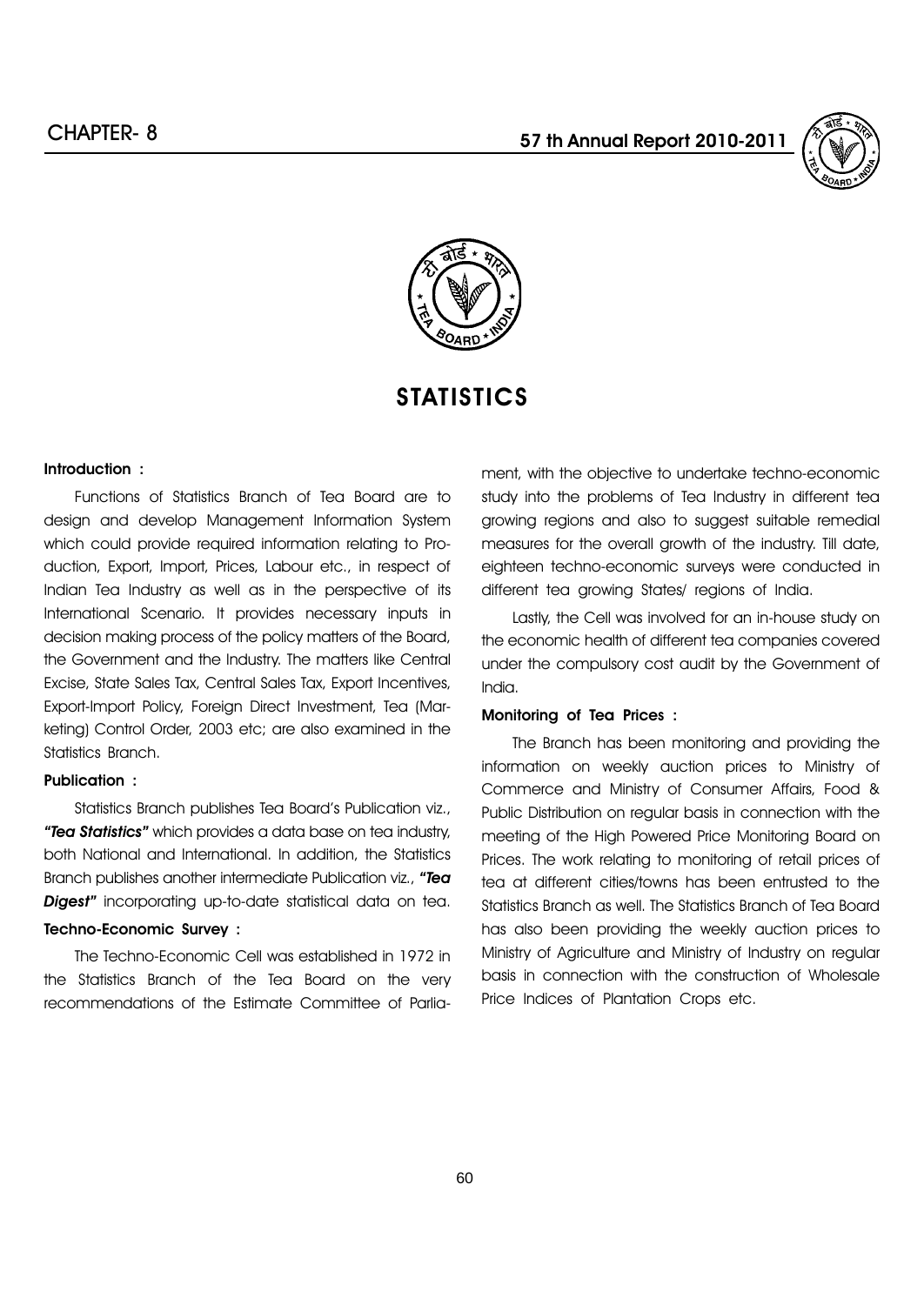



# **STATISTICS**

#### Introduction :

Functions of Statistics Branch of Tea Board are to design and develop Management Information System which could provide required information relating to Production, Export, Import, Prices, Labour etc., in respect of Indian Tea Industry as well as in the perspective of its International Scenario. It provides necessary inputs in decision making process of the policy matters of the Board, the Government and the Industry. The matters like Central Excise, State Sales Tax, Central Sales Tax, Export Incentives, Export-Import Policy, Foreign Direct Investment, Tea (Marketing) Control Order, 2003 etc; are also examined in the Statistics Branch.

# Publication :

Statistics Branch publishes Tea Board's Publication viz., "Tea Statistics" which provides a data base on tea industry, both National and International. In addition, the Statistics Branch publishes another intermediate Publication viz., "Tea Digest" incorporating up-to-date statistical data on tea.

# Techno-Economic Survey :

The Techno-Economic Cell was established in 1972 in the Statistics Branch of the Tea Board on the very recommendations of the Estimate Committee of Parliament, with the objective to undertake techno-economic study into the problems of Tea Industry in different tea growing regions and also to suggest suitable remedial measures for the overall growth of the industry. Till date, eighteen techno-economic surveys were conducted in different tea growing States/ regions of India.

Lastly, the Cell was involved for an in-house study on the economic health of different tea companies covered under the compulsory cost audit by the Government of India.

#### Monitoring of Tea Prices :

The Branch has been monitoring and providing the information on weekly auction prices to Ministry of Commerce and Ministry of Consumer Affairs, Food & Public Distribution on regular basis in connection with the meeting of the High Powered Price Monitoring Board on Prices. The work relating to monitoring of retail prices of tea at different cities/towns has been entrusted to the Statistics Branch as well. The Statistics Branch of Tea Board has also been providing the weekly auction prices to Ministry of Agriculture and Ministry of Industry on regular basis in connection with the construction of Wholesale Price Indices of Plantation Crops etc.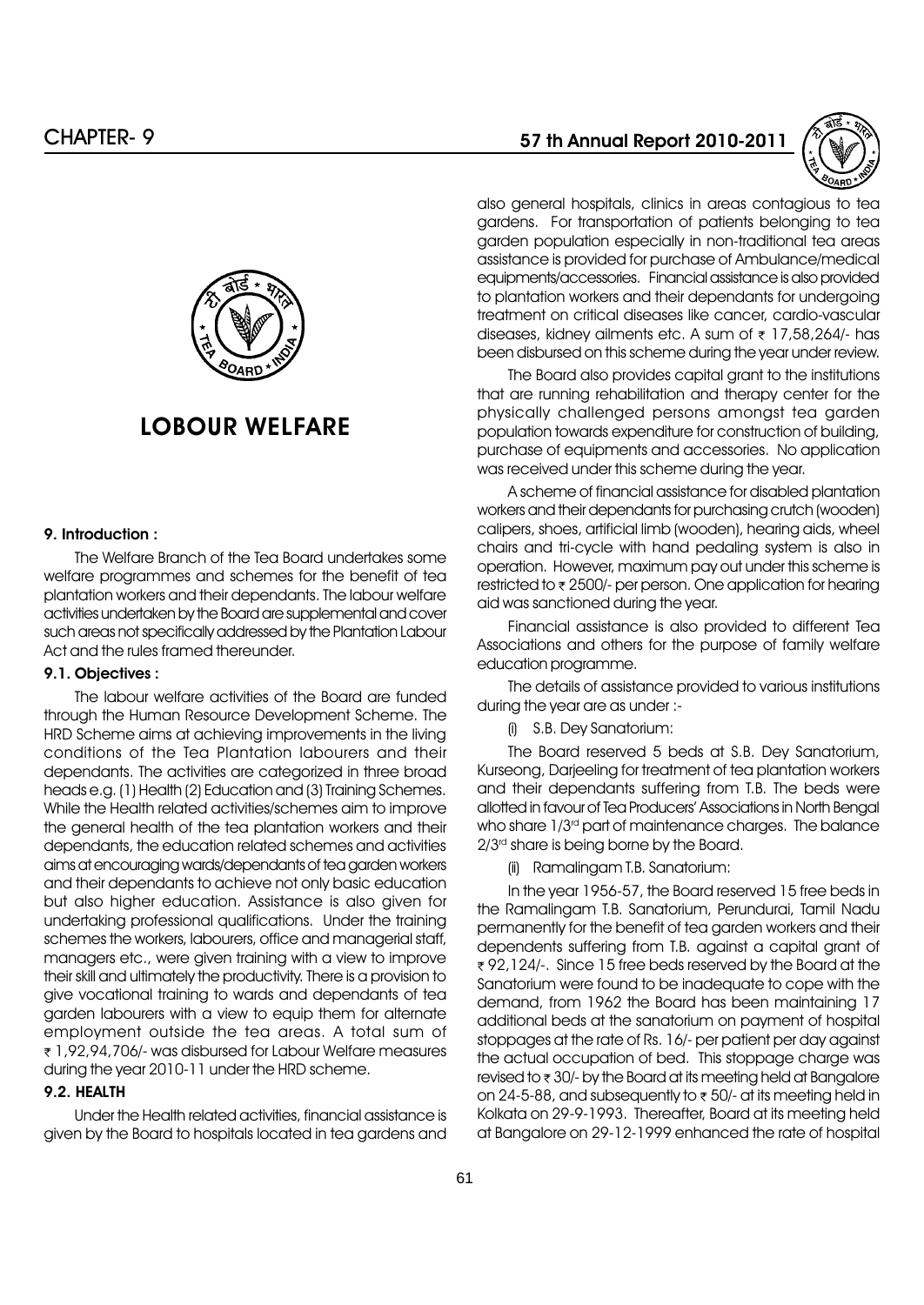

# LOBOUR WELFARE

# 9. Introduction :

The Welfare Branch of the Tea Board undertakes some welfare programmes and schemes for the benefit of tea plantation workers and their dependants. The labour welfare activities undertaken by the Board are supplemental and cover such areas not specifically addressed by the Plantation Labour Act and the rules framed thereunder.

#### 9.1. Objectives :

The labour welfare activities of the Board are funded through the Human Resource Development Scheme. The HRD Scheme aims at achieving improvements in the living conditions of the Tea Plantation labourers and their dependants. The activities are categorized in three broad heads e.g. (1) Health (2) Education and (3) Training Schemes. While the Health related activities/schemes aim to improve the general health of the tea plantation workers and their dependants, the education related schemes and activities aims at encouraging wards/dependants of tea garden workers and their dependants to achieve not only basic education but also higher education. Assistance is also given for undertaking professional qualifications. Under the training schemes the workers, labourers, office and managerial staff, managers etc., were given training with a view to improve their skill and ultimately the productivity. There is a provision to give vocational training to wards and dependants of tea garden labourers with a view to equip them for alternate employment outside the tea areas. A total sum of r 1,92,94,706/- was disbursed for Labour Welfare measures during the year 2010-11 under the HRD scheme.

#### 9.2. HEALTH

Under the Health related activities, financial assistance is given by the Board to hospitals located in tea gardens and

# 57 th Annual Report 2010-2011



also general hospitals, clinics in areas contagious to tea gardens. For transportation of patients belonging to tea garden population especially in non-traditional tea areas assistance is provided for purchase of Ambulance/medical equipments/accessories. Financial assistance is also provided to plantation workers and their dependants for undergoing treatment on critical diseases like cancer, cardio-vascular diseases, kidney ailments etc. A sum of  $\overline{\tau}$  17,58,264/- has been disbursed on this scheme during the year under review.

The Board also provides capital grant to the institutions that are running rehabilitation and therapy center for the physically challenged persons amongst tea garden population towards expenditure for construction of building, purchase of equipments and accessories. No application was received under this scheme during the year.

A scheme of financial assistance for disabled plantation workers and their dependants for purchasing crutch (wooden) calipers, shoes, artificial limb (wooden), hearing aids, wheel chairs and tri-cycle with hand pedaling system is also in operation. However, maximum pay out under this scheme is restricted to  $\bar{\tau}$  2500/- per person. One application for hearing aid was sanctioned during the year.

Financial assistance is also provided to different Tea Associations and others for the purpose of family welfare education programme.

The details of assistance provided to various institutions during the year are as under :-

(i) S.B. Dey Sanatorium:

The Board reserved 5 beds at S.B. Dey Sanatorium, Kurseong, Darjeeling for treatment of tea plantation workers and their dependants suffering from T.B. The beds were allotted in favour of Tea Producersí Associations in North Bengal who share  $1/3<sup>rd</sup>$  part of maintenance charges. The balance  $2/3<sup>rd</sup>$  share is being borne by the Board.

(ii) Ramalingam T.B. Sanatorium:

In the year 1956-57, the Board reserved 15 free beds in the Ramalingam T.B. Sanatorium, Perundurai, Tamil Nadu permanently for the benefit of tea garden workers and their dependents suffering from T.B. against a capital grant of ₹92,124/-. Since 15 free beds reserved by the Board at the Sanatorium were found to be inadequate to cope with the demand, from 1962 the Board has been maintaining 17 additional beds at the sanatorium on payment of hospital stoppages at the rate of Rs. 16/- per patient per day against the actual occupation of bed. This stoppage charge was revised to  $\overline{\tau}$  30/- by the Board at its meeting held at Bangalore on 24-5-88, and subsequently to  $\overline{\tau}$  50/- at its meeting held in Kolkata on 29-9-1993. Thereafter, Board at its meeting held at Bangalore on 29-12-1999 enhanced the rate of hospital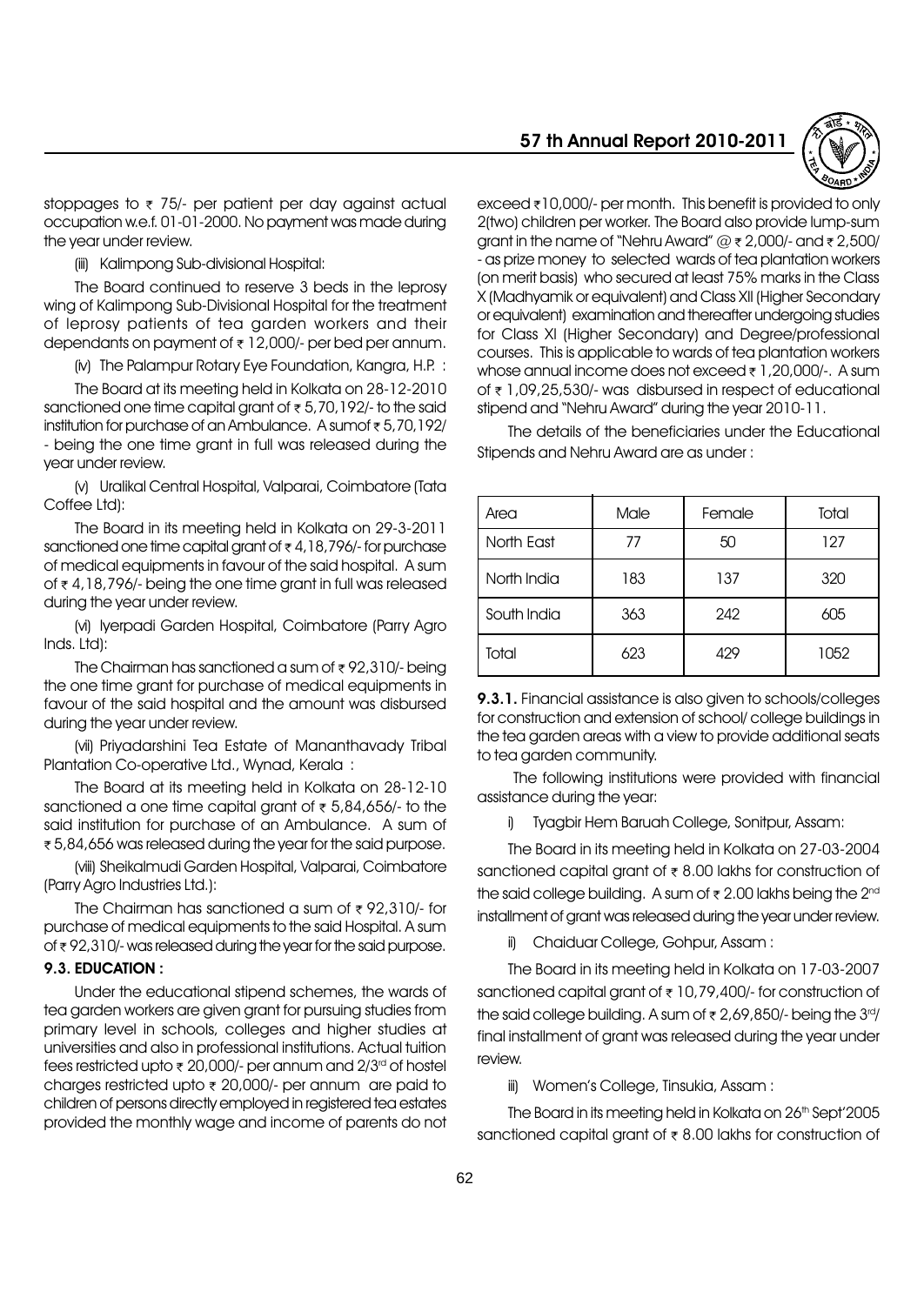

stoppages to  $\overline{\tau}$  75/- per patient per day against actual occupation w.e.f. 01-01-2000. No payment was made during the year under review.

(iii) Kalimpong Sub-divisional Hospital:

The Board continued to reserve 3 beds in the leprosy wing of Kalimpong Sub-Divisional Hospital for the treatment of leprosy patients of tea garden workers and their dependants on payment of  $\overline{\tau}$  12,000/- per bed per annum.

(iv) The Palampur Rotary Eye Foundation, Kangra, H.P. :

The Board at its meeting held in Kolkata on 28-12-2010 sanctioned one time capital grant of  $\overline{\epsilon}$  5,70,192/- to the said institution for purchase of an Ambulance. A sum of  $\overline{\epsilon}$  5,70,192/ - being the one time grant in full was released during the year under review.

(v) Uralikal Central Hospital, Valparai, Coimbatore (Tata Coffee Ltd):

The Board in its meeting held in Kolkata on 29-3-2011 sanctioned one time capital grant of  $\overline{\tau}$  4, 18, 796/- for purchase of medical equipments in favour of the said hospital. A sum of  $\tau$  4,18,796/- being the one time grant in full was released during the year under review.

(vi) Iyerpadi Garden Hospital, Coimbatore (Parry Agro Inds. Ltd):

The Chairman has sanctioned a sum of  $\bar{\tau}$  92,310/- being the one time grant for purchase of medical equipments in favour of the said hospital and the amount was disbursed during the year under review.

(vii) Priyadarshini Tea Estate of Mananthavady Tribal Plantation Co-operative Ltd., Wynad, Kerala :

The Board at its meeting held in Kolkata on 28-12-10 sanctioned a one time capital grant of  $\bar{\tau}$  5,84,656/- to the said institution for purchase of an Ambulance. A sum of r 5,84,656 was released during the year for the said purpose.

(viii) Sheikalmudi Garden Hospital, Valparai, Coimbatore (Parry Agro Industries Ltd.):

The Chairman has sanctioned a sum of  $\bar{\tau}$  92,310/- for purchase of medical equipments to the said Hospital. A sum of  $\overline{\tau}$  92,310/- was released during the year for the said purpose.

# 9.3. EDUCATION :

Under the educational stipend schemes, the wards of tea garden workers are given grant for pursuing studies from primary level in schools, colleges and higher studies at universities and also in professional institutions. Actual tuition fees restricted upto  $\bar{\tau}$  20,000/- per annum and 2/3<sup>rd</sup> of hostel charges restricted upto  $\bar{\tau}$  20,000/- per annum are paid to children of persons directly employed in registered tea estates provided the monthly wage and income of parents do not exceed  $\overline{\tau}$ 10,000/- per month. This benefit is provided to only 2(two) children per worker. The Board also provide lump-sum grant in the name of "Nehru Award"  $@ \ge 2,000/$ - and  $\ge 2,500/$ - as prize money to selected wards of tea plantation workers (on merit basis) who secured at least 75% marks in the Class X (Madhyamik or equivalent) and Class XII (Higher Secondary or equivalent) examination and thereafter undergoing studies for Class XI (Higher Secondary) and Degree/professional courses. This is applicable to wards of tea plantation workers whose annual income does not exceed  $\bar{\tau}$  1, 20,000/-. A sum of  $\bar{\tau}$  1,09,25,530/- was disbursed in respect of educational stipend and "Nehru Award" during the year 2010-11.

The details of the beneficiaries under the Educational Stipends and Nehru Award are as under :

| Area        | Male | Female | Total |
|-------------|------|--------|-------|
| North East  | 77   | 50     | 127   |
| North India | 183  | 137    | 320   |
| South India | 363  | 242    | 605   |
| Total       | 623  | 429    | 1052  |

9.3.1. Financial assistance is also given to schools/colleges for construction and extension of school/ college buildings in the tea garden areas with a view to provide additional seats to tea garden community.

The following institutions were provided with financial assistance during the year:

i) Tyagbir Hem Baruah College, Sonitpur, Assam:

The Board in its meeting held in Kolkata on 27-03-2004 sanctioned capital grant of  $\bar{\tau}$  8.00 lakhs for construction of the said college building. A sum of  $\bar{\tau}$  2.00 lakhs being the 2<sup>nd</sup> installment of grant was released during the year under review.

ii) Chaiduar College, Gohpur, Assam :

The Board in its meeting held in Kolkata on 17-03-2007 sanctioned capital grant of  $\bar{\tau}$  10,79,400/- for construction of the said college building. A sum of  $\overline{\tau}$  2,69,850/- being the 3rd/ final installment of grant was released during the year under review.

iii) Womenís College, Tinsukia, Assam :

The Board in its meeting held in Kolkata on 26th Sept'2005 sanctioned capital grant of  $\bar{\tau}$  8.00 lakhs for construction of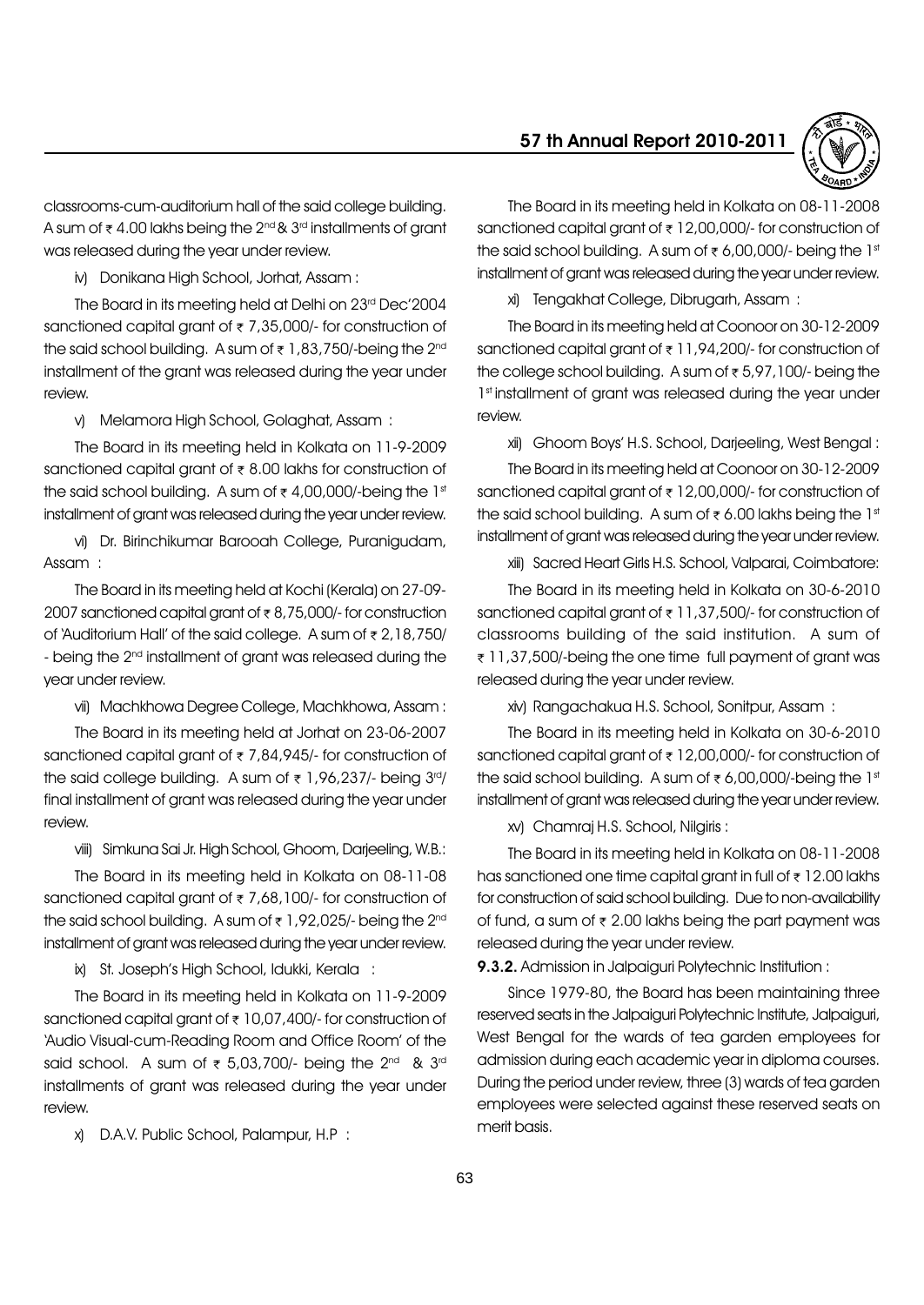

classrooms-cum-auditorium hall of the said college building. A sum of  $\bar{\tau}$  4.00 lakhs being the 2<sup>nd</sup> & 3<sup>rd</sup> installments of grant was released during the year under review.

iv) Donikana High School, Jorhat, Assam :

The Board in its meeting held at Delhi on 23rd Dec'2004 sanctioned capital grant of  $\overline{\tau}$  7,35,000/- for construction of the said school building. A sum of  $\overline{\tau}$  1,83,750/-being the 2<sup>nd</sup> installment of the grant was released during the year under review.

v) Melamora High School, Golaghat, Assam :

The Board in its meeting held in Kolkata on 11-9-2009 sanctioned capital grant of  $\bar{\tau}$  8.00 lakhs for construction of the said school building. A sum of  $\bar{\tau}$  4,00,000/-being the 1st installment of grant was released during the year under review.

vi) Dr. Birinchikumar Barooah College, Puranigudam, Assam :

The Board in its meeting held at Kochi (Kerala) on 27-09- 2007 sanctioned capital grant of  $\overline{\tau}$  8,75,000/- for construction of 'Auditorium Hall' of the said college. A sum of  $\overline{\tau}$  2,18,750/ - being the 2<sup>nd</sup> installment of grant was released during the year under review.

vii) Machkhowa Degree College, Machkhowa, Assam :

The Board in its meeting held at Jorhat on 23-06-2007 sanctioned capital grant of  $\overline{\tau}$  7,84,945/- for construction of the said college building. A sum of  $\bar{\tau}$  1,96,237/- being 3rd/ final installment of grant was released during the year under review.

viii) Simkuna Sai Jr. High School, Ghoom, Darjeeling, W.B.:

The Board in its meeting held in Kolkata on 08-11-08 sanctioned capital grant of  $\overline{\tau}$  7,68,100/- for construction of the said school building. A sum of  $\overline{\tau}$  1,92,025/- being the 2<sup>nd</sup> installment of grant was released during the year under review.

ix) St. Josephís High School, Idukki, Kerala :

The Board in its meeting held in Kolkata on 11-9-2009 sanctioned capital grant of  $\bar{\tau}$  10,07,400/- for construction of 'Audio Visual-cum-Reading Room and Office Room' of the said school. A sum of  $\bar{\tau}$  5,03,700/- being the 2<sup>nd</sup> & 3<sup>rd</sup> installments of grant was released during the year under review.

x) D.A.V. Public School, Palampur, H.P :

The Board in its meeting held in Kolkata on 08-11-2008 sanctioned capital grant of  $\bar{\tau}$  12,00,000/- for construction of the said school building. A sum of  $\bar{\tau}$  6,00,000/- being the 1st installment of grant was released during the year under review.

xi) Tengakhat College, Dibrugarh, Assam :

The Board in its meeting held at Coonoor on 30-12-2009 sanctioned capital grant of  $\overline{\tau}$  11,94,200/- for construction of the college school building. A sum of  $\overline{\epsilon}$  5,97,100/- being the 1st installment of grant was released during the year under review.

xii) Ghoom Boysí H.S. School, Darjeeling, West Bengal :

The Board in its meeting held at Coonoor on 30-12-2009 sanctioned capital grant of  $\bar{\tau}$  12,00,000/- for construction of the said school building. A sum of  $\bar{\tau}$  6.00 lakhs being the 1st installment of grant was released during the year under review.

xiii) Sacred Heart Girls H.S. School, Valparai, Coimbatore:

The Board in its meeting held in Kolkata on 30-6-2010 sanctioned capital grant of  $\bar{\tau}$  11,37,500/- for construction of classrooms building of the said institution. A sum of ₹ 11,37,500/-being the one time full payment of grant was released during the year under review.

xiv) Rangachakua H.S. School, Sonitpur, Assam :

The Board in its meeting held in Kolkata on 30-6-2010 sanctioned capital grant of  $\bar{\tau}$  12,00,000/- for construction of the said school building. A sum of  $\bar{\tau}$  6,00,000/-being the 1st installment of grant was released during the year under review.

xv) Chamraj H.S. School, Nilgiris :

The Board in its meeting held in Kolkata on 08-11-2008 has sanctioned one time capital grant in full of  $\bar{\tau}$  12.00 lakhs for construction of said school building. Due to non-availability of fund, a sum of  $\overline{\tau}$  2.00 lakhs being the part payment was released during the year under review.

9.3.2. Admission in Jalpaiguri Polytechnic Institution:

Since 1979-80, the Board has been maintaining three reserved seats in the Jalpaiguri Polytechnic Institute, Jalpaiguri, West Bengal for the wards of tea garden employees for admission during each academic year in diploma courses. During the period under review, three (3) wards of tea garden employees were selected against these reserved seats on merit basis.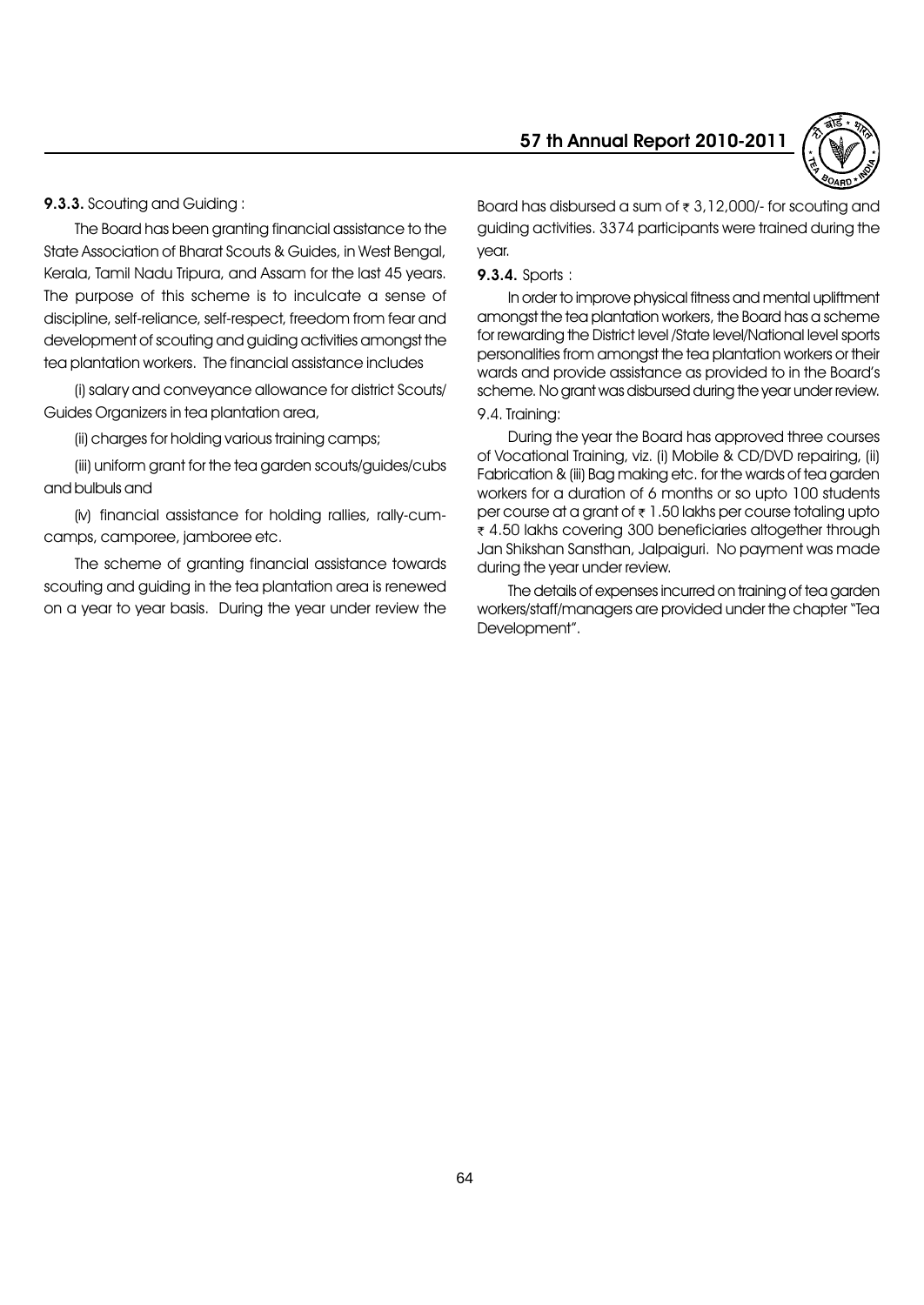9.3.3. Scouting and Guiding :

The Board has been granting financial assistance to the State Association of Bharat Scouts & Guides, in West Bengal, Kerala, Tamil Nadu Tripura, and Assam for the last 45 years. The purpose of this scheme is to inculcate a sense of discipline, self-reliance, self-respect, freedom from fear and development of scouting and guiding activities amongst the tea plantation workers. The financial assistance includes

(i) salary and conveyance allowance for district Scouts/ Guides Organizers in tea plantation area,

(ii) charges for holding various training camps;

(iii) uniform grant for the tea garden scouts/guides/cubs and bulbuls and

(iv) financial assistance for holding rallies, rally-cumcamps, camporee, jamboree etc.

The scheme of granting financial assistance towards scouting and guiding in the tea plantation area is renewed on a year to year basis. During the year under review the

# 57 th Annual Report 2010-2011



Board has disbursed a sum of  $\overline{\tau}$  3,12,000/- for scouting and guiding activities. 3374 participants were trained during the year.

# 9.3.4. Sports :

In order to improve physical fitness and mental upliftment amongst the tea plantation workers, the Board has a scheme for rewarding the District level /State level/National level sports personalities from amongst the tea plantation workers or their wards and provide assistance as provided to in the Boardís scheme. No grant was disbursed during the year under review.

# 9.4. Training:

During the year the Board has approved three courses of Vocational Training, viz. (i) Mobile & CD/DVD repairing, (ii) Fabrication & (iii) Bag making etc. for the wards of tea garden workers for a duration of 6 months or so upto 100 students per course at a grant of  $\overline{\epsilon}$  1.50 lakhs per course totaling upto ₹ 4.50 lakhs covering 300 beneficiaries altogether through Jan Shikshan Sansthan, Jalpaiguri. No payment was made during the year under review.

The details of expenses incurred on training of tea garden workers/staff/managers are provided under the chapter "Tea Development".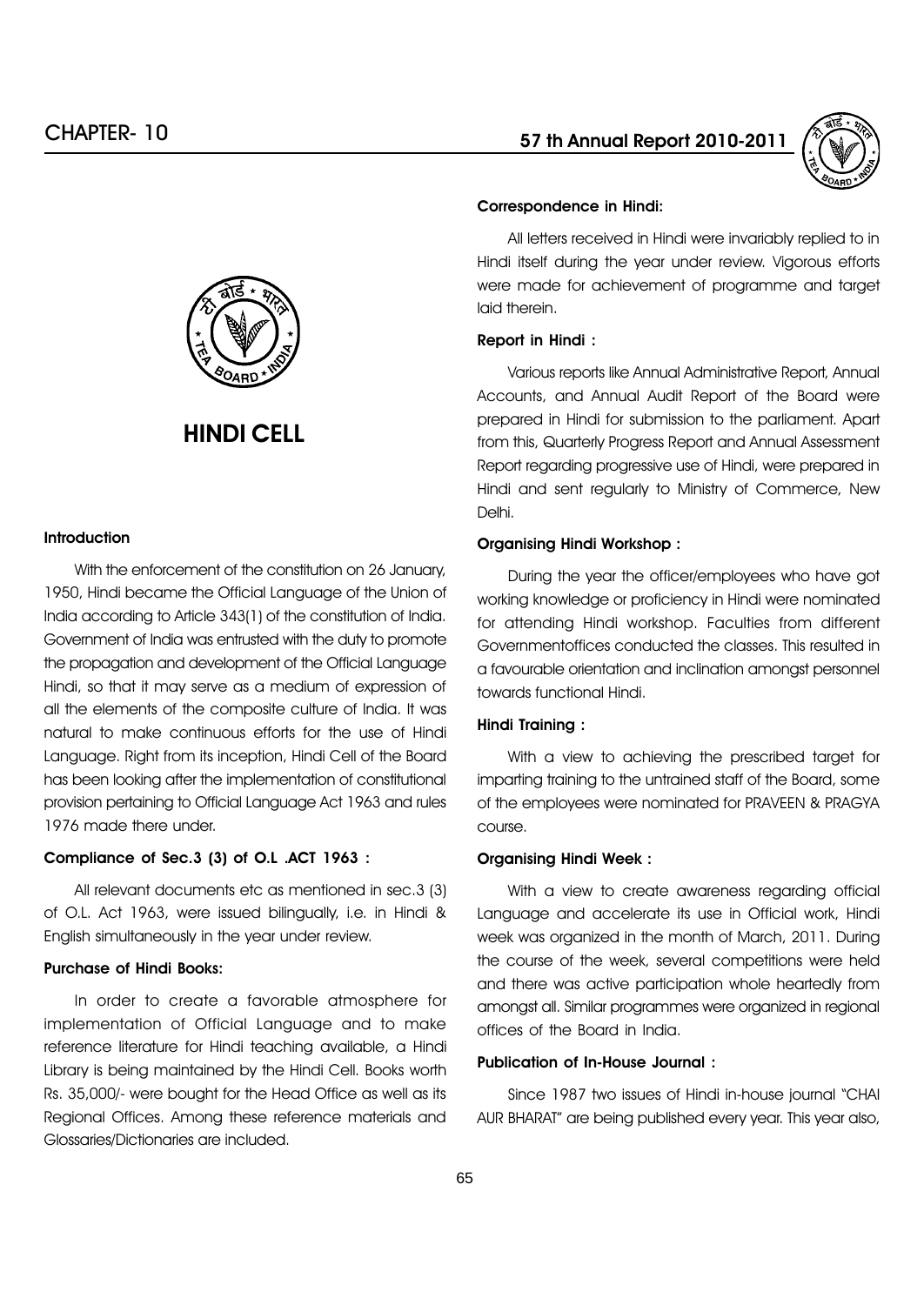



# HINDI CELL

# **Introduction**

With the enforcement of the constitution on 26 January, 1950, Hindi became the Official Language of the Union of India according to Article 343(1) of the constitution of India. Government of India was entrusted with the duty to promote the propagation and development of the Official Language Hindi, so that it may serve as a medium of expression of all the elements of the composite culture of India. It was natural to make continuous efforts for the use of Hindi Language. Right from its inception, Hindi Cell of the Board has been looking after the implementation of constitutional provision pertaining to Official Language Act 1963 and rules 1976 made there under.

#### Compliance of Sec.3 (3) of O.L .ACT 1963 :

All relevant documents etc as mentioned in sec.3 (3) of O.L. Act 1963, were issued bilingually, i.e. in Hindi & English simultaneously in the year under review.

# Purchase of Hindi Books:

In order to create a favorable atmosphere for implementation of Official Language and to make reference literature for Hindi teaching available, a Hindi Library is being maintained by the Hindi Cell. Books worth Rs. 35,000/- were bought for the Head Office as well as its Regional Offices. Among these reference materials and Glossaries/Dictionaries are included.

#### Correspondence in Hindi:

All letters received in Hindi were invariably replied to in Hindi itself during the year under review. Vigorous efforts were made for achievement of programme and target laid therein.

#### Report in Hindi :

Various reports like Annual Administrative Report, Annual Accounts, and Annual Audit Report of the Board were prepared in Hindi for submission to the parliament. Apart from this, Quarterly Progress Report and Annual Assessment Report regarding progressive use of Hindi, were prepared in Hindi and sent regularly to Ministry of Commerce, New Delhi.

# Organising Hindi Workshop :

During the year the officer/employees who have got working knowledge or proficiency in Hindi were nominated for attending Hindi workshop. Faculties from different Governmentoffices conducted the classes. This resulted in a favourable orientation and inclination amongst personnel towards functional Hindi.

#### Hindi Training :

With a view to achieving the prescribed target for imparting training to the untrained staff of the Board, some of the employees were nominated for PRAVEEN & PRAGYA course.

#### Organising Hindi Week :

With a view to create awareness regarding official Language and accelerate its use in Official work, Hindi week was organized in the month of March, 2011. During the course of the week, several competitions were held and there was active participation whole heartedly from amongst all. Similar programmes were organized in regional offices of the Board in India.

# Publication of In-House Journal :

Since 1987 two issues of Hindi in-house journal "CHAI AUR BHARAT" are being published every year. This year also,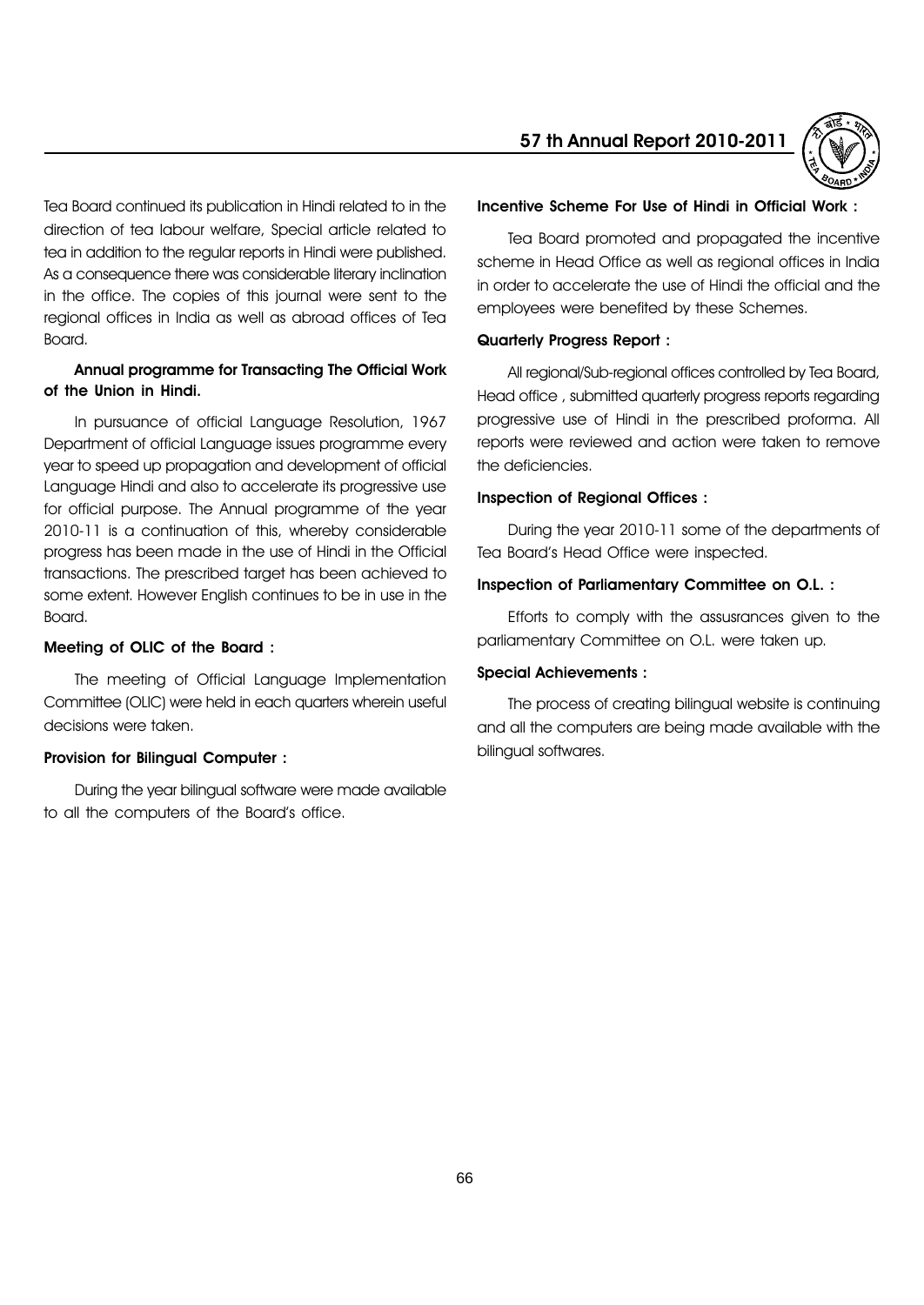Tea Board continued its publication in Hindi related to in the direction of tea labour welfare, Special article related to tea in addition to the regular reports in Hindi were published. As a consequence there was considerable literary inclination in the office. The copies of this journal were sent to the regional offices in India as well as abroad offices of Tea Board.

# Annual programme for Transacting The Official Work of the Union in Hindi.

In pursuance of official Language Resolution, 1967 Department of official Language issues programme every year to speed up propagation and development of official Language Hindi and also to accelerate its progressive use for official purpose. The Annual programme of the year 2010-11 is a continuation of this, whereby considerable progress has been made in the use of Hindi in the Official transactions. The prescribed target has been achieved to some extent. However English continues to be in use in the Board.

#### Meeting of OLIC of the Board :

The meeting of Official Language Implementation Committee (OLIC) were held in each quarters wherein useful decisions were taken.

#### Provision for Bilingual Computer :

During the year bilingual software were made available to all the computers of the Board's office.

# 57 th Annual Report 2010-2011



#### Incentive Scheme For Use of Hindi in Official Work :

Tea Board promoted and propagated the incentive scheme in Head Office as well as regional offices in India in order to accelerate the use of Hindi the official and the employees were benefited by these Schemes.

#### Quarterly Progress Report :

All regional/Sub-regional offices controlled by Tea Board, Head office , submitted quarterly progress reports regarding progressive use of Hindi in the prescribed proforma. All reports were reviewed and action were taken to remove the deficiencies.

#### Inspection of Regional Offices :

During the year 2010-11 some of the departments of Tea Boardís Head Office were inspected.

#### Inspection of Parliamentary Committee on O.L. :

Efforts to comply with the assusrances given to the parliamentary Committee on O.L. were taken up.

#### Special Achievements :

The process of creating bilingual website is continuing and all the computers are being made available with the bilingual softwares.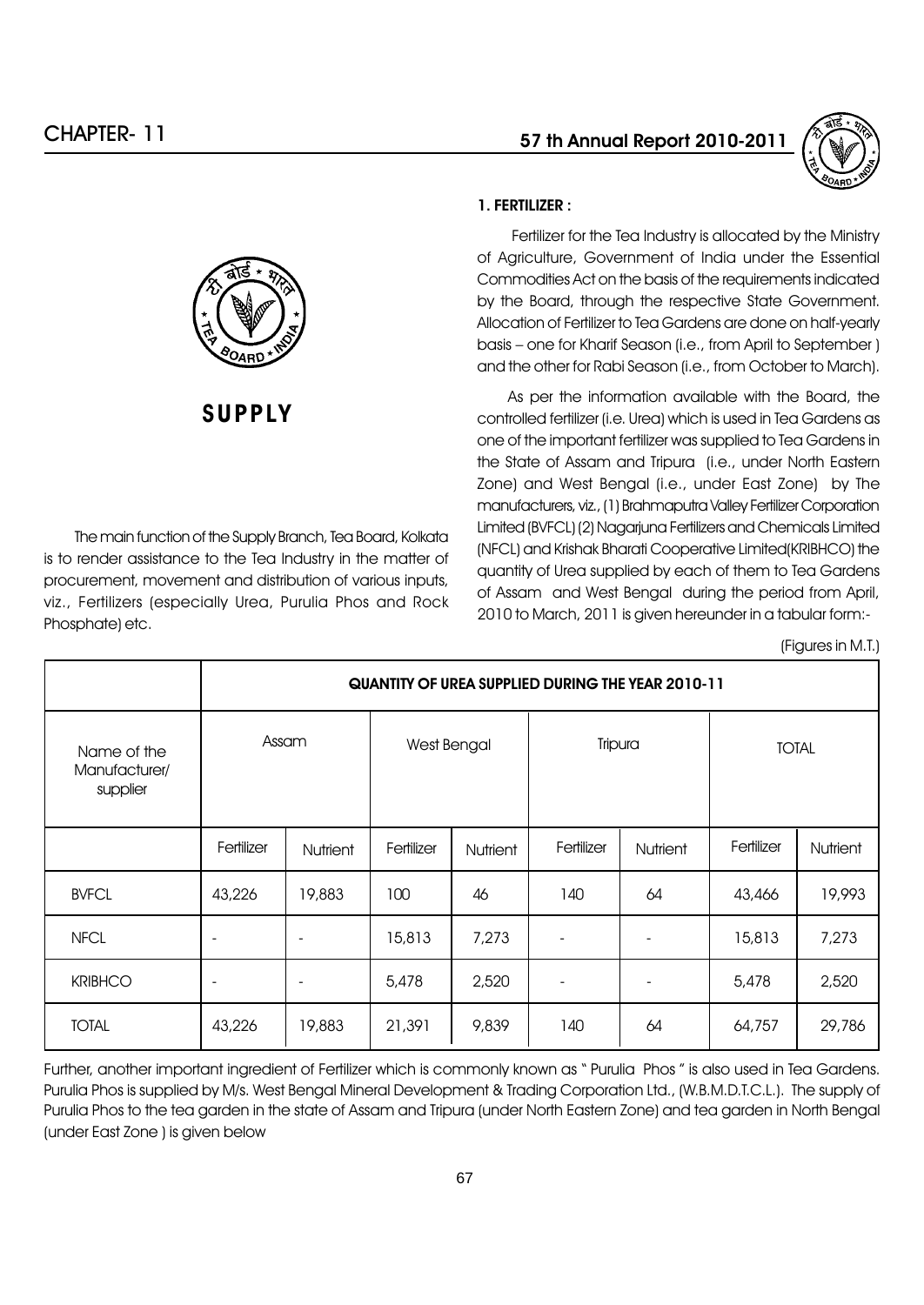

# **SUPPLY**

The main function of the Supply Branch, Tea Board, Kolkata is to render assistance to the Tea Industry in the matter of procurement, movement and distribution of various inputs, viz., Fertilizers (especially Urea, Purulia Phos and Rock Phosphate) etc.

# 1. FERTILIZER :

Fertilizer for the Tea Industry is allocated by the Ministry of Agriculture, Government of India under the Essential Commodities Act on the basis of the requirements indicated by the Board, through the respective State Government. Allocation of Fertilizer to Tea Gardens are done on half-yearly basis – one for Kharif Season (i.e., from April to September ) and the other for Rabi Season (i.e., from October to March).

As per the information available with the Board, the controlled fertilizer (i.e. Urea) which is used in Tea Gardens as one of the important fertilizer was supplied to Tea Gardens in the State of Assam and Tripura (i.e., under North Eastern Zone) and West Bengal (i.e., under East Zone) by The manufacturers, viz., (1) Brahmaputra Valley Fertilizer Corporation Limited (BVFCL) (2) Nagarjuna Fertilizers and Chemicals Limited (NFCL) and Krishak Bharati Cooperative Limited(KRIBHCO) the quantity of Urea supplied by each of them to Tea Gardens of Assam and West Bengal during the period from April, 2010 to March, 2011 is given hereunder in a tabular form:-

(Figures in M.T.)

|                                          | QUANTITY OF UREA SUPPLIED DURING THE YEAR 2010-11 |                 |             |                 |                          |          |              |                 |
|------------------------------------------|---------------------------------------------------|-----------------|-------------|-----------------|--------------------------|----------|--------------|-----------------|
| Name of the<br>Manufacturer/<br>supplier | Assam                                             |                 | West Bengal |                 | Tripura                  |          | <b>TOTAL</b> |                 |
|                                          | Fertilizer                                        | <b>Nutrient</b> | Fertilizer  | <b>Nutrient</b> | Fertilizer               | Nutrient | Fertilizer   | <b>Nutrient</b> |
| <b>BVFCL</b>                             | 43,226                                            | 19,883          | 100         | 46              | 140                      | 64       | 43,466       | 19,993          |
| <b>NFCL</b>                              | ٠                                                 |                 | 15,813      | 7,273           | $\overline{\phantom{a}}$ |          | 15,813       | 7,273           |
| <b>KRIBHCO</b>                           | $\overline{\phantom{a}}$                          |                 | 5,478       | 2,520           | ٠                        |          | 5,478        | 2,520           |
| <b>TOTAL</b>                             | 43,226                                            | 19,883          | 21,391      | 9,839           | 140                      | 64       | 64,757       | 29,786          |

Further, another important ingredient of Fertilizer which is commonly known as "Purulia Phos" is also used in Tea Gardens. Purulia Phos is supplied by M/s. West Bengal Mineral Development & Trading Corporation Ltd., (W.B.M.D.T.C.L.). The supply of Purulia Phos to the tea garden in the state of Assam and Tripura (under North Eastern Zone) and tea garden in North Bengal (under East Zone ) is given below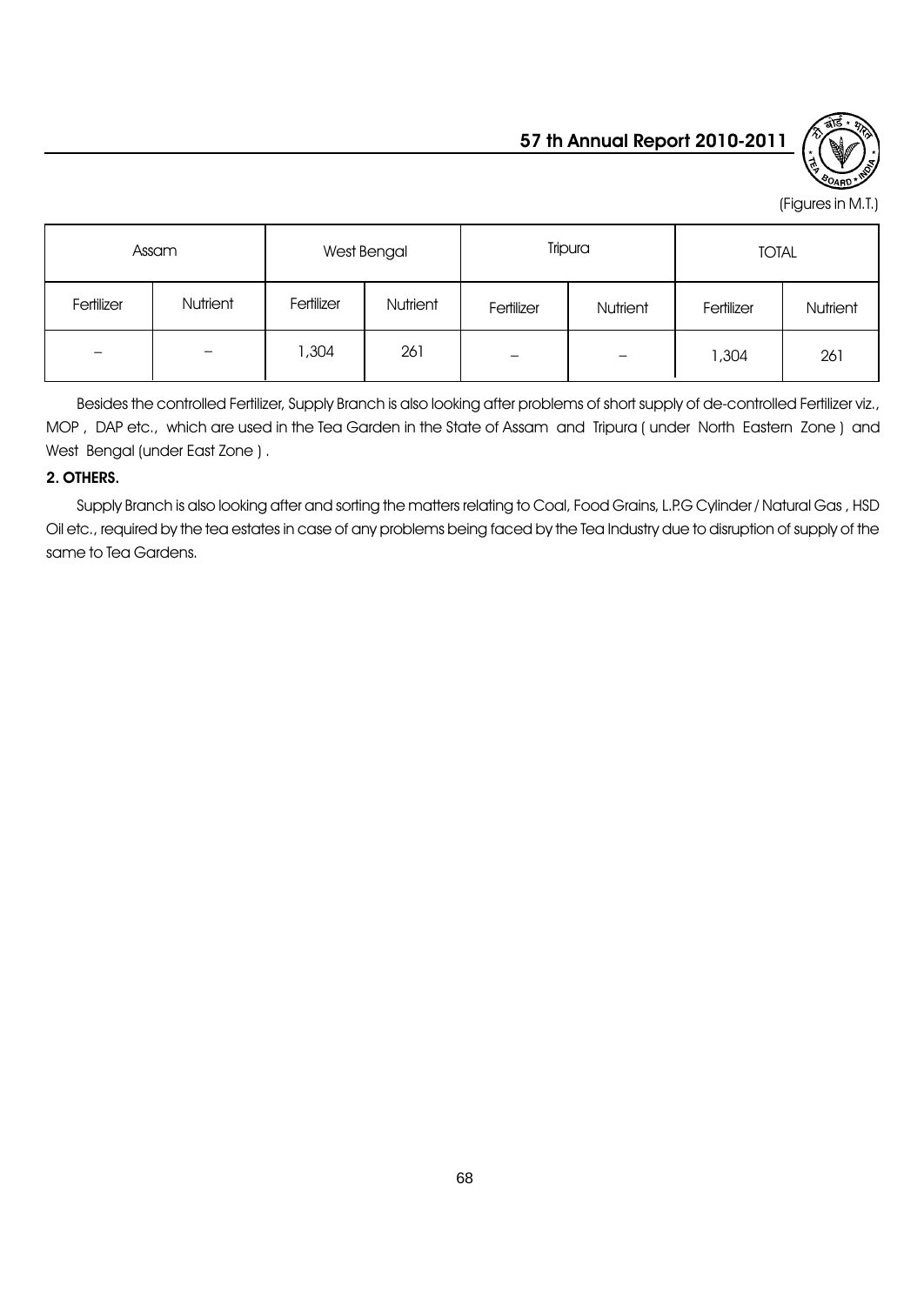

(Figures in M.T.)

|            | Assam                    |            | West Bengal |                          | Tripura                      |            | <b>TOTAL</b> |
|------------|--------------------------|------------|-------------|--------------------------|------------------------------|------------|--------------|
| Fertilizer | Nutrient                 | Fertilizer | Nutrient    | Fertilizer<br>Nutrient   |                              | Fertilizer | Nutrient     |
| -          | $\overline{\phantom{m}}$ | 1,304      | 261         | $\overline{\phantom{0}}$ | $\qquad \qquad \blacksquare$ | 1,304      | 261          |

Besides the controlled Fertilizer, Supply Branch is also looking after problems of short supply of de-controlled Fertilizer viz., MOP , DAP etc., which are used in the Tea Garden in the State of Assam and Tripura ( under North Eastern Zone ) and West Bengal (under East Zone ) .

# 2. OTHERS.

Supply Branch is also looking after and sorting the matters relating to Coal, Food Grains, L.P.G Cylinder / Natural Gas , HSD Oil etc., required by the tea estates in case of any problems being faced by the Tea Industry due to disruption of supply of the same to Tea Gardens.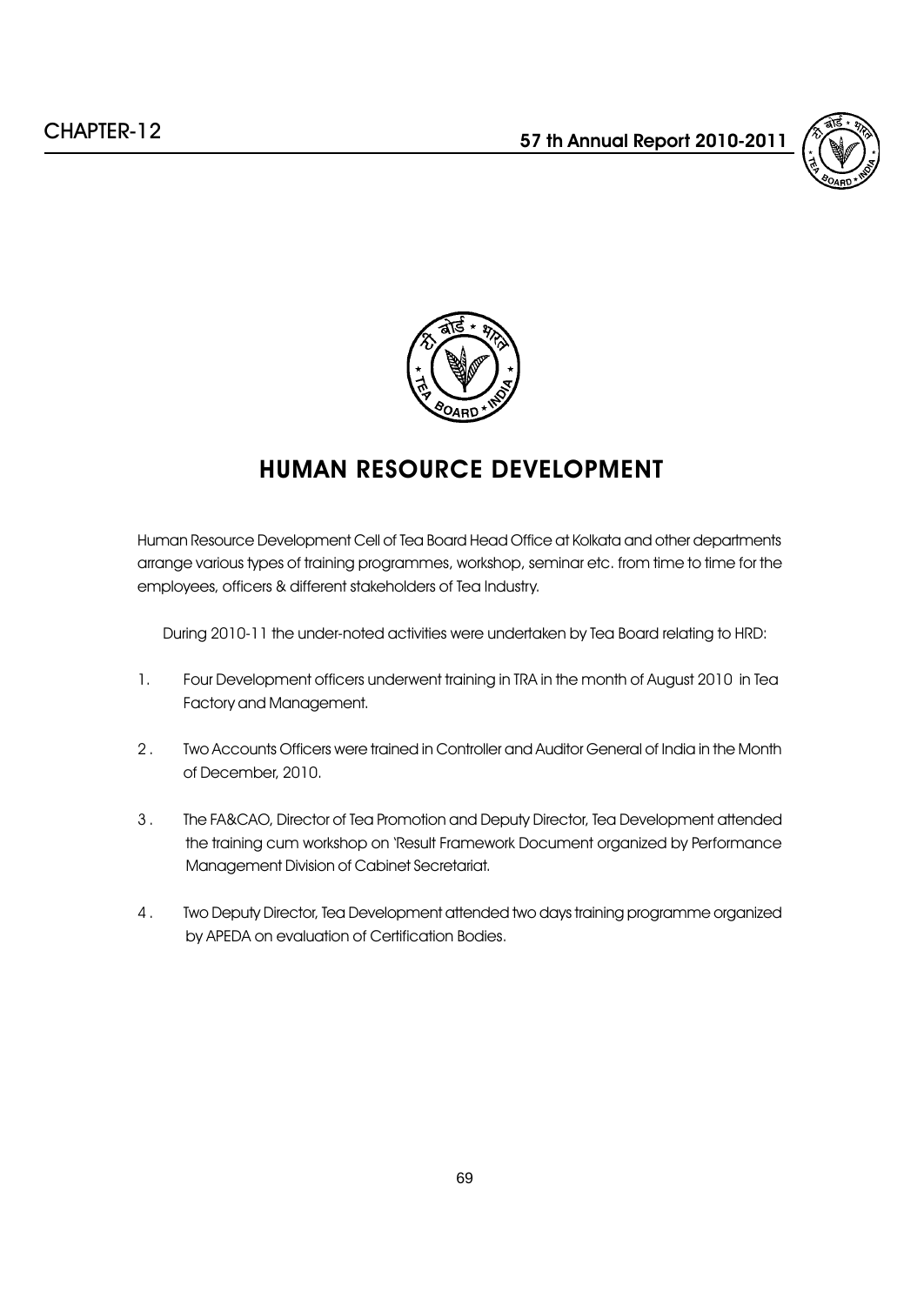



# HUMAN RESOURCE DEVELOPMENT

Human Resource Development Cell of Tea Board Head Office at Kolkata and other departments arrange various types of training programmes, workshop, seminar etc. from time to time for the employees, officers & different stakeholders of Tea Industry.

During 2010-11 the under-noted activities were undertaken by Tea Board relating to HRD:

- 1. Four Development officers underwent training in TRA in the month of August 2010 in Tea Factory and Management.
- 2 . Two Accounts Officers were trained in Controller and Auditor General of India in the Month of December, 2010.
- 3 . The FA&CAO, Director of Tea Promotion and Deputy Director, Tea Development attended the training cum workshop on 'Result Framework Document organized by Performance Management Division of Cabinet Secretariat.
- 4 . Two Deputy Director, Tea Development attended two days training programme organized by APEDA on evaluation of Certification Bodies.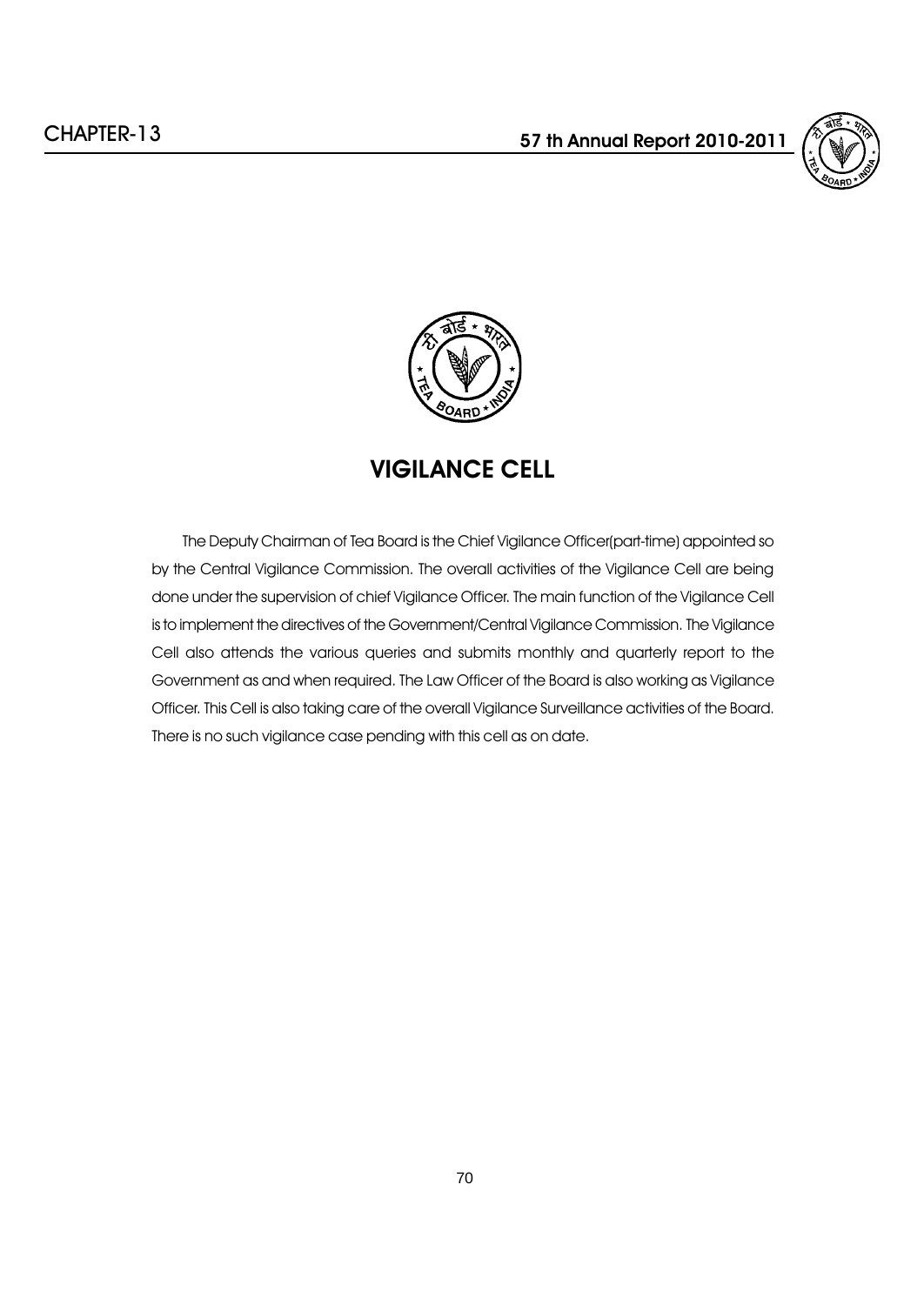



# VIGILANCE CELL

The Deputy Chairman of Tea Board is the Chief Vigilance Officer(part-time) appointed so by the Central Vigilance Commission. The overall activities of the Vigilance Cell are being done under the supervision of chief Vigilance Officer. The main function of the Vigilance Cell is to implement the directives of the Government/Central Vigilance Commission. The Vigilance Cell also attends the various queries and submits monthly and quarterly report to the Government as and when required. The Law Officer of the Board is also working as Vigilance Officer. This Cell is also taking care of the overall Vigilance Surveillance activities of the Board. There is no such vigilance case pending with this cell as on date.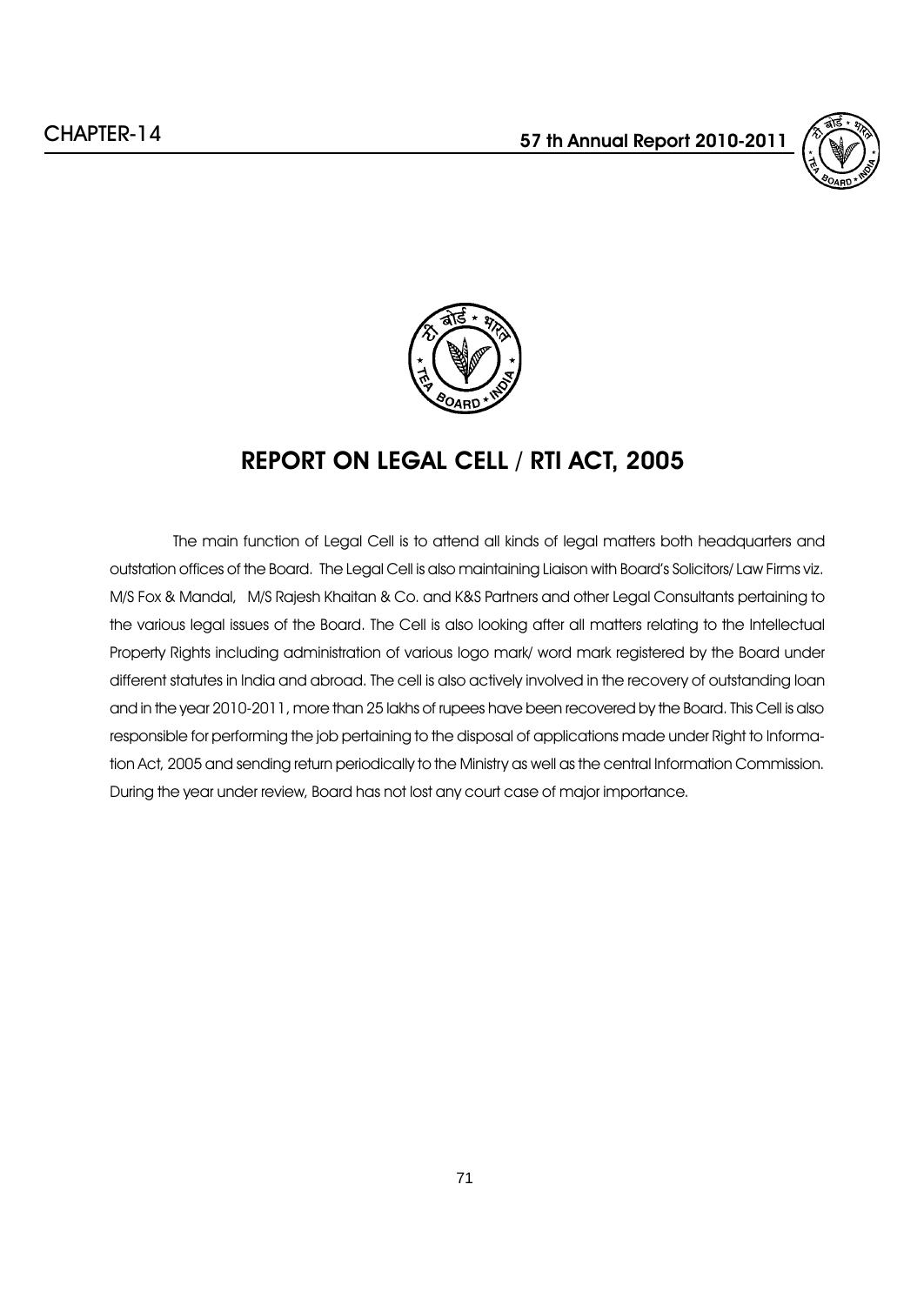



# REPORT ON LEGAL CELL / RTI ACT, 2005

The main function of Legal Cell is to attend all kinds of legal matters both headquarters and outstation offices of the Board. The Legal Cell is also maintaining Liaison with Boardís Solicitors/ Law Firms viz. M/S Fox & Mandal, M/S Rajesh Khaitan & Co. and K&S Partners and other Legal Consultants pertaining to the various legal issues of the Board. The Cell is also looking after all matters relating to the Intellectual Property Rights including administration of various logo mark/ word mark registered by the Board under different statutes in India and abroad. The cell is also actively involved in the recovery of outstanding loan and in the year 2010-2011, more than 25 lakhs of rupees have been recovered by the Board. This Cell is also responsible for performing the job pertaining to the disposal of applications made under Right to Information Act, 2005 and sending return periodically to the Ministry as well as the central Information Commission. During the year under review, Board has not lost any court case of major importance.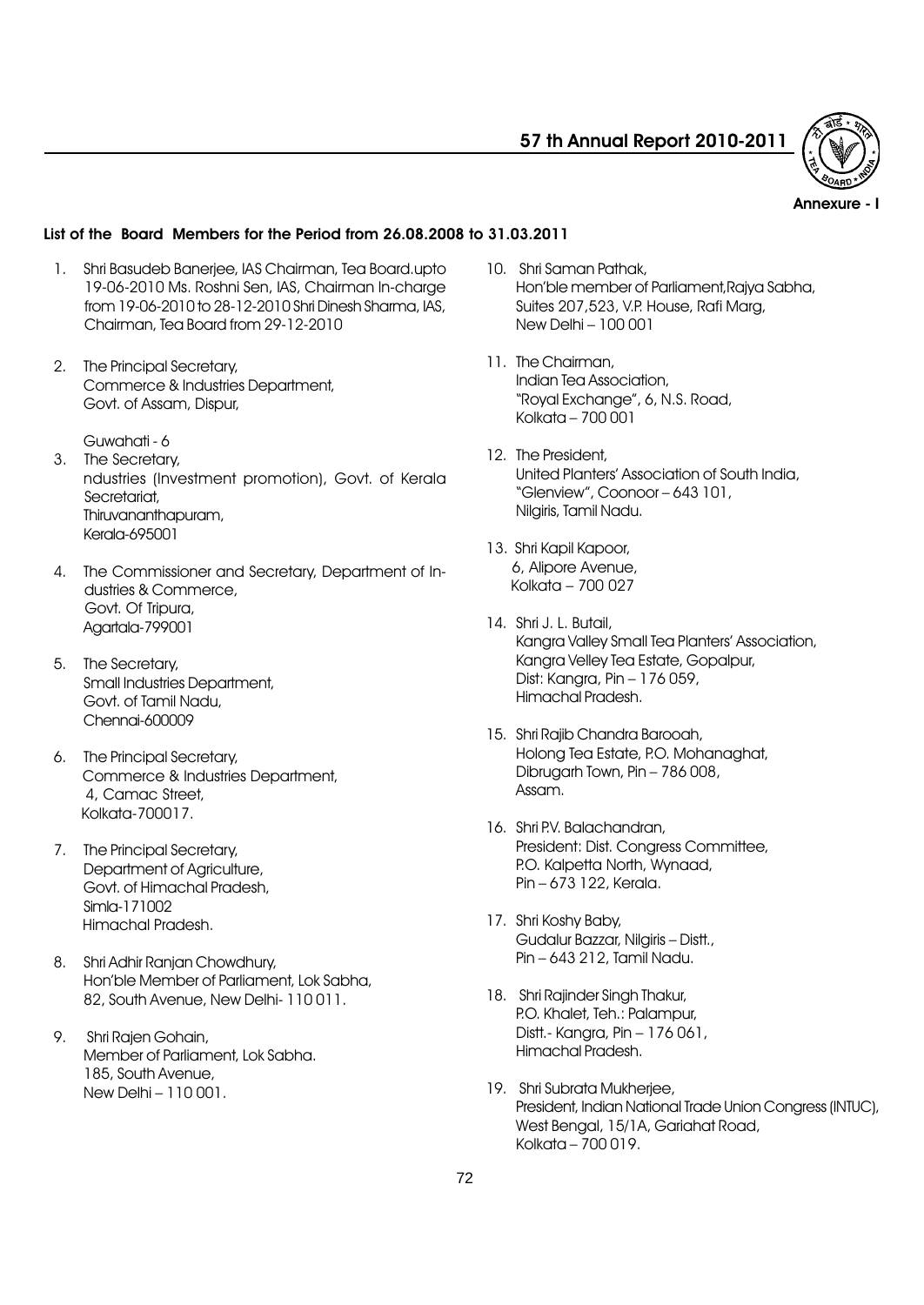

Annexure - I

# List of the Board Members for the Period from 26.08.2008 to 31.03.2011

- 1. Shri Basudeb Banerjee, IAS Chairman, Tea Board.upto 19-06-2010 Ms. Roshni Sen, IAS, Chairman In-charge from 19-06-2010 to 28-12-2010 Shri Dinesh Sharma, IAS, Chairman, Tea Board from 29-12-2010
- 2. The Principal Secretary, Commerce & Industries Department, Govt. of Assam, Dispur,
	- Guwahati 6
- 3. The Secretary, ndustries (Investment promotion), Govt. of Kerala Secretariat, Thiruvananthapuram, Kerala-695001
- 4. The Commissioner and Secretary, Department of Industries & Commerce, Govt. Of Tripura, Agartala-799001
- 5. The Secretary, Small Industries Department, Govt. of Tamil Nadu, Chennai-600009
- 6. The Principal Secretary, Commerce & Industries Department, 4, Camac Street, Kolkata-700017.
- 7. The Principal Secretary, Department of Agriculture, Govt. of Himachal Pradesh, Simla-171002 Himachal Pradesh.
- 8. Shri Adhir Ranjan Chowdhury, Honíble Member of Parliament, Lok Sabha, 82, South Avenue, New Delhi- 110 011.
- 9. Shri Rajen Gohain, Member of Parliament, Lok Sabha. 185, South Avenue, New Delhi - 110 001.
- 10. Shri Saman Pathak, Honíble member of Parliament,Rajya Sabha, Suites 207,523, V.P. House, Rafi Marg, New Delhi - 100 001
- 11. The Chairman, Indian Tea Association, "Royal Exchange", 6, N.S. Road, Kolkata  $-700001$
- 12. The President, United Plantersí Association of South India,  $"Glenview"$ , Coonoor  $-643$  101, Nilgiris, Tamil Nadu.
- 13. Shri Kapil Kapoor, 6, Alipore Avenue, Kolkata  $-700027$
- 14. Shri J. L. Butail, Kangra Valley Small Tea Plantersí Association, Kangra Velley Tea Estate, Gopalpur, Dist: Kangra, Pin - 176 059, Himachal Pradesh.
- 15. Shri Rajib Chandra Barooah, Holong Tea Estate, P.O. Mohanaghat, Dibrugarh Town, Pin  $-786008$ , Assam.
- 16. Shri P.V. Balachandran, President: Dist. Congress Committee, P.O. Kalpetta North, Wynaad, Pin – 673 122, Kerala.
- 17. Shri Koshy Baby, Gudalur Bazzar, Nilgiris - Distt., Pin - 643 212, Tamil Nadu.
- 18. Shri Rajinder Singh Thakur, P.O. Khalet, Teh.: Palampur, Distt.- Kanara, Pin  $-176061$ , Himachal Pradesh.
- 19. Shri Subrata Mukheriee, President, Indian National Trade Union Congress (INTUC), West Bengal, 15/1A, Gariahat Road, Kolkata  $-700019$ .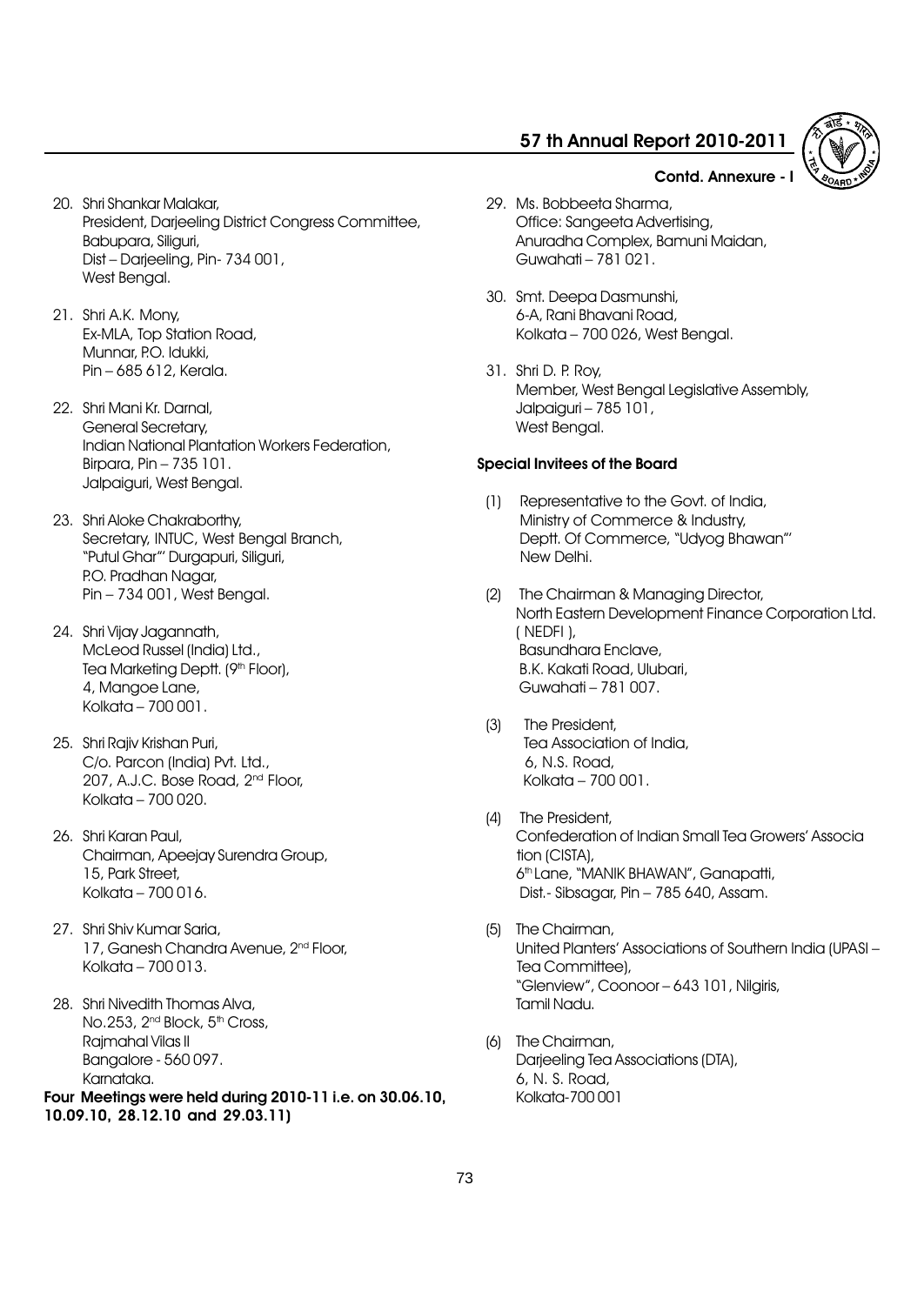Anuradha Complex, Bamuni Maidan,

29. Ms. Bobbeeta Sharma,

Guwahati  $-781021$ .

30. Smt. Deepa Dasmunshi, 6-A, Rani Bhavani Road,

Jalpaiguri - 785 101,

Special Invitees of the Board

31. Shri D. P. Roy,

West Bengal.

New Delhi.

( NEDFI ),

(3) The President,

6, N.S. Road, Kolkata  $-700001$ .

Office: Sangeeta Advertising,

Kolkata  $-700$  026, West Bengal.

(1) Representative to the Govt. of India, Ministry of Commerce & Industry, Deptt. Of Commerce, "Udyog Bhawan"

(2) The Chairman & Managing Director,

Basundhara Enclave, B.K. Kakati Road, Ulubari, Guwahati – 781 007.

Tea Association of India,

Member, West Bengal Legislative Assembly,



- 20. Shri Shankar Malakar, President, Darjeeling District Congress Committee, Babupara, Siliguri, Dist - Darjeeling, Pin- 734 001, West Benaal.
- 21. Shri A.K. Mony, Ex-MLA, Top Station Road, Munnar, P.O. Idukki,  $Pin - 685 612$ , Kerala.
- 22. Shri Mani Kr. Darnal, General Secretary, Indian National Plantation Workers Federation, Birpara, Pin  $-735$  101. Jalpaiguri, West Bengal.
- 23. Shri Aloke Chakraborthy, Secretary, INTUC, West Bengal Branch, "Putul Ghar"' Durgapuri, Siliguri, P.O. Pradhan Nagar, Pin – 734 001, West Bengal.
- 24. Shri Vijay Jagannath, McLeod Russel (India) Ltd., Tea Marketing Deptt. (9th Floor), 4, Mangoe Lane, Kolkata  $-700001$ .
- 25. Shri Rajiv Krishan Puri, C/o. Parcon (India) Pvt. Ltd., 207, A.J.C. Bose Road, 2nd Floor, Kolkata  $-700,020$ .
- 26. Shri Karan Paul, Chairman, Apeejay Surendra Group, 15, Park Street, Kolkata  $-700016$ .
- 27. Shri Shiv Kumar Saria, 17, Ganesh Chandra Avenue, 2<sup>nd</sup> Floor,  $Kolkata - 700 013.$
- 28. Shri Nivedith Thomas Alva, No.253, 2<sup>nd</sup> Block, 5<sup>th</sup> Cross, Rajmahal Vilas II Bangalore - 560 097. Karnataka. Four Meetings were held during 2010-11 i.e. on 30.06.10, 10.09.10, 28.12.10 and 29.03.11)
- - (4) The President, Confederation of Indian Small Tea Growersí Associa tion (CISTA), 6<sup>th</sup> Lane, "MANIK BHAWAN", Ganapatti, Dist.- Sibsagar, Pin - 785 640, Assam.

North Eastern Development Finance Corporation Ltd.

- (5) The Chairman, United Planters' Associations of Southern India (UPASI -Tea Committee), "Glenview", Coonoor - 643 101, Nilgiris, Tamil Nadu.
- (6) The Chairman, Darjeeling Tea Associations (DTA), 6, N. S. Road, Kolkata-700 001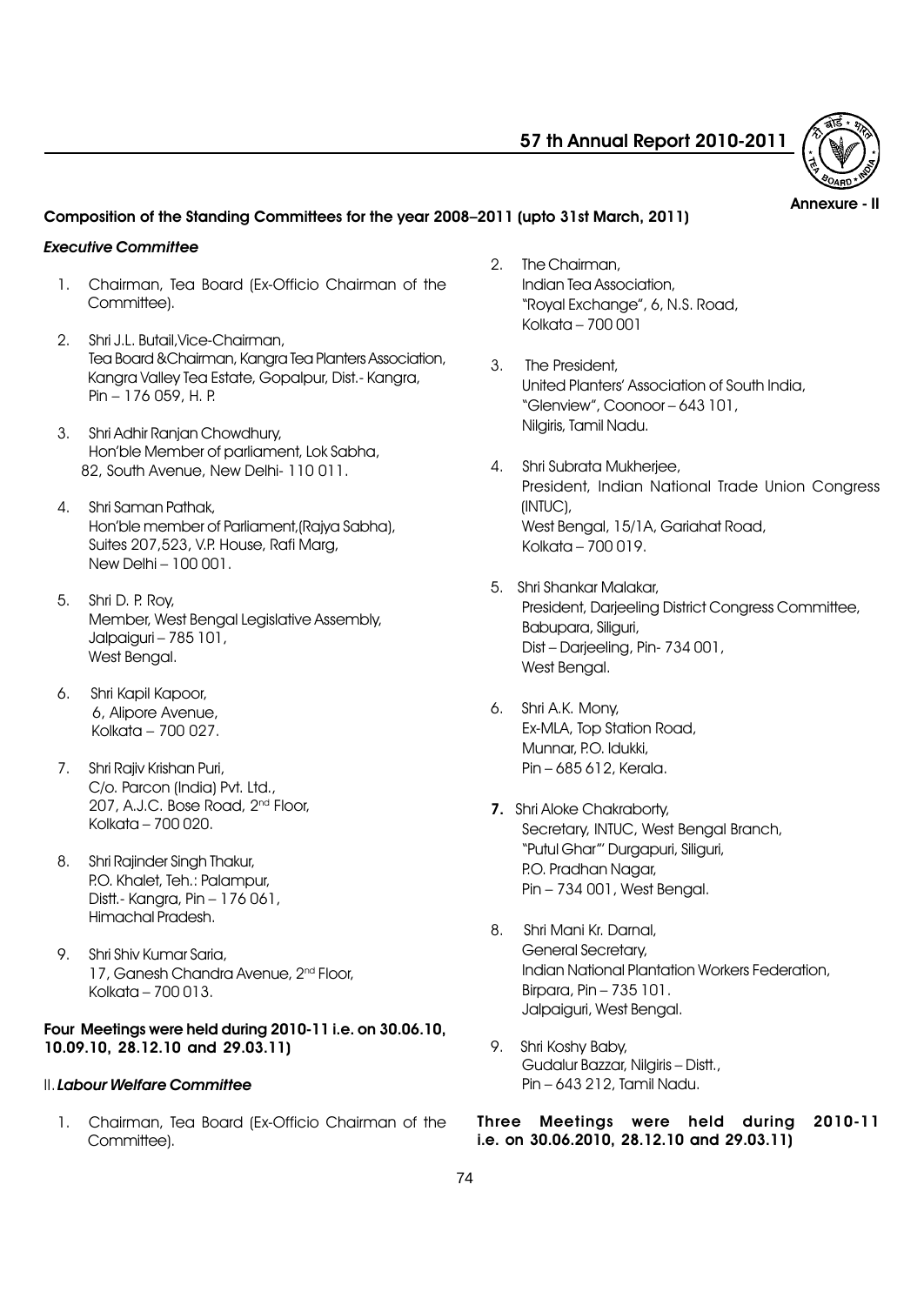

Annexure - II

## Composition of the Standing Committees for the year 2008–2011 (upto 31st March, 2011)

#### Executive Committee

- 1. Chairman, Tea Board (Ex-Officio Chairman of the Committee).
- 2. Shri J.L. Butail,Vice-Chairman, Tea Board &Chairman, Kangra Tea Planters Association, Kangra Valley Tea Estate, Gopalpur, Dist.- Kangra, Pin - 176 059, H. P.
- 3. Shri Adhir Ranjan Chowdhury, Honíble Member of parliament, Lok Sabha, 82, South Avenue, New Delhi- 110 011.
- 4. Shri Saman Pathak, Honíble member of Parliament,(Rajya Sabha), Suites 207,523, V.P. House, Rafi Marg, New Delhi  $-100001$ .
- 5. Shri D. P. Roy, Member, West Bengal Legislative Assembly, Jalpaiguri - 785 101, West Bengal.
- 6. Shri Kapil Kapoor, 6, Alipore Avenue, Kolkata  $-700,027$ .
- 7. Shri Rajiv Krishan Puri, C/o. Parcon (India) Pvt. Ltd., 207, A.J.C. Bose Road, 2nd Floor, Kolkata  $-700020$ .
- 8. Shri Rajinder Singh Thakur, P.O. Khalet, Teh.: Palampur, Distt.- Kanara, Pin  $-176061$ , Himachal Pradesh.
- 9. Shri Shiv Kumar Saria, 17, Ganesh Chandra Avenue, 2<sup>nd</sup> Floor, Kolkata  $-700013$ .

### Four Meetings were held during 2010-11 i.e. on 30.06.10, 10.09.10, 28.12.10 and 29.03.11)

## II.Labour Welfare Committee

1. Chairman, Tea Board (Ex-Officio Chairman of the Committee).

- 2. The Chairman, Indian Tea Association, "Royal Exchange", 6, N.S. Road, Kolkata  $-700001$
- 3. The President, United Plantersí Association of South India, "Glenview", Coonoor - 643 101, Nilgiris, Tamil Nadu.
- 4. Shri Subrata Mukherjee, President, Indian National Trade Union Congress (INTUC), West Benaal, 15/1A, Gariahat Road,  $Kolkata - 700 019.$
- 5. Shri Shankar Malakar, President, Darjeeling District Congress Committee, Babupara, Siliguri, Dist - Darjeeling, Pin- 734 001, West Bengal.
- 6. Shri A.K. Mony, Ex-MLA, Top Station Road, Munnar, P.O. Idukki, Pin – 685 612, Kerala.
- 7. Shri Aloke Chakraborty, Secretary, INTUC, West Bengal Branch, "Putul Ghar"' Durgapuri, Siliguri, P.O. Pradhan Nagar, Pin - 734 001, West Bengal.
- 8. Shri Mani Kr. Darnal, General Secretary, Indian National Plantation Workers Federation, Birpara, Pin  $-735$  101. Jalpaiguri, West Bengal.
- 9. Shri Koshy Baby, Gudalur Bazzar, Nilgiris - Distt., Pin – 643 212, Tamil Nadu.

Three Meetings were held during 2010-11 i.e. on 30.06.2010, 28.12.10 and 29.03.11)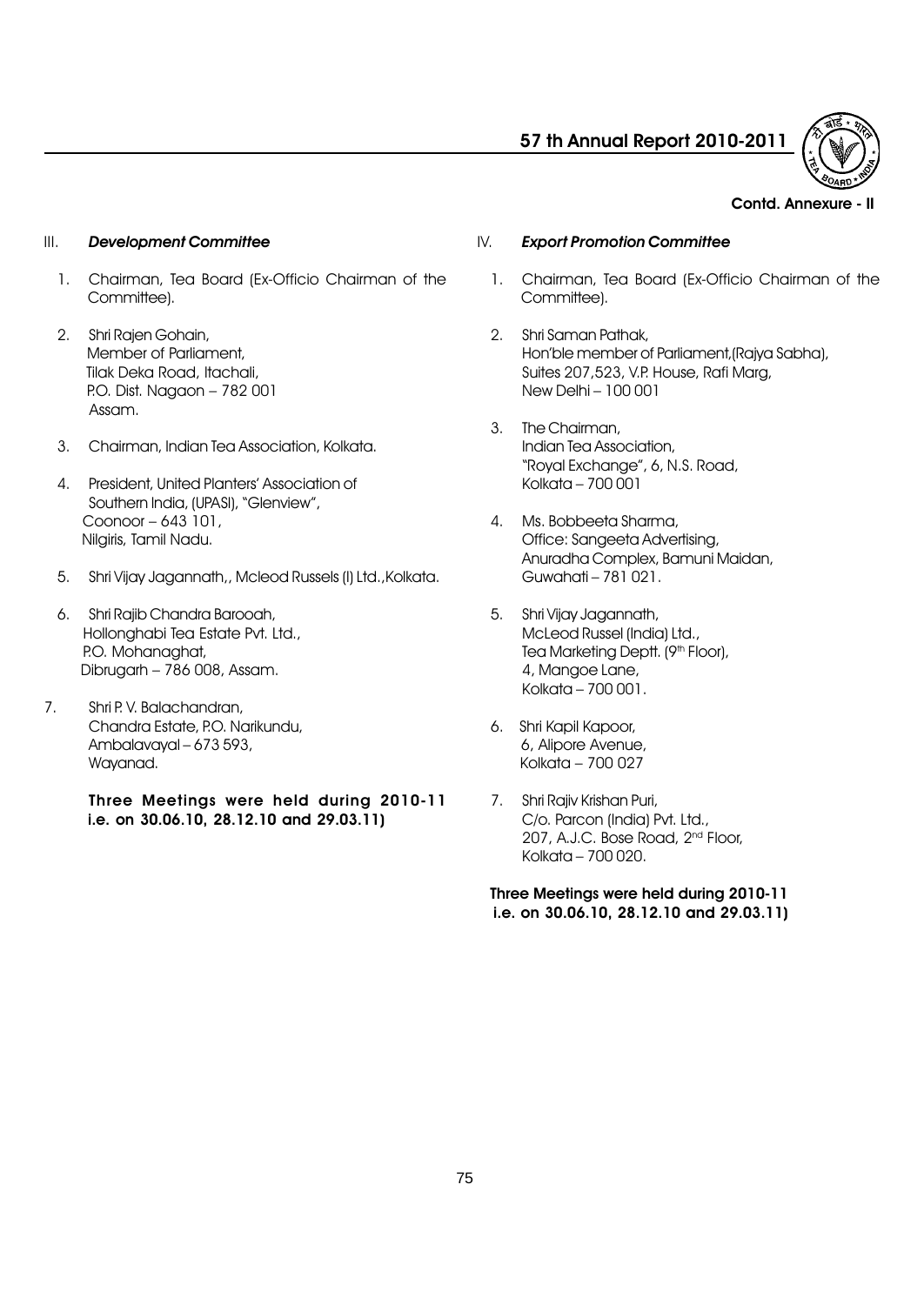

#### Contd. Annexure - II

#### III. Development Committee

- 1. Chairman, Tea Board (Ex-Officio Chairman of the Committee).
- 2. Shri Rajen Gohain, Member of Parliament, Tilak Deka Road, Itachali, P.O. Dist. Nagaon - 782 001 Assam.
- 3. Chairman, Indian Tea Association, Kolkata.
- 4. President, United Plantersí Association of Southern India, (UPASI), "Glenview", Coonoor - 643 101, Nilgiris, Tamil Nadu.
- 5. Shri Vijay Jagannath,, Mcleod Russels (I) Ltd.,Kolkata.
- 6. Shri Rajib Chandra Barooah, Hollonghabi Tea Estate Pvt. Ltd., P.O. Mohanaghat, Dibrugarh  $-786$  008, Assam.
- 7. Shri P. V. Balachandran, Chandra Estate, P.O. Narikundu, Ambalavayal  $-673593$ , Wayanad.

Three Meetings were held during 2010-11 i.e. on 30.06.10, 28.12.10 and 29.03.11)

## IV. Export Promotion Committee

- 1. Chairman, Tea Board (Ex-Officio Chairman of the Committee).
- 2. Shri Saman Pathak, Honíble member of Parliament,(Rajya Sabha), Suites 207,523, V.P. House, Rafi Marg, New Delhi - 100 001
- 3. The Chairman, Indian Tea Association, "Royal Exchange", 6, N.S. Road, Kolkata –  $700\overline{0}01$
- 4. Ms. Bobbeeta Sharma, Office: Sangeeta Advertising, Anuradha Complex, Bamuni Maidan, Guwahati - 781 021.
- 5. Shri Vijay Jagannath, McLeod Russel (India) Ltd., Tea Marketing Deptt. (9<sup>th</sup> Floor), 4, Mangoe Lane, Kolkata  $-700001$ .
- 6. Shri Kapil Kapoor, 6, Alipore Avenue, Kolkata  $-700027$
- 7. Shri Rajiv Krishan Puri, C/o. Parcon (India) Pvt. Ltd., 207, A.J.C. Bose Road, 2nd Floor, Kolkata  $-700020$ .

Three Meetings were held during 2010-11 i.e. on 30.06.10, 28.12.10 and 29.03.11)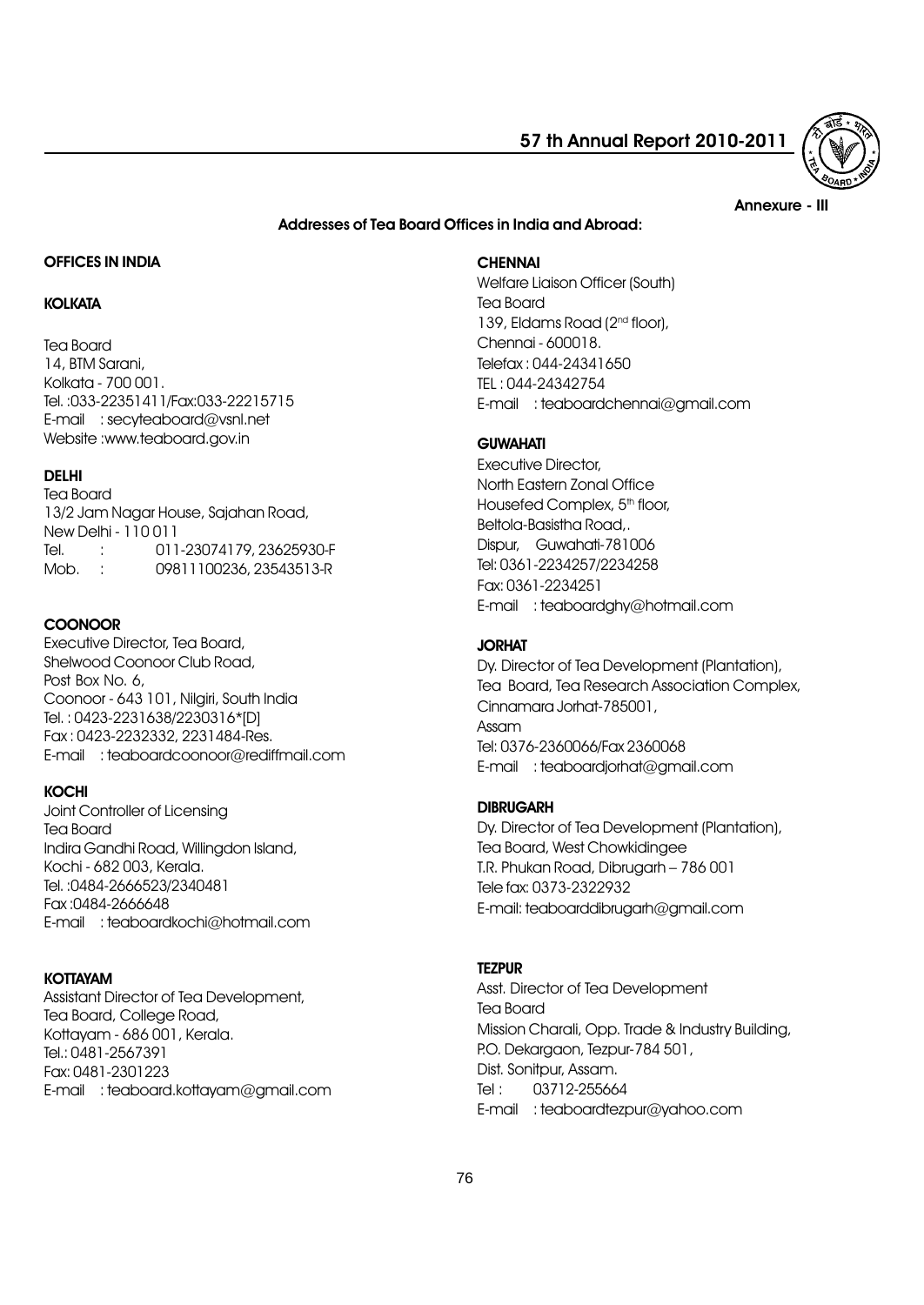

#### Annexure - III

### Addresses of Tea Board Offices in India and Abroad:

## OFFICES IN INDIA

## **KOLKATA**

Tea Board

14, BTM Sarani, Kolkata - 700 001. Tel. :033-22351411/Fax:033-22215715 E-mail : secyteaboard@vsnl.net Website :www.teaboard.gov.in

## DELHI

Tea Board 13/2 Jam Nagar House, Sajahan Road, New Delhi - 110 011 Tel. : 011-23074179, 23625930-F Mob. : 09811100236, 23543513-R

## **COONOOR**

Executive Director, Tea Board, Shelwood Coonoor Club Road, Post Box No. 6, Coonoor - 643 101, Nilgiri, South India Tel. : 0423-2231638/2230316\*[D] Fax : 0423-2232332, 2231484-Res. E-mail : teaboardcoonoor@rediffmail.com

#### KOCHI

Joint Controller of Licensing Tea Board Indira Gandhi Road, Willingdon Island, Kochi - 682 003, Kerala. Tel. :0484-2666523/2340481 Fax :0484-2666648 E-mail : teaboardkochi@hotmail.com

## **KOTTAYAM**

Assistant Director of Tea Development, Tea Board, College Road, Kottayam - 686 001, Kerala. Tel.: 0481-2567391 Fax: 0481-2301223 E-mail : teaboard.kottayam@gmail.com

#### **CHENNAI**

Welfare Liaison Officer (South) Tea Board 139, Eldams Road (2<sup>nd</sup> floor), Chennai - 600018. Telefax : 044-24341650 TEL : 044-24342754 E-mail : teaboardchennai@gmail.com

## **GUWAHATI**

Executive Director, North Eastern Zonal Office Housefed Complex, 5<sup>th</sup> floor, Beltola-Basistha Road,. Dispur, Guwahati-781006 Tel: 0361-2234257/2234258 Fax: 0361-2234251 E-mail : teaboardghy@hotmail.com

### JORHAT

Dy. Director of Tea Development (Plantation), Tea Board, Tea Research Association Complex, Cinnamara Jorhat-785001, Assam Tel: 0376-2360066/Fax 2360068 E-mail : teaboardjorhat@gmail.com

#### **DIBRUGARH**

Dy. Director of Tea Development (Plantation), Tea Board, West Chowkidingee T.R. Phukan Road, Dibrugarh - 786 001 Tele fax: 0373-2322932 E-mail: teaboarddibrugarh@gmail.com

### **TEZPUR**

Asst. Director of Tea Development Tea Board Mission Charali, Opp. Trade & Industry Building, P.O. Dekargaon, Tezpur-784 501, Dist. Sonitpur, Assam. Tel: 03712-255664 E-mail : teaboardtezpur@yahoo.com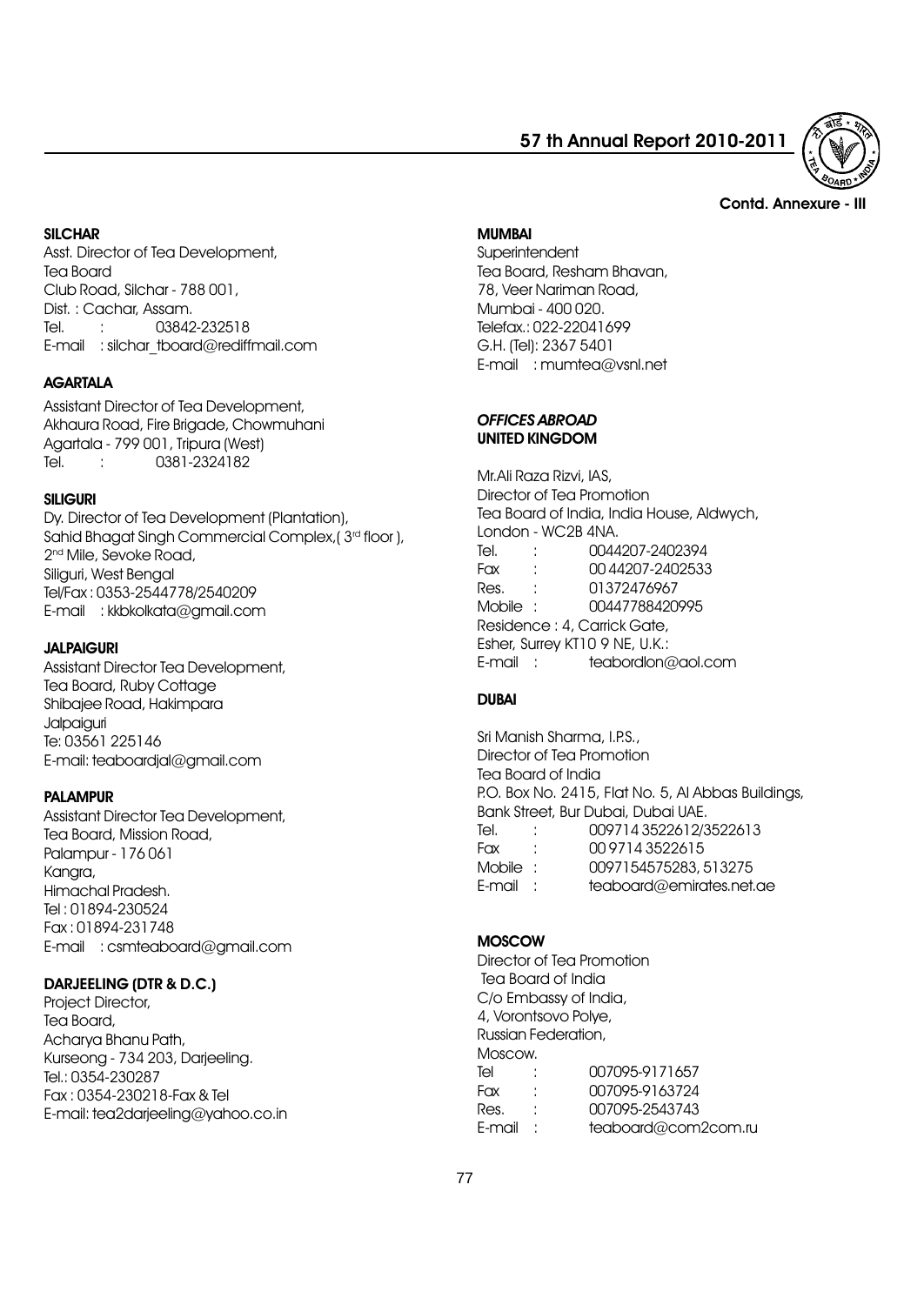

#### Contd. Annexure - III

#### **SILCHAR**

Asst. Director of Tea Development, Tea Board Club Road, Silchar - 788 001, Dist. : Cachar, Assam. Tel. : 03842-232518 E-mail : silchar\_tboard@rediffmail.com

### **AGARTALA**

Assistant Director of Tea Development, Akhaura Road, Fire Brigade, Chowmuhani Agartala - 799 001, Tripura (West) Tel. : 0381-2324182

#### SILIGURI

Dy. Director of Tea Development (Plantation), Sahid Bhagat Singh Commercial Complex, ( $3<sup>rd</sup>$  floor), 2<sup>nd</sup> Mile, Sevoke Road, Siliguri, West Bengal Tel/Fax : 0353-2544778/2540209 E-mail : kkbkolkata@gmail.com

#### JALPAIGURI

Assistant Director Tea Development, Tea Board, Ruby Cottage Shibajee Road, Hakimpara **Jalpaiauri** Te: 03561 225146 E-mail: teaboardjal@gmail.com

#### PALAMPUR

Assistant Director Tea Development, Tea Board, Mission Road, Palampur - 176 061 Kangra, Himachal Pradesh. Tel : 01894-230524 Fax : 01894-231748 E-mail : csmteaboard@gmail.com

#### DARJEELING (DTR & D.C.)

Project Director, Tea Board, Acharya Bhanu Path, Kurseong - 734 203, Darjeeling. Tel.: 0354-230287 Fax : 0354-230218-Fax & Tel E-mail: tea2darjeeling@yahoo.co.in

#### MUMBAI

**Superintendent** Tea Board, Resham Bhavan, 78, Veer Nariman Road, Mumbai - 400 020. Telefax.: 022-22041699 G.H. (Tel): 2367 5401 E-mail : mumtea@vsnl.net

## OFFICES ABROAD UNITED KINGDOM

Mr.Ali Raza Rizvi, IAS, Director of Tea Promotion Tea Board of India, India House, Aldwych, London - WC2B 4NA. Tel. : 0044207-2402394 Fax : 00 44207-2402533 Res. : 01372476967 Mobile : 00447788420995 Residence : 4, Carrick Gate, Esher, Surrey KT10 9 NE, U.K.: E-mail : teabordlon@aol.com

## DUBAI

Sri Manish Sharma, LP.S., Director of Tea Promotion Tea Board of India P.O. Box No. 2415, Flat No. 5, Al Abbas Buildings, Bank Street, Bur Dubai, Dubai UAE. Tel. : 009714 3522612/3522613 Fax : 00 9714 3522615 Mobile : 0097154575283, 513275 E-mail : teaboard@emirates.net.ae

### **MOSCOW**

Director of Tea Promotion Tea Board of India C/o Embassy of India, 4, Vorontsovo Polye, Russian Federation, Moscow. Tel : 007095-9171657 Fax : 007095-9163724 Res. : 007095-2543743 E-mail : teaboard@com2com.ru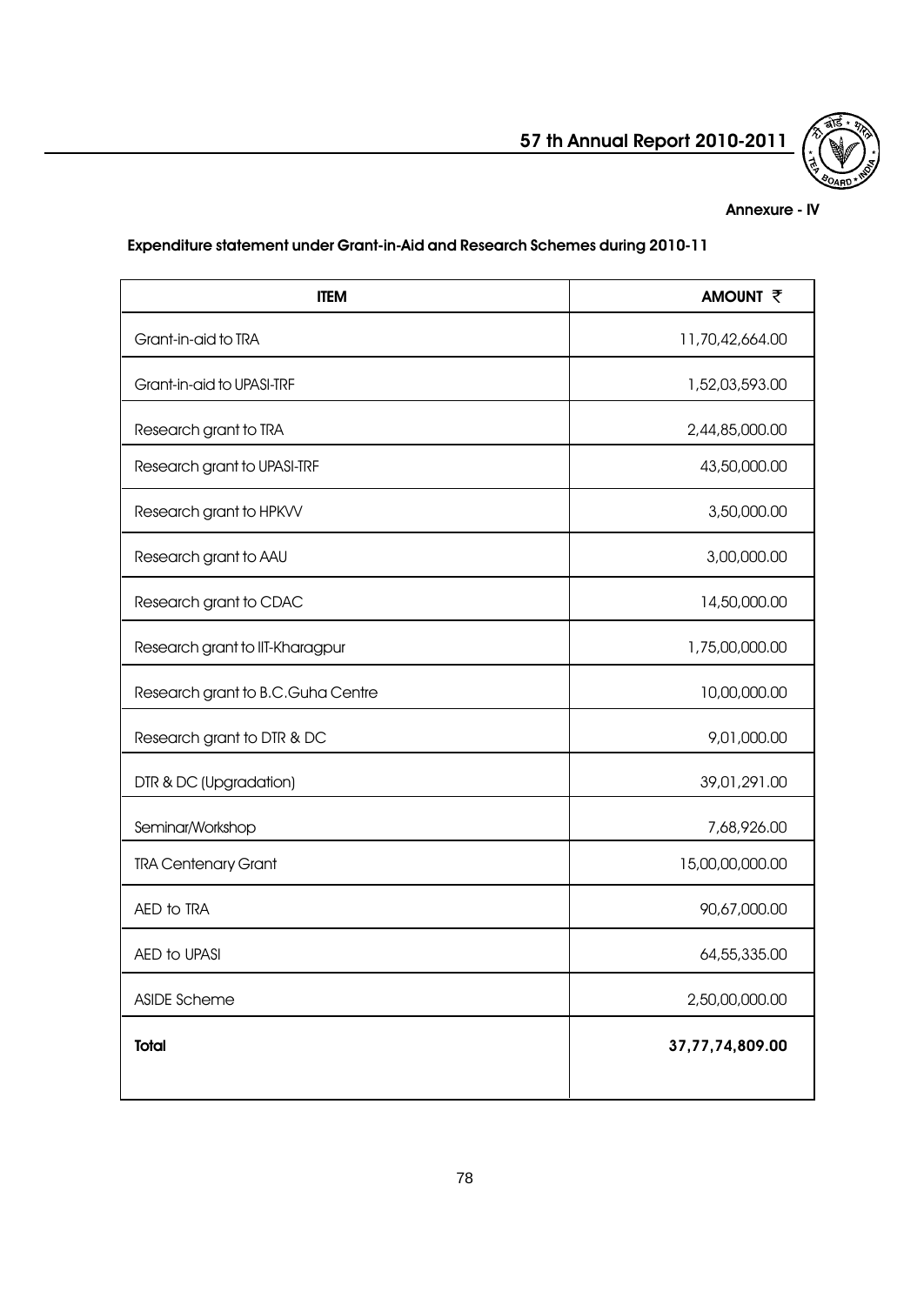## Annexure - IV

# Expenditure statement under Grant-in-Aid and Research Schemes during 2010-11

| <b>ITEM</b>                       | <b>AMOUNT そ</b> |  |  |
|-----------------------------------|-----------------|--|--|
| Grant-in-aid to TRA               | 11,70,42,664.00 |  |  |
| Grant-in-aid to UPASI-TRF         | 1,52,03,593.00  |  |  |
| Research grant to TRA             | 2,44,85,000.00  |  |  |
| Research grant to UPASI-TRF       | 43,50,000.00    |  |  |
| Research grant to HPKVV           | 3,50,000.00     |  |  |
| Research grant to AAU             | 3,00,000.00     |  |  |
| Research grant to CDAC            | 14,50,000.00    |  |  |
| Research grant to IIT-Kharagpur   | 1,75,00,000.00  |  |  |
| Research grant to B.C.Guha Centre | 10,00,000.00    |  |  |
| Research grant to DTR & DC        | 9,01,000.00     |  |  |
| DTR & DC (Upgradation)            | 39,01,291.00    |  |  |
| Seminar/Workshop                  | 7,68,926.00     |  |  |
| <b>TRA Centenary Grant</b>        | 15,00,00,000.00 |  |  |
| AED to TRA                        | 90,67,000.00    |  |  |
| AED to UPASI                      | 64,55,335.00    |  |  |
| ASIDE Scheme                      | 2,50,00,000.00  |  |  |
| <b>Total</b>                      | 37,77,74,809.00 |  |  |